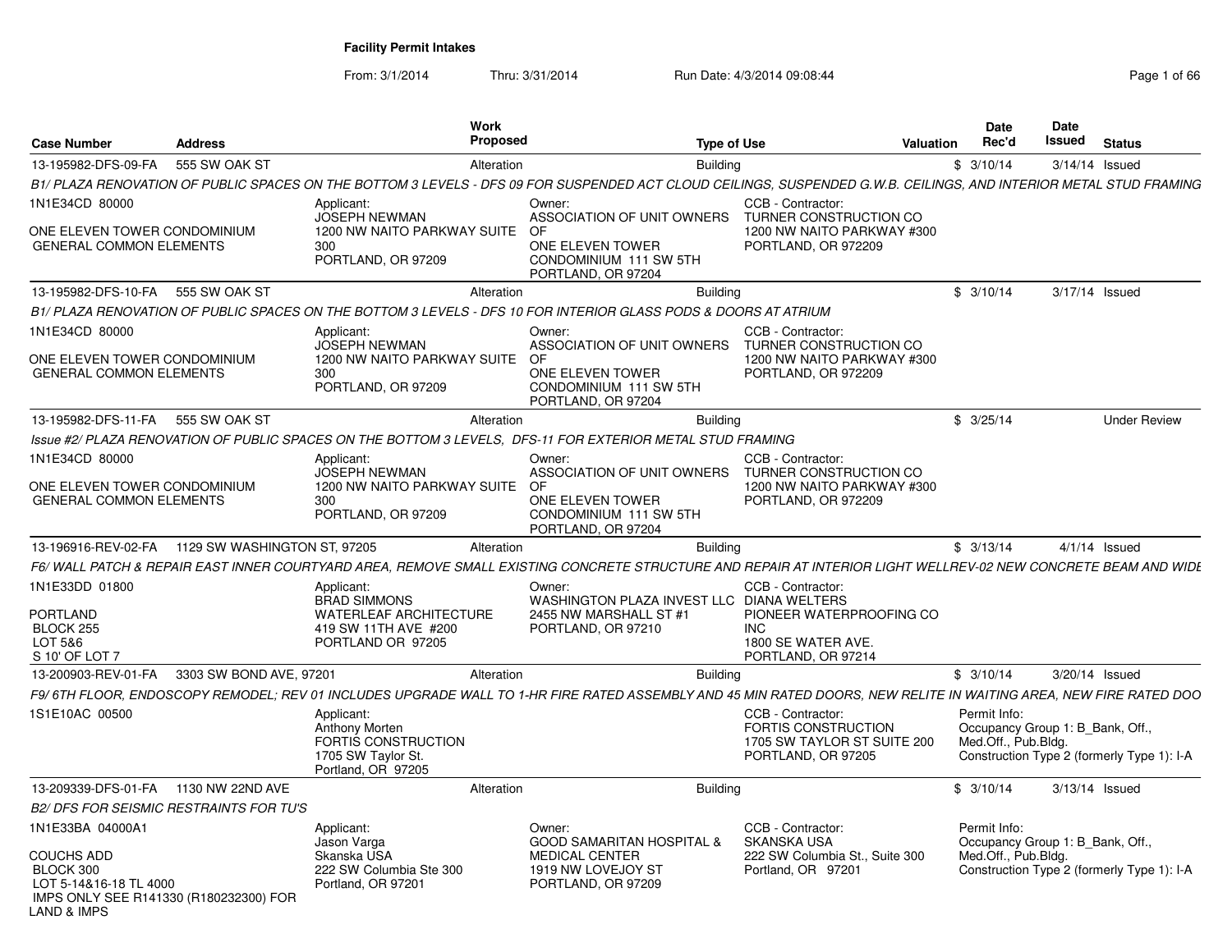From: 3/1/2014Thru: 3/31/2014 Run Date: 4/3/2014 09:08:44 Page 1 of 66

| <b>Case Number</b>                                               | <b>Address</b>               | Work<br><b>Proposed</b>                                                           | <b>Type of Use</b>                                                                                                                                                 | Valuation                                                                          | Date<br>Rec'd                                           | Date<br>Issued | <b>Status</b>                              |
|------------------------------------------------------------------|------------------------------|-----------------------------------------------------------------------------------|--------------------------------------------------------------------------------------------------------------------------------------------------------------------|------------------------------------------------------------------------------------|---------------------------------------------------------|----------------|--------------------------------------------|
| 13-195982-DFS-09-FA                                              | 555 SW OAK ST                | Alteration                                                                        | <b>Building</b>                                                                                                                                                    |                                                                                    | \$3/10/14                                               |                | 3/14/14 Issued                             |
|                                                                  |                              |                                                                                   | B1/ PLAZA RENOVATION OF PUBLIC SPACES ON THE BOTTOM 3 LEVELS - DFS 09 FOR SUSPENDED ACT CLOUD CEILINGS, SUSPENDED G.W.B. CEILINGS, AND INTERIOR METAL STUD FRAMING |                                                                                    |                                                         |                |                                            |
| 1N1E34CD 80000                                                   |                              | Applicant:<br><b>JOSEPH NEWMAN</b>                                                | Owner:<br>ASSOCIATION OF UNIT OWNERS                                                                                                                               | CCB - Contractor:<br>TURNER CONSTRUCTION CO                                        |                                                         |                |                                            |
| ONE ELEVEN TOWER CONDOMINIUM<br><b>GENERAL COMMON ELEMENTS</b>   |                              | 1200 NW NAITO PARKWAY SUITE<br>300<br>PORTLAND, OR 97209                          | 0E<br>ONE ELEVEN TOWER<br>CONDOMINIUM 111 SW 5TH<br>PORTLAND, OR 97204                                                                                             | 1200 NW NAITO PARKWAY #300<br>PORTLAND, OR 972209                                  |                                                         |                |                                            |
| 13-195982-DFS-10-FA                                              | 555 SW OAK ST                | Alteration                                                                        | <b>Building</b>                                                                                                                                                    |                                                                                    | \$3/10/14                                               |                | 3/17/14 Issued                             |
|                                                                  |                              |                                                                                   | B1/ PLAZA RENOVATION OF PUBLIC SPACES ON THE BOTTOM 3 LEVELS - DFS 10 FOR INTERIOR GLASS PODS & DOORS AT ATRIUM                                                    |                                                                                    |                                                         |                |                                            |
| 1N1E34CD 80000                                                   |                              | Applicant:<br>JOSEPH NEWMAN                                                       | Owner:<br>ASSOCIATION OF UNIT OWNERS                                                                                                                               | CCB - Contractor:<br>TURNER CONSTRUCTION CO                                        |                                                         |                |                                            |
| ONE ELEVEN TOWER CONDOMINIUM<br><b>GENERAL COMMON ELEMENTS</b>   |                              | 1200 NW NAITO PARKWAY SUITE<br>300<br>PORTLAND, OR 97209                          | OF<br>ONE ELEVEN TOWER<br>CONDOMINIUM 111 SW 5TH<br>PORTLAND, OR 97204                                                                                             | 1200 NW NAITO PARKWAY #300<br>PORTLAND, OR 972209                                  |                                                         |                |                                            |
| 13-195982-DFS-11-FA                                              | 555 SW OAK ST                | Alteration                                                                        | <b>Building</b>                                                                                                                                                    |                                                                                    | \$3/25/14                                               |                | <b>Under Review</b>                        |
|                                                                  |                              |                                                                                   | Issue #2/ PLAZA RENOVATION OF PUBLIC SPACES ON THE BOTTOM 3 LEVELS, DFS-11 FOR EXTERIOR METAL STUD FRAMING                                                         |                                                                                    |                                                         |                |                                            |
| 1N1E34CD 80000                                                   |                              | Applicant:<br><b>JOSEPH NEWMAN</b>                                                | Owner:<br>ASSOCIATION OF UNIT OWNERS                                                                                                                               | CCB - Contractor:<br>TURNER CONSTRUCTION CO                                        |                                                         |                |                                            |
| ONE ELEVEN TOWER CONDOMINIUM<br><b>GENERAL COMMON ELEMENTS</b>   |                              | 1200 NW NAITO PARKWAY SUITE<br>300<br>PORTLAND, OR 97209                          | OF<br>ONE ELEVEN TOWER<br>CONDOMINIUM 111 SW 5TH<br>PORTLAND, OR 97204                                                                                             | 1200 NW NAITO PARKWAY #300<br>PORTLAND, OR 972209                                  |                                                         |                |                                            |
| 13-196916-REV-02-FA                                              | 1129 SW WASHINGTON ST, 97205 | Alteration                                                                        | <b>Building</b>                                                                                                                                                    |                                                                                    | \$3/13/14                                               |                | $4/1/14$ Issued                            |
|                                                                  |                              |                                                                                   | F6/WALL PATCH & REPAIR EAST INNER COURTYARD AREA, REMOVE SMALL EXISTING CONCRETE STRUCTURE AND REPAIR AT INTERIOR LIGHT WELLREV-02 NEW CONCRETE BEAM AND WIDE      |                                                                                    |                                                         |                |                                            |
| 1N1E33DD 01800                                                   |                              | Applicant:<br><b>BRAD SIMMONS</b>                                                 | Owner:<br>WASHINGTON PLAZA INVEST LLC DIANA WELTERS                                                                                                                | CCB - Contractor:                                                                  |                                                         |                |                                            |
| <b>PORTLAND</b><br><b>BLOCK 255</b><br>LOT 5&6<br>S 10' OF LOT 7 |                              | <b>WATERLEAF ARCHITECTURE</b><br>419 SW 11TH AVE #200<br>PORTLAND OR 97205        | 2455 NW MARSHALL ST #1<br>PORTLAND, OR 97210                                                                                                                       | PIONEER WATERPROOFING CO<br><b>INC</b><br>1800 SE WATER AVE.<br>PORTLAND, OR 97214 |                                                         |                |                                            |
| 13-200903-REV-01-FA                                              | 3303 SW BOND AVE, 97201      | Alteration                                                                        | <b>Building</b>                                                                                                                                                    |                                                                                    | \$3/10/14                                               |                | 3/20/14 Issued                             |
|                                                                  |                              |                                                                                   | F9/6TH FLOOR, ENDOSCOPY REMODEL; REV 01 INCLUDES UPGRADE WALL TO 1-HR FIRE RATED ASSEMBLY AND 45 MIN RATED DOORS, NEW RELITE IN WAITING AREA, NEW FIRE RATED DOO   |                                                                                    |                                                         |                |                                            |
| 1S1E10AC 00500                                                   |                              | Applicant:                                                                        |                                                                                                                                                                    | CCB - Contractor:                                                                  | Permit Info:                                            |                |                                            |
|                                                                  |                              | Anthony Morten<br>FORTIS CONSTRUCTION<br>1705 SW Taylor St.<br>Portland, OR 97205 |                                                                                                                                                                    | <b>FORTIS CONSTRUCTION</b><br>1705 SW TAYLOR ST SUITE 200<br>PORTLAND, OR 97205    | Occupancy Group 1: B Bank, Off.,<br>Med.Off., Pub.Bldg. |                | Construction Type 2 (formerly Type 1): I-A |
| 13-209339-DFS-01-FA                                              | 1130 NW 22ND AVE             | Alteration                                                                        | <b>Building</b>                                                                                                                                                    |                                                                                    | \$3/10/14                                               |                | 3/13/14 Issued                             |
| <b>B2/ DFS FOR SEISMIC RESTRAINTS FOR TU'S</b>                   |                              |                                                                                   |                                                                                                                                                                    |                                                                                    |                                                         |                |                                            |
| 1N1E33BA 04000A1                                                 |                              | Applicant:                                                                        | Owner:                                                                                                                                                             | CCB - Contractor:                                                                  | Permit Info:                                            |                |                                            |
| <b>COUCHS ADD</b><br>BLOCK 300<br>LOT 5-14&16-18 TL 4000         |                              | Jason Varga<br>Skanska USA<br>222 SW Columbia Ste 300<br>Portland, OR 97201       | <b>GOOD SAMARITAN HOSPITAL &amp;</b><br><b>MEDICAL CENTER</b><br>1919 NW LOVEJOY ST<br>PORTLAND, OR 97209                                                          | <b>SKANSKA USA</b><br>222 SW Columbia St., Suite 300<br>Portland, OR 97201         | Occupancy Group 1: B_Bank, Off.,<br>Med.Off., Pub.Bldg. |                | Construction Type 2 (formerly Type 1): I-A |
| IMPS ONLY SEE R141330 (R180232300) FOR<br>LAND & IMPS            |                              |                                                                                   |                                                                                                                                                                    |                                                                                    |                                                         |                |                                            |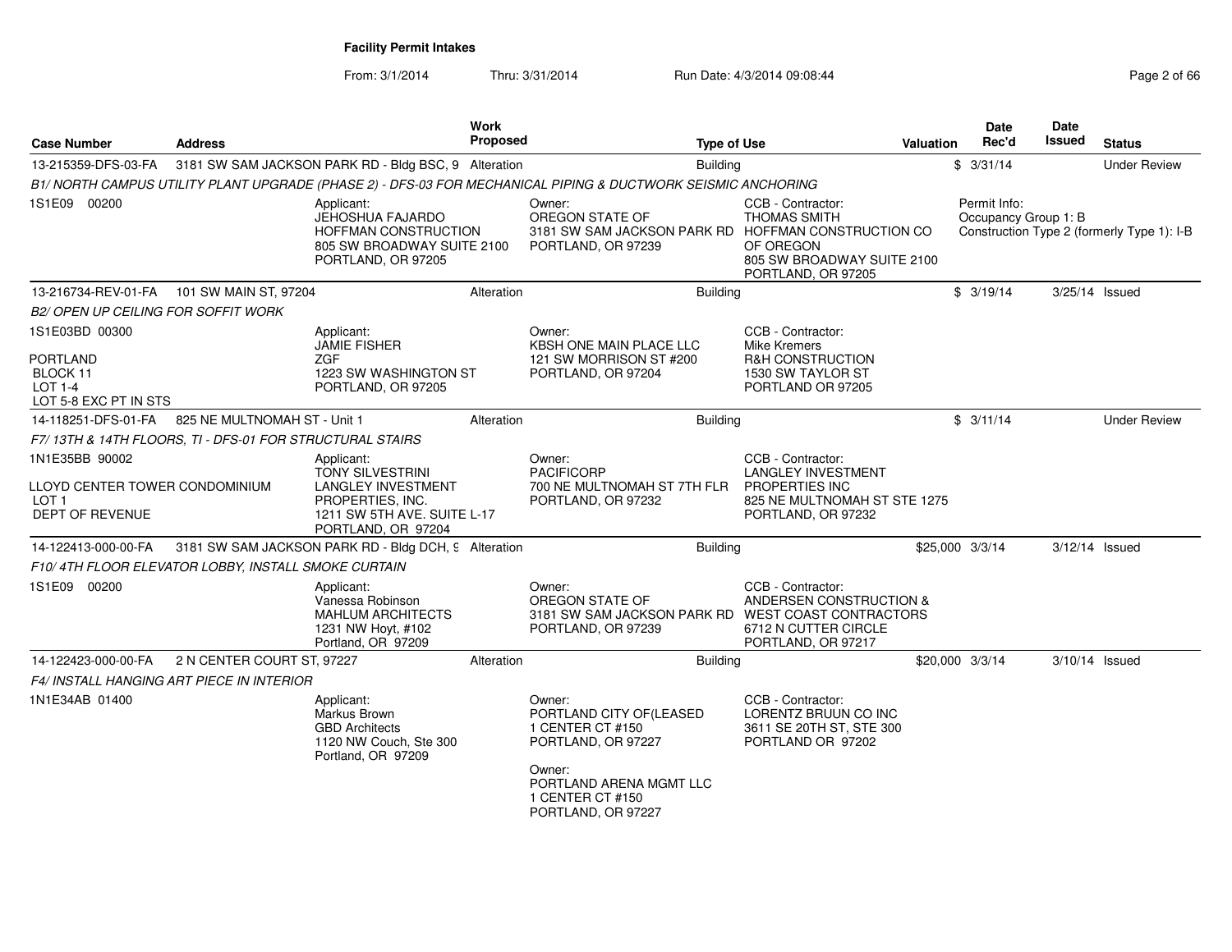From: 3/1/2014Thru: 3/31/2014 Run Date: 4/3/2014 09:08:44 Rege 2 of 66

| <b>Address</b>                             |                                                                                                              |                                                                                                                                                                                                                                                     |                                                                                                                                                                                                                                                |                                                                                                                                                                                                                                                                                                                                                                                                                       |                                                                                                                                                                                                                                                                                                                                                                                                        | <b>Date</b><br>Rec'd                                                                                                                                                                                                   | Date<br>Issued                                                                            | <b>Status</b>                                                                        |
|--------------------------------------------|--------------------------------------------------------------------------------------------------------------|-----------------------------------------------------------------------------------------------------------------------------------------------------------------------------------------------------------------------------------------------------|------------------------------------------------------------------------------------------------------------------------------------------------------------------------------------------------------------------------------------------------|-----------------------------------------------------------------------------------------------------------------------------------------------------------------------------------------------------------------------------------------------------------------------------------------------------------------------------------------------------------------------------------------------------------------------|--------------------------------------------------------------------------------------------------------------------------------------------------------------------------------------------------------------------------------------------------------------------------------------------------------------------------------------------------------------------------------------------------------|------------------------------------------------------------------------------------------------------------------------------------------------------------------------------------------------------------------------|-------------------------------------------------------------------------------------------|--------------------------------------------------------------------------------------|
|                                            |                                                                                                              |                                                                                                                                                                                                                                                     |                                                                                                                                                                                                                                                |                                                                                                                                                                                                                                                                                                                                                                                                                       |                                                                                                                                                                                                                                                                                                                                                                                                        |                                                                                                                                                                                                                        |                                                                                           | <b>Under Review</b>                                                                  |
|                                            |                                                                                                              |                                                                                                                                                                                                                                                     |                                                                                                                                                                                                                                                |                                                                                                                                                                                                                                                                                                                                                                                                                       |                                                                                                                                                                                                                                                                                                                                                                                                        |                                                                                                                                                                                                                        |                                                                                           |                                                                                      |
|                                            | Applicant:<br>JEHOSHUA FAJARDO<br>HOFFMAN CONSTRUCTION<br>PORTLAND, OR 97205                                 |                                                                                                                                                                                                                                                     |                                                                                                                                                                                                                                                | <b>THOMAS SMITH</b><br>OF OREGON<br>PORTLAND, OR 97205                                                                                                                                                                                                                                                                                                                                                                |                                                                                                                                                                                                                                                                                                                                                                                                        |                                                                                                                                                                                                                        |                                                                                           |                                                                                      |
|                                            |                                                                                                              |                                                                                                                                                                                                                                                     |                                                                                                                                                                                                                                                |                                                                                                                                                                                                                                                                                                                                                                                                                       |                                                                                                                                                                                                                                                                                                                                                                                                        |                                                                                                                                                                                                                        |                                                                                           | $3/25/14$ Issued                                                                     |
| <b>B2/ OPEN UP CEILING FOR SOFFIT WORK</b> |                                                                                                              |                                                                                                                                                                                                                                                     |                                                                                                                                                                                                                                                |                                                                                                                                                                                                                                                                                                                                                                                                                       |                                                                                                                                                                                                                                                                                                                                                                                                        |                                                                                                                                                                                                                        |                                                                                           |                                                                                      |
| LOT 5-8 EXC PT IN STS                      | Applicant:<br><b>JAMIE FISHER</b><br><b>ZGF</b><br>1223 SW WASHINGTON ST<br>PORTLAND, OR 97205               |                                                                                                                                                                                                                                                     |                                                                                                                                                                                                                                                | <b>Mike Kremers</b><br><b>R&amp;H CONSTRUCTION</b><br>1530 SW TAYLOR ST                                                                                                                                                                                                                                                                                                                                               |                                                                                                                                                                                                                                                                                                                                                                                                        |                                                                                                                                                                                                                        |                                                                                           |                                                                                      |
|                                            |                                                                                                              |                                                                                                                                                                                                                                                     |                                                                                                                                                                                                                                                |                                                                                                                                                                                                                                                                                                                                                                                                                       |                                                                                                                                                                                                                                                                                                                                                                                                        |                                                                                                                                                                                                                        |                                                                                           | <b>Under Review</b>                                                                  |
|                                            |                                                                                                              |                                                                                                                                                                                                                                                     |                                                                                                                                                                                                                                                |                                                                                                                                                                                                                                                                                                                                                                                                                       |                                                                                                                                                                                                                                                                                                                                                                                                        |                                                                                                                                                                                                                        |                                                                                           |                                                                                      |
| LLOYD CENTER TOWER CONDOMINIUM             | Applicant:<br><b>TONY SILVESTRINI</b><br><b>LANGLEY INVESTMENT</b><br>PROPERTIES, INC.<br>PORTLAND, OR 97204 |                                                                                                                                                                                                                                                     |                                                                                                                                                                                                                                                | CCB - Contractor:<br>PORTLAND, OR 97232                                                                                                                                                                                                                                                                                                                                                                               |                                                                                                                                                                                                                                                                                                                                                                                                        |                                                                                                                                                                                                                        |                                                                                           |                                                                                      |
|                                            |                                                                                                              |                                                                                                                                                                                                                                                     |                                                                                                                                                                                                                                                |                                                                                                                                                                                                                                                                                                                                                                                                                       |                                                                                                                                                                                                                                                                                                                                                                                                        |                                                                                                                                                                                                                        |                                                                                           |                                                                                      |
|                                            |                                                                                                              |                                                                                                                                                                                                                                                     |                                                                                                                                                                                                                                                |                                                                                                                                                                                                                                                                                                                                                                                                                       |                                                                                                                                                                                                                                                                                                                                                                                                        |                                                                                                                                                                                                                        |                                                                                           |                                                                                      |
|                                            | Applicant:<br>Vanessa Robinson<br><b>MAHLUM ARCHITECTS</b><br>1231 NW Hoyt, #102<br>Portland, OR 97209       |                                                                                                                                                                                                                                                     |                                                                                                                                                                                                                                                | PORTLAND, OR 97217                                                                                                                                                                                                                                                                                                                                                                                                    |                                                                                                                                                                                                                                                                                                                                                                                                        |                                                                                                                                                                                                                        |                                                                                           |                                                                                      |
|                                            |                                                                                                              |                                                                                                                                                                                                                                                     |                                                                                                                                                                                                                                                |                                                                                                                                                                                                                                                                                                                                                                                                                       |                                                                                                                                                                                                                                                                                                                                                                                                        |                                                                                                                                                                                                                        |                                                                                           | 3/10/14 Issued                                                                       |
|                                            |                                                                                                              |                                                                                                                                                                                                                                                     |                                                                                                                                                                                                                                                |                                                                                                                                                                                                                                                                                                                                                                                                                       |                                                                                                                                                                                                                                                                                                                                                                                                        |                                                                                                                                                                                                                        |                                                                                           |                                                                                      |
|                                            | Applicant:<br>Markus Brown<br><b>GBD Architects</b><br>1120 NW Couch, Ste 300<br>Portland, OR 97209          |                                                                                                                                                                                                                                                     |                                                                                                                                                                                                                                                | CCB - Contractor:<br>3611 SE 20TH ST, STE 300<br>PORTLAND OR 97202                                                                                                                                                                                                                                                                                                                                                    |                                                                                                                                                                                                                                                                                                                                                                                                        |                                                                                                                                                                                                                        |                                                                                           |                                                                                      |
|                                            |                                                                                                              | 101 SW MAIN ST, 97204<br>825 NE MULTNOMAH ST - Unit 1<br>F7/13TH & 14TH FLOORS, TI - DFS-01 FOR STRUCTURAL STAIRS<br>F10/4TH FLOOR ELEVATOR LOBBY, INSTALL SMOKE CURTAIN<br>2 N CENTER COURT ST, 97227<br>F4/ INSTALL HANGING ART PIECE IN INTERIOR | Work<br><b>Proposed</b><br>3181 SW SAM JACKSON PARK RD - Bldg BSC, 9 Alteration<br>805 SW BROADWAY SUITE 2100<br>Alteration<br>Alteration<br>1211 SW 5TH AVE. SUITE L-17<br>3181 SW SAM JACKSON PARK RD - Bldg DCH, 9 Alteration<br>Alteration | Owner:<br>OREGON STATE OF<br>PORTLAND, OR 97239<br>Owner:<br>KBSH ONE MAIN PLACE LLC<br>121 SW MORRISON ST #200<br>PORTLAND, OR 97204<br>Owner:<br><b>PACIFICORP</b><br>700 NE MULTNOMAH ST 7TH FLR<br>PORTLAND, OR 97232<br>Owner:<br>OREGON STATE OF<br>PORTLAND, OR 97239<br>Owner:<br>PORTLAND CITY OF (LEASED<br>1 CENTER CT #150<br>PORTLAND, OR 97227<br>Owner:<br>PORTLAND ARENA MGMT LLC<br>1 CENTER CT #150 | <b>Type of Use</b><br>Building<br>B1/ NORTH CAMPUS UTILITY PLANT UPGRADE (PHASE 2) - DFS-03 FOR MECHANICAL PIPING & DUCTWORK SEISMIC ANCHORING<br>CCB - Contractor:<br><b>Building</b><br>CCB - Contractor:<br>PORTLAND OR 97205<br><b>Building</b><br><b>LANGLEY INVESTMENT</b><br>PROPERTIES INC<br>Building<br>CCB - Contractor:<br>6712 N CUTTER CIRCLE<br><b>Building</b><br>LORENTZ BRUUN CO INC | <b>Valuation</b><br>3181 SW SAM JACKSON PARK RD HOFFMAN CONSTRUCTION CO<br>805 SW BROADWAY SUITE 2100<br>825 NE MULTNOMAH ST STE 1275<br>ANDERSEN CONSTRUCTION &<br>3181 SW SAM JACKSON PARK RD WEST COAST CONTRACTORS | \$3/31/14<br>Permit Info:<br>\$3/19/14<br>\$3/11/14<br>\$25,000 3/3/14<br>\$20,000 3/3/14 | Occupancy Group 1: B<br>Construction Type 2 (formerly Type 1): I-B<br>3/12/14 Issued |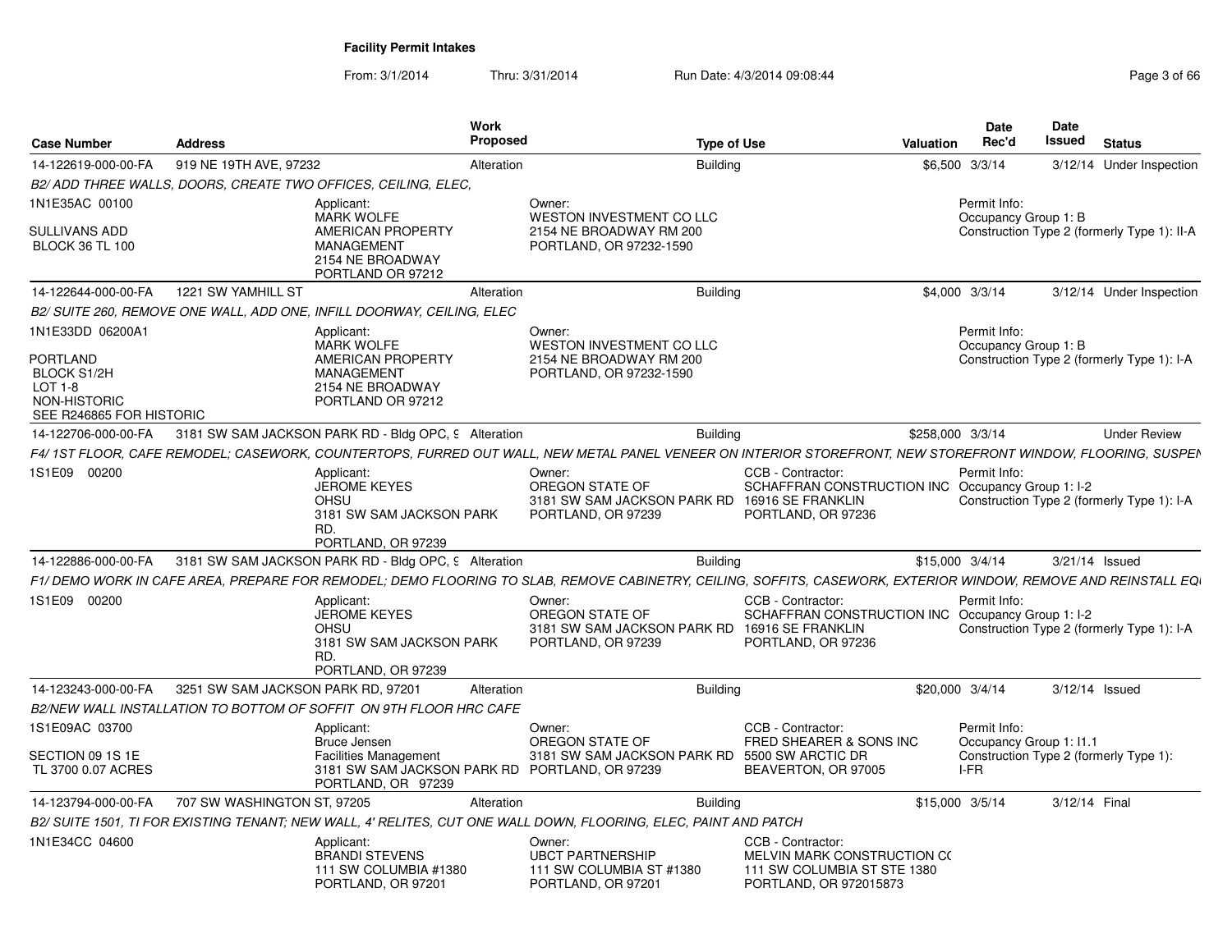From: 3/1/2014Thru: 3/31/2014 Run Date: 4/3/2014 09:08:44 Rege 3 of 66

| <b>Case Number</b>                                                                                                 | <b>Address</b>                     |                                                                                                                           | Work<br><b>Proposed</b> |                                                                                                  | <b>Type of Use</b> |                                                                                                                                                                | <b>Valuation</b> | <b>Date</b><br>Rec'd                           | Date<br><b>Issued</b> | <b>Status</b>                               |
|--------------------------------------------------------------------------------------------------------------------|------------------------------------|---------------------------------------------------------------------------------------------------------------------------|-------------------------|--------------------------------------------------------------------------------------------------|--------------------|----------------------------------------------------------------------------------------------------------------------------------------------------------------|------------------|------------------------------------------------|-----------------------|---------------------------------------------|
| 14-122619-000-00-FA                                                                                                | 919 NE 19TH AVE, 97232             |                                                                                                                           | Alteration              |                                                                                                  | <b>Building</b>    |                                                                                                                                                                |                  | \$6,500 3/3/14                                 |                       | 3/12/14 Under Inspection                    |
|                                                                                                                    |                                    | B2/ADD THREE WALLS, DOORS, CREATE TWO OFFICES, CEILING, ELEC.                                                             |                         |                                                                                                  |                    |                                                                                                                                                                |                  |                                                |                       |                                             |
| 1N1E35AC 00100<br>SULLIVANS ADD<br><b>BLOCK 36 TL 100</b>                                                          |                                    | Applicant:<br><b>MARK WOLFE</b><br>AMERICAN PROPERTY<br><b>MANAGEMENT</b><br>2154 NE BROADWAY<br>PORTLAND OR 97212        |                         | Owner:<br>WESTON INVESTMENT CO LLC<br>2154 NE BROADWAY RM 200<br>PORTLAND, OR 97232-1590         |                    |                                                                                                                                                                |                  | Permit Info:<br>Occupancy Group 1: B           |                       | Construction Type 2 (formerly Type 1): II-A |
| 14-122644-000-00-FA                                                                                                | 1221 SW YAMHILL ST                 |                                                                                                                           | Alteration              |                                                                                                  | <b>Building</b>    |                                                                                                                                                                |                  | \$4,000 3/3/14                                 |                       | 3/12/14 Under Inspection                    |
|                                                                                                                    |                                    | B2/ SUITE 260, REMOVE ONE WALL, ADD ONE, INFILL DOORWAY, CEILING, ELEC                                                    |                         |                                                                                                  |                    |                                                                                                                                                                |                  |                                                |                       |                                             |
| 1N1E33DD 06200A1<br><b>PORTLAND</b><br><b>BLOCK S1/2H</b><br>$LOT 1-8$<br>NON-HISTORIC<br>SEE R246865 FOR HISTORIC |                                    | Applicant:<br><b>MARK WOLFE</b><br><b>AMERICAN PROPERTY</b><br><b>MANAGEMENT</b><br>2154 NE BROADWAY<br>PORTLAND OR 97212 |                         | Owner:<br>WESTON INVESTMENT CO LLC<br>2154 NE BROADWAY RM 200<br>PORTLAND, OR 97232-1590         |                    |                                                                                                                                                                |                  | Permit Info:<br>Occupancy Group 1: B           |                       | Construction Type 2 (formerly Type 1): I-A  |
| 14-122706-000-00-FA                                                                                                |                                    | 3181 SW SAM JACKSON PARK RD - Bldg OPC, 9 Alteration                                                                      |                         |                                                                                                  | <b>Building</b>    |                                                                                                                                                                | \$258,000 3/3/14 |                                                |                       | <b>Under Review</b>                         |
|                                                                                                                    |                                    |                                                                                                                           |                         |                                                                                                  |                    | F4/ 1ST FLOOR, CAFE REMODEL; CASEWORK, COUNTERTOPS, FURRED OUT WALL, NEW METAL PANEL VENEER ON INTERIOR STOREFRONT, NEW STOREFRONT WINDOW, FLOORING, SUSPEN    |                  |                                                |                       |                                             |
| 1S1E09 00200                                                                                                       |                                    | Applicant:<br><b>JEROME KEYES</b><br><b>OHSU</b><br>3181 SW SAM JACKSON PARK<br>RD.<br>PORTLAND, OR 97239                 |                         | Owner:<br>OREGON STATE OF<br>3181 SW SAM JACKSON PARK RD 16916 SE FRANKLIN<br>PORTLAND, OR 97239 |                    | CCB - Contractor:<br>SCHAFFRAN CONSTRUCTION INC Occupancy Group 1: I-2<br>PORTLAND, OR 97236                                                                   |                  | Permit Info:                                   |                       | Construction Type 2 (formerly Type 1): I-A  |
| 14-122886-000-00-FA                                                                                                |                                    | 3181 SW SAM JACKSON PARK RD - Bldg OPC, 9 Alteration                                                                      |                         |                                                                                                  | <b>Building</b>    |                                                                                                                                                                | \$15,000 3/4/14  |                                                | 3/21/14 Issued        |                                             |
|                                                                                                                    |                                    |                                                                                                                           |                         |                                                                                                  |                    | F1/ DEMO WORK IN CAFE AREA, PREPARE FOR REMODEL; DEMO FLOORING TO SLAB, REMOVE CABINETRY, CEILING, SOFFITS, CASEWORK, EXTERIOR WINDOW, REMOVE AND REINSTALL EQ |                  |                                                |                       |                                             |
| 1S1E09 00200                                                                                                       |                                    | Applicant:<br><b>JEROME KEYES</b><br><b>OHSU</b><br>3181 SW SAM JACKSON PARK<br>RD.<br>PORTLAND, OR 97239                 |                         | Owner:<br>OREGON STATE OF<br>3181 SW SAM JACKSON PARK RD<br>PORTLAND, OR 97239                   |                    | CCB - Contractor:<br>SCHAFFRAN CONSTRUCTION INC Occupancy Group 1: I-2<br>16916 SE FRANKLIN<br>PORTLAND, OR 97236                                              |                  | Permit Info:                                   |                       | Construction Type 2 (formerly Type 1): I-A  |
| 14-123243-000-00-FA                                                                                                | 3251 SW SAM JACKSON PARK RD, 97201 |                                                                                                                           | Alteration              |                                                                                                  | <b>Building</b>    |                                                                                                                                                                | \$20,000 3/4/14  |                                                | 3/12/14 Issued        |                                             |
|                                                                                                                    |                                    | B2/NEW WALL INSTALLATION TO BOTTOM OF SOFFIT ON 9TH FLOOR HRC CAFE                                                        |                         |                                                                                                  |                    |                                                                                                                                                                |                  |                                                |                       |                                             |
| 1S1E09AC 03700<br>SECTION 09 1S 1E<br>TL 3700 0.07 ACRES                                                           |                                    | Applicant:<br>Bruce Jensen<br><b>Facilities Management</b><br>3181 SW SAM JACKSON PARK RD PORTLAND, OR 97239              |                         | Owner:<br>OREGON STATE OF<br>3181 SW SAM JACKSON PARK RD                                         |                    | CCB - Contractor:<br>FRED SHEARER & SONS INC<br>5500 SW ARCTIC DR<br>BEAVERTON, OR 97005                                                                       |                  | Permit Info:<br>Occupancy Group 1: I1.1<br>IFR |                       | Construction Type 2 (formerly Type 1):      |
|                                                                                                                    |                                    | PORTLAND, OR 97239                                                                                                        |                         |                                                                                                  |                    |                                                                                                                                                                |                  |                                                |                       |                                             |
| 14-123794-000-00-FA                                                                                                | 707 SW WASHINGTON ST, 97205        |                                                                                                                           | Alteration              |                                                                                                  | <b>Building</b>    |                                                                                                                                                                |                  | \$15,000 3/5/14                                | 3/12/14 Final         |                                             |
|                                                                                                                    |                                    | B2/SUITE 1501. TI FOR EXISTING TENANT: NEW WALL. 4' RELITES. CUT ONE WALL DOWN, FLOORING, ELEC, PAINT AND PATCH           |                         |                                                                                                  |                    |                                                                                                                                                                |                  |                                                |                       |                                             |
| 1N1E34CC 04600                                                                                                     |                                    | Applicant:<br><b>BRANDI STEVENS</b><br>111 SW COLUMBIA #1380<br>PORTLAND, OR 97201                                        |                         | Owner:<br><b>UBCT PARTNERSHIP</b><br>111 SW COLUMBIA ST #1380<br>PORTLAND, OR 97201              |                    | CCB - Contractor:<br>MELVIN MARK CONSTRUCTION CO<br>111 SW COLUMBIA ST STE 1380<br>PORTLAND, OR 972015873                                                      |                  |                                                |                       |                                             |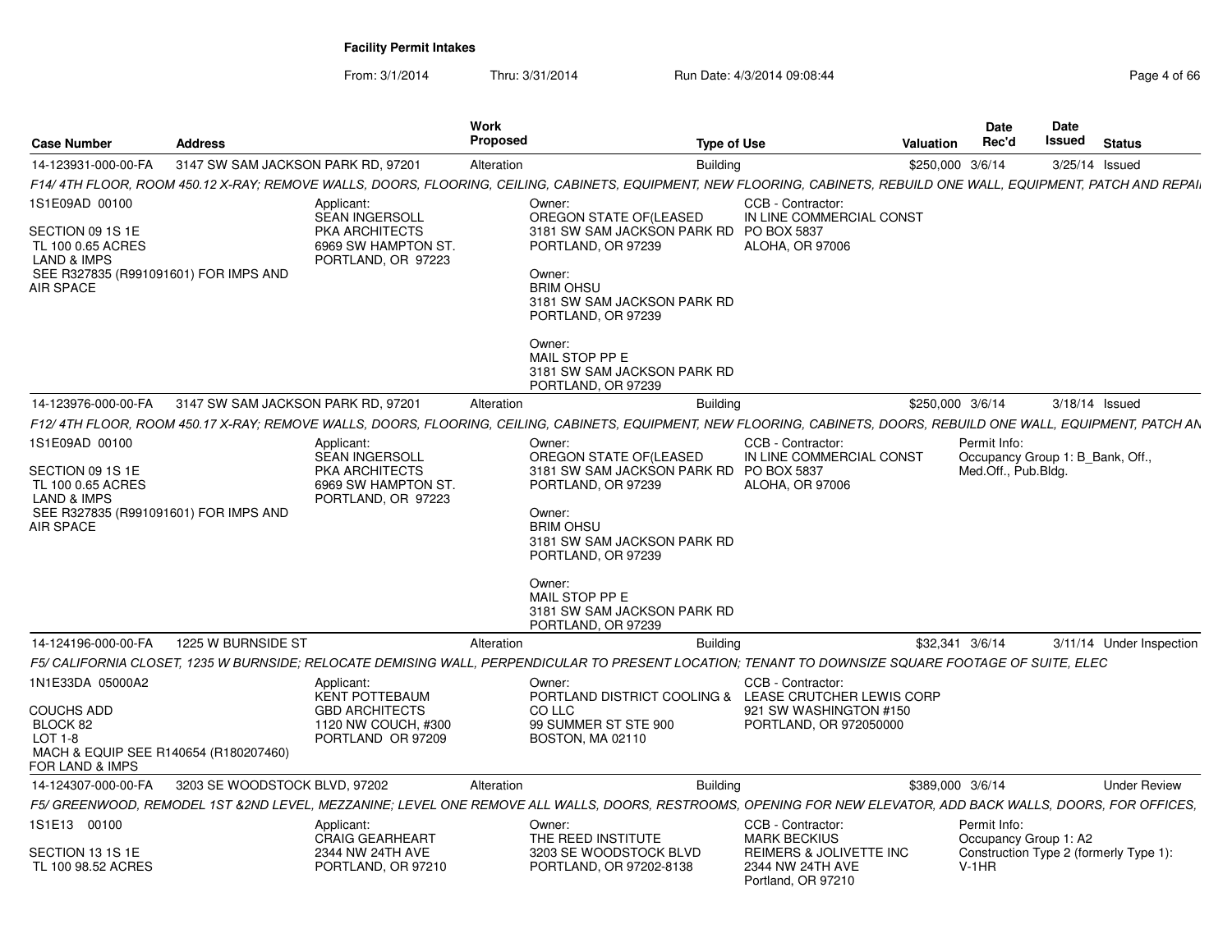From: 3/1/2014Thru: 3/31/2014 Run Date: 4/3/2014 09:08:44 Page 4 of 66

| <b>Case Number</b>                                                                                                                      | <b>Address</b>                                         |                                                                                                           | <b>Work</b><br><b>Proposed</b>                                                                                                                                                                                             | <b>Type of Use</b>                                                                                                                                                    | Date<br>Rec'd<br>Valuation | Date<br>Issued<br><b>Status</b>                                 |
|-----------------------------------------------------------------------------------------------------------------------------------------|--------------------------------------------------------|-----------------------------------------------------------------------------------------------------------|----------------------------------------------------------------------------------------------------------------------------------------------------------------------------------------------------------------------------|-----------------------------------------------------------------------------------------------------------------------------------------------------------------------|----------------------------|-----------------------------------------------------------------|
| 14-123931-000-00-FA                                                                                                                     | 3147 SW SAM JACKSON PARK RD. 97201                     |                                                                                                           | Alteration                                                                                                                                                                                                                 | <b>Building</b>                                                                                                                                                       | \$250,000 3/6/14           | 3/25/14 Issued                                                  |
|                                                                                                                                         |                                                        |                                                                                                           |                                                                                                                                                                                                                            | F14/ 4TH FLOOR, ROOM 450.12 X-RAY; REMOVE WALLS, DOORS, FLOORING, CEILING, CABINETS, EQUIPMENT, NEW FLOORING, CABINETS, REBUILD ONE WALL, EQUIPMENT, PATCH AND REPAI. |                            |                                                                 |
| 1S1E09AD 00100<br>SECTION 09 1S 1E<br>TL 100 0.65 ACRES<br><b>LAND &amp; IMPS</b><br>SEE R327835 (R991091601) FOR IMPS AND<br>AIR SPACE |                                                        | Applicant:<br><b>SEAN INGERSOLL</b><br><b>PKA ARCHITECTS</b><br>6969 SW HAMPTON ST.<br>PORTLAND, OR 97223 | Owner:<br>OREGON STATE OF(LEASED<br>PORTLAND, OR 97239<br>Owner:<br><b>BRIM OHSU</b><br>3181 SW SAM JACKSON PARK RD<br>PORTLAND, OR 97239<br>Owner:<br>MAIL STOP PP E                                                      | CCB - Contractor:<br>IN LINE COMMERCIAL CONST<br>3181 SW SAM JACKSON PARK RD PO BOX 5837<br><b>ALOHA, OR 97006</b>                                                    |                            |                                                                 |
|                                                                                                                                         |                                                        |                                                                                                           | 3181 SW SAM JACKSON PARK RD<br>PORTLAND, OR 97239                                                                                                                                                                          |                                                                                                                                                                       |                            |                                                                 |
|                                                                                                                                         | 14-123976-000-00-FA 3147 SW SAM JACKSON PARK RD. 97201 |                                                                                                           | Alteration                                                                                                                                                                                                                 | Building                                                                                                                                                              | \$250,000 3/6/14           | 3/18/14 Issued                                                  |
|                                                                                                                                         |                                                        |                                                                                                           |                                                                                                                                                                                                                            | F12/4TH FLOOR, ROOM 450.17 X-RAY; REMOVE WALLS, DOORS, FLOORING, CEILING, CABINETS, EQUIPMENT, NEW FLOORING, CABINETS, DOORS, REBUILD ONE WALL, EQUIPMENT, PATCH AN   |                            |                                                                 |
| 1S1E09AD 00100<br>SECTION 09 1S 1E<br>TL 100 0.65 ACRES<br><b>LAND &amp; IMPS</b><br>SEE R327835 (R991091601) FOR IMPS AND<br>AIR SPACE |                                                        | Applicant:<br><b>SEAN INGERSOLL</b><br>PKA ARCHITECTS<br>6969 SW HAMPTON ST.<br>PORTLAND, OR 97223        | Owner:<br>OREGON STATE OF(LEASED<br>PORTLAND, OR 97239<br>Owner:<br><b>BRIM OHSU</b><br>3181 SW SAM JACKSON PARK RD<br>PORTLAND, OR 97239<br>Owner:<br>MAIL STOP PP E<br>3181 SW SAM JACKSON PARK RD<br>PORTLAND, OR 97239 | CCB - Contractor:<br>IN LINE COMMERCIAL CONST<br>3181 SW SAM JACKSON PARK RD PO BOX 5837<br>ALOHA, OR 97006                                                           | Permit Info:               | Occupancy Group 1: B_Bank, Off.,<br>Med.Off., Pub.Bldg.         |
|                                                                                                                                         | 14-124196-000-00-FA   1225 W BURNSIDE ST               |                                                                                                           | Alteration                                                                                                                                                                                                                 | <b>Building</b>                                                                                                                                                       | \$32,341 3/6/14            | 3/11/14 Under Inspection                                        |
|                                                                                                                                         |                                                        |                                                                                                           |                                                                                                                                                                                                                            | F5/ CALIFORNIA CLOSET, 1235 W BURNSIDE; RELOCATE DEMISING WALL, PERPENDICULAR TO PRESENT LOCATION; TENANT TO DOWNSIZE SQUARE FOOTAGE OF SUITE, ELEC                   |                            |                                                                 |
| 1N1E33DA 05000A2<br><b>COUCHS ADD</b><br>BLOCK 82<br>LOT 1-8<br>MACH & EQUIP SEE R140654 (R180207460)<br>FOR LAND & IMPS                |                                                        | Applicant:<br><b>KENT POTTEBAUM</b><br><b>GBD ARCHITECTS</b><br>1120 NW COUCH, #300<br>PORTLAND OR 97209  | Owner:<br>CO LLC<br>99 SUMMER ST STE 900<br>BOSTON, MA 02110                                                                                                                                                               | CCB - Contractor:<br>PORTLAND DISTRICT COOLING & LEASE CRUTCHER LEWIS CORP<br>921 SW WASHINGTON #150<br>PORTLAND, OR 972050000                                        |                            |                                                                 |
|                                                                                                                                         | 14-124307-000-00-FA 3203 SE WOODSTOCK BLVD, 97202      |                                                                                                           | Alteration                                                                                                                                                                                                                 | Building                                                                                                                                                              | \$389,000 3/6/14           | <b>Under Review</b>                                             |
|                                                                                                                                         |                                                        |                                                                                                           |                                                                                                                                                                                                                            | F5/ GREENWOOD, REMODEL 1ST &2ND LEVEL, MEZZANINE; LEVEL ONE REMOVE ALL WALLS, DOORS, RESTROOMS, OPENING FOR NEW ELEVATOR, ADD BACK WALLS, DOORS, FOR OFFICES,         |                            |                                                                 |
| 1S1E13 00100<br>SECTION 13 1S 1E<br>TL 100 98.52 ACRES                                                                                  |                                                        | Applicant:<br><b>CRAIG GEARHEART</b><br>2344 NW 24TH AVE<br>PORTLAND, OR 97210                            | Owner:<br>THE REED INSTITUTE<br>3203 SE WOODSTOCK BLVD<br>PORTLAND, OR 97202-8138                                                                                                                                          | CCB - Contractor:<br><b>MARK BECKIUS</b><br>REIMERS & JOLIVETTE INC<br>2344 NW 24TH AVE<br>Portland, OR 97210                                                         | Permit Info:<br>$V-1HR$    | Occupancy Group 1: A2<br>Construction Type 2 (formerly Type 1): |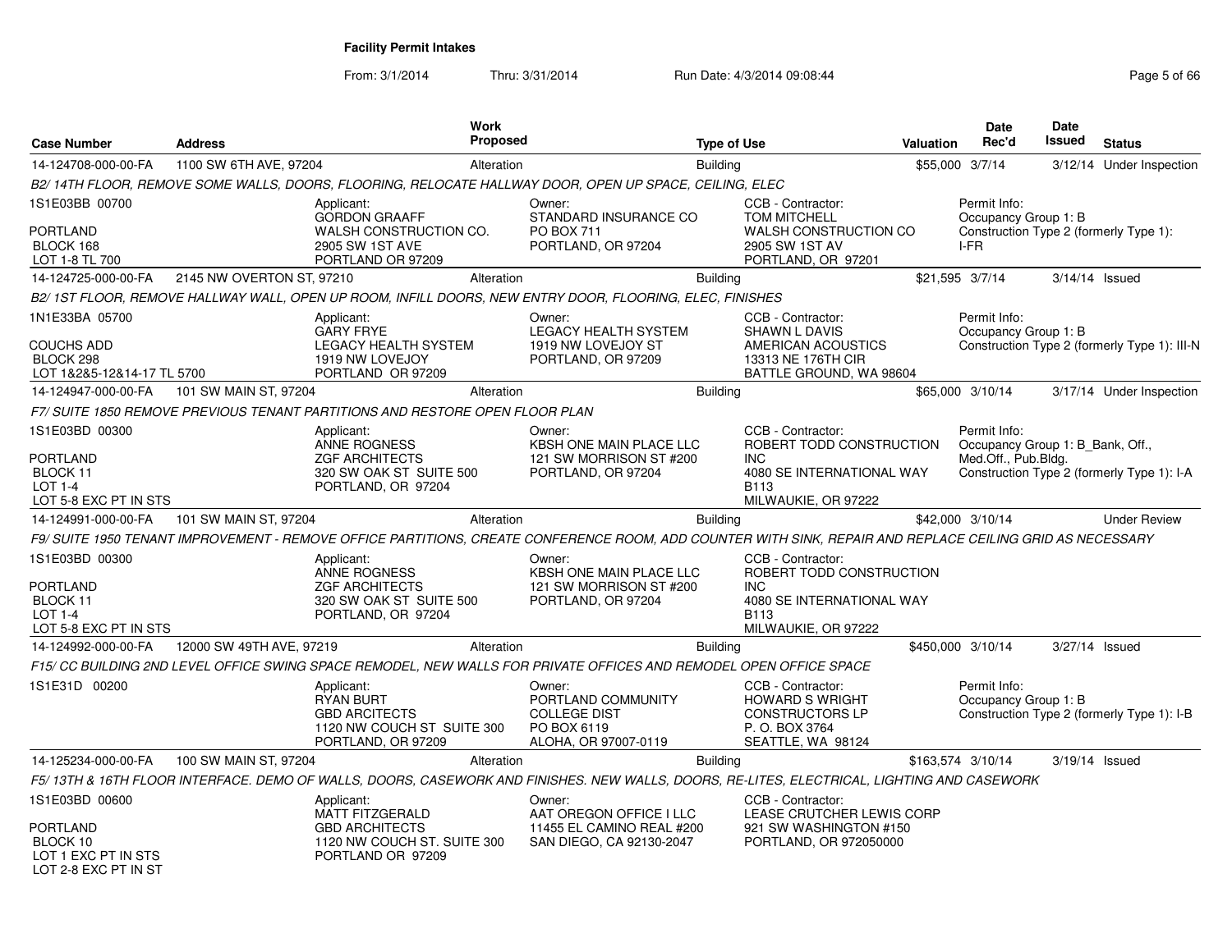From: 3/1/2014Thru: 3/31/2014 Run Date: 4/3/2014 09:08:44 Rege 5 of 66

| <b>Case Number</b>                                                                           | <b>Address</b>            |                                                                                                                   | Work<br><b>Proposed</b> |                                                                                                                                                           | <b>Type of Use</b> |                                                                                                                         | Valuation | <b>Date</b><br>Rec'd                                                                   | <b>Date</b><br>Issued | <b>Status</b>                                |
|----------------------------------------------------------------------------------------------|---------------------------|-------------------------------------------------------------------------------------------------------------------|-------------------------|-----------------------------------------------------------------------------------------------------------------------------------------------------------|--------------------|-------------------------------------------------------------------------------------------------------------------------|-----------|----------------------------------------------------------------------------------------|-----------------------|----------------------------------------------|
| 14-124708-000-00-FA                                                                          | 1100 SW 6TH AVE, 97204    |                                                                                                                   | Alteration              |                                                                                                                                                           | <b>Building</b>    |                                                                                                                         |           | \$55,000 3/7/14                                                                        |                       | 3/12/14 Under Inspection                     |
|                                                                                              |                           |                                                                                                                   |                         | B2/14TH FLOOR, REMOVE SOME WALLS, DOORS, FLOORING, RELOCATE HALLWAY DOOR, OPEN UP SPACE, CEILING, ELEC                                                    |                    |                                                                                                                         |           |                                                                                        |                       |                                              |
| 1S1E03BB 00700<br><b>PORTLAND</b><br>BLOCK 168<br>LOT 1-8 TL 700                             |                           | Applicant:<br><b>GORDON GRAAFF</b><br>WALSH CONSTRUCTION CO.<br>2905 SW 1ST AVE<br>PORTLAND OR 97209              |                         | Owner:<br>STANDARD INSURANCE CO<br>PO BOX 711<br>PORTLAND, OR 97204                                                                                       |                    | CCB - Contractor:<br><b>TOM MITCHELL</b><br>WALSH CONSTRUCTION CO<br>2905 SW 1ST AV<br>PORTLAND, OR 97201               |           | Permit Info:<br>Occupancy Group 1: B<br>Construction Type 2 (formerly Type 1):<br>I-FR |                       |                                              |
| 14-124725-000-00-FA                                                                          | 2145 NW OVERTON ST, 97210 |                                                                                                                   | Alteration              |                                                                                                                                                           | <b>Building</b>    |                                                                                                                         |           | \$21,595 3/7/14                                                                        | 3/14/14 Issued        |                                              |
|                                                                                              |                           |                                                                                                                   |                         | B2/ 1ST FLOOR, REMOVE HALLWAY WALL, OPEN UP ROOM, INFILL DOORS, NEW ENTRY DOOR, FLOORING, ELEC, FINISHES                                                  |                    |                                                                                                                         |           |                                                                                        |                       |                                              |
| 1N1E33BA 05700<br><b>COUCHS ADD</b><br>BLOCK 298<br>LOT 1&2&5-12&14-17 TL 5700               |                           | Applicant:<br><b>GARY FRYE</b><br><b>LEGACY HEALTH SYSTEM</b><br>1919 NW LOVEJOY<br>PORTLAND OR 97209             |                         | Owner:<br><b>LEGACY HEALTH SYSTEM</b><br>1919 NW LOVEJOY ST<br>PORTLAND, OR 97209                                                                         |                    | CCB - Contractor:<br><b>SHAWN L DAVIS</b><br>AMERICAN ACOUSTICS<br>13313 NE 176TH CIR<br>BATTLE GROUND, WA 98604        |           | Permit Info:<br>Occupancy Group 1: B                                                   |                       | Construction Type 2 (formerly Type 1): III-N |
| 14-124947-000-00-FA                                                                          | 101 SW MAIN ST, 97204     |                                                                                                                   | Alteration              |                                                                                                                                                           | <b>Building</b>    |                                                                                                                         |           | \$65,000 3/10/14                                                                       |                       | 3/17/14 Under Inspection                     |
|                                                                                              |                           | F7/ SUITE 1850 REMOVE PREVIOUS TENANT PARTITIONS AND RESTORE OPEN FLOOR PLAN                                      |                         |                                                                                                                                                           |                    |                                                                                                                         |           |                                                                                        |                       |                                              |
| 1S1E03BD 00300<br><b>PORTLAND</b><br>BLOCK 11<br><b>LOT 1-4</b><br>LOT 5-8 EXC PT IN STS     |                           | Applicant:<br><b>ANNE ROGNESS</b><br><b>ZGF ARCHITECTS</b><br>320 SW OAK ST SUITE 500<br>PORTLAND, OR 97204       |                         | Owner:<br><b>KBSH ONE MAIN PLACE LLC</b><br>121 SW MORRISON ST #200<br>PORTLAND, OR 97204                                                                 |                    | CCB - Contractor:<br>ROBERT TODD CONSTRUCTION<br><b>INC</b><br>4080 SE INTERNATIONAL WAY<br>B113<br>MILWAUKIE, OR 97222 |           | Permit Info:<br>Occupancy Group 1: B Bank, Off.,<br>Med.Off., Pub.Bldg.                |                       | Construction Type 2 (formerly Type 1): I-A   |
| 14-124991-000-00-FA                                                                          | 101 SW MAIN ST, 97204     |                                                                                                                   | Alteration              |                                                                                                                                                           | <b>Building</b>    |                                                                                                                         |           | \$42,000 3/10/14                                                                       |                       | <b>Under Review</b>                          |
|                                                                                              |                           |                                                                                                                   |                         | F9/ SUITE 1950 TENANT IMPROVEMENT - REMOVE OFFICE PARTITIONS. CREATE CONFERENCE ROOM. ADD COUNTER WITH SINK. REPAIR AND REPLACE CEILING GRID AS NECESSARY |                    |                                                                                                                         |           |                                                                                        |                       |                                              |
| 1S1E03BD 00300<br>PORTLAND<br>BLOCK 11<br><b>LOT 1-4</b><br>LOT 5-8 EXC PT IN STS            |                           | Applicant:<br>ANNE ROGNESS<br><b>ZGF ARCHITECTS</b><br>320 SW OAK ST SUITE 500<br>PORTLAND, OR 97204              |                         | Owner:<br>KBSH ONE MAIN PLACE LLC<br>121 SW MORRISON ST #200<br>PORTLAND, OR 97204                                                                        |                    | CCB - Contractor:<br>ROBERT TODD CONSTRUCTION<br><b>INC</b><br>4080 SE INTERNATIONAL WAY<br>B113<br>MILWAUKIE, OR 97222 |           |                                                                                        |                       |                                              |
| 14-124992-000-00-FA                                                                          | 12000 SW 49TH AVE, 97219  |                                                                                                                   | Alteration              |                                                                                                                                                           | Building           |                                                                                                                         |           | \$450,000 3/10/14                                                                      | 3/27/14 Issued        |                                              |
|                                                                                              |                           |                                                                                                                   |                         | F15/ CC BUILDING 2ND LEVEL OFFICE SWING SPACE REMODEL, NEW WALLS FOR PRIVATE OFFICES AND REMODEL OPEN OFFICE SPACE                                        |                    |                                                                                                                         |           |                                                                                        |                       |                                              |
| 1S1E31D 00200                                                                                |                           | Applicant:<br><b>RYAN BURT</b><br><b>GBD ARCITECTS</b><br>1120 NW COUCH ST SUITE 300<br>PORTLAND, OR 97209        |                         | Owner:<br>PORTLAND COMMUNITY<br><b>COLLEGE DIST</b><br>PO BOX 6119<br>ALOHA, OR 97007-0119                                                                |                    | CCB - Contractor:<br><b>HOWARD S WRIGHT</b><br><b>CONSTRUCTORS LP</b><br>P. O. BOX 3764<br>SEATTLE, WA 98124            |           | Permit Info:<br>Occupancy Group 1: B                                                   |                       | Construction Type 2 (formerly Type 1): I-B   |
| 14-125234-000-00-FA                                                                          | 100 SW MAIN ST, 97204     |                                                                                                                   | Alteration              |                                                                                                                                                           | <b>Building</b>    |                                                                                                                         |           | \$163,574 3/10/14                                                                      | 3/19/14 Issued        |                                              |
|                                                                                              |                           |                                                                                                                   |                         | F5/13TH & 16TH FLOOR INTERFACE. DEMO OF WALLS, DOORS, CASEWORK AND FINISHES. NEW WALLS, DOORS, RE-LITES, ELECTRICAL, LIGHTING AND CASEWORK                |                    |                                                                                                                         |           |                                                                                        |                       |                                              |
| 1S1E03BD 00600<br><b>PORTLAND</b><br>BLOCK 10<br>LOT 1 EXC PT IN STS<br>LOT 2-8 EXC PT IN ST |                           | Applicant:<br><b>MATT FITZGERALD</b><br><b>GBD ARCHITECTS</b><br>1120 NW COUCH ST. SUITE 300<br>PORTLAND OR 97209 |                         | Owner:<br>AAT OREGON OFFICE I LLC<br>11455 EL CAMINO REAL #200<br>SAN DIEGO, CA 92130-2047                                                                |                    | CCB - Contractor:<br>LEASE CRUTCHER LEWIS CORP<br>921 SW WASHINGTON #150<br>PORTLAND, OR 972050000                      |           |                                                                                        |                       |                                              |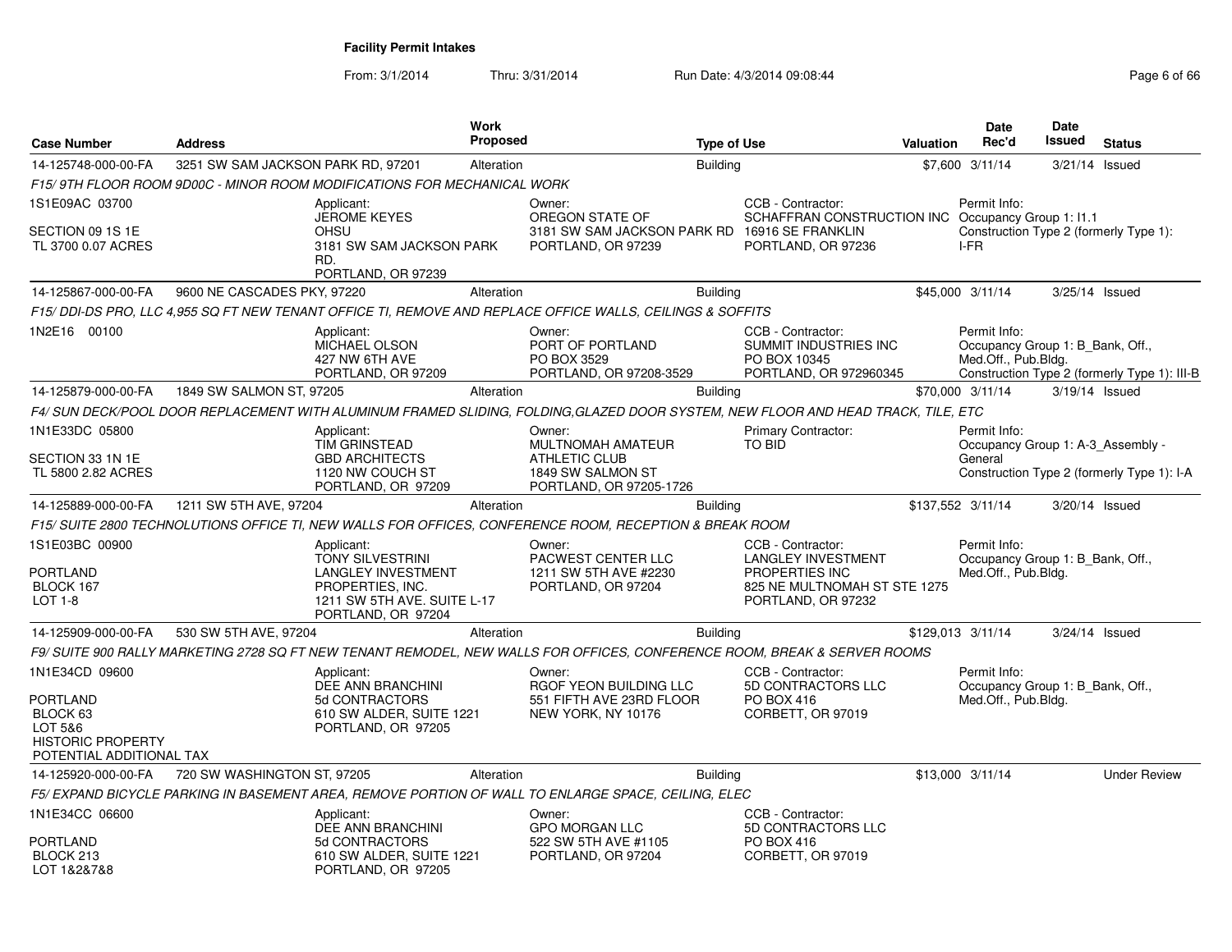From: 3/1/2014Thru: 3/31/2014 Run Date: 4/3/2014 09:08:44 Rege 6 of 66

| <b>Case Number</b>                                                                   | <b>Address</b>                     |                                                                                                                                      | <b>Work</b><br><b>Proposed</b> |                                                                                                                                  | <b>Type of Use</b> |                                                                                                                        | Valuation | <b>Date</b><br>Rec'd                                                    | Date<br>Issued   | <b>Status</b>                                |
|--------------------------------------------------------------------------------------|------------------------------------|--------------------------------------------------------------------------------------------------------------------------------------|--------------------------------|----------------------------------------------------------------------------------------------------------------------------------|--------------------|------------------------------------------------------------------------------------------------------------------------|-----------|-------------------------------------------------------------------------|------------------|----------------------------------------------|
| 14-125748-000-00-FA                                                                  | 3251 SW SAM JACKSON PARK RD, 97201 |                                                                                                                                      | Alteration                     |                                                                                                                                  | <b>Building</b>    |                                                                                                                        |           | \$7,600 3/11/14                                                         | 3/21/14 Issued   |                                              |
|                                                                                      |                                    | F15/9TH FLOOR ROOM 9D00C - MINOR ROOM MODIFICATIONS FOR MECHANICAL WORK                                                              |                                |                                                                                                                                  |                    |                                                                                                                        |           |                                                                         |                  |                                              |
| 1S1E09AC 03700                                                                       |                                    | Applicant:                                                                                                                           |                                | Owner:                                                                                                                           |                    | CCB - Contractor:                                                                                                      |           | Permit Info:                                                            |                  |                                              |
| SECTION 09 1S 1E<br>TL 3700 0.07 ACRES                                               |                                    | <b>JEROME KEYES</b><br>OHSU<br>3181 SW SAM JACKSON PARK<br>RD.<br>PORTLAND, OR 97239                                                 |                                | OREGON STATE OF<br>3181 SW SAM JACKSON PARK RD 16916 SE FRANKLIN<br>PORTLAND, OR 97239                                           |                    | SCHAFFRAN CONSTRUCTION INC Occupancy Group 1: 11.1<br>PORTLAND, OR 97236                                               |           | Construction Type 2 (formerly Type 1):<br>I-FR                          |                  |                                              |
| 14-125867-000-00-FA                                                                  | 9600 NE CASCADES PKY, 97220        |                                                                                                                                      | Alteration                     |                                                                                                                                  | <b>Building</b>    |                                                                                                                        |           | \$45,000 3/11/14                                                        | $3/25/14$ Issued |                                              |
|                                                                                      |                                    |                                                                                                                                      |                                | F15/ DDI-DS PRO, LLC 4,955 SQ FT NEW TENANT OFFICE TI, REMOVE AND REPLACE OFFICE WALLS, CEILINGS & SOFFITS                       |                    |                                                                                                                        |           |                                                                         |                  |                                              |
| 1N2E16 00100                                                                         |                                    | Applicant:<br>MICHAEL OLSON<br>427 NW 6TH AVE<br>PORTLAND, OR 97209                                                                  |                                | Owner:<br>PORT OF PORTLAND<br>PO BOX 3529<br>PORTLAND, OR 97208-3529                                                             |                    | CCB - Contractor:<br>SUMMIT INDUSTRIES INC<br>PO BOX 10345<br>PORTLAND, OR 972960345                                   |           | Permit Info:<br>Occupancy Group 1: B_Bank, Off.,<br>Med.Off., Pub.Bldg. |                  | Construction Type 2 (formerly Type 1): III-B |
| 14-125879-000-00-FA                                                                  | 1849 SW SALMON ST, 97205           |                                                                                                                                      | Alteration                     |                                                                                                                                  | <b>Building</b>    |                                                                                                                        |           | \$70,000 3/11/14                                                        | 3/19/14 Issued   |                                              |
|                                                                                      |                                    |                                                                                                                                      |                                | F4/ SUN DECK/POOL DOOR REPLACEMENT WITH ALUMINUM FRAMED SLIDING, FOLDING,GLAZED DOOR SYSTEM, NEW FLOOR AND HEAD TRACK, TILE, ETC |                    |                                                                                                                        |           |                                                                         |                  |                                              |
| 1N1E33DC 05800                                                                       |                                    | Applicant:<br><b>TIM GRINSTEAD</b>                                                                                                   |                                | Owner:<br><b>MULTNOMAH AMATEUR</b>                                                                                               |                    | <b>Primary Contractor:</b><br>TO BID                                                                                   |           | Permit Info:<br>Occupancy Group 1: A-3_Assembly -                       |                  |                                              |
| SECTION 33 1N 1E<br>TL 5800 2.82 ACRES                                               |                                    | <b>GBD ARCHITECTS</b><br>1120 NW COUCH ST<br>PORTLAND, OR 97209                                                                      |                                | ATHLETIC CLUB<br>1849 SW SALMON ST<br>PORTLAND, OR 97205-1726                                                                    |                    |                                                                                                                        |           | General                                                                 |                  | Construction Type 2 (formerly Type 1): I-A   |
| 14-125889-000-00-FA                                                                  | 1211 SW 5TH AVE, 97204             |                                                                                                                                      | Alteration                     |                                                                                                                                  | <b>Building</b>    |                                                                                                                        |           | \$137,552 3/11/14                                                       | 3/20/14 Issued   |                                              |
|                                                                                      |                                    |                                                                                                                                      |                                | F15/ SUITE 2800 TECHNOLUTIONS OFFICE TI, NEW WALLS FOR OFFICES, CONFERENCE ROOM, RECEPTION & BREAK ROOM                          |                    |                                                                                                                        |           |                                                                         |                  |                                              |
| 1S1E03BC 00900<br><b>PORTLAND</b><br>BLOCK 167<br>LOT 1-8                            |                                    | Applicant:<br>TONY SILVESTRINI<br><b>LANGLEY INVESTMENT</b><br>PROPERTIES, INC.<br>1211 SW 5TH AVE. SUITE L-17<br>PORTLAND, OR 97204 |                                | Owner:<br>PACWEST CENTER LLC<br>1211 SW 5TH AVE #2230<br>PORTLAND, OR 97204                                                      |                    | CCB - Contractor:<br><b>LANGLEY INVESTMENT</b><br>PROPERTIES INC<br>825 NE MULTNOMAH ST STE 1275<br>PORTLAND, OR 97232 |           | Permit Info:<br>Occupancy Group 1: B Bank, Off.,<br>Med.Off., Pub.Bldg. |                  |                                              |
| 14-125909-000-00-FA                                                                  | 530 SW 5TH AVE, 97204              |                                                                                                                                      | Alteration                     |                                                                                                                                  | <b>Building</b>    |                                                                                                                        |           | \$129,013 3/11/14                                                       | 3/24/14 Issued   |                                              |
|                                                                                      |                                    |                                                                                                                                      |                                | F9/ SUITE 900 RALLY MARKETING 2728 SQ FT NEW TENANT REMODEL, NEW WALLS FOR OFFICES, CONFERENCE ROOM, BREAK & SERVER ROOMS        |                    |                                                                                                                        |           |                                                                         |                  |                                              |
| 1N1E34CD 09600<br><b>PORTLAND</b><br>BLOCK 63<br>LOT 5&6<br><b>HISTORIC PROPERTY</b> |                                    | Applicant:<br>DEE ANN BRANCHINI<br>5d CONTRACTORS<br>610 SW ALDER, SUITE 1221<br>PORTLAND, OR 97205                                  |                                | Owner:<br>RGOF YEON BUILDING LLC<br>551 FIFTH AVE 23RD FLOOR<br>NEW YORK, NY 10176                                               |                    | CCB - Contractor:<br>5D CONTRACTORS LLC<br>PO BOX 416<br>CORBETT, OR 97019                                             |           | Permit Info:<br>Occupancy Group 1: B_Bank, Off.,<br>Med.Off., Pub.Bldg. |                  |                                              |
| POTENTIAL ADDITIONAL TAX                                                             |                                    |                                                                                                                                      |                                |                                                                                                                                  |                    |                                                                                                                        |           |                                                                         |                  |                                              |
| 14-125920-000-00-FA                                                                  | 720 SW WASHINGTON ST, 97205        |                                                                                                                                      | Alteration                     |                                                                                                                                  | <b>Building</b>    |                                                                                                                        |           | \$13,000 3/11/14                                                        |                  | <b>Under Review</b>                          |
|                                                                                      |                                    |                                                                                                                                      |                                | F5/ EXPAND BICYCLE PARKING IN BASEMENT AREA, REMOVE PORTION OF WALL TO ENLARGE SPACE, CEILING, ELEC                              |                    |                                                                                                                        |           |                                                                         |                  |                                              |
| 1N1E34CC 06600                                                                       |                                    | Applicant:<br><b>DEE ANN BRANCHINI</b>                                                                                               |                                | Owner:<br><b>GPO MORGAN LLC</b>                                                                                                  |                    | CCB - Contractor:<br>5D CONTRACTORS LLC                                                                                |           |                                                                         |                  |                                              |
| PORTLAND<br>BLOCK 213<br>LOT 1&2&7&8                                                 |                                    | 5d CONTRACTORS<br>610 SW ALDER, SUITE 1221<br>PORTLAND, OR 97205                                                                     |                                | 522 SW 5TH AVE #1105<br>PORTLAND, OR 97204                                                                                       |                    | <b>PO BOX 416</b><br>CORBETT, OR 97019                                                                                 |           |                                                                         |                  |                                              |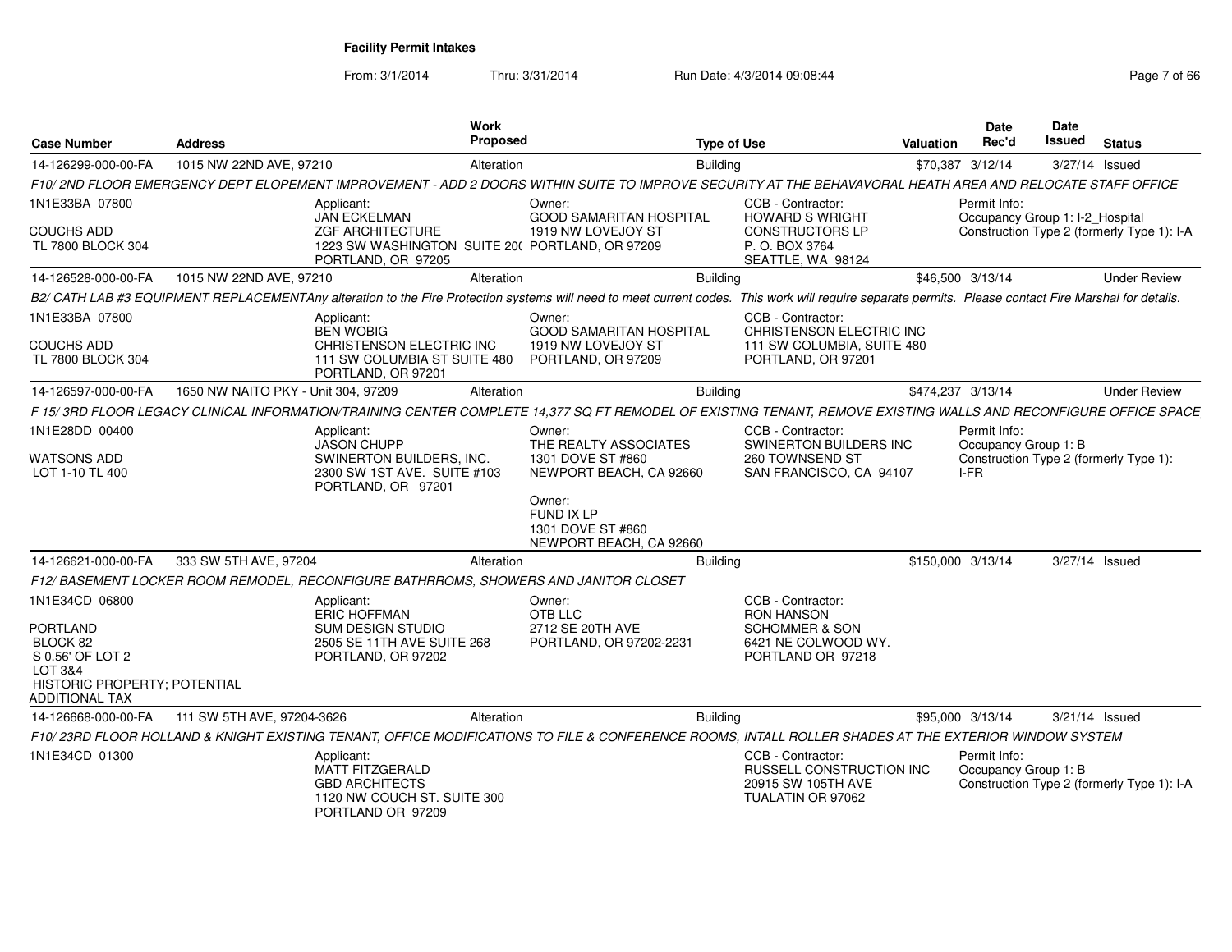From: 3/1/2014Thru: 3/31/2014 Run Date: 4/3/2014 09:08:44 Page 7 of 66

| <b>Case Number</b>                                                                                           | <b>Address</b>                      | Work<br><b>Proposed</b>                                                                                                                                                                               |                                                                      | <b>Type of Use</b>                                                                              | <b>Valuation</b>  | <b>Date</b><br>Rec'd                            | Date<br>Issued | <b>Status</b>                              |
|--------------------------------------------------------------------------------------------------------------|-------------------------------------|-------------------------------------------------------------------------------------------------------------------------------------------------------------------------------------------------------|----------------------------------------------------------------------|-------------------------------------------------------------------------------------------------|-------------------|-------------------------------------------------|----------------|--------------------------------------------|
| 14-126299-000-00-FA                                                                                          | 1015 NW 22ND AVE, 97210             | Alteration                                                                                                                                                                                            | <b>Building</b>                                                      |                                                                                                 |                   | \$70,387 3/12/14                                | 3/27/14 Issued |                                            |
|                                                                                                              |                                     | F10/ 2ND FLOOR EMERGENCY DEPT ELOPEMENT IMPROVEMENT - ADD 2 DOORS WITHIN SUITE TO IMPROVE SECURITY AT THE BEHAVAVORAL HEATH AREA AND RELOCATE STAFF OFFICE                                            |                                                                      |                                                                                                 |                   |                                                 |                |                                            |
| 1N1E33BA 07800                                                                                               |                                     | Applicant:<br><b>JAN ECKELMAN</b>                                                                                                                                                                     | Owner:<br><b>GOOD SAMARITAN HOSPITAL</b>                             | CCB - Contractor:<br><b>HOWARD S WRIGHT</b>                                                     |                   | Permit Info:<br>Occupancy Group 1: I-2_Hospital |                |                                            |
| <b>COUCHS ADD</b><br><b>TL 7800 BLOCK 304</b>                                                                |                                     | <b>ZGF ARCHITECTURE</b><br>1223 SW WASHINGTON SUITE 20( PORTLAND, OR 97209<br>PORTLAND, OR 97205                                                                                                      | 1919 NW LOVEJOY ST                                                   | <b>CONSTRUCTORS LP</b><br>P. O. BOX 3764<br>SEATTLE, WA 98124                                   |                   |                                                 |                | Construction Type 2 (formerly Type 1): I-A |
| 14-126528-000-00-FA                                                                                          | 1015 NW 22ND AVE, 97210             | Alteration                                                                                                                                                                                            | <b>Building</b>                                                      |                                                                                                 |                   | \$46,500 3/13/14                                |                | <b>Under Review</b>                        |
|                                                                                                              |                                     | B2/ CATH LAB #3 EQUIPMENT REPLACEMENTAny alteration to the Fire Protection systems will need to meet current codes. This work will require separate permits. Please contact Fire Marshal for details. |                                                                      |                                                                                                 |                   |                                                 |                |                                            |
| 1N1E33BA 07800                                                                                               |                                     | Applicant:<br><b>BEN WOBIG</b>                                                                                                                                                                        | Owner:<br><b>GOOD SAMARITAN HOSPITAL</b>                             | CCB - Contractor:<br>CHRISTENSON ELECTRIC INC                                                   |                   |                                                 |                |                                            |
| <b>COUCHS ADD</b><br><b>TL 7800 BLOCK 304</b>                                                                |                                     | CHRISTENSON ELECTRIC INC<br>111 SW COLUMBIA ST SUITE 480<br>PORTLAND, OR 97201                                                                                                                        | 1919 NW LOVEJOY ST<br>PORTLAND, OR 97209                             | 111 SW COLUMBIA, SUITE 480<br>PORTLAND, OR 97201                                                |                   |                                                 |                |                                            |
| 14-126597-000-00-FA                                                                                          | 1650 NW NAITO PKY - Unit 304, 97209 | Alteration                                                                                                                                                                                            | Building                                                             |                                                                                                 | \$474,237 3/13/14 |                                                 |                | <b>Under Review</b>                        |
|                                                                                                              |                                     | F 15/3RD FLOOR LEGACY CLINICAL INFORMATION/TRAINING CENTER COMPLETE 14,377 SQ FT REMODEL OF EXISTING TENANT, REMOVE EXISTING WALLS AND RECONFIGURE OFFICE SPACE                                       |                                                                      |                                                                                                 |                   |                                                 |                |                                            |
| 1N1E28DD 00400                                                                                               |                                     | Applicant:<br><b>JASON CHUPP</b>                                                                                                                                                                      | Owner:<br>THE REALTY ASSOCIATES                                      | CCB - Contractor:<br><b>SWINERTON BUILDERS INC</b>                                              |                   | Permit Info:<br>Occupancy Group 1: B            |                |                                            |
| WATSONS ADD<br>LOT 1-10 TL 400                                                                               |                                     | SWINERTON BUILDERS. INC.<br>2300 SW 1ST AVE. SUITE #103<br>PORTLAND, OR 97201                                                                                                                         | 1301 DOVE ST #860<br>NEWPORT BEACH, CA 92660                         | 260 TOWNSEND ST<br>SAN FRANCISCO, CA 94107                                                      |                   | I-FR                                            |                | Construction Type 2 (formerly Type 1):     |
|                                                                                                              |                                     |                                                                                                                                                                                                       | Owner:<br>FUND IX LP<br>1301 DOVE ST #860<br>NEWPORT BEACH, CA 92660 |                                                                                                 |                   |                                                 |                |                                            |
| 14-126621-000-00-FA                                                                                          | 333 SW 5TH AVE, 97204               | Alteration                                                                                                                                                                                            | Building                                                             |                                                                                                 | \$150,000 3/13/14 |                                                 | 3/27/14 Issued |                                            |
|                                                                                                              |                                     | F12/BASEMENT LOCKER ROOM REMODEL, RECONFIGURE BATHRROMS, SHOWERS AND JANITOR CLOSET                                                                                                                   |                                                                      |                                                                                                 |                   |                                                 |                |                                            |
| 1N1E34CD 06800                                                                                               |                                     | Applicant:<br><b>ERIC HOFFMAN</b>                                                                                                                                                                     | Owner:<br>OTB LLC                                                    | CCB - Contractor:<br><b>RON HANSON</b>                                                          |                   |                                                 |                |                                            |
| PORTLAND<br>BLOCK 82<br>S 0.56' OF LOT 2<br>LOT 3&4<br>HISTORIC PROPERTY; POTENTIAL<br><b>ADDITIONAL TAX</b> |                                     | SUM DESIGN STUDIO<br>2505 SE 11TH AVE SUITE 268<br>PORTLAND, OR 97202                                                                                                                                 | 2712 SE 20TH AVE<br>PORTLAND, OR 97202-2231                          | <b>SCHOMMER &amp; SON</b><br>6421 NE COLWOOD WY.<br>PORTLAND OR 97218                           |                   |                                                 |                |                                            |
| 14-126668-000-00-FA                                                                                          | 111 SW 5TH AVE, 97204-3626          | Alteration                                                                                                                                                                                            | <b>Building</b>                                                      |                                                                                                 |                   | \$95,000 3/13/14                                | 3/21/14 Issued |                                            |
|                                                                                                              |                                     | F10/23RD FLOOR HOLLAND & KNIGHT EXISTING TENANT, OFFICE MODIFICATIONS TO FILE & CONFERENCE ROOMS, INTALL ROLLER SHADES AT THE EXTERIOR WINDOW SYSTEM                                                  |                                                                      |                                                                                                 |                   |                                                 |                |                                            |
| 1N1E34CD 01300                                                                                               |                                     | Applicant:<br><b>MATT FITZGERALD</b><br><b>GBD ARCHITECTS</b><br>1120 NW COUCH ST. SUITE 300<br>PORTLAND OR 97209                                                                                     |                                                                      | CCB - Contractor:<br><b>RUSSELL CONSTRUCTION INC</b><br>20915 SW 105TH AVE<br>TUALATIN OR 97062 |                   | Permit Info:<br>Occupancy Group 1: B            |                | Construction Type 2 (formerly Type 1): I-A |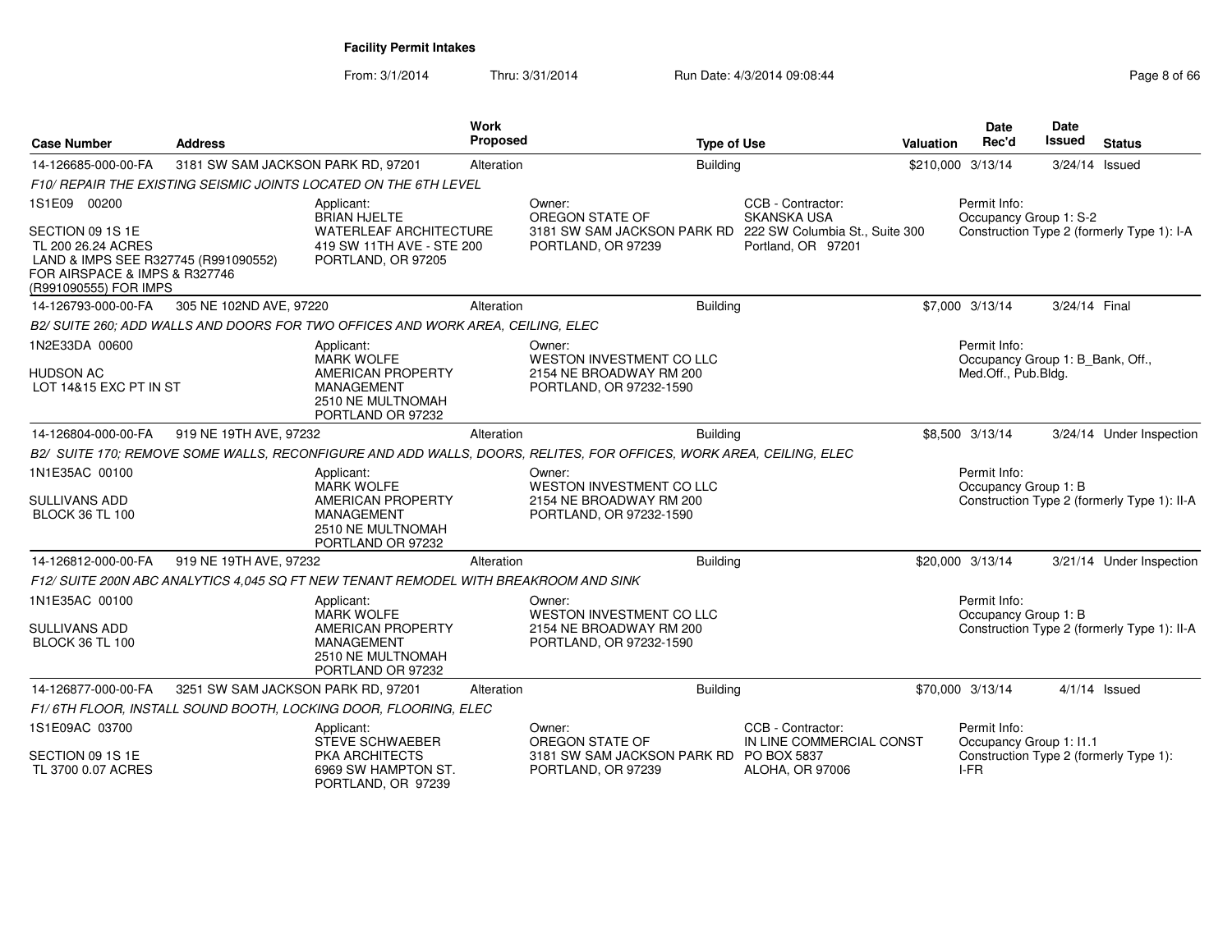From: 3/1/2014Thru: 3/31/2014 Run Date: 4/3/2014 09:08:44 Page 8 of 66

| <b>Case Number</b>                                                                                                                                       | <b>Address</b>                     |                                                                                                                            | Work<br>Proposed | <b>Type of Use</b>                                                                                                 |                                                                  | <b>Valuation</b>  | <b>Date</b><br>Rec'd                                                    | Date<br><b>Issued</b> | <b>Status</b>                               |
|----------------------------------------------------------------------------------------------------------------------------------------------------------|------------------------------------|----------------------------------------------------------------------------------------------------------------------------|------------------|--------------------------------------------------------------------------------------------------------------------|------------------------------------------------------------------|-------------------|-------------------------------------------------------------------------|-----------------------|---------------------------------------------|
| 14-126685-000-00-FA                                                                                                                                      | 3181 SW SAM JACKSON PARK RD, 97201 |                                                                                                                            | Alteration       | <b>Building</b>                                                                                                    |                                                                  | \$210,000 3/13/14 |                                                                         | 3/24/14 Issued        |                                             |
|                                                                                                                                                          |                                    | F10/ REPAIR THE EXISTING SEISMIC JOINTS LOCATED ON THE 6TH LEVEL                                                           |                  |                                                                                                                    |                                                                  |                   |                                                                         |                       |                                             |
| 1S1E09 00200<br>SECTION 09 1S 1E<br>TL 200 26.24 ACRES<br>LAND & IMPS SEE R327745 (R991090552)<br>FOR AIRSPACE & IMPS & R327746<br>(R991090555) FOR IMPS |                                    | Applicant:<br><b>BRIAN HJELTE</b><br><b>WATERLEAF ARCHITECTURE</b><br>419 SW 11TH AVE - STE 200<br>PORTLAND, OR 97205      |                  | Owner:<br>OREGON STATE OF<br>3181 SW SAM JACKSON PARK RD 222 SW Columbia St., Suite 300<br>PORTLAND, OR 97239      | CCB - Contractor:<br><b>SKANSKA USA</b><br>Portland, OR 97201    |                   | Permit Info:<br>Occupancy Group 1: S-2                                  |                       | Construction Type 2 (formerly Type 1): I-A  |
| 14-126793-000-00-FA                                                                                                                                      | 305 NE 102ND AVE, 97220            |                                                                                                                            | Alteration       | <b>Building</b>                                                                                                    |                                                                  |                   | \$7,000 3/13/14                                                         | 3/24/14 Final         |                                             |
|                                                                                                                                                          |                                    | B2/ SUITE 260; ADD WALLS AND DOORS FOR TWO OFFICES AND WORK AREA, CEILING, ELEC                                            |                  |                                                                                                                    |                                                                  |                   |                                                                         |                       |                                             |
| 1N2E33DA 00600<br><b>HUDSON AC</b><br>LOT 14&15 EXC PT IN ST                                                                                             |                                    | Applicant:<br><b>MARK WOLFE</b><br><b>AMERICAN PROPERTY</b><br><b>MANAGEMENT</b><br>2510 NE MULTNOMAH<br>PORTLAND OR 97232 |                  | Owner:<br><b>WESTON INVESTMENT CO LLC</b><br>2154 NE BROADWAY RM 200<br>PORTLAND, OR 97232-1590                    |                                                                  |                   | Permit Info:<br>Occupancy Group 1: B_Bank, Off.,<br>Med.Off., Pub.Bldg. |                       |                                             |
| 14-126804-000-00-FA                                                                                                                                      | 919 NE 19TH AVE, 97232             |                                                                                                                            | Alteration       | <b>Building</b>                                                                                                    |                                                                  |                   | \$8,500 3/13/14                                                         |                       | 3/24/14 Under Inspection                    |
|                                                                                                                                                          |                                    |                                                                                                                            |                  | B2/ SUITE 170; REMOVE SOME WALLS, RECONFIGURE AND ADD WALLS, DOORS, RELITES, FOR OFFICES, WORK AREA, CEILING, ELEC |                                                                  |                   |                                                                         |                       |                                             |
| 1N1E35AC 00100<br><b>SULLIVANS ADD</b><br><b>BLOCK 36 TL 100</b>                                                                                         |                                    | Applicant:<br><b>MARK WOLFE</b><br><b>AMERICAN PROPERTY</b><br><b>MANAGEMENT</b><br>2510 NE MULTNOMAH<br>PORTLAND OR 97232 |                  | Owner:<br>WESTON INVESTMENT CO LLC<br>2154 NE BROADWAY RM 200<br>PORTLAND, OR 97232-1590                           |                                                                  |                   | Permit Info:<br>Occupancy Group 1: B                                    |                       | Construction Type 2 (formerly Type 1): II-A |
| 14-126812-000-00-FA                                                                                                                                      | 919 NE 19TH AVE, 97232             |                                                                                                                            | Alteration       | <b>Building</b>                                                                                                    |                                                                  |                   | \$20,000 3/13/14                                                        |                       | 3/21/14 Under Inspection                    |
|                                                                                                                                                          |                                    | F12/ SUITE 200N ABC ANALYTICS 4.045 SQ FT NEW TENANT REMODEL WITH BREAKROOM AND SINK                                       |                  |                                                                                                                    |                                                                  |                   |                                                                         |                       |                                             |
| 1N1E35AC 00100<br><b>SULLIVANS ADD</b><br><b>BLOCK 36 TL 100</b>                                                                                         |                                    | Applicant:<br><b>MARK WOLFE</b><br><b>AMERICAN PROPERTY</b><br><b>MANAGEMENT</b><br>2510 NE MULTNOMAH<br>PORTLAND OR 97232 |                  | Owner:<br><b>WESTON INVESTMENT CO LLC</b><br>2154 NE BROADWAY RM 200<br>PORTLAND, OR 97232-1590                    |                                                                  |                   | Permit Info:<br>Occupancy Group 1: B                                    |                       | Construction Type 2 (formerly Type 1): II-A |
| 14-126877-000-00-FA                                                                                                                                      | 3251 SW SAM JACKSON PARK RD, 97201 |                                                                                                                            | Alteration       | <b>Building</b>                                                                                                    |                                                                  |                   | \$70,000 3/13/14                                                        |                       | $4/1/14$ Issued                             |
|                                                                                                                                                          |                                    | F1/6TH FLOOR, INSTALL SOUND BOOTH, LOCKING DOOR, FLOORING, ELEC                                                            |                  |                                                                                                                    |                                                                  |                   |                                                                         |                       |                                             |
| 1S1E09AC 03700<br>SECTION 09 1S 1E<br>TL 3700 0.07 ACRES                                                                                                 |                                    | Applicant:<br><b>STEVE SCHWAEBER</b><br>PKA ARCHITECTS<br>6969 SW HAMPTON ST.<br>PORTLAND, OR 97239                        |                  | Owner:<br>OREGON STATE OF<br>3181 SW SAM JACKSON PARK RD PO BOX 5837<br>PORTLAND, OR 97239                         | CCB - Contractor:<br>IN LINE COMMERCIAL CONST<br>ALOHA, OR 97006 |                   | Permit Info:<br>Occupancy Group 1: I1.1<br>I-FR                         |                       | Construction Type 2 (formerly Type 1):      |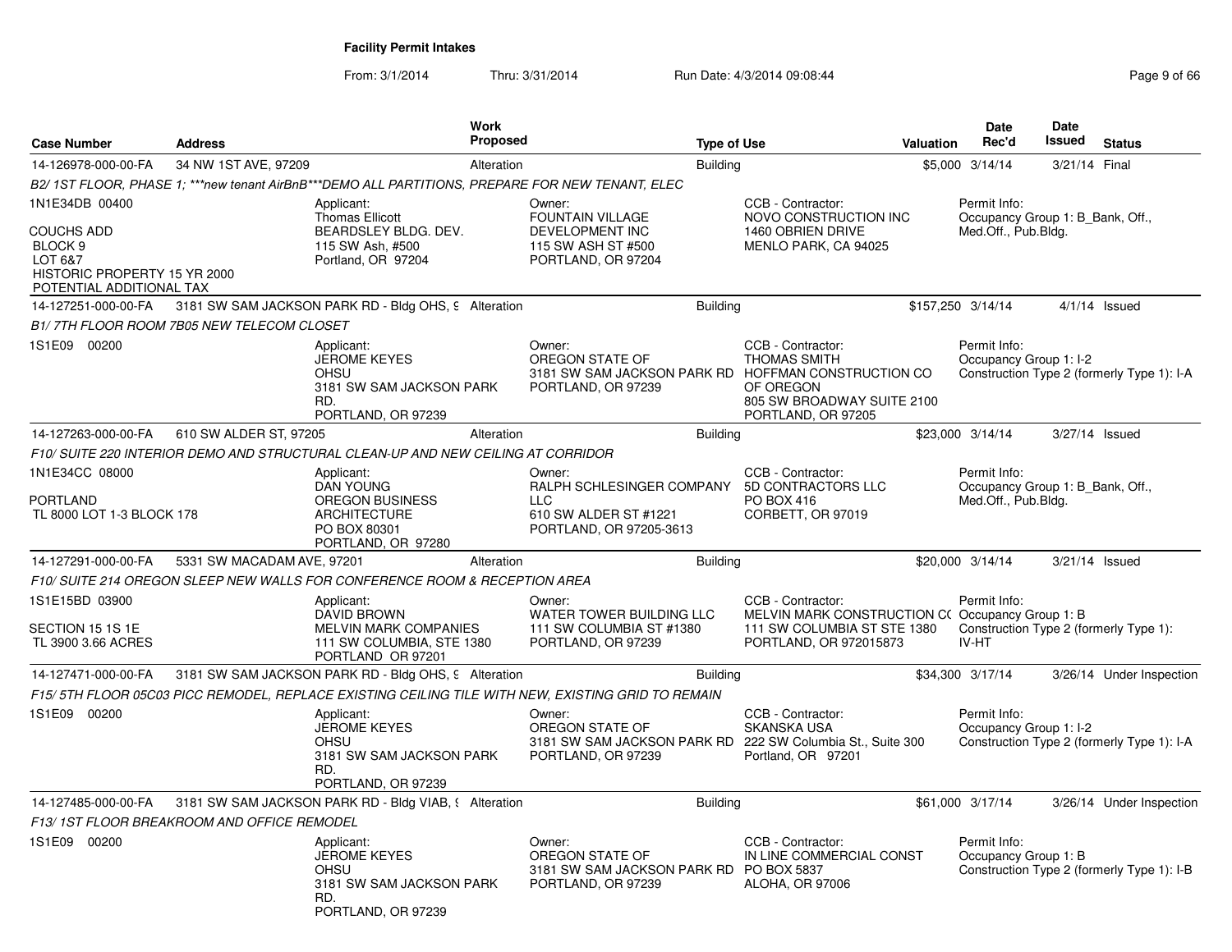From: 3/1/2014Thru: 3/31/2014 Run Date: 4/3/2014 09:08:44 Rege 9 of 66

| <b>Case Number</b>                                                                                                               | <b>Address</b>                             | Work<br>Proposed                                                                                            |                                                                                                         | <b>Type of Use</b> |                                                                                                                                                                  | <b>Valuation</b> | Date<br>Rec'd                                                           | Date<br>Issued | <b>Status</b>                              |
|----------------------------------------------------------------------------------------------------------------------------------|--------------------------------------------|-------------------------------------------------------------------------------------------------------------|---------------------------------------------------------------------------------------------------------|--------------------|------------------------------------------------------------------------------------------------------------------------------------------------------------------|------------------|-------------------------------------------------------------------------|----------------|--------------------------------------------|
| 14-126978-000-00-FA                                                                                                              | 34 NW 1ST AVE, 97209                       | Alteration                                                                                                  |                                                                                                         | <b>Building</b>    |                                                                                                                                                                  |                  | \$5,000 3/14/14                                                         | 3/21/14 Final  |                                            |
|                                                                                                                                  |                                            | B2/1ST FLOOR, PHASE 1; ***new tenant AirBnB***DEMO ALL PARTITIONS, PREPARE FOR NEW TENANT, ELEC             |                                                                                                         |                    |                                                                                                                                                                  |                  |                                                                         |                |                                            |
| 1N1E34DB 00400<br><b>COUCHS ADD</b><br>BLOCK <sub>9</sub><br>LOT 6&7<br>HISTORIC PROPERTY 15 YR 2000<br>POTENTIAL ADDITIONAL TAX |                                            | Applicant:<br><b>Thomas Ellicott</b><br>BEARDSLEY BLDG, DEV.<br>115 SW Ash, #500<br>Portland, OR 97204      | Owner:<br><b>FOUNTAIN VILLAGE</b><br><b>DEVELOPMENT INC</b><br>115 SW ASH ST #500<br>PORTLAND, OR 97204 |                    | CCB - Contractor:<br>NOVO CONSTRUCTION INC<br>1460 OBRIEN DRIVE<br>MENLO PARK, CA 94025                                                                          |                  | Permit Info:<br>Occupancy Group 1: B Bank, Off.,<br>Med.Off., Pub.Bldg. |                |                                            |
| 14-127251-000-00-FA                                                                                                              |                                            | 3181 SW SAM JACKSON PARK RD - Bldg OHS, 9 Alteration                                                        |                                                                                                         | <b>Building</b>    |                                                                                                                                                                  |                  | \$157,250 3/14/14                                                       |                | $4/1/14$ Issued                            |
|                                                                                                                                  | B1/7TH FLOOR ROOM 7B05 NEW TELECOM CLOSET  |                                                                                                             |                                                                                                         |                    |                                                                                                                                                                  |                  |                                                                         |                |                                            |
| 1S1E09 00200                                                                                                                     |                                            | Applicant:<br><b>JEROME KEYES</b><br><b>OHSU</b><br>3181 SW SAM JACKSON PARK<br>RD.<br>PORTLAND, OR 97239   | Owner:<br>OREGON STATE OF<br>PORTLAND, OR 97239                                                         |                    | CCB - Contractor:<br><b>THOMAS SMITH</b><br>3181 SW SAM JACKSON PARK RD HOFFMAN CONSTRUCTION CO<br>OF OREGON<br>805 SW BROADWAY SUITE 2100<br>PORTLAND, OR 97205 |                  | Permit Info:<br>Occupancy Group 1: I-2                                  |                | Construction Type 2 (formerly Type 1): I-A |
| 14-127263-000-00-FA                                                                                                              | 610 SW ALDER ST, 97205                     | Alteration                                                                                                  |                                                                                                         | <b>Building</b>    |                                                                                                                                                                  |                  | \$23,000 3/14/14                                                        |                | 3/27/14 Issued                             |
|                                                                                                                                  |                                            | F10/ SUITE 220 INTERIOR DEMO AND STRUCTURAL CLEAN-UP AND NEW CEILING AT CORRIDOR                            |                                                                                                         |                    |                                                                                                                                                                  |                  |                                                                         |                |                                            |
| 1N1E34CC 08000<br><b>PORTLAND</b>                                                                                                |                                            | Applicant:<br><b>DAN YOUNG</b><br><b>OREGON BUSINESS</b>                                                    | Owner:<br>RALPH SCHLESINGER COMPANY 5D CONTRACTORS LLC<br>LLC.                                          |                    | CCB - Contractor:<br>PO BOX 416                                                                                                                                  |                  | Permit Info:<br>Occupancy Group 1: B Bank, Off.,<br>Med.Off., Pub.Bldg. |                |                                            |
| TL 8000 LOT 1-3 BLOCK 178                                                                                                        |                                            | <b>ARCHITECTURE</b><br>PO BOX 80301<br>PORTLAND, OR 97280                                                   | 610 SW ALDER ST #1221<br>PORTLAND, OR 97205-3613                                                        |                    | CORBETT, OR 97019                                                                                                                                                |                  |                                                                         |                |                                            |
| 14-127291-000-00-FA                                                                                                              | 5331 SW MACADAM AVE, 97201                 | Alteration                                                                                                  |                                                                                                         | <b>Building</b>    |                                                                                                                                                                  |                  | \$20,000 3/14/14                                                        |                | 3/21/14 Issued                             |
|                                                                                                                                  |                                            | F10/ SUITE 214 OREGON SLEEP NEW WALLS FOR CONFERENCE ROOM & RECEPTION AREA                                  |                                                                                                         |                    |                                                                                                                                                                  |                  |                                                                         |                |                                            |
| 1S1E15BD 03900<br>SECTION 15 1S 1E<br>TL 3900 3.66 ACRES                                                                         |                                            | Applicant:<br>DAVID BROWN<br><b>MELVIN MARK COMPANIES</b><br>111 SW COLUMBIA, STE 1380<br>PORTLAND OR 97201 | Owner:<br>WATER TOWER BUILDING LLC<br>111 SW COLUMBIA ST #1380<br>PORTLAND, OR 97239                    |                    | CCB - Contractor:<br>MELVIN MARK CONSTRUCTION C(Occupancy Group 1: B<br>111 SW COLUMBIA ST STE 1380<br>PORTLAND, OR 972015873                                    |                  | Permit Info:<br>IV-HT                                                   |                | Construction Type 2 (formerly Type 1):     |
| 14-127471-000-00-FA                                                                                                              |                                            | 3181 SW SAM JACKSON PARK RD - Bldg OHS, 9 Alteration                                                        |                                                                                                         | <b>Building</b>    |                                                                                                                                                                  |                  | \$34,300 3/17/14                                                        |                | 3/26/14 Under Inspection                   |
|                                                                                                                                  |                                            | F15/5TH FLOOR 05C03 PICC REMODEL, REPLACE EXISTING CEILING TILE WITH NEW, EXISTING GRID TO REMAIN           |                                                                                                         |                    |                                                                                                                                                                  |                  |                                                                         |                |                                            |
| 1S1E09 00200                                                                                                                     |                                            | Applicant:<br><b>JEROME KEYES</b><br><b>OHSU</b><br>3181 SW SAM JACKSON PARK<br>RD.<br>PORTLAND, OR 97239   | Owner:<br>OREGON STATE OF<br>PORTLAND, OR 97239                                                         |                    | CCB - Contractor:<br><b>SKANSKA USA</b><br>3181 SW SAM JACKSON PARK RD 222 SW Columbia St., Suite 300<br>Portland, OR 97201                                      |                  | Permit Info:<br>Occupancy Group 1: I-2                                  |                | Construction Type 2 (formerly Type 1): I-A |
| 14-127485-000-00-FA                                                                                                              |                                            | 3181 SW SAM JACKSON PARK RD - Bldg VIAB, § Alteration                                                       |                                                                                                         | <b>Building</b>    |                                                                                                                                                                  |                  | \$61,000 3/17/14                                                        |                | 3/26/14 Under Inspection                   |
|                                                                                                                                  | F13/1ST FLOOR BREAKROOM AND OFFICE REMODEL |                                                                                                             |                                                                                                         |                    |                                                                                                                                                                  |                  |                                                                         |                |                                            |
| 1S1E09 00200                                                                                                                     |                                            | Applicant:<br><b>JEROME KEYES</b><br>OHSU<br>3181 SW SAM JACKSON PARK<br>RD.<br>PORTLAND, OR 97239          | Owner:<br>OREGON STATE OF<br>3181 SW SAM JACKSON PARK RD PO BOX 5837<br>PORTLAND, OR 97239              |                    | CCB - Contractor:<br>IN LINE COMMERCIAL CONST<br><b>ALOHA, OR 97006</b>                                                                                          |                  | Permit Info:<br>Occupancy Group 1: B                                    |                | Construction Type 2 (formerly Type 1): I-B |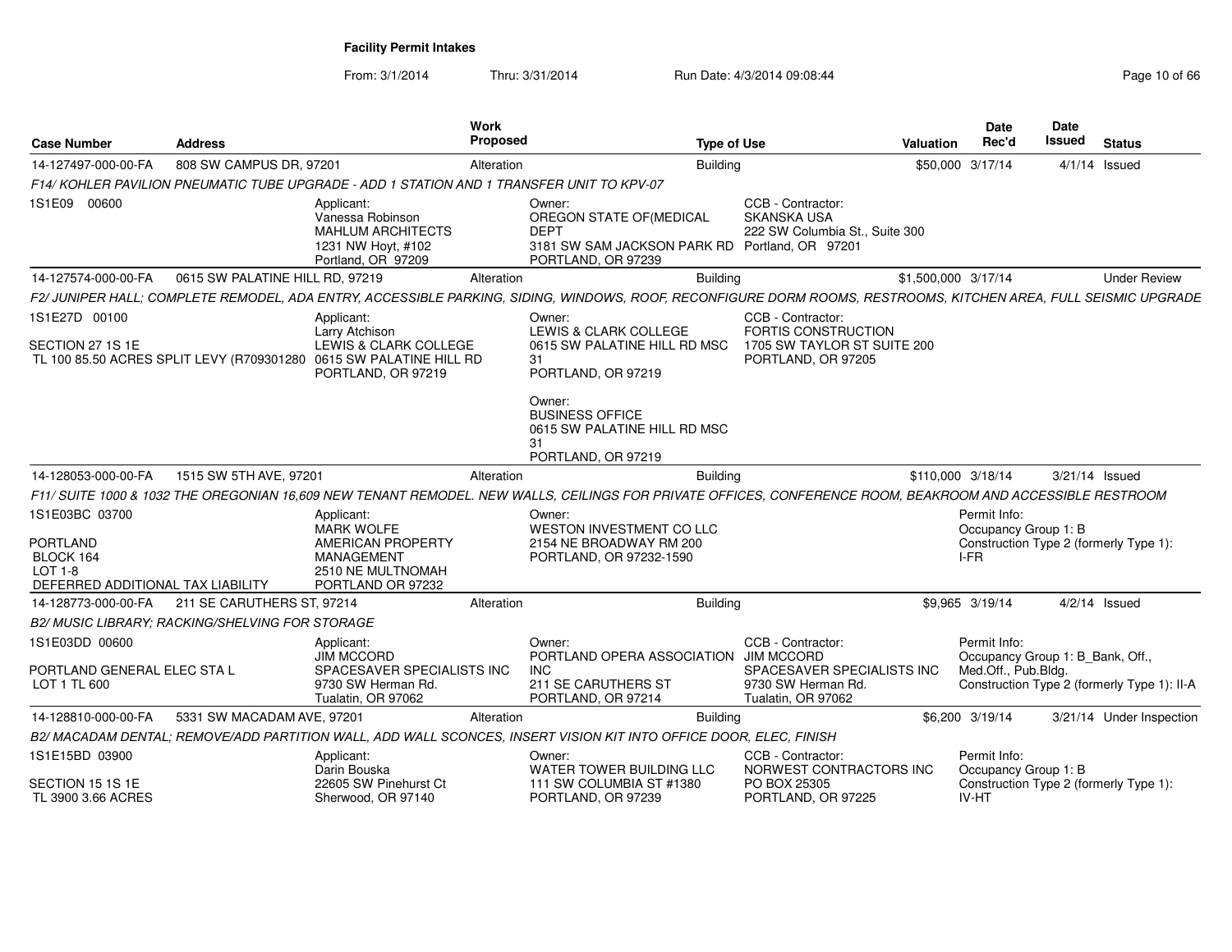From: 3/1/2014

| <b>Case Number</b>                                                                             | <b>Address</b>                                  |                                                                                                                                                   | Work<br><b>Proposed</b> | <b>Type of Use</b>                                                                                                                                                                                                                                     |                                                                                                                  | Valuation           | Date<br>Rec'd                                                           | <b>Date</b><br><b>Issued</b> | <b>Status</b>                               |
|------------------------------------------------------------------------------------------------|-------------------------------------------------|---------------------------------------------------------------------------------------------------------------------------------------------------|-------------------------|--------------------------------------------------------------------------------------------------------------------------------------------------------------------------------------------------------------------------------------------------------|------------------------------------------------------------------------------------------------------------------|---------------------|-------------------------------------------------------------------------|------------------------------|---------------------------------------------|
| 14-127497-000-00-FA                                                                            | 808 SW CAMPUS DR, 97201                         |                                                                                                                                                   | Alteration              | Building                                                                                                                                                                                                                                               |                                                                                                                  |                     | \$50,000 3/17/14                                                        |                              | $4/1/14$ Issued                             |
|                                                                                                |                                                 | F14/ KOHLER PAVILION PNEUMATIC TUBE UPGRADE - ADD 1 STATION AND 1 TRANSFER UNIT TO KPV-07                                                         |                         |                                                                                                                                                                                                                                                        |                                                                                                                  |                     |                                                                         |                              |                                             |
| 1S1E09 00600                                                                                   |                                                 | Applicant:<br>Vanessa Robinson<br><b>MAHLUM ARCHITECTS</b><br>1231 NW Hoyt, #102<br>Portland, OR 97209                                            |                         | Owner:<br>OREGON STATE OF (MEDICAL<br><b>DEPT</b><br>3181 SW SAM JACKSON PARK RD Portland, OR 97201<br>PORTLAND, OR 97239                                                                                                                              | CCB - Contractor:<br>SKANSKA USA<br>222 SW Columbia St., Suite 300                                               |                     |                                                                         |                              |                                             |
| 14-127574-000-00-FA                                                                            | 0615 SW PALATINE HILL RD, 97219                 |                                                                                                                                                   | Alteration              | Building                                                                                                                                                                                                                                               |                                                                                                                  | \$1,500,000 3/17/14 |                                                                         |                              | <b>Under Review</b>                         |
|                                                                                                |                                                 |                                                                                                                                                   |                         | F2/JUNIPER HALL; COMPLETE REMODEL, ADA ENTRY, ACCESSIBLE PARKING, SIDING, WINDOWS, ROOF, RECONFIGURE DORM ROOMS, RESTROOMS, KITCHEN AREA, FULL SEISMIC UPGRADE                                                                                         |                                                                                                                  |                     |                                                                         |                              |                                             |
| 1S1E27D 00100<br>SECTION 27 1S 1E                                                              |                                                 | Applicant:<br>Larry Atchison<br>LEWIS & CLARK COLLEGE<br>TL 100 85.50 ACRES SPLIT LEVY (R709301280 0615 SW PALATINE HILL RD<br>PORTLAND, OR 97219 |                         | Owner:<br>LEWIS & CLARK COLLEGE<br>0615 SW PALATINE HILL RD MSC<br>31<br>PORTLAND, OR 97219                                                                                                                                                            | CCB - Contractor:<br><b>FORTIS CONSTRUCTION</b><br>1705 SW TAYLOR ST SUITE 200<br>PORTLAND, OR 97205             |                     |                                                                         |                              |                                             |
| 14-128053-000-00-FA                                                                            | 1515 SW 5TH AVE, 97201                          |                                                                                                                                                   | Alteration              | Owner:<br><b>BUSINESS OFFICE</b><br>0615 SW PALATINE HILL RD MSC<br>31<br>PORTLAND, OR 97219<br><b>Building</b>                                                                                                                                        |                                                                                                                  | \$110,000 3/18/14   |                                                                         | 3/21/14 Issued               |                                             |
|                                                                                                |                                                 |                                                                                                                                                   |                         |                                                                                                                                                                                                                                                        |                                                                                                                  |                     |                                                                         |                              |                                             |
| 1S1E03BC 03700<br><b>PORTLAND</b><br>BLOCK 164<br>LOT 1-8<br>DEFERRED ADDITIONAL TAX LIABILITY |                                                 | Applicant:<br><b>MARK WOLFE</b><br>AMERICAN PROPERTY<br><b>MANAGEMENT</b><br>2510 NE MULTNOMAH<br>PORTLAND OR 97232                               |                         | F11/ SUITE 1000 & 1032 THE OREGONIAN 16,609 NEW TENANT REMODEL. NEW WALLS, CEILINGS FOR PRIVATE OFFICES, CONFERENCE ROOM, BEAKROOM AND ACCESSIBLE RESTROOM<br>Owner:<br>WESTON INVESTMENT CO LLC<br>2154 NE BROADWAY RM 200<br>PORTLAND, OR 97232-1590 |                                                                                                                  |                     | Permit Info:<br>Occupancy Group 1: B<br>I-FR                            |                              | Construction Type 2 (formerly Type 1):      |
| 14-128773-000-00-FA                                                                            | 211 SE CARUTHERS ST, 97214                      |                                                                                                                                                   | Alteration              | Building                                                                                                                                                                                                                                               |                                                                                                                  |                     | \$9.965 3/19/14                                                         |                              | $4/2/14$ Issued                             |
|                                                                                                | B2/ MUSIC LIBRARY; RACKING/SHELVING FOR STORAGE |                                                                                                                                                   |                         |                                                                                                                                                                                                                                                        |                                                                                                                  |                     |                                                                         |                              |                                             |
| 1S1E03DD 00600<br>PORTLAND GENERAL ELEC STA L<br>LOT 1 TL 600                                  |                                                 | Applicant:<br><b>JIM MCCORD</b><br>SPACESAVER SPECIALISTS INC<br>9730 SW Herman Rd.<br>Tualatin, OR 97062                                         |                         | Owner:<br>PORTLAND OPERA ASSOCIATION<br><b>INC</b><br>211 SE CARUTHERS ST<br>PORTLAND, OR 97214                                                                                                                                                        | CCB - Contractor:<br><b>JIM MCCORD</b><br>SPACESAVER SPECIALISTS INC<br>9730 SW Herman Rd.<br>Tualatin, OR 97062 |                     | Permit Info:<br>Occupancy Group 1: B Bank, Off.,<br>Med.Off., Pub.Bldg. |                              | Construction Type 2 (formerly Type 1): II-A |
| 14-128810-000-00-FA                                                                            | 5331 SW MACADAM AVE, 97201                      |                                                                                                                                                   | Alteration              | <b>Building</b>                                                                                                                                                                                                                                        |                                                                                                                  |                     | \$6,200 3/19/14                                                         |                              | 3/21/14 Under Inspection                    |
|                                                                                                |                                                 |                                                                                                                                                   |                         | B2/ MACADAM DENTAL; REMOVE/ADD PARTITION WALL, ADD WALL SCONCES, INSERT VISION KIT INTO OFFICE DOOR, ELEC, FINISH                                                                                                                                      |                                                                                                                  |                     |                                                                         |                              |                                             |
| 1S1E15BD 03900<br>SECTION 15 1S 1E                                                             |                                                 | Applicant:<br>Darin Bouska<br>22605 SW Pinehurst Ct                                                                                               |                         | Owner:<br>WATER TOWER BUILDING LLC<br>111 SW COLUMBIA ST #1380                                                                                                                                                                                         | CCB - Contractor:<br>NORWEST CONTRACTORS INC<br>PO BOX 25305                                                     |                     | Permit Info:<br>Occupancy Group 1: B                                    |                              | Construction Type 2 (formerly Type 1):      |
| TL 3900 3.66 ACRES                                                                             |                                                 | Sherwood, OR 97140                                                                                                                                |                         | PORTLAND, OR 97239                                                                                                                                                                                                                                     | PORTLAND, OR 97225                                                                                               |                     | IV-HT                                                                   |                              |                                             |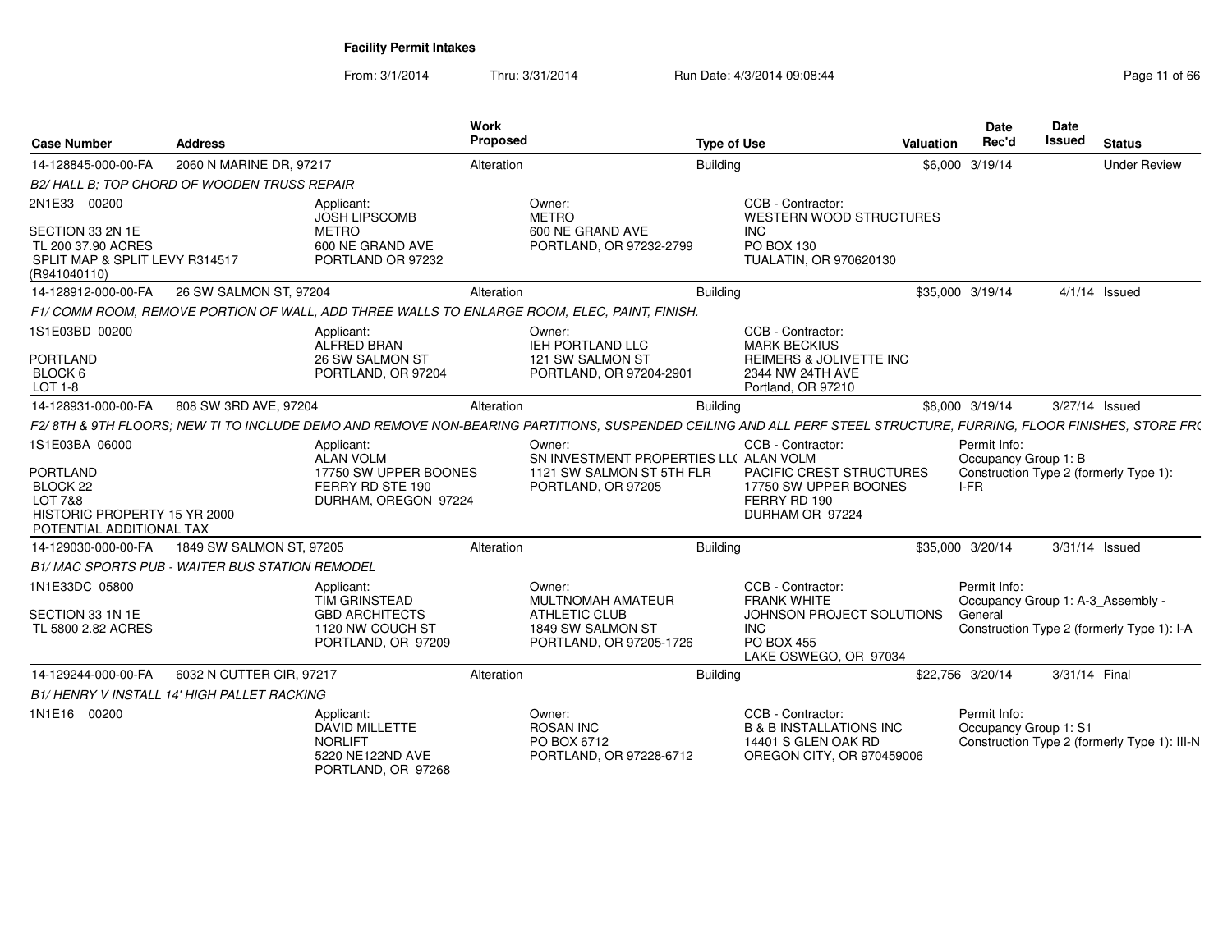| <b>Case Number</b>                                                                                                   | <b>Address</b>                                        |                                                                                                       | Work<br>Proposed                          |                                                                                           | <b>Type of Use</b>                                                                                                                                                | Valuation        | <b>Date</b><br>Rec'd                           | Date<br><b>Issued</b> | <b>Status</b>                                                                   |
|----------------------------------------------------------------------------------------------------------------------|-------------------------------------------------------|-------------------------------------------------------------------------------------------------------|-------------------------------------------|-------------------------------------------------------------------------------------------|-------------------------------------------------------------------------------------------------------------------------------------------------------------------|------------------|------------------------------------------------|-----------------------|---------------------------------------------------------------------------------|
| 14-128845-000-00-FA                                                                                                  | 2060 N MARINE DR, 97217                               |                                                                                                       | Alteration                                | Building                                                                                  |                                                                                                                                                                   | \$6,000 3/19/14  |                                                |                       | <b>Under Review</b>                                                             |
|                                                                                                                      | B2/HALL B: TOP CHORD OF WOODEN TRUSS REPAIR           |                                                                                                       |                                           |                                                                                           |                                                                                                                                                                   |                  |                                                |                       |                                                                                 |
| 2N1E33 00200<br>SECTION 33 2N 1E<br>TL 200 37.90 ACRES<br>SPLIT MAP & SPLIT LEVY R314517<br>(R941040110)             |                                                       | Applicant:<br><b>JOSH LIPSCOMB</b><br><b>METRO</b><br>600 NE GRAND AVE<br>PORTLAND OR 97232           | Owner:<br><b>METRO</b>                    | 600 NE GRAND AVE<br>PORTLAND, OR 97232-2799                                               | CCB - Contractor:<br><b>WESTERN WOOD STRUCTURES</b><br><b>INC</b><br>PO BOX 130<br>TUALATIN, OR 970620130                                                         |                  |                                                |                       |                                                                                 |
| 14-128912-000-00-FA                                                                                                  | 26 SW SALMON ST, 97204                                |                                                                                                       | Alteration                                | <b>Building</b>                                                                           |                                                                                                                                                                   | \$35,000 3/19/14 |                                                |                       | $4/1/14$ Issued                                                                 |
|                                                                                                                      |                                                       | F1/COMM ROOM. REMOVE PORTION OF WALL. ADD THREE WALLS TO ENLARGE ROOM. ELEC. PAINT. FINISH.           |                                           |                                                                                           |                                                                                                                                                                   |                  |                                                |                       |                                                                                 |
| 1S1E03BD 00200<br>PORTLAND<br>BLOCK 6<br>LOT 1-8                                                                     |                                                       | Applicant:<br>ALFRED BRAN<br>26 SW SALMON ST<br>PORTLAND, OR 97204                                    | Owner:                                    | IEH PORTLAND LLC<br>121 SW SALMON ST<br>PORTLAND, OR 97204-2901                           | CCB - Contractor:<br><b>MARK BECKIUS</b><br><b>REIMERS &amp; JOLIVETTE INC</b><br>2344 NW 24TH AVE<br>Portland, OR 97210                                          |                  |                                                |                       |                                                                                 |
| 14-128931-000-00-FA                                                                                                  | 808 SW 3RD AVE, 97204                                 |                                                                                                       | Alteration                                | <b>Building</b>                                                                           |                                                                                                                                                                   | \$8,000 3/19/14  |                                                |                       | 3/27/14 Issued                                                                  |
|                                                                                                                      |                                                       |                                                                                                       |                                           |                                                                                           | F2/8TH & 9TH FLOORS; NEW TI TO INCLUDE DEMO AND REMOVE NON-BEARING PARTITIONS, SUSPENDED CEILING AND ALL PERF STEEL STRUCTURE, FURRING, FLOOR FINISHES, STORE FR( |                  |                                                |                       |                                                                                 |
| 1S1E03BA 06000<br><b>PORTLAND</b><br>BLOCK 22<br>LOT 7&8<br>HISTORIC PROPERTY 15 YR 2000<br>POTENTIAL ADDITIONAL TAX |                                                       | Applicant:<br>ALAN VOLM<br>17750 SW UPPER BOONES<br>FERRY RD STE 190<br>DURHAM, OREGON 97224          | Owner:                                    | SN INVESTMENT PROPERTIES LL( ALAN VOLM<br>1121 SW SALMON ST 5TH FLR<br>PORTLAND, OR 97205 | CCB - Contractor:<br><b>PACIFIC CREST STRUCTURES</b><br>17750 SW UPPER BOONES<br>FERRY RD 190<br>DURHAM OR 97224                                                  |                  | Permit Info:<br>Occupancy Group 1: B<br>$I-FR$ |                       | Construction Type 2 (formerly Type 1):                                          |
| 14-129030-000-00-FA                                                                                                  | 1849 SW SALMON ST, 97205                              |                                                                                                       | Alteration                                | <b>Building</b>                                                                           |                                                                                                                                                                   | \$35,000 3/20/14 |                                                |                       | 3/31/14 Issued                                                                  |
|                                                                                                                      | <b>B1/MAC SPORTS PUB - WAITER BUS STATION REMODEL</b> |                                                                                                       |                                           |                                                                                           |                                                                                                                                                                   |                  |                                                |                       |                                                                                 |
| 1N1E33DC 05800<br>SECTION 33 1N 1E<br>TL 5800 2.82 ACRES                                                             |                                                       | Applicant:<br><b>TIM GRINSTEAD</b><br><b>GBD ARCHITECTS</b><br>1120 NW COUCH ST<br>PORTLAND, OR 97209 | Owner:<br><b>ATHLETIC CLUB</b>            | <b>MULTNOMAH AMATEUR</b><br>1849 SW SALMON ST<br>PORTLAND, OR 97205-1726                  | CCB - Contractor:<br><b>FRANK WHITE</b><br>JOHNSON PROJECT SOLUTIONS<br><b>INC</b><br><b>PO BOX 455</b><br>LAKE OSWEGO, OR 97034                                  |                  | Permit Info:<br>General                        |                       | Occupancy Group 1: A-3_Assembly -<br>Construction Type 2 (formerly Type 1): I-A |
| 14-129244-000-00-FA                                                                                                  | 6032 N CUTTER CIR, 97217                              |                                                                                                       | Alteration                                | <b>Building</b>                                                                           |                                                                                                                                                                   | \$22,756 3/20/14 |                                                | 3/31/14 Final         |                                                                                 |
|                                                                                                                      | <b>B1/HENRY V INSTALL 14' HIGH PALLET RACKING</b>     |                                                                                                       |                                           |                                                                                           |                                                                                                                                                                   |                  |                                                |                       |                                                                                 |
| 1N1E16 00200                                                                                                         |                                                       | Applicant:<br><b>DAVID MILLETTE</b><br><b>NORLIFT</b><br>5220 NE122ND AVE<br>PORTLAND, OR 97268       | Owner:<br><b>ROSAN INC</b><br>PO BOX 6712 | PORTLAND, OR 97228-6712                                                                   | CCB - Contractor:<br><b>B &amp; B INSTALLATIONS INC</b><br>14401 S GLEN OAK RD<br>OREGON CITY, OR 970459006                                                       |                  | Permit Info:<br>Occupancy Group 1: S1          |                       | Construction Type 2 (formerly Type 1): III-N                                    |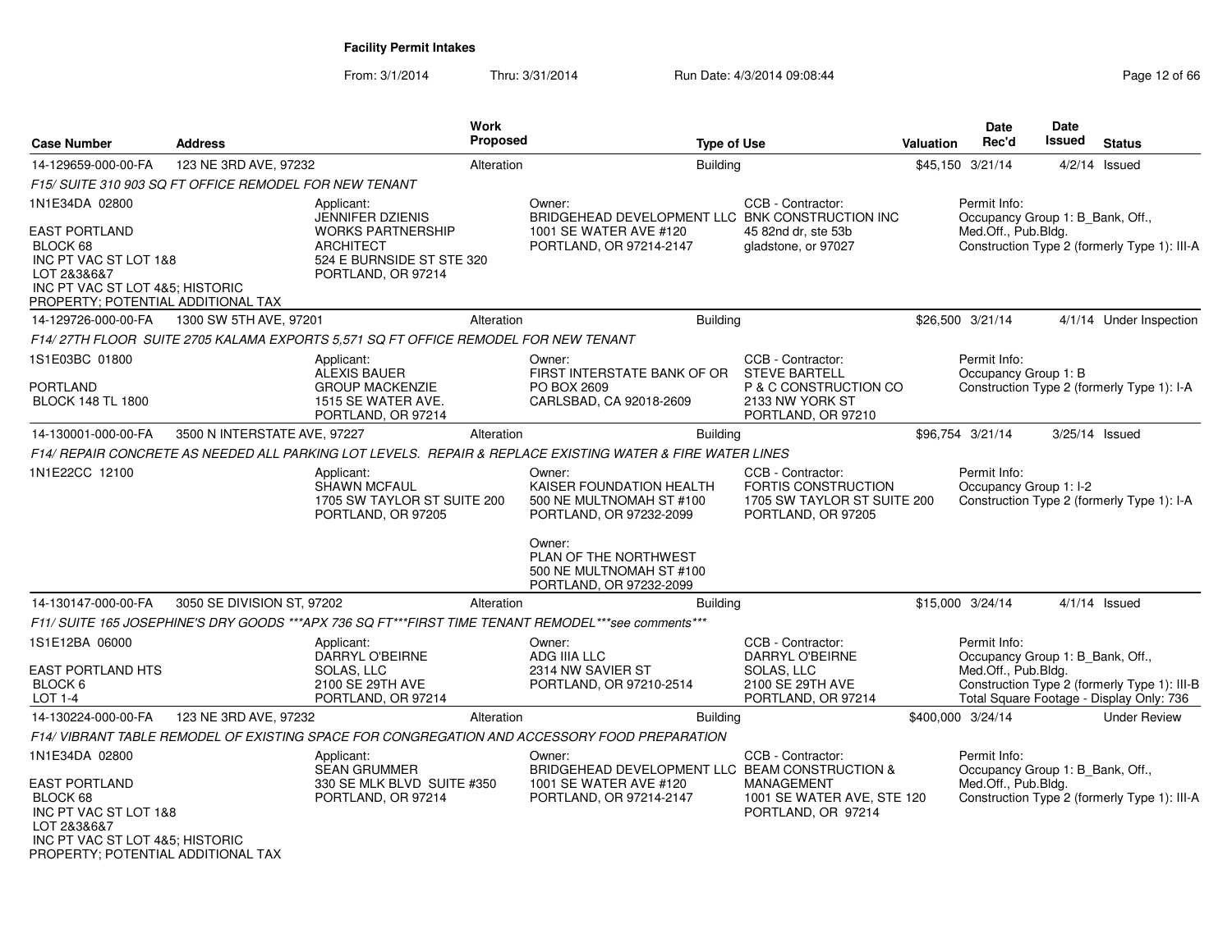| <b>Case Number</b>                                                                                                                                | <b>Address</b>               |                                                                                                 | <b>Work</b><br><b>Proposed</b> |                                                                                                           | <b>Type of Use</b>                                                                                   | <b>Valuation</b> | Date<br>Rec'd                                                           | Date<br>Issued | <b>Status</b>                                                                            |
|---------------------------------------------------------------------------------------------------------------------------------------------------|------------------------------|-------------------------------------------------------------------------------------------------|--------------------------------|-----------------------------------------------------------------------------------------------------------|------------------------------------------------------------------------------------------------------|------------------|-------------------------------------------------------------------------|----------------|------------------------------------------------------------------------------------------|
| 14-129659-000-00-FA                                                                                                                               | 123 NE 3RD AVE, 97232        |                                                                                                 | Alteration                     | <b>Building</b>                                                                                           |                                                                                                      |                  | \$45,150 3/21/14                                                        | 4/2/14         | Issued                                                                                   |
| F15/ SUITE 310 903 SQ FT OFFICE REMODEL FOR NEW TENANT                                                                                            |                              |                                                                                                 |                                |                                                                                                           |                                                                                                      |                  |                                                                         |                |                                                                                          |
| 1N1E34DA 02800                                                                                                                                    |                              | Applicant:<br><b>JENNIFER DZIENIS</b>                                                           |                                | Owner:<br>BRIDGEHEAD DEVELOPMENT LLC BNK CONSTRUCTION INC                                                 | CCB - Contractor:                                                                                    |                  | Permit Info:<br>Occupancy Group 1: B Bank, Off.,                        |                |                                                                                          |
| <b>EAST PORTLAND</b><br>BLOCK 68<br>INC PT VAC ST LOT 1&8<br>LOT 2&3&6&7<br>INC PT VAC ST LOT 4&5; HISTORIC<br>PROPERTY; POTENTIAL ADDITIONAL TAX |                              | <b>WORKS PARTNERSHIP</b><br><b>ARCHITECT</b><br>524 E BURNSIDE ST STE 320<br>PORTLAND, OR 97214 |                                | 1001 SE WATER AVE #120<br>PORTLAND, OR 97214-2147                                                         | 45 82nd dr. ste 53b<br>gladstone, or 97027                                                           |                  | Med.Off., Pub.Bldg.                                                     |                | Construction Type 2 (formerly Type 1): III-A                                             |
| 14-129726-000-00-FA                                                                                                                               | 1300 SW 5TH AVE, 97201       |                                                                                                 | Alteration                     | Building                                                                                                  |                                                                                                      |                  | \$26,500 3/21/14                                                        |                | 4/1/14 Under Inspection                                                                  |
|                                                                                                                                                   |                              | F14/27TH FLOOR SUITE 2705 KALAMA EXPORTS 5.571 SQ FT OFFICE REMODEL FOR NEW TENANT              |                                |                                                                                                           |                                                                                                      |                  |                                                                         |                |                                                                                          |
| 1S1E03BC 01800                                                                                                                                    |                              | Applicant:<br><b>ALEXIS BAUER</b>                                                               |                                | Owner:<br>FIRST INTERSTATE BANK OF OR                                                                     | CCB - Contractor:<br><b>STEVE BARTELL</b>                                                            |                  | Permit Info:<br>Occupancy Group 1: B                                    |                |                                                                                          |
| <b>PORTLAND</b><br><b>BLOCK 148 TL 1800</b>                                                                                                       |                              | <b>GROUP MACKENZIE</b><br>1515 SE WATER AVE.<br>PORTLAND, OR 97214                              |                                | PO BOX 2609<br>CARLSBAD, CA 92018-2609                                                                    | P & C CONSTRUCTION CO<br>2133 NW YORK ST<br>PORTLAND, OR 97210                                       |                  |                                                                         |                | Construction Type 2 (formerly Type 1): I-A                                               |
| 14-130001-000-00-FA                                                                                                                               | 3500 N INTERSTATE AVE, 97227 |                                                                                                 | Alteration                     | Building                                                                                                  |                                                                                                      |                  | \$96,754 3/21/14                                                        |                | 3/25/14 Issued                                                                           |
|                                                                                                                                                   |                              |                                                                                                 |                                | F14/ REPAIR CONCRETE AS NEEDED ALL PARKING LOT LEVELS. REPAIR & REPLACE EXISTING WATER & FIRE WATER LINES |                                                                                                      |                  |                                                                         |                |                                                                                          |
| 1N1E22CC 12100                                                                                                                                    |                              | Applicant:<br><b>SHAWN MCFAUL</b><br>1705 SW TAYLOR ST SUITE 200<br>PORTLAND, OR 97205          |                                | Owner:<br>KAISER FOUNDATION HEALTH<br>500 NE MULTNOMAH ST #100<br>PORTLAND, OR 97232-2099                 | CCB - Contractor:<br><b>FORTIS CONSTRUCTION</b><br>1705 SW TAYLOR ST SUITE 200<br>PORTLAND, OR 97205 |                  | Permit Info:<br>Occupancy Group 1: I-2                                  |                | Construction Type 2 (formerly Type 1): I-A                                               |
|                                                                                                                                                   |                              |                                                                                                 |                                | Owner:<br>PLAN OF THE NORTHWEST<br>500 NE MULTNOMAH ST #100<br>PORTLAND, OR 97232-2099                    |                                                                                                      |                  |                                                                         |                |                                                                                          |
| 14-130147-000-00-FA                                                                                                                               | 3050 SE DIVISION ST, 97202   |                                                                                                 | Alteration                     | <b>Building</b>                                                                                           |                                                                                                      |                  | \$15,000 3/24/14                                                        |                | $4/1/14$ Issued                                                                          |
|                                                                                                                                                   |                              |                                                                                                 |                                | F11/ SUITE 165 JOSEPHINE'S DRY GOODS ***APX 736 SQ FT***FIRST TIME TENANT REMODEL***see comments***       |                                                                                                      |                  |                                                                         |                |                                                                                          |
| 1S1E12BA 06000<br><b>EAST PORTLAND HTS</b>                                                                                                        |                              | Applicant:<br><b>DARRYL O'BEIRNE</b><br>SOLAS, LLC                                              |                                | Owner:<br>ADG IIIA LLC<br>2314 NW SAVIER ST                                                               | CCB - Contractor:<br>DARRYL O'BEIRNE<br>SOLAS, LLC                                                   |                  | Permit Info:<br>Occupancy Group 1: B_Bank, Off.,<br>Med.Off., Pub.Bldg. |                |                                                                                          |
| BLOCK 6<br><b>LOT 1-4</b>                                                                                                                         |                              | 2100 SE 29TH AVE<br>PORTLAND, OR 97214                                                          |                                | PORTLAND, OR 97210-2514                                                                                   | 2100 SE 29TH AVE<br>PORTLAND, OR 97214                                                               |                  |                                                                         |                | Construction Type 2 (formerly Type 1): III-B<br>Total Square Footage - Display Only: 736 |
| 14-130224-000-00-FA                                                                                                                               | 123 NE 3RD AVE, 97232        |                                                                                                 | Alteration                     | <b>Building</b>                                                                                           |                                                                                                      |                  | \$400,000 3/24/14                                                       |                | <b>Under Review</b>                                                                      |
|                                                                                                                                                   |                              |                                                                                                 |                                | F14/ VIBRANT TABLE REMODEL OF EXISTING SPACE FOR CONGREGATION AND ACCESSORY FOOD PREPARATION              |                                                                                                      |                  |                                                                         |                |                                                                                          |
| 1N1E34DA 02800                                                                                                                                    |                              | Applicant:<br><b>SEAN GRUMMER</b>                                                               |                                | Owner:<br>BRIDGEHEAD DEVELOPMENT LLC BEAM CONSTRUCTION &                                                  | CCB - Contractor:                                                                                    |                  | Permit Info:<br>Occupancy Group 1: B_Bank, Off.,                        |                |                                                                                          |
| <b>EAST PORTLAND</b><br>BLOCK 68<br>INC PT VAC ST LOT 1&8<br>LOT 2&3&6&7<br>INC PT VAC ST LOT 4&5; HISTORIC<br>PROPERTY; POTENTIAL ADDITIONAL TAX |                              | 330 SE MLK BLVD SUITE #350<br>PORTLAND, OR 97214                                                |                                | 1001 SE WATER AVE #120<br>PORTLAND, OR 97214-2147                                                         | MANAGEMENT<br>1001 SE WATER AVE, STE 120<br>PORTLAND, OR 97214                                       |                  | Med.Off., Pub.Bldg.                                                     |                | Construction Type 2 (formerly Type 1): III-A                                             |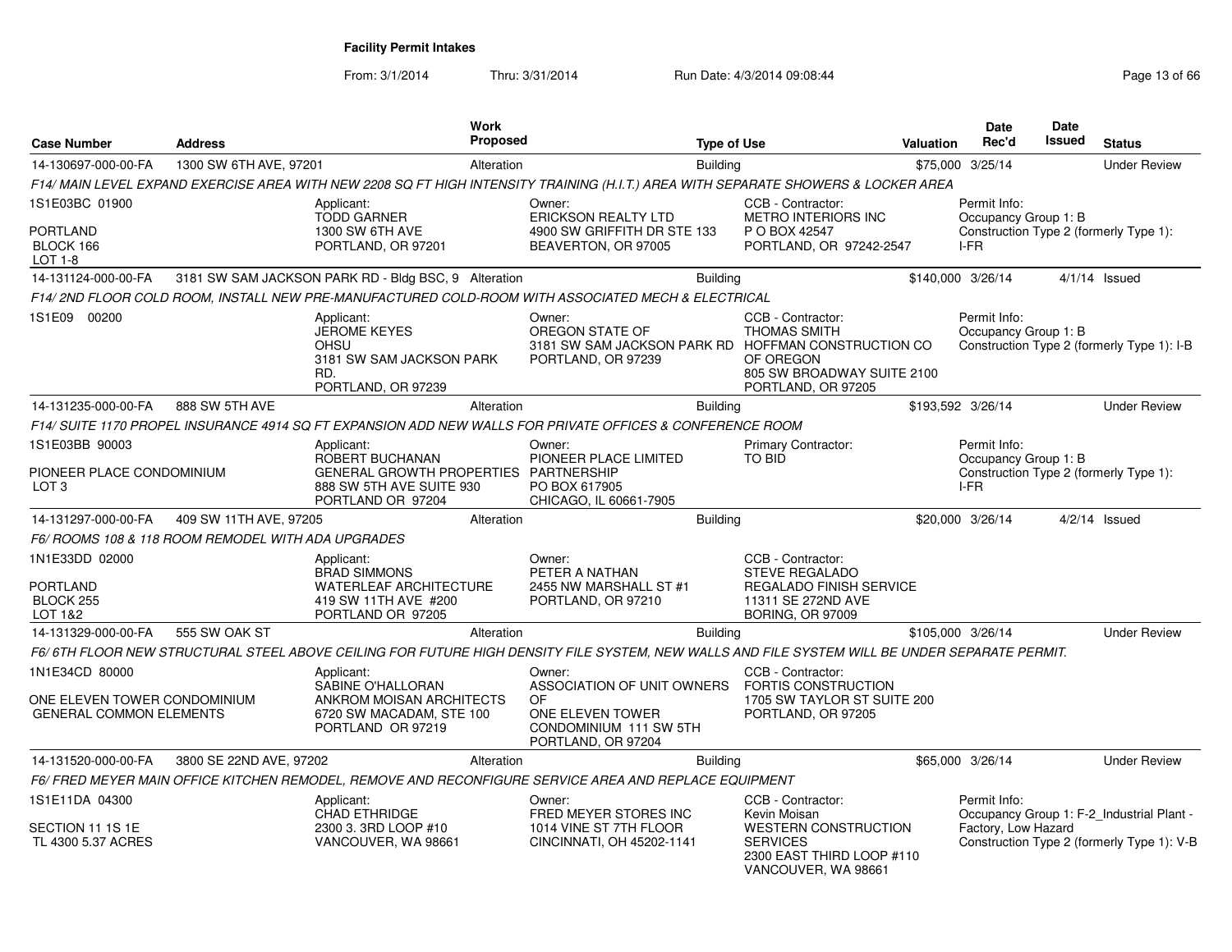| <b>Case Number</b>                                             | <b>Address</b>                                    |                                                                                                                                               | <b>Work</b><br>Proposed |                                                                                                        | <b>Type of Use</b> |                                                                                                                        | Valuation | Date<br>Rec'd                        | <b>Date</b><br><b>Issued</b> | <b>Status</b>                                                                           |
|----------------------------------------------------------------|---------------------------------------------------|-----------------------------------------------------------------------------------------------------------------------------------------------|-------------------------|--------------------------------------------------------------------------------------------------------|--------------------|------------------------------------------------------------------------------------------------------------------------|-----------|--------------------------------------|------------------------------|-----------------------------------------------------------------------------------------|
| 14-130697-000-00-FA                                            | 1300 SW 6TH AVE, 97201                            |                                                                                                                                               | Alteration              |                                                                                                        | <b>Building</b>    |                                                                                                                        |           | \$75,000 3/25/14                     |                              | <b>Under Review</b>                                                                     |
|                                                                |                                                   | F14/ MAIN LEVEL EXPAND EXERCISE AREA WITH NEW 2208 SQ FT HIGH INTENSITY TRAINING (H.I.T.) AREA WITH SEPARATE SHOWERS & LOCKER AREA            |                         |                                                                                                        |                    |                                                                                                                        |           |                                      |                              |                                                                                         |
| 1S1E03BC 01900                                                 |                                                   | Applicant:                                                                                                                                    |                         | Owner:                                                                                                 |                    | CCB - Contractor:                                                                                                      |           | Permit Info:                         |                              |                                                                                         |
| <b>PORTLAND</b><br>BLOCK 166<br>LOT 1-8                        |                                                   | <b>TODD GARNER</b><br>1300 SW 6TH AVE<br>PORTLAND, OR 97201                                                                                   |                         | <b>ERICKSON REALTY LTD</b><br>4900 SW GRIFFITH DR STE 133<br>BEAVERTON, OR 97005                       |                    | <b>METRO INTERIORS INC</b><br>P O BOX 42547<br>PORTLAND, OR 97242-2547                                                 |           | Occupancy Group 1: B<br>I-FR         |                              | Construction Type 2 (formerly Type 1):                                                  |
| 14-131124-000-00-FA                                            |                                                   | 3181 SW SAM JACKSON PARK RD - Bldg BSC, 9 Alteration                                                                                          |                         |                                                                                                        | <b>Building</b>    |                                                                                                                        |           | \$140,000 3/26/14                    |                              | $4/1/14$ Issued                                                                         |
|                                                                |                                                   | F14/ 2ND FLOOR COLD ROOM, INSTALL NEW PRE-MANUFACTURED COLD-ROOM WITH ASSOCIATED MECH & ELECTRICAL                                            |                         |                                                                                                        |                    |                                                                                                                        |           |                                      |                              |                                                                                         |
| 1S1E09 00200                                                   |                                                   | Applicant:<br><b>JEROME KEYES</b><br><b>OHSU</b><br>3181 SW SAM JACKSON PARK<br>RD.<br>PORTLAND, OR 97239                                     |                         | Owner:<br>OREGON STATE OF<br>3181 SW SAM JACKSON PARK RD HOFFMAN CONSTRUCTION CO<br>PORTLAND, OR 97239 |                    | CCB - Contractor:<br><b>THOMAS SMITH</b><br>OF OREGON<br>805 SW BROADWAY SUITE 2100<br>PORTLAND, OR 97205              |           | Permit Info:<br>Occupancy Group 1: B |                              | Construction Type 2 (formerly Type 1): I-B                                              |
| 14-131235-000-00-FA                                            | 888 SW 5TH AVE                                    |                                                                                                                                               | Alteration              |                                                                                                        | <b>Building</b>    |                                                                                                                        |           | \$193,592 3/26/14                    |                              | <b>Under Review</b>                                                                     |
|                                                                |                                                   | F14/ SUITE 1170 PROPEL INSURANCE 4914 SQ FT EXPANSION ADD NEW WALLS FOR PRIVATE OFFICES & CONFERENCE ROOM                                     |                         |                                                                                                        |                    |                                                                                                                        |           |                                      |                              |                                                                                         |
| 1S1E03BB 90003                                                 |                                                   | Applicant:                                                                                                                                    |                         | Owner:                                                                                                 |                    | <b>Primary Contractor:</b>                                                                                             |           | Permit Info:                         |                              |                                                                                         |
| PIONEER PLACE CONDOMINIUM<br>LOT <sub>3</sub>                  |                                                   | ROBERT BUCHANAN<br>GENERAL GROWTH PROPERTIES PARTNERSHIP<br>888 SW 5TH AVE SUITE 930<br>PORTLAND OR 97204                                     |                         | PIONEER PLACE LIMITED<br>PO BOX 617905<br>CHICAGO, IL 60661-7905                                       |                    | TO BID                                                                                                                 |           | Occupancy Group 1: B<br>I-FR         |                              | Construction Type 2 (formerly Type 1):                                                  |
| 14-131297-000-00-FA                                            | 409 SW 11TH AVE, 97205                            |                                                                                                                                               | Alteration              |                                                                                                        | <b>Building</b>    |                                                                                                                        |           | \$20,000 3/26/14                     |                              | $4/2/14$ Issued                                                                         |
|                                                                | F6/ROOMS 108 & 118 ROOM REMODEL WITH ADA UPGRADES |                                                                                                                                               |                         |                                                                                                        |                    |                                                                                                                        |           |                                      |                              |                                                                                         |
| 1N1E33DD 02000<br>PORTLAND<br>BLOCK 255<br>LOT 1&2             |                                                   | Applicant:<br><b>BRAD SIMMONS</b><br>WATERLEAF ARCHITECTURE<br>419 SW 11TH AVE #200<br>PORTLAND OR 97205                                      |                         | Owner:<br>PETER A NATHAN<br>2455 NW MARSHALL ST #1<br>PORTLAND, OR 97210                               |                    | CCB - Contractor:<br><b>STEVE REGALADO</b><br>REGALADO FINISH SERVICE<br>11311 SE 272ND AVE<br><b>BORING, OR 97009</b> |           |                                      |                              |                                                                                         |
| 14-131329-000-00-FA                                            | 555 SW OAK ST                                     |                                                                                                                                               | Alteration              |                                                                                                        | <b>Building</b>    |                                                                                                                        |           | \$105,000 3/26/14                    |                              | <b>Under Review</b>                                                                     |
|                                                                |                                                   | F6/6TH FLOOR NEW STRUCTURAL STEEL ABOVE CEILING FOR FUTURE HIGH DENSITY FILE SYSTEM. NEW WALLS AND FILE SYSTEM WILL BE UNDER SEPARATE PERMIT. |                         |                                                                                                        |                    |                                                                                                                        |           |                                      |                              |                                                                                         |
| 1N1E34CD 80000                                                 |                                                   | Applicant:                                                                                                                                    |                         | Owner:                                                                                                 |                    | CCB - Contractor:                                                                                                      |           |                                      |                              |                                                                                         |
| ONE ELEVEN TOWER CONDOMINIUM<br><b>GENERAL COMMON ELEMENTS</b> |                                                   | SABINE O'HALLORAN<br>ANKROM MOISAN ARCHITECTS<br>6720 SW MACADAM, STE 100<br>PORTLAND OR 97219                                                |                         | ASSOCIATION OF UNIT OWNERS<br>OF<br>ONE ELEVEN TOWER<br>CONDOMINIUM 111 SW 5TH<br>PORTLAND, OR 97204   |                    | FORTIS CONSTRUCTION<br>1705 SW TAYLOR ST SUITE 200<br>PORTLAND, OR 97205                                               |           |                                      |                              |                                                                                         |
| 14-131520-000-00-FA                                            | 3800 SE 22ND AVE, 97202                           |                                                                                                                                               | Alteration              |                                                                                                        | <b>Building</b>    |                                                                                                                        |           | \$65,000 3/26/14                     |                              | <b>Under Review</b>                                                                     |
|                                                                |                                                   | F6/ FRED MEYER MAIN OFFICE KITCHEN REMODEL, REMOVE AND RECONFIGURE SERVICE AREA AND REPLACE EQUIPMENT                                         |                         |                                                                                                        |                    |                                                                                                                        |           |                                      |                              |                                                                                         |
| 1S1E11DA 04300<br>SECTION 11 1S 1E<br>TL 4300 5.37 ACRES       |                                                   | Applicant:<br><b>CHAD ETHRIDGE</b><br>2300 3. 3RD LOOP #10<br>VANCOUVER, WA 98661                                                             |                         | Owner:<br>FRED MEYER STORES INC<br>1014 VINE ST 7TH FLOOR<br>CINCINNATI, OH 45202-1141                 |                    | CCB - Contractor:<br>Kevin Moisan<br><b>WESTERN CONSTRUCTION</b><br><b>SERVICES</b><br>2300 EAST THIRD LOOP #110       |           | Permit Info:<br>Factory, Low Hazard  |                              | Occupancy Group 1: F-2 Industrial Plant -<br>Construction Type 2 (formerly Type 1): V-B |
|                                                                |                                                   |                                                                                                                                               |                         |                                                                                                        |                    | VANCOUVER, WA 98661                                                                                                    |           |                                      |                              |                                                                                         |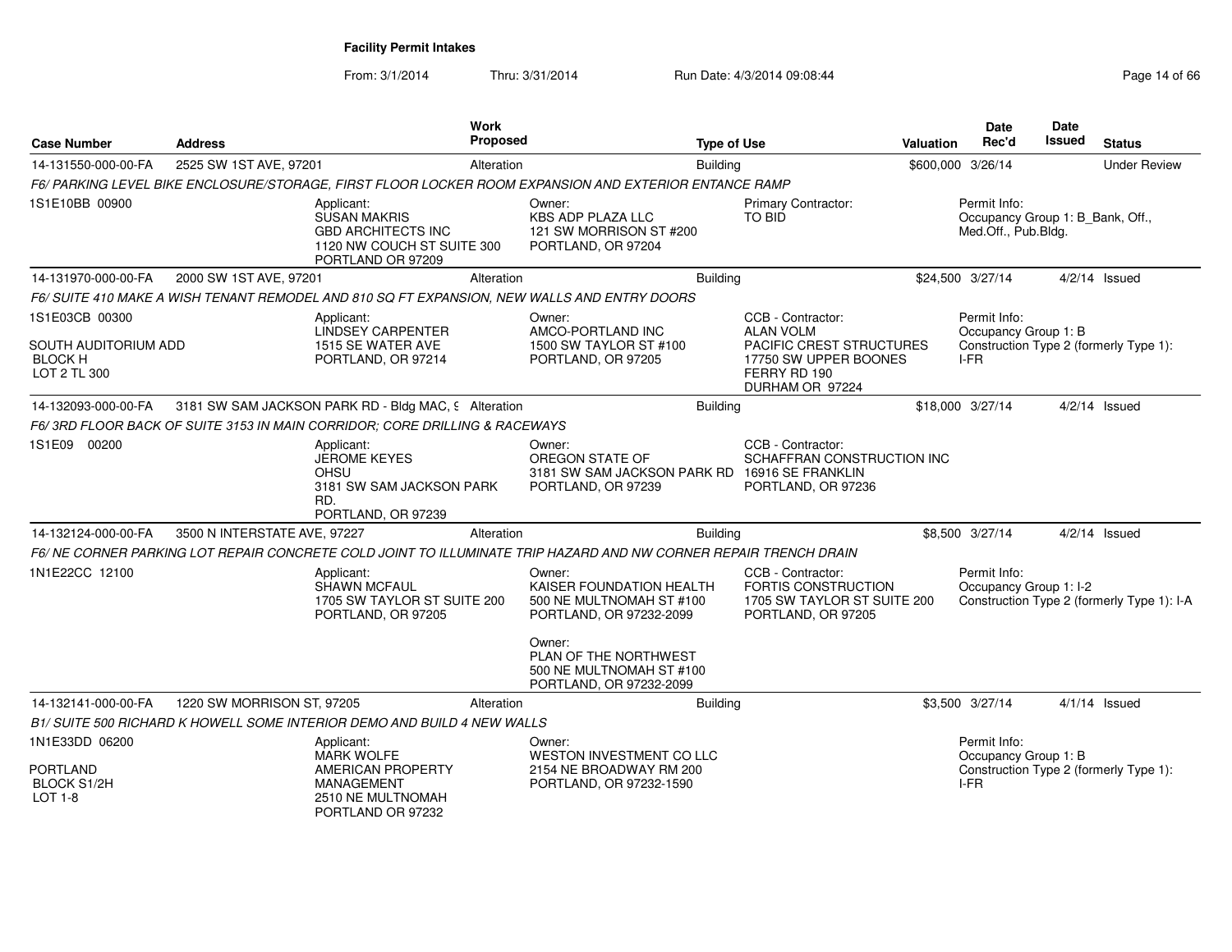| <b>Case Number</b>                                                 | <b>Address</b>               |                                                                                                                     | <b>Work</b><br><b>Proposed</b> |                                                                                                                 | <b>Type of Use</b> |                                                                                                          | <b>Valuation</b> | Date<br>Rec'd                                                           | Date<br>Issued | <b>Status</b>                              |
|--------------------------------------------------------------------|------------------------------|---------------------------------------------------------------------------------------------------------------------|--------------------------------|-----------------------------------------------------------------------------------------------------------------|--------------------|----------------------------------------------------------------------------------------------------------|------------------|-------------------------------------------------------------------------|----------------|--------------------------------------------|
| 14-131550-000-00-FA                                                | 2525 SW 1ST AVE, 97201       |                                                                                                                     | Alteration                     |                                                                                                                 | <b>Building</b>    |                                                                                                          |                  | \$600,000 3/26/14                                                       |                | <b>Under Review</b>                        |
|                                                                    |                              |                                                                                                                     |                                | F6/ PARKING LEVEL BIKE ENCLOSURE/STORAGE, FIRST FLOOR LOCKER ROOM EXPANSION AND EXTERIOR ENTANCE RAMP           |                    |                                                                                                          |                  |                                                                         |                |                                            |
| 1S1E10BB 00900                                                     |                              | Applicant:<br><b>SUSAN MAKRIS</b><br><b>GBD ARCHITECTS INC</b><br>1120 NW COUCH ST SUITE 300<br>PORTLAND OR 97209   |                                | Owner:<br><b>KBS ADP PLAZA LLC</b><br>121 SW MORRISON ST #200<br>PORTLAND, OR 97204                             |                    | Primary Contractor:<br><b>TO BID</b>                                                                     |                  | Permit Info:<br>Occupancy Group 1: B_Bank, Off.,<br>Med.Off., Pub.Bldg. |                |                                            |
| 14-131970-000-00-FA                                                | 2000 SW 1ST AVE, 97201       |                                                                                                                     | Alteration                     |                                                                                                                 | Building           |                                                                                                          |                  | \$24,500 3/27/14                                                        |                | $4/2/14$ Issued                            |
|                                                                    |                              |                                                                                                                     |                                | F6/ SUITE 410 MAKE A WISH TENANT REMODEL AND 810 SQ FT EXPANSION, NEW WALLS AND ENTRY DOORS                     |                    |                                                                                                          |                  |                                                                         |                |                                            |
| 1S1E03CB 00300                                                     |                              | Applicant:                                                                                                          |                                | Owner:                                                                                                          |                    | CCB - Contractor:                                                                                        |                  | Permit Info:                                                            |                |                                            |
| SOUTH AUDITORIUM ADD<br><b>BLOCK H</b><br>LOT 2 TL 300             |                              | LINDSEY CARPENTER<br>1515 SE WATER AVE<br>PORTLAND, OR 97214                                                        |                                | AMCO-PORTLAND INC<br>1500 SW TAYLOR ST #100<br>PORTLAND, OR 97205                                               |                    | <b>ALAN VOLM</b><br>PACIFIC CREST STRUCTURES<br>17750 SW UPPER BOONES<br>FERRY RD 190<br>DURHAM OR 97224 |                  | Occupancy Group 1: B<br>I-FR                                            |                | Construction Type 2 (formerly Type 1):     |
| 14-132093-000-00-FA                                                |                              | 3181 SW SAM JACKSON PARK RD - Bldg MAC, 9 Alteration                                                                |                                |                                                                                                                 | <b>Building</b>    |                                                                                                          |                  | \$18,000 3/27/14                                                        |                | $4/2/14$ Issued                            |
|                                                                    |                              | F6/3RD FLOOR BACK OF SUITE 3153 IN MAIN CORRIDOR; CORE DRILLING & RACEWAYS                                          |                                |                                                                                                                 |                    |                                                                                                          |                  |                                                                         |                |                                            |
| 1S1E09 00200                                                       |                              | Applicant:<br><b>JEROME KEYES</b><br>OHSU<br>3181 SW SAM JACKSON PARK<br>RD.<br>PORTLAND, OR 97239                  |                                | Owner:<br>OREGON STATE OF<br>3181 SW SAM JACKSON PARK RD 16916 SE FRANKLIN<br>PORTLAND, OR 97239                |                    | CCB - Contractor:<br>SCHAFFRAN CONSTRUCTION INC<br>PORTLAND, OR 97236                                    |                  |                                                                         |                |                                            |
| 14-132124-000-00-FA                                                | 3500 N INTERSTATE AVE, 97227 |                                                                                                                     | Alteration                     |                                                                                                                 | <b>Building</b>    |                                                                                                          |                  | \$8,500 3/27/14                                                         |                | $4/2/14$ Issued                            |
|                                                                    |                              |                                                                                                                     |                                | F6/NE CORNER PARKING LOT REPAIR CONCRETE COLD JOINT TO ILLUMINATE TRIP HAZARD AND NW CORNER REPAIR TRENCH DRAIN |                    |                                                                                                          |                  |                                                                         |                |                                            |
| 1N1E22CC 12100                                                     |                              | Applicant:<br>SHAWN MCFAUL<br>1705 SW TAYLOR ST SUITE 200<br>PORTLAND, OR 97205                                     |                                | Owner:<br>KAISER FOUNDATION HEALTH<br>500 NE MULTNOMAH ST #100<br>PORTLAND, OR 97232-2099                       |                    | CCB - Contractor:<br><b>FORTIS CONSTRUCTION</b><br>1705 SW TAYLOR ST SUITE 200<br>PORTLAND, OR 97205     |                  | Permit Info:<br>Occupancy Group 1: I-2                                  |                | Construction Type 2 (formerly Type 1): I-A |
|                                                                    |                              |                                                                                                                     |                                | Owner:<br>PLAN OF THE NORTHWEST<br>500 NE MULTNOMAH ST #100<br>PORTLAND, OR 97232-2099                          |                    |                                                                                                          |                  |                                                                         |                |                                            |
| 14-132141-000-00-FA                                                | 1220 SW MORRISON ST, 97205   |                                                                                                                     | Alteration                     |                                                                                                                 | <b>Building</b>    |                                                                                                          |                  | \$3,500 3/27/14                                                         |                | $4/1/14$ Issued                            |
|                                                                    |                              | B1/ SUITE 500 RICHARD K HOWELL SOME INTERIOR DEMO AND BUILD 4 NEW WALLS                                             |                                |                                                                                                                 |                    |                                                                                                          |                  |                                                                         |                |                                            |
| 1N1E33DD 06200<br><b>PORTLAND</b><br><b>BLOCK S1/2H</b><br>LOT 1-8 |                              | Applicant:<br><b>MARK WOLFE</b><br>AMERICAN PROPERTY<br><b>MANAGEMENT</b><br>2510 NE MULTNOMAH<br>PORTLAND OR 97232 |                                | Owner:<br>WESTON INVESTMENT CO LLC<br>2154 NE BROADWAY RM 200<br>PORTLAND, OR 97232-1590                        |                    |                                                                                                          |                  | Permit Info:<br>Occupancy Group 1: B<br>$I-FR$                          |                | Construction Type 2 (formerly Type 1):     |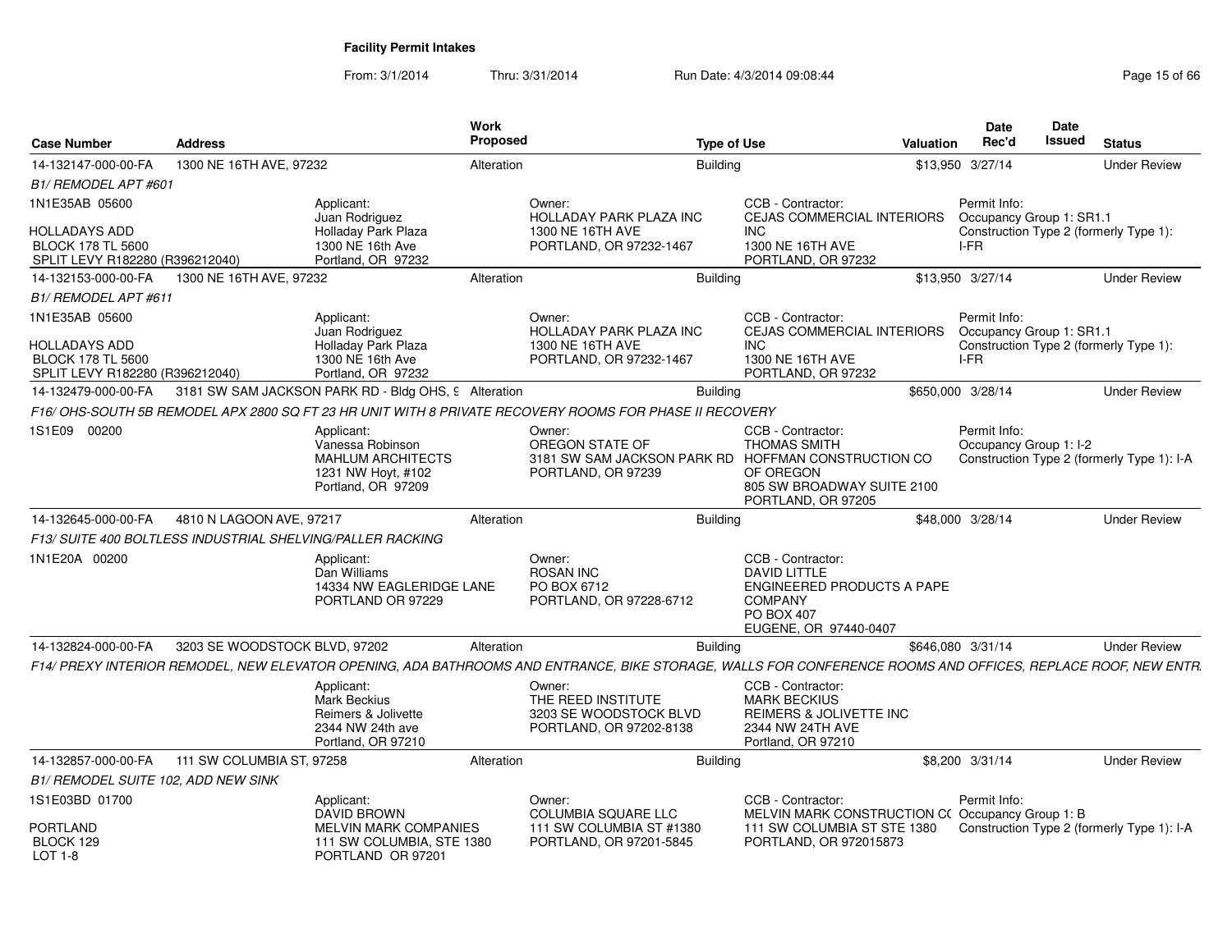| <b>Case Number</b>                                                                  | <b>Address</b>                |                                                                                                    | Work<br>Proposed |                                                                                                                                                              | <b>Type of Use</b> |                                                                                                                                        | Valuation | Date<br>Rec'd                                    | Date<br><b>Issued</b> | <b>Status</b>                              |
|-------------------------------------------------------------------------------------|-------------------------------|----------------------------------------------------------------------------------------------------|------------------|--------------------------------------------------------------------------------------------------------------------------------------------------------------|--------------------|----------------------------------------------------------------------------------------------------------------------------------------|-----------|--------------------------------------------------|-----------------------|--------------------------------------------|
| 14-132147-000-00-FA                                                                 | 1300 NE 16TH AVE, 97232       |                                                                                                    | Alteration       |                                                                                                                                                              | <b>Building</b>    |                                                                                                                                        |           | \$13,950 3/27/14                                 |                       | <b>Under Review</b>                        |
| B1/ REMODEL APT #601                                                                |                               |                                                                                                    |                  |                                                                                                                                                              |                    |                                                                                                                                        |           |                                                  |                       |                                            |
| 1N1E35AB 05600                                                                      |                               | Applicant:<br>Juan Rodriguez                                                                       |                  | Owner:<br>HOLLADAY PARK PLAZA INC                                                                                                                            |                    | CCB - Contractor:<br>CEJAS COMMERCIAL INTERIORS                                                                                        |           | Permit Info:<br>Occupancy Group 1: SR1.1         |                       |                                            |
| <b>HOLLADAYS ADD</b><br><b>BLOCK 178 TL 5600</b><br>SPLIT LEVY R182280 (R396212040) |                               | Holladay Park Plaza<br>1300 NE 16th Ave<br>Portland, OR 97232                                      |                  | 1300 NE 16TH AVE<br>PORTLAND, OR 97232-1467                                                                                                                  |                    | INC.<br>1300 NE 16TH AVE<br>PORTLAND, OR 97232                                                                                         |           | I-FR                                             |                       | Construction Type 2 (formerly Type 1):     |
| 14-132153-000-00-FA                                                                 | 1300 NE 16TH AVE, 97232       |                                                                                                    | Alteration       |                                                                                                                                                              | <b>Building</b>    |                                                                                                                                        |           | \$13,950 3/27/14                                 |                       | <b>Under Review</b>                        |
| B1/ REMODEL APT #611                                                                |                               |                                                                                                    |                  |                                                                                                                                                              |                    |                                                                                                                                        |           |                                                  |                       |                                            |
| 1N1E35AB 05600<br><b>HOLLADAYS ADD</b><br><b>BLOCK 178 TL 5600</b>                  |                               | Applicant:<br>Juan Rodriguez<br>Holladay Park Plaza<br>1300 NE 16th Ave                            |                  | Owner:<br><b>HOLLADAY PARK PLAZA INC</b><br>1300 NE 16TH AVE<br>PORTLAND, OR 97232-1467                                                                      |                    | CCB - Contractor:<br><b>CEJAS COMMERCIAL INTERIORS</b><br><b>INC</b><br>1300 NE 16TH AVE<br>PORTLAND, OR 97232                         |           | Permit Info:<br>Occupancy Group 1: SR1.1<br>I-FR |                       | Construction Type 2 (formerly Type 1):     |
| SPLIT LEVY R182280 (R396212040)<br>14-132479-000-00-FA                              |                               | Portland, OR 97232<br>3181 SW SAM JACKSON PARK RD - Bldg OHS, 9 Alteration                         |                  |                                                                                                                                                              | <b>Building</b>    |                                                                                                                                        |           | \$650,000 3/28/14                                |                       | <b>Under Review</b>                        |
|                                                                                     |                               |                                                                                                    |                  | F16/ OHS-SOUTH 5B REMODEL APX 2800 SQ FT 23 HR UNIT WITH 8 PRIVATE RECOVERY ROOMS FOR PHASE II RECOVERY                                                      |                    |                                                                                                                                        |           |                                                  |                       |                                            |
| 1S1E09 00200                                                                        |                               | Applicant:                                                                                         |                  | Owner:                                                                                                                                                       |                    | CCB - Contractor:                                                                                                                      |           | Permit Info:                                     |                       |                                            |
|                                                                                     |                               | Vanessa Robinson<br><b>MAHLUM ARCHITECTS</b><br>1231 NW Hoyt, #102<br>Portland, OR 97209           |                  | OREGON STATE OF<br>3181 SW SAM JACKSON PARK RD<br>PORTLAND, OR 97239                                                                                         |                    | <b>THOMAS SMITH</b><br>HOFFMAN CONSTRUCTION CO<br>OF OREGON<br>805 SW BROADWAY SUITE 2100<br>PORTLAND, OR 97205                        |           | Occupancy Group 1: I-2                           |                       | Construction Type 2 (formerly Type 1): I-A |
| 14-132645-000-00-FA                                                                 | 4810 N LAGOON AVE, 97217      |                                                                                                    | Alteration       |                                                                                                                                                              | <b>Building</b>    |                                                                                                                                        |           | \$48,000 3/28/14                                 |                       | <b>Under Review</b>                        |
| F13/SUITE 400 BOLTLESS INDUSTRIAL SHELVING/PALLER RACKING                           |                               |                                                                                                    |                  |                                                                                                                                                              |                    |                                                                                                                                        |           |                                                  |                       |                                            |
| 1N1E20A 00200                                                                       |                               | Applicant:<br>Dan Williams<br>14334 NW EAGLERIDGE LANE<br>PORTLAND OR 97229                        |                  | Owner:<br><b>ROSAN INC</b><br>PO BOX 6712<br>PORTLAND, OR 97228-6712                                                                                         |                    | CCB - Contractor:<br><b>DAVID LITTLE</b><br>ENGINEERED PRODUCTS A PAPE<br><b>COMPANY</b><br><b>PO BOX 407</b><br>EUGENE, OR 97440-0407 |           |                                                  |                       |                                            |
| 14-132824-000-00-FA                                                                 | 3203 SE WOODSTOCK BLVD, 97202 |                                                                                                    | Alteration       |                                                                                                                                                              | <b>Building</b>    |                                                                                                                                        |           | \$646,080 3/31/14                                |                       | <b>Under Review</b>                        |
|                                                                                     |                               |                                                                                                    |                  | F14/ PREXY INTERIOR REMODEL, NEW ELEVATOR OPENING, ADA BATHROOMS AND ENTRANCE, BIKE STORAGE, WALLS FOR CONFERENCE ROOMS AND OFFICES, REPLACE ROOF, NEW ENTR. |                    |                                                                                                                                        |           |                                                  |                       |                                            |
|                                                                                     |                               | Applicant:<br><b>Mark Beckius</b><br>Reimers & Jolivette<br>2344 NW 24th ave<br>Portland, OR 97210 |                  | Owner:<br>THE REED INSTITUTE<br>3203 SE WOODSTOCK BLVD<br>PORTLAND, OR 97202-8138                                                                            |                    | CCB - Contractor:<br><b>MARK BECKIUS</b><br>REIMERS & JOLIVETTE INC<br>2344 NW 24TH AVE<br>Portland, OR 97210                          |           |                                                  |                       |                                            |
| 14-132857-000-00-FA                                                                 | 111 SW COLUMBIA ST, 97258     |                                                                                                    | Alteration       |                                                                                                                                                              | <b>Building</b>    |                                                                                                                                        |           | \$8,200 3/31/14                                  |                       | <b>Under Review</b>                        |
| B1/ REMODEL SUITE 102, ADD NEW SINK                                                 |                               |                                                                                                    |                  |                                                                                                                                                              |                    |                                                                                                                                        |           |                                                  |                       |                                            |
| 1S1E03BD 01700                                                                      |                               | Applicant:<br><b>DAVID BROWN</b>                                                                   |                  | Owner:<br>COLUMBIA SQUARE LLC                                                                                                                                |                    | CCB - Contractor:<br>MELVIN MARK CONSTRUCTION C(Occupancy Group 1: B                                                                   |           | Permit Info:                                     |                       |                                            |
| <b>PORTLAND</b><br>BLOCK 129<br>LOT $1-8$                                           |                               | <b>MELVIN MARK COMPANIES</b><br>111 SW COLUMBIA, STE 1380<br>PORTLAND OR 97201                     |                  | 111 SW COLUMBIA ST #1380<br>PORTLAND, OR 97201-5845                                                                                                          |                    | 111 SW COLUMBIA ST STE 1380<br>PORTLAND, OR 972015873                                                                                  |           |                                                  |                       | Construction Type 2 (formerly Type 1): I-A |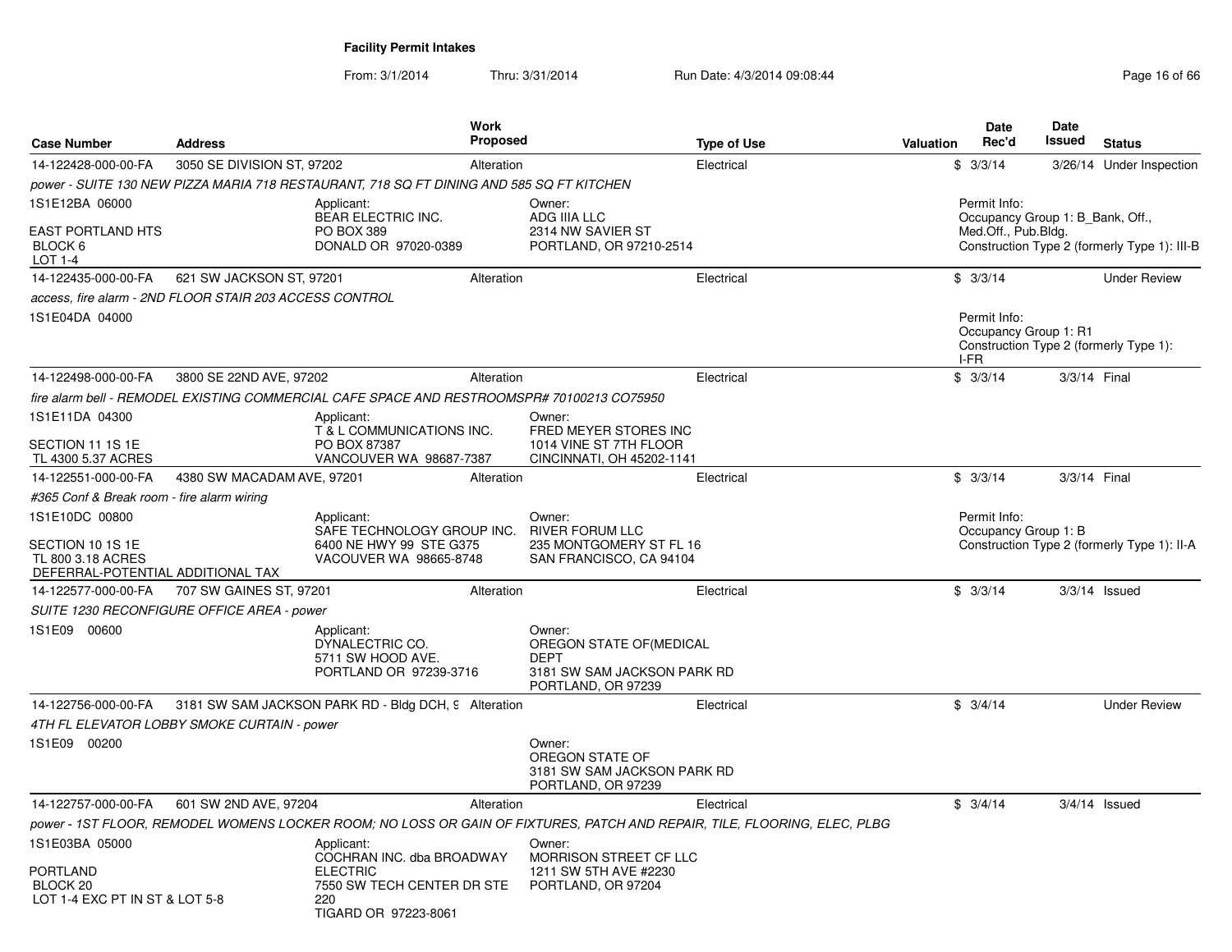|                                                                                              |                                            |                                                                                               | Work       |                                                                                                        |                                                                                                                          |                  | <b>Date</b>                                                             | Date         |                                              |
|----------------------------------------------------------------------------------------------|--------------------------------------------|-----------------------------------------------------------------------------------------------|------------|--------------------------------------------------------------------------------------------------------|--------------------------------------------------------------------------------------------------------------------------|------------------|-------------------------------------------------------------------------|--------------|----------------------------------------------|
| <b>Case Number</b>                                                                           | <b>Address</b>                             |                                                                                               | Proposed   |                                                                                                        | <b>Type of Use</b>                                                                                                       | <b>Valuation</b> | Rec'd                                                                   | Issued       | <b>Status</b>                                |
| 14-122428-000-00-FA                                                                          | 3050 SE DIVISION ST, 97202                 |                                                                                               | Alteration |                                                                                                        | Electrical                                                                                                               |                  | \$3/3/14                                                                |              | 3/26/14 Under Inspection                     |
|                                                                                              |                                            | power - SUITE 130 NEW PIZZA MARIA 718 RESTAURANT, 718 SQ FT DINING AND 585 SQ FT KITCHEN      |            |                                                                                                        |                                                                                                                          |                  |                                                                         |              |                                              |
| 1S1E12BA 06000<br><b>EAST PORTLAND HTS</b><br>BLOCK 6<br>LOT 1-4                             |                                            | Applicant:<br><b>BEAR ELECTRIC INC.</b><br><b>PO BOX 389</b><br>DONALD OR 97020-0389          |            | Owner:<br>ADG IIIA LLC<br>2314 NW SAVIER ST<br>PORTLAND, OR 97210-2514                                 |                                                                                                                          |                  | Permit Info:<br>Occupancy Group 1: B Bank, Off.,<br>Med.Off., Pub.Bldg. |              | Construction Type 2 (formerly Type 1): III-B |
| 14-122435-000-00-FA                                                                          | 621 SW JACKSON ST, 97201                   |                                                                                               | Alteration |                                                                                                        | Electrical                                                                                                               |                  | \$3/3/14                                                                |              | <b>Under Review</b>                          |
| access, fire alarm - 2ND FLOOR STAIR 203 ACCESS CONTROL                                      |                                            |                                                                                               |            |                                                                                                        |                                                                                                                          |                  |                                                                         |              |                                              |
| 1S1E04DA 04000                                                                               |                                            |                                                                                               |            |                                                                                                        |                                                                                                                          |                  | Permit Info:<br>Occupancy Group 1: R1<br>I-FR                           |              | Construction Type 2 (formerly Type 1):       |
| 14-122498-000-00-FA                                                                          | 3800 SE 22ND AVE, 97202                    |                                                                                               | Alteration |                                                                                                        | Electrical                                                                                                               |                  | \$3/3/14                                                                | 3/3/14 Final |                                              |
|                                                                                              |                                            | fire alarm bell - REMODEL EXISTING COMMERCIAL CAFE SPACE AND RESTROOMSPR# 70100213 CO75950    |            |                                                                                                        |                                                                                                                          |                  |                                                                         |              |                                              |
| 1S1E11DA 04300                                                                               |                                            | Applicant:                                                                                    |            | Owner:                                                                                                 |                                                                                                                          |                  |                                                                         |              |                                              |
| SECTION 11 1S 1E<br>TL 4300 5.37 ACRES                                                       |                                            | T & L COMMUNICATIONS INC.<br>PO BOX 87387<br>VANCOUVER WA 98687-7387                          |            | FRED MEYER STORES INC<br>1014 VINE ST 7TH FLOOR<br>CINCINNATI, OH 45202-1141                           |                                                                                                                          |                  |                                                                         |              |                                              |
| 14-122551-000-00-FA                                                                          | 4380 SW MACADAM AVE, 97201                 |                                                                                               | Alteration |                                                                                                        | Electrical                                                                                                               |                  | \$3/3/14                                                                | 3/3/14 Final |                                              |
| #365 Conf & Break room - fire alarm wiring                                                   |                                            |                                                                                               |            |                                                                                                        |                                                                                                                          |                  |                                                                         |              |                                              |
| 1S1E10DC 00800<br>SECTION 10 1S 1E<br>TL 800 3.18 ACRES<br>DEFERRAL-POTENTIAL ADDITIONAL TAX |                                            | Applicant:<br>SAFE TECHNOLOGY GROUP INC.<br>6400 NE HWY 99 STE G375<br>VACOUVER WA 98665-8748 |            | Owner:<br><b>RIVER FORUM LLC</b><br>235 MONTGOMERY ST FL 16<br>SAN FRANCISCO, CA 94104                 |                                                                                                                          |                  | Permit Info:<br>Occupancy Group 1: B                                    |              | Construction Type 2 (formerly Type 1): II-A  |
| 14-122577-000-00-FA                                                                          | 707 SW GAINES ST, 97201                    |                                                                                               | Alteration |                                                                                                        | Electrical                                                                                                               |                  | \$3/3/14                                                                |              | $3/3/14$ Issued                              |
|                                                                                              | SUITE 1230 RECONFIGURE OFFICE AREA - power |                                                                                               |            |                                                                                                        |                                                                                                                          |                  |                                                                         |              |                                              |
| 1S1E09 00600                                                                                 |                                            | Applicant:<br>DYNALECTRIC CO.<br>5711 SW HOOD AVE.<br>PORTLAND OR 97239-3716                  |            | Owner:<br>OREGON STATE OF (MEDICAL<br><b>DEPT</b><br>3181 SW SAM JACKSON PARK RD<br>PORTLAND, OR 97239 |                                                                                                                          |                  |                                                                         |              |                                              |
| 14-122756-000-00-FA                                                                          |                                            | 3181 SW SAM JACKSON PARK RD - Bldg DCH, 9 Alteration                                          |            |                                                                                                        | Electrical                                                                                                               |                  | \$3/4/14                                                                |              | <b>Under Review</b>                          |
| 4TH FL ELEVATOR LOBBY SMOKE CURTAIN - power                                                  |                                            |                                                                                               |            |                                                                                                        |                                                                                                                          |                  |                                                                         |              |                                              |
| 1S1E09 00200                                                                                 |                                            |                                                                                               |            | Owner:<br>OREGON STATE OF<br>3181 SW SAM JACKSON PARK RD<br>PORTLAND, OR 97239                         |                                                                                                                          |                  |                                                                         |              |                                              |
| 14-122757-000-00-FA                                                                          | 601 SW 2ND AVE, 97204                      |                                                                                               | Alteration |                                                                                                        | Electrical                                                                                                               |                  | \$3/4/14                                                                |              | $3/4/14$ Issued                              |
|                                                                                              |                                            |                                                                                               |            |                                                                                                        | power - 1ST FLOOR, REMODEL WOMENS LOCKER ROOM; NO LOSS OR GAIN OF FIXTURES, PATCH AND REPAIR, TILE, FLOORING, ELEC, PLBG |                  |                                                                         |              |                                              |
| 1S1E03BA 05000                                                                               |                                            | Applicant:<br>COCHRAN INC. dba BROADWAY                                                       |            | Owner:<br>MORRISON STREET CF LLC                                                                       |                                                                                                                          |                  |                                                                         |              |                                              |
| <b>PORTLAND</b><br>BLOCK <sub>20</sub><br>LOT 1-4 EXC PT IN ST & LOT 5-8                     |                                            | <b>ELECTRIC</b><br>7550 SW TECH CENTER DR STE<br>220<br>TIGARD OR 97223-8061                  |            | 1211 SW 5TH AVE #2230<br>PORTLAND, OR 97204                                                            |                                                                                                                          |                  |                                                                         |              |                                              |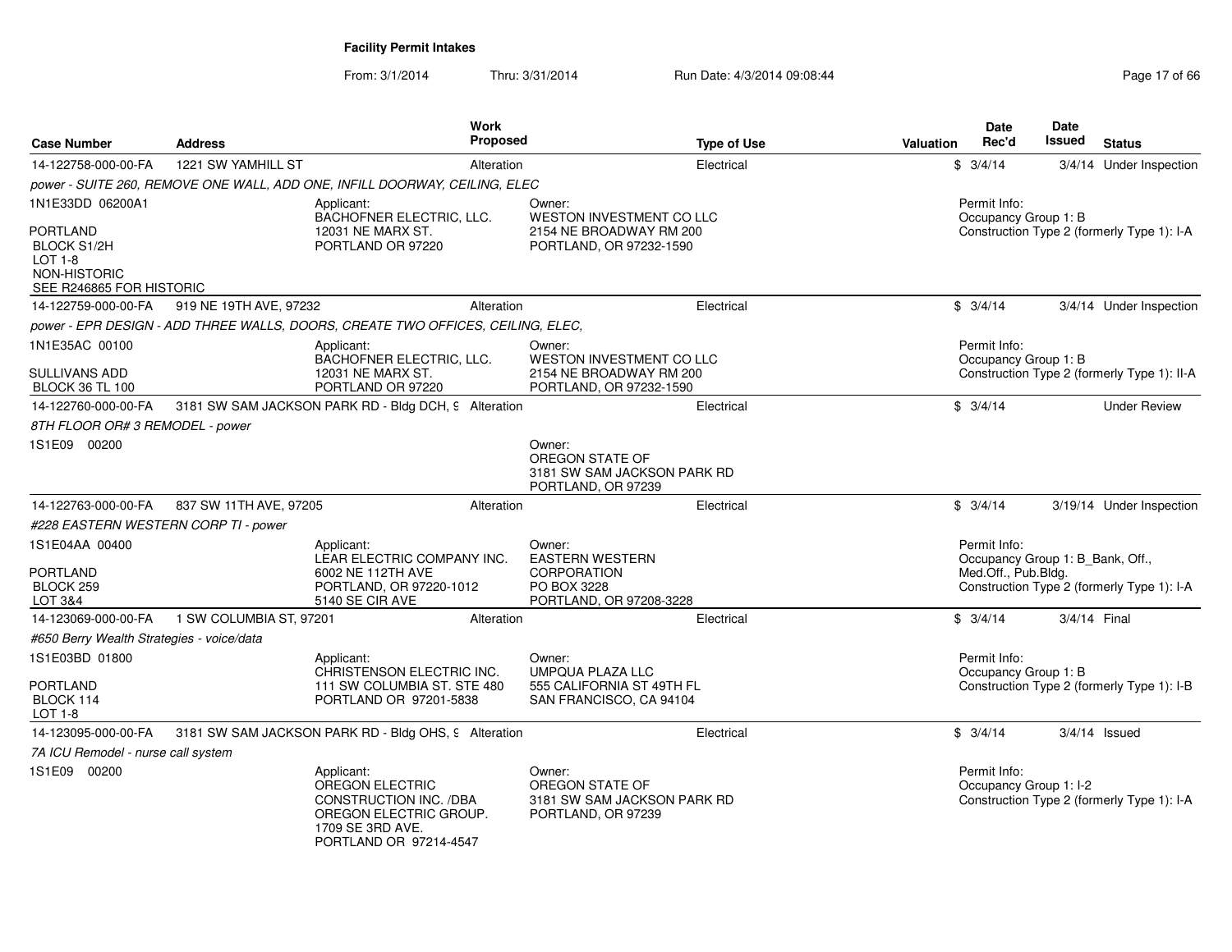| <b>Case Number</b>                                                                           | <b>Address</b>          | Work<br>Proposed                                                                                                                       |                                                                                | <b>Type of Use</b> | Valuation | Date<br>Rec'd                          | Date<br>Issued                   | <b>Status</b>                               |
|----------------------------------------------------------------------------------------------|-------------------------|----------------------------------------------------------------------------------------------------------------------------------------|--------------------------------------------------------------------------------|--------------------|-----------|----------------------------------------|----------------------------------|---------------------------------------------|
| 14-122758-000-00-FA                                                                          | 1221 SW YAMHILL ST      | Alteration                                                                                                                             |                                                                                | Electrical         |           | \$3/4/14                               |                                  | 3/4/14 Under Inspection                     |
|                                                                                              |                         | power - SUITE 260, REMOVE ONE WALL, ADD ONE, INFILL DOORWAY, CEILING, ELEC                                                             |                                                                                |                    |           |                                        |                                  |                                             |
| 1N1E33DD 06200A1                                                                             |                         | Applicant:<br>BACHOFNER ELECTRIC, LLC.                                                                                                 | Owner:<br>WESTON INVESTMENT CO LLC                                             |                    |           | Permit Info:<br>Occupancy Group 1: B   |                                  |                                             |
| PORTLAND<br><b>BLOCK S1/2H</b><br><b>LOT 1-8</b><br>NON-HISTORIC<br>SEE R246865 FOR HISTORIC |                         | 12031 NE MARX ST.<br>PORTLAND OR 97220                                                                                                 | 2154 NE BROADWAY RM 200<br>PORTLAND, OR 97232-1590                             |                    |           |                                        |                                  | Construction Type 2 (formerly Type 1): I-A  |
| 14-122759-000-00-FA                                                                          | 919 NE 19TH AVE, 97232  | Alteration                                                                                                                             |                                                                                | Electrical         |           | \$3/4/14                               |                                  | 3/4/14 Under Inspection                     |
|                                                                                              |                         | power - EPR DESIGN - ADD THREE WALLS, DOORS, CREATE TWO OFFICES, CEILING, ELEC,                                                        |                                                                                |                    |           |                                        |                                  |                                             |
| 1N1E35AC 00100<br>SULLIVANS ADD                                                              |                         | Applicant:<br>BACHOFNER ELECTRIC, LLC.<br>12031 NE MARX ST.                                                                            | Owner:<br>WESTON INVESTMENT CO LLC<br>2154 NE BROADWAY RM 200                  |                    |           | Permit Info:<br>Occupancy Group 1: B   |                                  | Construction Type 2 (formerly Type 1): II-A |
| <b>BLOCK 36 TL 100</b>                                                                       |                         | PORTLAND OR 97220                                                                                                                      | PORTLAND, OR 97232-1590                                                        |                    |           |                                        |                                  |                                             |
| 14-122760-000-00-FA                                                                          |                         | 3181 SW SAM JACKSON PARK RD - Bldg DCH, 9 Alteration                                                                                   |                                                                                | Electrical         |           | \$3/4/14                               |                                  | <b>Under Review</b>                         |
| 8TH FLOOR OR# 3 REMODEL - power                                                              |                         |                                                                                                                                        |                                                                                |                    |           |                                        |                                  |                                             |
| 1S1E09 00200                                                                                 |                         |                                                                                                                                        | Owner:<br>OREGON STATE OF<br>3181 SW SAM JACKSON PARK RD<br>PORTLAND, OR 97239 |                    |           |                                        |                                  |                                             |
| 14-122763-000-00-FA                                                                          | 837 SW 11TH AVE, 97205  | Alteration                                                                                                                             |                                                                                | Electrical         |           | \$3/4/14                               |                                  | 3/19/14 Under Inspection                    |
| #228 EASTERN WESTERN CORP TI - power                                                         |                         |                                                                                                                                        |                                                                                |                    |           |                                        |                                  |                                             |
| 1S1E04AA 00400<br><b>PORTLAND</b>                                                            |                         | Applicant:<br>LEAR ELECTRIC COMPANY INC.<br>6002 NE 112TH AVE                                                                          | Owner:<br><b>EASTERN WESTERN</b><br><b>CORPORATION</b>                         |                    |           | Permit Info:<br>Med.Off., Pub.Bldg.    | Occupancy Group 1: B_Bank, Off., |                                             |
| BLOCK 259<br>LOT 3&4                                                                         |                         | PORTLAND, OR 97220-1012<br>5140 SE CIR AVE                                                                                             | PO BOX 3228<br>PORTLAND, OR 97208-3228                                         |                    |           |                                        |                                  | Construction Type 2 (formerly Type 1): I-A  |
| 14-123069-000-00-FA                                                                          | 1 SW COLUMBIA ST, 97201 | Alteration                                                                                                                             |                                                                                | Electrical         |           | \$3/4/14                               | 3/4/14 Final                     |                                             |
| #650 Berry Wealth Strategies - voice/data                                                    |                         |                                                                                                                                        |                                                                                |                    |           |                                        |                                  |                                             |
| 1S1E03BD 01800                                                                               |                         | Applicant:<br>CHRISTENSON ELECTRIC INC.                                                                                                | Owner:<br><b>UMPQUA PLAZA LLC</b>                                              |                    |           | Permit Info:<br>Occupancy Group 1: B   |                                  |                                             |
| <b>PORTLAND</b><br>BLOCK 114<br>LOT 1-8                                                      |                         | 111 SW COLUMBIA ST. STE 480<br>PORTLAND OR 97201-5838                                                                                  | 555 CALIFORNIA ST 49TH FL<br>SAN FRANCISCO, CA 94104                           |                    |           |                                        |                                  | Construction Type 2 (formerly Type 1): I-B  |
| 14-123095-000-00-FA                                                                          |                         | 3181 SW SAM JACKSON PARK RD - Bldg OHS, 9 Alteration                                                                                   |                                                                                | Electrical         |           | \$3/4/14                               |                                  | $3/4/14$ Issued                             |
| 7A ICU Remodel - nurse call system                                                           |                         |                                                                                                                                        |                                                                                |                    |           |                                        |                                  |                                             |
| 1S1E09 00200                                                                                 |                         | Applicant:<br>OREGON ELECTRIC<br><b>CONSTRUCTION INC. /DBA</b><br>OREGON ELECTRIC GROUP.<br>1709 SE 3RD AVE.<br>PORTLAND OR 97214-4547 | Owner:<br>OREGON STATE OF<br>3181 SW SAM JACKSON PARK RD<br>PORTLAND, OR 97239 |                    |           | Permit Info:<br>Occupancy Group 1: I-2 |                                  | Construction Type 2 (formerly Type 1): I-A  |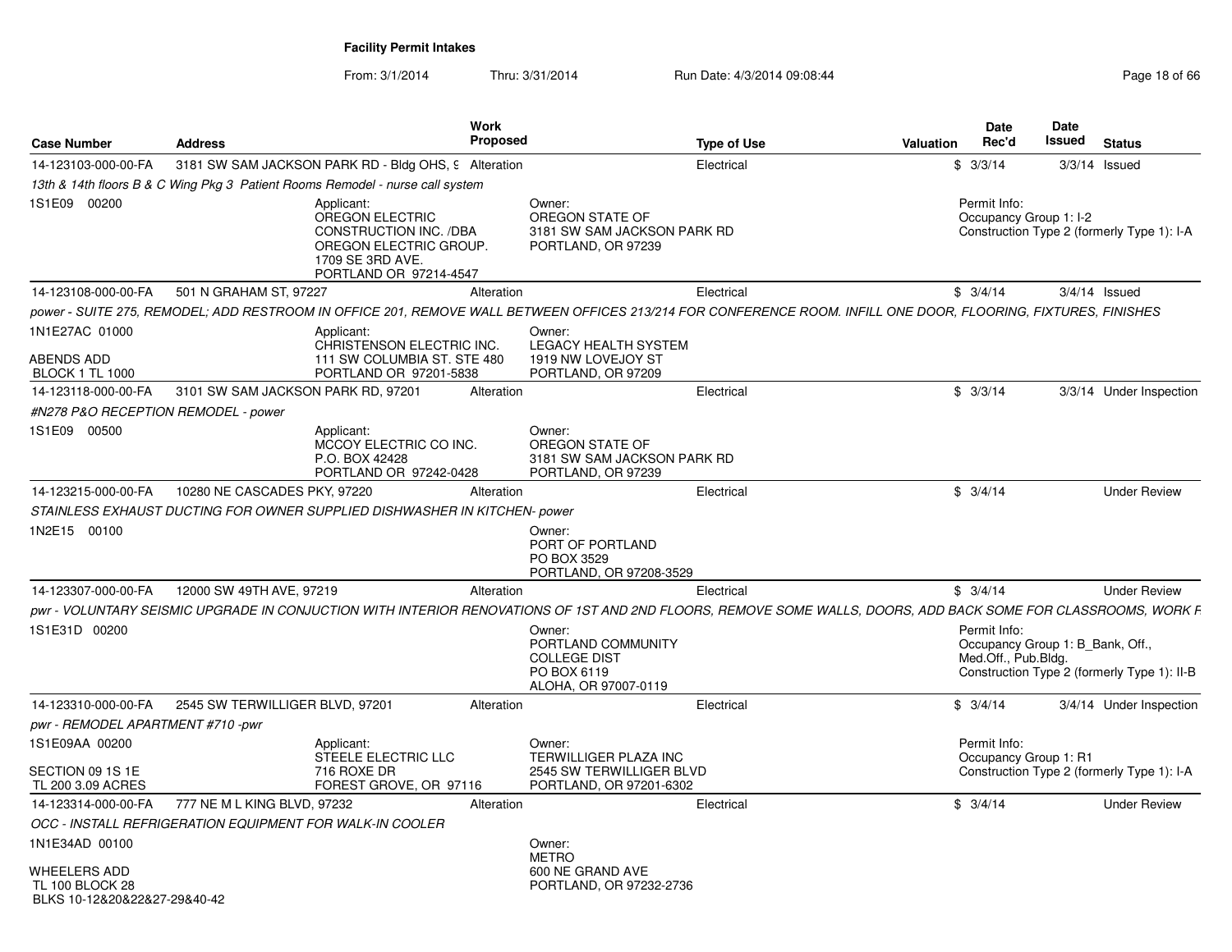| <b>Case Number</b>                                                            | <b>Address</b>                                           |                                                                                                                                                                | Work<br><b>Proposed</b> |                                                                                            | <b>Type of Use</b> | Valuation | Date<br>Rec'd                                                           | Date<br>Issued | <b>Status</b>                               |
|-------------------------------------------------------------------------------|----------------------------------------------------------|----------------------------------------------------------------------------------------------------------------------------------------------------------------|-------------------------|--------------------------------------------------------------------------------------------|--------------------|-----------|-------------------------------------------------------------------------|----------------|---------------------------------------------|
| 14-123103-000-00-FA                                                           |                                                          | 3181 SW SAM JACKSON PARK RD - Bldg OHS, 9 Alteration                                                                                                           |                         |                                                                                            | Electrical         |           | \$3/3/14                                                                |                | $3/3/14$ Issued                             |
|                                                                               |                                                          | 13th & 14th floors B & C Wing Pkg 3 Patient Rooms Remodel - nurse call system                                                                                  |                         |                                                                                            |                    |           |                                                                         |                |                                             |
| 1S1E09 00200                                                                  |                                                          | Applicant:<br>OREGON ELECTRIC<br><b>CONSTRUCTION INC. /DBA</b><br>OREGON ELECTRIC GROUP.<br>1709 SE 3RD AVE.<br>PORTLAND OR 97214-4547                         |                         | Owner:<br>OREGON STATE OF<br>3181 SW SAM JACKSON PARK RD<br>PORTLAND, OR 97239             |                    |           | Permit Info:<br>Occupancy Group 1: I-2                                  |                | Construction Type 2 (formerly Type 1): I-A  |
| 14-123108-000-00-FA                                                           | 501 N GRAHAM ST, 97227                                   |                                                                                                                                                                | Alteration              |                                                                                            | Electrical         |           | \$3/4/14                                                                |                | $3/4/14$ Issued                             |
|                                                                               |                                                          | power - SUITE 275, REMODEL; ADD RESTROOM IN OFFICE 201, REMOVE WALL BETWEEN OFFICES 213/214 FOR CONFERENCE ROOM. INFILL ONE DOOR, FLOORING, FIXTURES, FINISHES |                         |                                                                                            |                    |           |                                                                         |                |                                             |
| 1N1E27AC 01000<br><b>ABENDS ADD</b><br><b>BLOCK 1 TL 1000</b>                 |                                                          | Applicant:<br>CHRISTENSON ELECTRIC INC.<br>111 SW COLUMBIA ST. STE 480<br>PORTLAND OR 97201-5838                                                               |                         | Owner:<br><b>LEGACY HEALTH SYSTEM</b><br>1919 NW LOVEJOY ST<br>PORTLAND, OR 97209          |                    |           |                                                                         |                |                                             |
| 14-123118-000-00-FA                                                           | 3101 SW SAM JACKSON PARK RD, 97201                       |                                                                                                                                                                | Alteration              |                                                                                            | Electrical         |           | \$3/3/14                                                                |                | 3/3/14 Under Inspection                     |
| #N278 P&O RECEPTION REMODEL - power                                           |                                                          |                                                                                                                                                                |                         |                                                                                            |                    |           |                                                                         |                |                                             |
| 1S1E09 00500                                                                  |                                                          | Applicant:<br>MCCOY ELECTRIC CO INC.<br>P.O. BOX 42428<br>PORTLAND OR 97242-0428                                                                               |                         | Owner:<br>OREGON STATE OF<br>3181 SW SAM JACKSON PARK RD<br>PORTLAND, OR 97239             |                    |           |                                                                         |                |                                             |
| 14-123215-000-00-FA                                                           | 10280 NE CASCADES PKY, 97220                             |                                                                                                                                                                | Alteration              |                                                                                            | Electrical         |           | \$3/4/14                                                                |                | <b>Under Review</b>                         |
|                                                                               |                                                          | STAINLESS EXHAUST DUCTING FOR OWNER SUPPLIED DISHWASHER IN KITCHEN- power                                                                                      |                         |                                                                                            |                    |           |                                                                         |                |                                             |
| 1N2E15 00100                                                                  |                                                          |                                                                                                                                                                |                         | Owner:<br>PORT OF PORTLAND<br>PO BOX 3529<br>PORTLAND, OR 97208-3529                       |                    |           |                                                                         |                |                                             |
| 14-123307-000-00-FA                                                           | 12000 SW 49TH AVE, 97219                                 |                                                                                                                                                                | Alteration              |                                                                                            | Electrical         |           | \$3/4/14                                                                |                | <b>Under Review</b>                         |
|                                                                               |                                                          | pwr - VOLUNTARY SEISMIC UPGRADE IN CONJUCTION WITH INTERIOR RENOVATIONS OF 1ST AND 2ND FLOORS. REMOVE SOME WALLS, DOORS, ADD BACK SOME FOR CLASSROOMS, WORK F  |                         |                                                                                            |                    |           |                                                                         |                |                                             |
| 1S1E31D 00200                                                                 |                                                          |                                                                                                                                                                |                         | Owner:<br>PORTLAND COMMUNITY<br><b>COLLEGE DIST</b><br>PO BOX 6119<br>ALOHA, OR 97007-0119 |                    |           | Permit Info:<br>Occupancy Group 1: B_Bank, Off.,<br>Med.Off., Pub.Bldg. |                | Construction Type 2 (formerly Type 1): II-B |
| 14-123310-000-00-FA                                                           | 2545 SW TERWILLIGER BLVD, 97201                          |                                                                                                                                                                | Alteration              |                                                                                            | Electrical         |           | \$3/4/14                                                                |                | 3/4/14 Under Inspection                     |
| pwr - REMODEL APARTMENT #710 -pwr                                             |                                                          |                                                                                                                                                                |                         |                                                                                            |                    |           |                                                                         |                |                                             |
| 1S1E09AA 00200                                                                |                                                          | Applicant:<br>STEELE ELECTRIC LLC                                                                                                                              |                         | Owner:<br>TERWILLIGER PLAZA INC                                                            |                    |           | Permit Info:<br>Occupancy Group 1: R1                                   |                |                                             |
| SECTION 09 1S 1E<br>TL 200 3.09 ACRES                                         |                                                          | 716 ROXE DR<br>FOREST GROVE, OR 97116                                                                                                                          |                         | 2545 SW TERWILLIGER BLVD<br>PORTLAND, OR 97201-6302                                        |                    |           |                                                                         |                | Construction Type 2 (formerly Type 1): I-A  |
| 14-123314-000-00-FA                                                           | 777 NE M L KING BLVD, 97232                              |                                                                                                                                                                | Alteration              |                                                                                            | Electrical         |           | \$3/4/14                                                                |                | <b>Under Review</b>                         |
|                                                                               | OCC - INSTALL REFRIGERATION EQUIPMENT FOR WALK-IN COOLER |                                                                                                                                                                |                         |                                                                                            |                    |           |                                                                         |                |                                             |
| 1N1E34AD 00100                                                                |                                                          |                                                                                                                                                                |                         | Owner:<br><b>METRO</b>                                                                     |                    |           |                                                                         |                |                                             |
| <b>WHEELERS ADD</b><br><b>TL 100 BLOCK 28</b><br>BLKS 10-12820822827-29840-42 |                                                          |                                                                                                                                                                |                         | 600 NE GRAND AVE<br>PORTLAND, OR 97232-2736                                                |                    |           |                                                                         |                |                                             |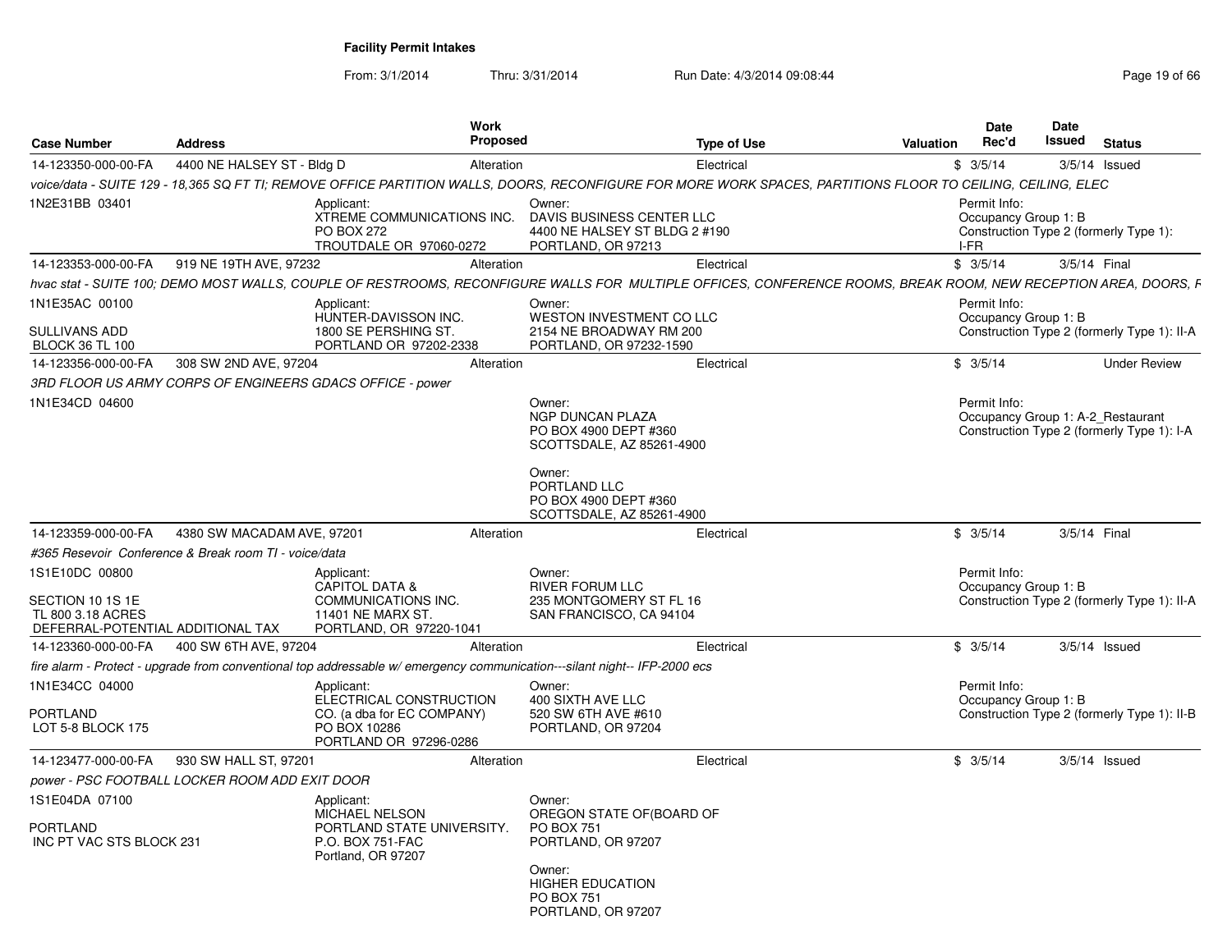| <b>Case Number</b>                                                                           | <b>Address</b>                                            |                                                                                                                           | <b>Work</b><br>Proposed                                                                                                                                          | <b>Type of Use</b>                                                                                                                                              | Valuation | Date<br>Rec'd | Date<br>Issued       | <b>Status</b>                                                                   |
|----------------------------------------------------------------------------------------------|-----------------------------------------------------------|---------------------------------------------------------------------------------------------------------------------------|------------------------------------------------------------------------------------------------------------------------------------------------------------------|-----------------------------------------------------------------------------------------------------------------------------------------------------------------|-----------|---------------|----------------------|---------------------------------------------------------------------------------|
| 14-123350-000-00-FA                                                                          | 4400 NE HALSEY ST - Bldg D                                |                                                                                                                           | Alteration                                                                                                                                                       | Electrical                                                                                                                                                      |           | \$3/5/14      |                      | $3/5/14$ Issued                                                                 |
|                                                                                              |                                                           |                                                                                                                           |                                                                                                                                                                  | voice/data - SUITE 129 - 18.365 SQ FT TI: REMOVE OFFICE PARTITION WALLS. DOORS. RECONFIGURE FOR MORE WORK SPACES. PARTITIONS FLOOR TO CEILING. CEILING. ELEC    |           |               |                      |                                                                                 |
| 1N2E31BB 03401                                                                               |                                                           | Applicant:<br>XTREME COMMUNICATIONS INC.<br><b>PO BOX 272</b><br>TROUTDALE OR 97060-0272                                  | Owner:<br>DAVIS BUSINESS CENTER LLC<br>PORTLAND, OR 97213                                                                                                        | 4400 NE HALSEY ST BLDG 2 #190                                                                                                                                   | I-FR      | Permit Info:  | Occupancy Group 1: B | Construction Type 2 (formerly Type 1):                                          |
| 14-123353-000-00-FA                                                                          | 919 NE 19TH AVE, 97232                                    |                                                                                                                           | Alteration                                                                                                                                                       | Electrical                                                                                                                                                      |           | \$3/5/14      |                      | 3/5/14 Final                                                                    |
|                                                                                              |                                                           |                                                                                                                           |                                                                                                                                                                  | hvac stat - SUITE 100; DEMO MOST WALLS, COUPLE OF RESTROOMS, RECONFIGURE WALLS FOR MULTIPLE OFFICES, CONFERENCE ROOMS, BREAK ROOM, NEW RECEPTION AREA, DOORS, F |           |               |                      |                                                                                 |
| 1N1E35AC 00100<br><b>SULLIVANS ADD</b><br><b>BLOCK 36 TL 100</b>                             |                                                           | Applicant:<br>HUNTER-DAVISSON INC.<br>1800 SE PERSHING ST.<br>PORTLAND OR 97202-2338                                      | Owner:<br>WESTON INVESTMENT CO LLC<br>2154 NE BROADWAY RM 200<br>PORTLAND, OR 97232-1590                                                                         |                                                                                                                                                                 |           | Permit Info:  | Occupancy Group 1: B | Construction Type 2 (formerly Type 1): II-A                                     |
| 14-123356-000-00-FA                                                                          | 308 SW 2ND AVE, 97204                                     |                                                                                                                           | Alteration                                                                                                                                                       | Electrical                                                                                                                                                      |           | \$3/5/14      |                      | <b>Under Review</b>                                                             |
|                                                                                              | 3RD FLOOR US ARMY CORPS OF ENGINEERS GDACS OFFICE - power |                                                                                                                           |                                                                                                                                                                  |                                                                                                                                                                 |           |               |                      |                                                                                 |
| 1N1E34CD 04600                                                                               |                                                           |                                                                                                                           | Owner:<br>NGP DUNCAN PLAZA<br>PO BOX 4900 DEPT #360<br>SCOTTSDALE, AZ 85261-4900<br>Owner:<br>PORTLAND LLC<br>PO BOX 4900 DEPT #360<br>SCOTTSDALE, AZ 85261-4900 |                                                                                                                                                                 |           | Permit Info:  |                      | Occupancy Group 1: A-2 Restaurant<br>Construction Type 2 (formerly Type 1): I-A |
| 14-123359-000-00-FA                                                                          | 4380 SW MACADAM AVE, 97201                                |                                                                                                                           | Alteration                                                                                                                                                       | Electrical                                                                                                                                                      |           | \$3/5/14      |                      | 3/5/14 Final                                                                    |
|                                                                                              | #365 Resevoir Conference & Break room TI - voice/data     |                                                                                                                           |                                                                                                                                                                  |                                                                                                                                                                 |           |               |                      |                                                                                 |
| 1S1E10DC 00800<br>SECTION 10 1S 1E<br>TL 800 3.18 ACRES<br>DEFERRAL-POTENTIAL ADDITIONAL TAX |                                                           | Applicant:<br><b>CAPITOL DATA &amp;</b><br>COMMUNICATIONS INC.<br><b>11401 NE MARX ST</b><br>PORTLAND, OR 97220-1041      | Owner:<br><b>RIVER FORUM LLC</b><br>235 MONTGOMERY ST FL 16<br>SAN FRANCISCO, CA 94104                                                                           |                                                                                                                                                                 |           | Permit Info:  | Occupancy Group 1: B | Construction Type 2 (formerly Type 1): II-A                                     |
| 14-123360-000-00-FA                                                                          | 400 SW 6TH AVE, 97204                                     |                                                                                                                           | Alteration                                                                                                                                                       | Electrical                                                                                                                                                      |           | \$3/5/14      |                      | $3/5/14$ Issued                                                                 |
|                                                                                              |                                                           | fire alarm - Protect - upgrade from conventional top addressable w/ emergency communication---silant night-- IFP-2000 ecs |                                                                                                                                                                  |                                                                                                                                                                 |           |               |                      |                                                                                 |
| 1N1E34CC 04000<br><b>PORTLAND</b><br>LOT 5-8 BLOCK 175                                       |                                                           | Applicant:<br>ELECTRICAL CONSTRUCTION<br>CO. (a dba for EC COMPANY)<br>PO BOX 10286<br>PORTLAND OR 97296-0286             | Owner:<br>400 SIXTH AVE LLC<br>520 SW 6TH AVE #610<br>PORTLAND, OR 97204                                                                                         |                                                                                                                                                                 |           | Permit Info:  | Occupancy Group 1: B | Construction Type 2 (formerly Type 1): II-B                                     |
| 14-123477-000-00-FA                                                                          | 930 SW HALL ST, 97201                                     |                                                                                                                           | Alteration                                                                                                                                                       | Electrical                                                                                                                                                      |           | \$3/5/14      |                      | $3/5/14$ Issued                                                                 |
|                                                                                              | power - PSC FOOTBALL LOCKER ROOM ADD EXIT DOOR            |                                                                                                                           |                                                                                                                                                                  |                                                                                                                                                                 |           |               |                      |                                                                                 |
| 1S1E04DA 07100<br><b>PORTLAND</b><br>INC PT VAC STS BLOCK 231                                |                                                           | Applicant:<br>MICHAEL NELSON<br>PORTLAND STATE UNIVERSITY.<br>P.O. BOX 751-FAC<br>Portland, OR 97207                      | Owner:<br>OREGON STATE OF (BOARD OF<br><b>PO BOX 751</b><br>PORTLAND, OR 97207<br>Owner:<br><b>HIGHER EDUCATION</b><br>PO BOX 751<br>PORTLAND, OR 97207          |                                                                                                                                                                 |           |               |                      |                                                                                 |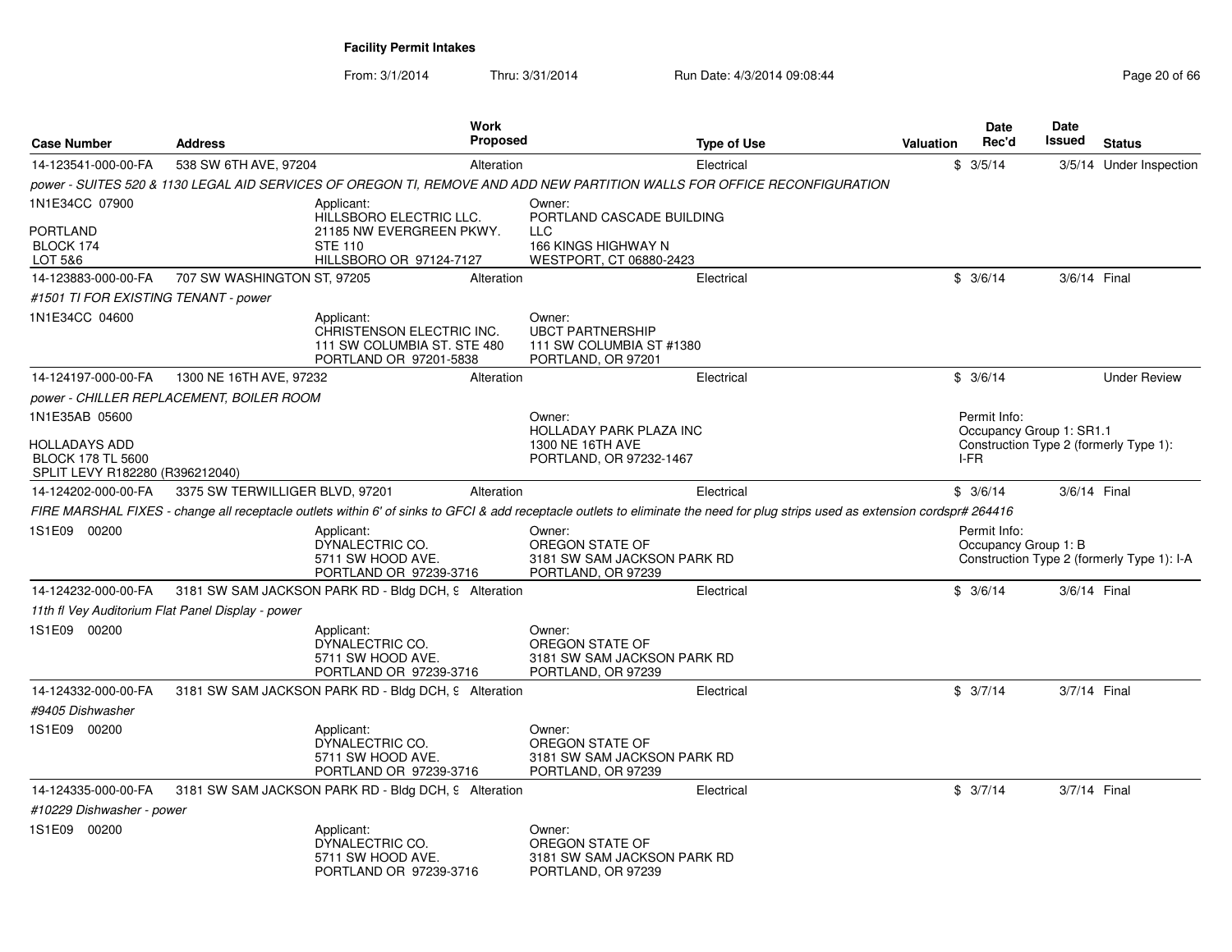| <b>Case Number</b>                                                           | <b>Address</b>                                    |                                                                                                                | Work<br><b>Proposed</b> | Type of Use                                                                                                                                                                    | <b>Valuation</b> | <b>Date</b><br>Rec'd                     | <b>Date</b><br>Issued | <b>Status</b>                              |
|------------------------------------------------------------------------------|---------------------------------------------------|----------------------------------------------------------------------------------------------------------------|-------------------------|--------------------------------------------------------------------------------------------------------------------------------------------------------------------------------|------------------|------------------------------------------|-----------------------|--------------------------------------------|
| 14-123541-000-00-FA                                                          | 538 SW 6TH AVE, 97204                             |                                                                                                                | Alteration              | Electrical                                                                                                                                                                     |                  | \$3/5/14                                 |                       | 3/5/14 Under Inspection                    |
|                                                                              |                                                   |                                                                                                                |                         | power - SUITES 520 & 1130 LEGAL AID SERVICES OF OREGON TI, REMOVE AND ADD NEW PARTITION WALLS FOR OFFICE RECONFIGURATION                                                       |                  |                                          |                       |                                            |
| 1N1E34CC 07900<br>PORTLAND<br>BLOCK 174<br>LOT 5&6                           |                                                   | Applicant:<br>HILLSBORO ELECTRIC LLC.<br>21185 NW EVERGREEN PKWY.<br><b>STE 110</b><br>HILLSBORO OR 97124-7127 |                         | Owner:<br>PORTLAND CASCADE BUILDING<br><b>LLC</b><br>166 KINGS HIGHWAY N<br>WESTPORT, CT 06880-2423                                                                            |                  |                                          |                       |                                            |
| 14-123883-000-00-FA                                                          | 707 SW WASHINGTON ST, 97205                       |                                                                                                                | Alteration              | Electrical                                                                                                                                                                     |                  | \$3/6/14                                 | 3/6/14 Final          |                                            |
| #1501 TI FOR EXISTING TENANT - power                                         |                                                   |                                                                                                                |                         |                                                                                                                                                                                |                  |                                          |                       |                                            |
| 1N1E34CC 04600                                                               |                                                   | Applicant:<br>CHRISTENSON ELECTRIC INC.<br>111 SW COLUMBIA ST. STE 480<br>PORTLAND OR 97201-5838               |                         | Owner:<br><b>UBCT PARTNERSHIP</b><br>111 SW COLUMBIA ST #1380<br>PORTLAND, OR 97201                                                                                            |                  |                                          |                       |                                            |
| 14-124197-000-00-FA                                                          | 1300 NE 16TH AVE, 97232                           |                                                                                                                | Alteration              | Electrical                                                                                                                                                                     |                  | \$3/6/14                                 |                       | <b>Under Review</b>                        |
|                                                                              | <i>power - CHILLER REPLACEMENT, BOILER ROOM</i>   |                                                                                                                |                         |                                                                                                                                                                                |                  |                                          |                       |                                            |
| 1N1E35AB 05600                                                               |                                                   |                                                                                                                |                         | Owner:<br><b>HOLLADAY PARK PLAZA INC</b>                                                                                                                                       |                  | Permit Info:<br>Occupancy Group 1: SR1.1 |                       |                                            |
| HOLLADAYS ADD<br><b>BLOCK 178 TL 5600</b><br>SPLIT LEVY R182280 (R396212040) |                                                   |                                                                                                                |                         | 1300 NE 16TH AVE<br>PORTLAND, OR 97232-1467                                                                                                                                    |                  | I-FR                                     |                       | Construction Type 2 (formerly Type 1):     |
| 14-124202-000-00-FA                                                          | 3375 SW TERWILLIGER BLVD, 97201                   |                                                                                                                | Alteration              | Electrical                                                                                                                                                                     |                  | \$3/6/14                                 | 3/6/14 Final          |                                            |
|                                                                              |                                                   |                                                                                                                |                         | FIRE MARSHAL FIXES - change all receptacle outlets within 6' of sinks to GFCI & add receptacle outlets to eliminate the need for plug strips used as extension cordspr# 264416 |                  |                                          |                       |                                            |
| 1S1E09 00200                                                                 |                                                   | Applicant:<br>DYNALECTRIC CO.<br>5711 SW HOOD AVE.<br>PORTLAND OR 97239-3716                                   |                         | Owner:<br>OREGON STATE OF<br>3181 SW SAM JACKSON PARK RD<br>PORTLAND, OR 97239                                                                                                 |                  | Permit Info:<br>Occupancy Group 1: B     |                       | Construction Type 2 (formerly Type 1): I-A |
| 14-124232-000-00-FA                                                          |                                                   | 3181 SW SAM JACKSON PARK RD - Bldg DCH, 9 Alteration                                                           |                         | Electrical                                                                                                                                                                     |                  | \$3/6/14                                 | 3/6/14 Final          |                                            |
|                                                                              | 11th fl Vey Auditorium Flat Panel Display - power |                                                                                                                |                         |                                                                                                                                                                                |                  |                                          |                       |                                            |
| 1S1E09 00200                                                                 |                                                   | Applicant:<br>DYNALECTRIC CO.<br>5711 SW HOOD AVE.<br>PORTLAND OR 97239-3716                                   |                         | Owner:<br>OREGON STATE OF<br>3181 SW SAM JACKSON PARK RD<br>PORTLAND, OR 97239                                                                                                 |                  |                                          |                       |                                            |
| 14-124332-000-00-FA                                                          |                                                   | 3181 SW SAM JACKSON PARK RD - Bldg DCH, 9 Alteration                                                           |                         | Electrical                                                                                                                                                                     |                  | \$3/7/14                                 | 3/7/14 Final          |                                            |
| #9405 Dishwasher                                                             |                                                   |                                                                                                                |                         |                                                                                                                                                                                |                  |                                          |                       |                                            |
| 1S1E09 00200                                                                 |                                                   | Applicant:<br>DYNALECTRIC CO.<br>5711 SW HOOD AVE.<br>PORTLAND OR 97239-3716                                   |                         | Owner:<br>OREGON STATE OF<br>3181 SW SAM JACKSON PARK RD<br>PORTLAND, OR 97239                                                                                                 |                  |                                          |                       |                                            |
| 14-124335-000-00-FA                                                          |                                                   | 3181 SW SAM JACKSON PARK RD - Bldg DCH, 9 Alteration                                                           |                         | Electrical                                                                                                                                                                     |                  | \$3/7/14                                 | 3/7/14 Final          |                                            |
| #10229 Dishwasher - power                                                    |                                                   |                                                                                                                |                         |                                                                                                                                                                                |                  |                                          |                       |                                            |
| 1S1E09 00200                                                                 |                                                   | Applicant:<br>DYNALECTRIC CO.<br>5711 SW HOOD AVE.<br>PORTLAND OR 97239-3716                                   |                         | Owner:<br>OREGON STATE OF<br>3181 SW SAM JACKSON PARK RD<br>PORTLAND, OR 97239                                                                                                 |                  |                                          |                       |                                            |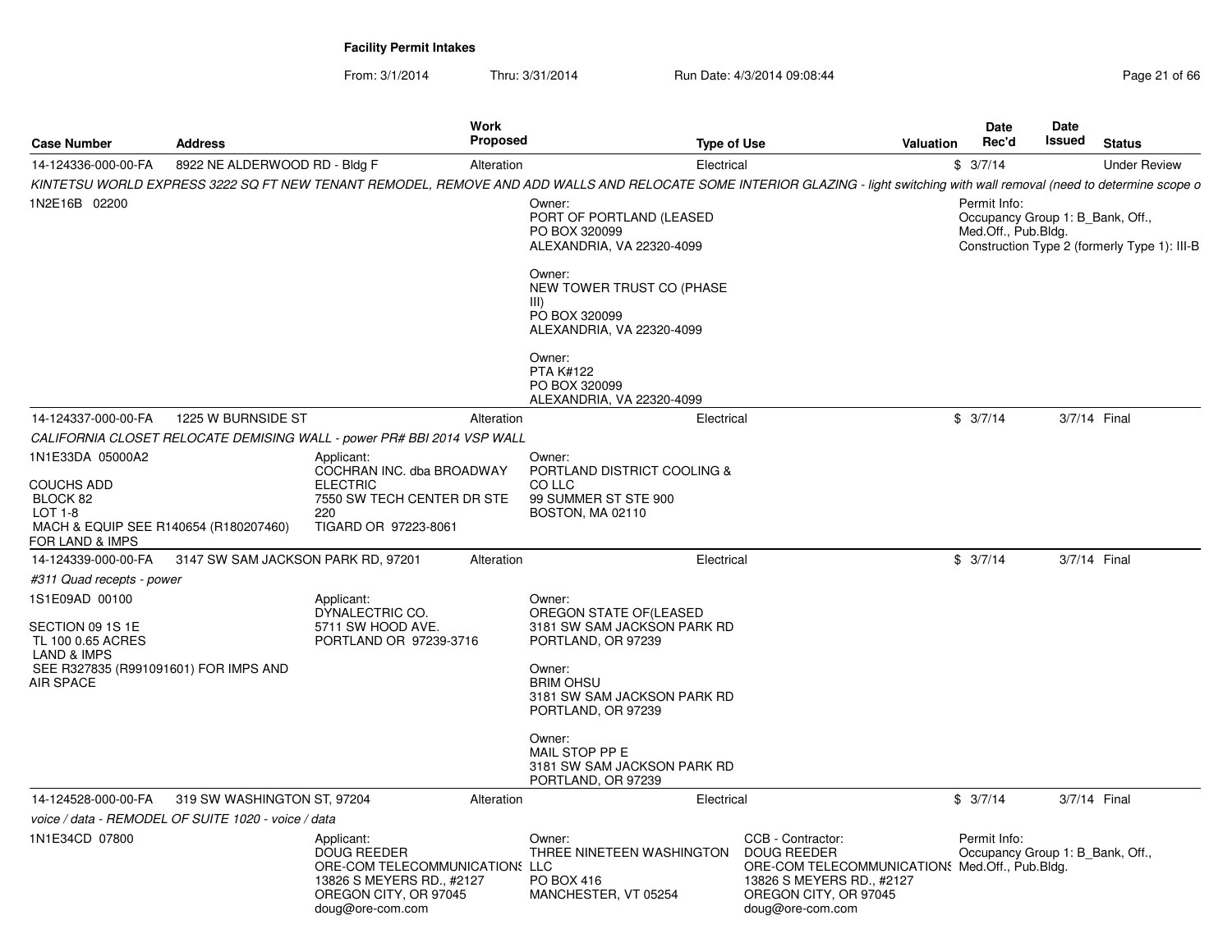| <b>Case Number</b>                                                                                     | <b>Address</b>                                      | Work<br><b>Proposed</b>                                                                                                                      |                                                                                           | <b>Type of Use</b><br>Valuation                                                                                                                                              | Date<br>Rec'd                                                           | Date<br>Issued | <b>Status</b>                                |
|--------------------------------------------------------------------------------------------------------|-----------------------------------------------------|----------------------------------------------------------------------------------------------------------------------------------------------|-------------------------------------------------------------------------------------------|------------------------------------------------------------------------------------------------------------------------------------------------------------------------------|-------------------------------------------------------------------------|----------------|----------------------------------------------|
| 14-124336-000-00-FA                                                                                    | 8922 NE ALDERWOOD RD - Bldg F                       | Alteration                                                                                                                                   | Electrical                                                                                |                                                                                                                                                                              | \$3/7/14                                                                |                | <b>Under Review</b>                          |
|                                                                                                        |                                                     |                                                                                                                                              |                                                                                           | KINTETSU WORLD EXPRESS 3222 SQ FT NEW TENANT REMODEL, REMOVE AND ADD WALLS AND RELOCATE SOME INTERIOR GLAZING - light switching with wall removal (need to determine scope o |                                                                         |                |                                              |
| 1N2E16B 02200                                                                                          |                                                     |                                                                                                                                              | Owner:<br>PORT OF PORTLAND (LEASED<br>PO BOX 320099<br>ALEXANDRIA, VA 22320-4099          |                                                                                                                                                                              | Permit Info:<br>Occupancy Group 1: B_Bank, Off.,<br>Med.Off., Pub.Bldg. |                | Construction Type 2 (formerly Type 1): III-B |
|                                                                                                        |                                                     |                                                                                                                                              | Owner:<br>NEW TOWER TRUST CO (PHASE<br>III)<br>PO BOX 320099<br>ALEXANDRIA, VA 22320-4099 |                                                                                                                                                                              |                                                                         |                |                                              |
|                                                                                                        |                                                     |                                                                                                                                              | Owner:<br><b>PTA K#122</b><br>PO BOX 320099<br>ALEXANDRIA, VA 22320-4099                  |                                                                                                                                                                              |                                                                         |                |                                              |
| 14-124337-000-00-FA                                                                                    | 1225 W BURNSIDE ST                                  | Alteration                                                                                                                                   | Electrical                                                                                |                                                                                                                                                                              | \$3/7/14                                                                |                | 3/7/14 Final                                 |
|                                                                                                        |                                                     | CALIFORNIA CLOSET RELOCATE DEMISING WALL - power PR# BBI 2014 VSP WALL                                                                       |                                                                                           |                                                                                                                                                                              |                                                                         |                |                                              |
| 1N1E33DA 05000A2                                                                                       |                                                     | Applicant:<br>COCHRAN INC. dba BROADWAY                                                                                                      | Owner:<br>PORTLAND DISTRICT COOLING &                                                     |                                                                                                                                                                              |                                                                         |                |                                              |
| <b>COUCHS ADD</b><br>BLOCK 82<br>$LOT 1-8$<br>MACH & EQUIP SEE R140654 (R180207460)<br>FOR LAND & IMPS |                                                     | <b>ELECTRIC</b><br>7550 SW TECH CENTER DR STE<br>220<br>TIGARD OR 97223-8061                                                                 | CO LLC<br>99 SUMMER ST STE 900<br>BOSTON, MA 02110                                        |                                                                                                                                                                              |                                                                         |                |                                              |
| 14-124339-000-00-FA                                                                                    | 3147 SW SAM JACKSON PARK RD, 97201                  | Alteration                                                                                                                                   | Electrical                                                                                |                                                                                                                                                                              | \$3/7/14                                                                |                | 3/7/14 Final                                 |
| #311 Quad recepts - power                                                                              |                                                     |                                                                                                                                              |                                                                                           |                                                                                                                                                                              |                                                                         |                |                                              |
| 1S1E09AD 00100<br>SECTION 09 1S 1E<br>TL 100 0.65 ACRES                                                |                                                     | Applicant:<br>DYNALECTRIC CO.<br>5711 SW HOOD AVE.<br>PORTLAND OR 97239-3716                                                                 | Owner:<br>OREGON STATE OF (LEASED<br>3181 SW SAM JACKSON PARK RD<br>PORTLAND, OR 97239    |                                                                                                                                                                              |                                                                         |                |                                              |
| LAND & IMPS<br>SEE R327835 (R991091601) FOR IMPS AND<br><b>AIR SPACE</b>                               |                                                     |                                                                                                                                              | Owner:<br><b>BRIM OHSU</b><br>3181 SW SAM JACKSON PARK RD<br>PORTLAND, OR 97239           |                                                                                                                                                                              |                                                                         |                |                                              |
|                                                                                                        |                                                     |                                                                                                                                              | Owner:<br>MAIL STOP PP E<br>3181 SW SAM JACKSON PARK RD<br>PORTLAND, OR 97239             |                                                                                                                                                                              |                                                                         |                |                                              |
| 14-124528-000-00-FA                                                                                    | 319 SW WASHINGTON ST, 97204                         | Alteration                                                                                                                                   | Electrical                                                                                |                                                                                                                                                                              | \$3/7/14                                                                |                | 3/7/14 Final                                 |
|                                                                                                        | voice / data - REMODEL OF SUITE 1020 - voice / data |                                                                                                                                              |                                                                                           |                                                                                                                                                                              |                                                                         |                |                                              |
| 1N1E34CD 07800                                                                                         |                                                     | Applicant:<br><b>DOUG REEDER</b><br>ORE-COM TELECOMMUNICATIONS LLC<br>13826 S MEYERS RD., #2127<br>OREGON CITY, OR 97045<br>doug@ore-com.com | Owner:<br>THREE NINETEEN WASHINGTON<br>PO BOX 416<br>MANCHESTER, VT 05254                 | CCB - Contractor:<br><b>DOUG REEDER</b><br>ORE-COM TELECOMMUNICATION: Med.Off., Pub.Bldg.<br>13826 S MEYERS RD., #2127<br>OREGON CITY, OR 97045<br>doug@ore-com.com          | Permit Info:<br>Occupancy Group 1: B Bank, Off.,                        |                |                                              |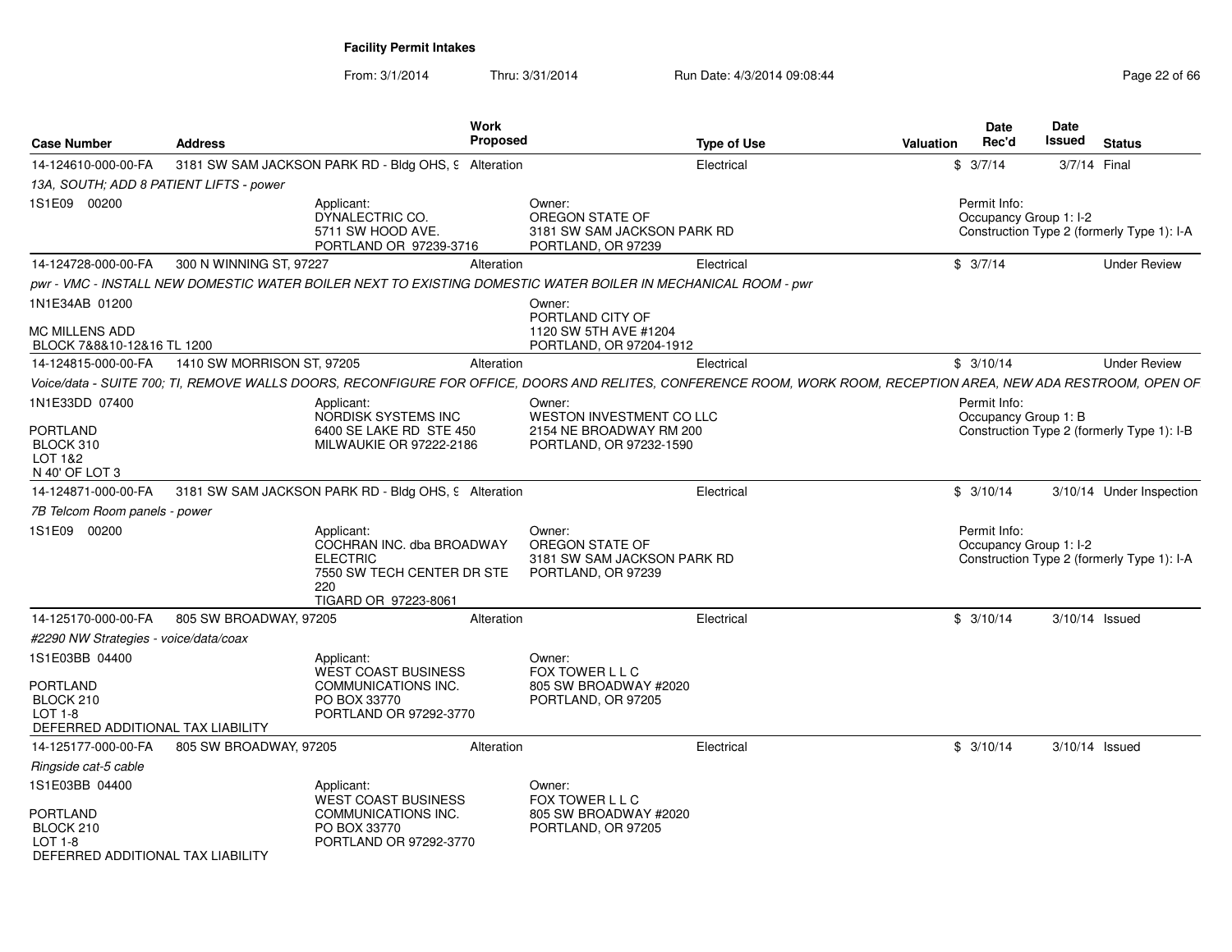| <b>Case Number</b>                                                      | <b>Address</b>             | Work                                                                                                                    | Proposed                                                                                                                                                         | <b>Type of Use</b> | <b>Valuation</b> | Date<br>Rec'd                          | Date<br>Issued | <b>Status</b>                              |
|-------------------------------------------------------------------------|----------------------------|-------------------------------------------------------------------------------------------------------------------------|------------------------------------------------------------------------------------------------------------------------------------------------------------------|--------------------|------------------|----------------------------------------|----------------|--------------------------------------------|
| 14-124610-000-00-FA                                                     |                            | 3181 SW SAM JACKSON PARK RD - Bldg OHS, 9 Alteration                                                                    |                                                                                                                                                                  | Electrical         |                  | \$3/7/14                               | 3/7/14 Final   |                                            |
| 13A, SOUTH: ADD 8 PATIENT LIFTS - power                                 |                            |                                                                                                                         |                                                                                                                                                                  |                    |                  |                                        |                |                                            |
| 1S1E09 00200                                                            |                            | Applicant:<br>DYNALECTRIC CO.<br>5711 SW HOOD AVE.<br>PORTLAND OR 97239-3716                                            | Owner:<br>OREGON STATE OF<br>3181 SW SAM JACKSON PARK RD<br>PORTLAND, OR 97239                                                                                   |                    |                  | Permit Info:<br>Occupancy Group 1: I-2 |                | Construction Type 2 (formerly Type 1): I-A |
| 14-124728-000-00-FA                                                     | 300 N WINNING ST, 97227    |                                                                                                                         | Alteration                                                                                                                                                       | Electrical         |                  | \$3/7/14                               |                | <b>Under Review</b>                        |
|                                                                         |                            |                                                                                                                         | pwr - VMC - INSTALL NEW DOMESTIC WATER BOILER NEXT TO EXISTING DOMESTIC WATER BOILER IN MECHANICAL ROOM - pwr                                                    |                    |                  |                                        |                |                                            |
| 1N1E34AB 01200                                                          |                            |                                                                                                                         | Owner:<br>PORTLAND CITY OF                                                                                                                                       |                    |                  |                                        |                |                                            |
| MC MILLENS ADD<br>BLOCK 7&8&10-12&16 TL 1200                            |                            |                                                                                                                         | 1120 SW 5TH AVE #1204<br>PORTLAND, OR 97204-1912                                                                                                                 |                    |                  |                                        |                |                                            |
| 14-124815-000-00-FA                                                     | 1410 SW MORRISON ST, 97205 |                                                                                                                         | Alteration                                                                                                                                                       | Electrical         |                  | \$3/10/14                              |                | <b>Under Review</b>                        |
|                                                                         |                            |                                                                                                                         | Voice/data - SUITE 700; TI, REMOVE WALLS DOORS, RECONFIGURE FOR OFFICE, DOORS AND RELITES, CONFERENCE ROOM, WORK ROOM, RECEPTION AREA, NEW ADA RESTROOM, OPEN OF |                    |                  |                                        |                |                                            |
| 1N1E33DD 07400                                                          |                            | Applicant:<br>NORDISK SYSTEMS INC                                                                                       | Owner:<br>WESTON INVESTMENT CO LLC                                                                                                                               |                    |                  | Permit Info:<br>Occupancy Group 1: B   |                |                                            |
| PORTLAND<br>BLOCK 310<br>LOT 1&2<br>N 40' OF LOT 3                      |                            | 6400 SE LAKE RD STE 450<br>MILWAUKIE OR 97222-2186                                                                      | 2154 NE BROADWAY RM 200<br>PORTLAND, OR 97232-1590                                                                                                               |                    |                  |                                        |                | Construction Type 2 (formerly Type 1): I-B |
| 14-124871-000-00-FA                                                     |                            | 3181 SW SAM JACKSON PARK RD - Bldg OHS, 9 Alteration                                                                    |                                                                                                                                                                  | Electrical         |                  | \$3/10/14                              |                | 3/10/14 Under Inspection                   |
| 7B Telcom Room panels - power                                           |                            |                                                                                                                         |                                                                                                                                                                  |                    |                  |                                        |                |                                            |
| 1S1E09 00200                                                            |                            | Applicant:<br>COCHRAN INC. dba BROADWAY<br><b>ELECTRIC</b><br>7550 SW TECH CENTER DR STE<br>220<br>TIGARD OR 97223-8061 | Owner:<br>OREGON STATE OF<br>3181 SW SAM JACKSON PARK RD<br>PORTLAND, OR 97239                                                                                   |                    |                  | Permit Info:<br>Occupancy Group 1: I-2 |                | Construction Type 2 (formerly Type 1): I-A |
| 14-125170-000-00-FA                                                     | 805 SW BROADWAY, 97205     |                                                                                                                         | Alteration                                                                                                                                                       | Electrical         |                  | \$3/10/14                              | 3/10/14 Issued |                                            |
| #2290 NW Strategies - voice/data/coax                                   |                            |                                                                                                                         |                                                                                                                                                                  |                    |                  |                                        |                |                                            |
| 1S1E03BB 04400                                                          |                            | Applicant:<br><b>WEST COAST BUSINESS</b>                                                                                | Owner:<br>FOX TOWER L L C                                                                                                                                        |                    |                  |                                        |                |                                            |
| PORTLAND<br>BLOCK 210<br>$LOT 1-8$<br>DEFERRED ADDITIONAL TAX LIABILITY |                            | COMMUNICATIONS INC.<br>PO BOX 33770<br>PORTLAND OR 97292-3770                                                           | 805 SW BROADWAY #2020<br>PORTLAND, OR 97205                                                                                                                      |                    |                  |                                        |                |                                            |
| 14-125177-000-00-FA                                                     | 805 SW BROADWAY, 97205     |                                                                                                                         | Alteration                                                                                                                                                       | Electrical         |                  | \$3/10/14                              | 3/10/14 Issued |                                            |
| Ringside cat-5 cable                                                    |                            |                                                                                                                         |                                                                                                                                                                  |                    |                  |                                        |                |                                            |
| 1S1E03BB 04400                                                          |                            | Applicant:<br><b>WEST COAST BUSINESS</b>                                                                                | Owner:<br>FOX TOWER L L C                                                                                                                                        |                    |                  |                                        |                |                                            |
| PORTLAND<br>BLOCK 210<br>$LOT 1-8$<br>DEFERRED ADDITIONAL TAX LIABILITY |                            | COMMUNICATIONS INC.<br>PO BOX 33770<br>PORTLAND OR 97292-3770                                                           | 805 SW BROADWAY #2020<br>PORTLAND, OR 97205                                                                                                                      |                    |                  |                                        |                |                                            |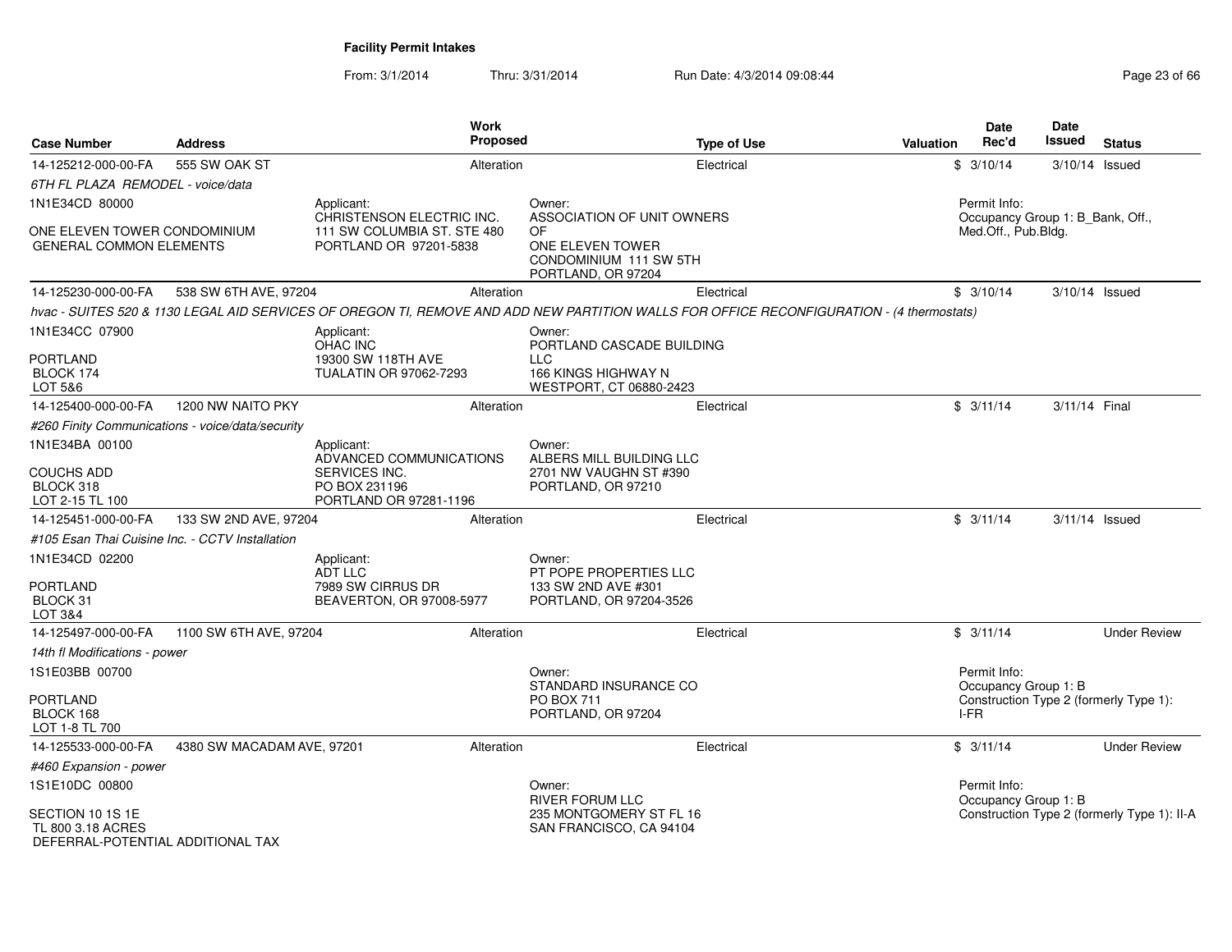| <b>Case Number</b>                                                         | <b>Address</b>                                   |                                                                 | Work<br><b>Proposed</b> | <b>Type of Use</b>                                                                                                                        | <b>Valuation</b> | <b>Date</b><br>Rec'd                             | Date<br>Issued   | <b>Status</b>                               |
|----------------------------------------------------------------------------|--------------------------------------------------|-----------------------------------------------------------------|-------------------------|-------------------------------------------------------------------------------------------------------------------------------------------|------------------|--------------------------------------------------|------------------|---------------------------------------------|
| 14-125212-000-00-FA                                                        | 555 SW OAK ST                                    |                                                                 | Alteration              | Electrical                                                                                                                                |                  | \$3/10/14                                        | 3/10/14 Issued   |                                             |
| 6TH FL PLAZA REMODEL - voice/data                                          |                                                  |                                                                 |                         |                                                                                                                                           |                  |                                                  |                  |                                             |
| 1N1E34CD 80000                                                             |                                                  | Applicant:<br>CHRISTENSON ELECTRIC INC.                         |                         | Owner:<br>ASSOCIATION OF UNIT OWNERS                                                                                                      |                  | Permit Info:<br>Occupancy Group 1: B_Bank, Off., |                  |                                             |
| ONE ELEVEN TOWER CONDOMINIUM<br><b>GENERAL COMMON ELEMENTS</b>             |                                                  | 111 SW COLUMBIA ST. STE 480<br>PORTLAND OR 97201-5838           |                         | OF<br>ONE ELEVEN TOWER<br>CONDOMINIUM 111 SW 5TH<br>PORTLAND, OR 97204                                                                    |                  | Med.Off., Pub.Bldg.                              |                  |                                             |
| 14-125230-000-00-FA                                                        | 538 SW 6TH AVE, 97204                            |                                                                 | Alteration              | Electrical                                                                                                                                |                  | \$3/10/14                                        | 3/10/14 Issued   |                                             |
|                                                                            |                                                  |                                                                 |                         | hvac - SUITES 520 & 1130 LEGAL AID SERVICES OF OREGON TI, REMOVE AND ADD NEW PARTITION WALLS FOR OFFICE RECONFIGURATION - (4 thermostats) |                  |                                                  |                  |                                             |
| 1N1E34CC 07900                                                             |                                                  | Applicant:<br>OHAC INC                                          |                         | Owner:<br>PORTLAND CASCADE BUILDING                                                                                                       |                  |                                                  |                  |                                             |
| PORTLAND<br>BLOCK 174<br>LOT 5&6                                           |                                                  | 19300 SW 118TH AVE<br><b>TUALATIN OR 97062-7293</b>             |                         | <b>LLC</b><br>166 KINGS HIGHWAY N<br>WESTPORT, CT 06880-2423                                                                              |                  |                                                  |                  |                                             |
| 14-125400-000-00-FA                                                        | 1200 NW NAITO PKY                                |                                                                 | Alteration              | Electrical                                                                                                                                |                  | \$3/11/14                                        | 3/11/14 Final    |                                             |
|                                                                            | #260 Finity Communications - voice/data/security |                                                                 |                         |                                                                                                                                           |                  |                                                  |                  |                                             |
| 1N1E34BA 00100                                                             |                                                  | Applicant:<br>ADVANCED COMMUNICATIONS                           |                         | Owner:<br>ALBERS MILL BUILDING LLC                                                                                                        |                  |                                                  |                  |                                             |
| <b>COUCHS ADD</b><br>BLOCK 318<br>LOT 2-15 TL 100                          |                                                  | <b>SERVICES INC.</b><br>PO BOX 231196<br>PORTLAND OR 97281-1196 |                         | 2701 NW VAUGHN ST #390<br>PORTLAND, OR 97210                                                                                              |                  |                                                  |                  |                                             |
| 14-125451-000-00-FA                                                        | 133 SW 2ND AVE, 97204                            |                                                                 | Alteration              | Electrical                                                                                                                                |                  | \$3/11/14                                        | $3/11/14$ Issued |                                             |
| #105 Esan Thai Cuisine Inc. - CCTV Installation                            |                                                  |                                                                 |                         |                                                                                                                                           |                  |                                                  |                  |                                             |
| 1N1E34CD 02200                                                             |                                                  | Applicant:<br><b>ADT LLC</b>                                    |                         | Owner:<br>PT POPE PROPERTIES LLC                                                                                                          |                  |                                                  |                  |                                             |
| <b>PORTLAND</b><br>BLOCK 31<br><b>LOT 3&amp;4</b>                          |                                                  | 7989 SW CIRRUS DR<br>BEAVERTON, OR 97008-5977                   |                         | 133 SW 2ND AVE #301<br>PORTLAND, OR 97204-3526                                                                                            |                  |                                                  |                  |                                             |
| 14-125497-000-00-FA                                                        | 1100 SW 6TH AVE, 97204                           |                                                                 | Alteration              | Electrical                                                                                                                                |                  | \$3/11/14                                        |                  | <b>Under Review</b>                         |
| 14th fl Modifications - power                                              |                                                  |                                                                 |                         |                                                                                                                                           |                  |                                                  |                  |                                             |
| 1S1E03BB 00700                                                             |                                                  |                                                                 |                         | Owner:<br>STANDARD INSURANCE CO                                                                                                           |                  | Permit Info:<br>Occupancy Group 1: B             |                  |                                             |
| <b>PORTLAND</b><br>BLOCK 168<br>LOT 1-8 TL 700                             |                                                  |                                                                 |                         | <b>PO BOX 711</b><br>PORTLAND, OR 97204                                                                                                   |                  | Construction Type 2 (formerly Type 1):<br>I-FR   |                  |                                             |
| 14-125533-000-00-FA                                                        | 4380 SW MACADAM AVE, 97201                       |                                                                 | Alteration              | Electrical                                                                                                                                |                  | \$3/11/14                                        |                  | <b>Under Review</b>                         |
| #460 Expansion - power                                                     |                                                  |                                                                 |                         |                                                                                                                                           |                  |                                                  |                  |                                             |
| 1S1E10DC 00800                                                             |                                                  |                                                                 |                         | Owner:<br><b>RIVER FORUM LLC</b>                                                                                                          |                  | Permit Info:<br>Occupancy Group 1: B             |                  |                                             |
| SECTION 10 1S 1E<br>TL 800 3.18 ACRES<br>DEFERRAI-POTENTIAI ADDITIONAI TAX |                                                  |                                                                 |                         | 235 MONTGOMERY ST FL 16<br>SAN FRANCISCO, CA 94104                                                                                        |                  |                                                  |                  | Construction Type 2 (formerly Type 1): II-A |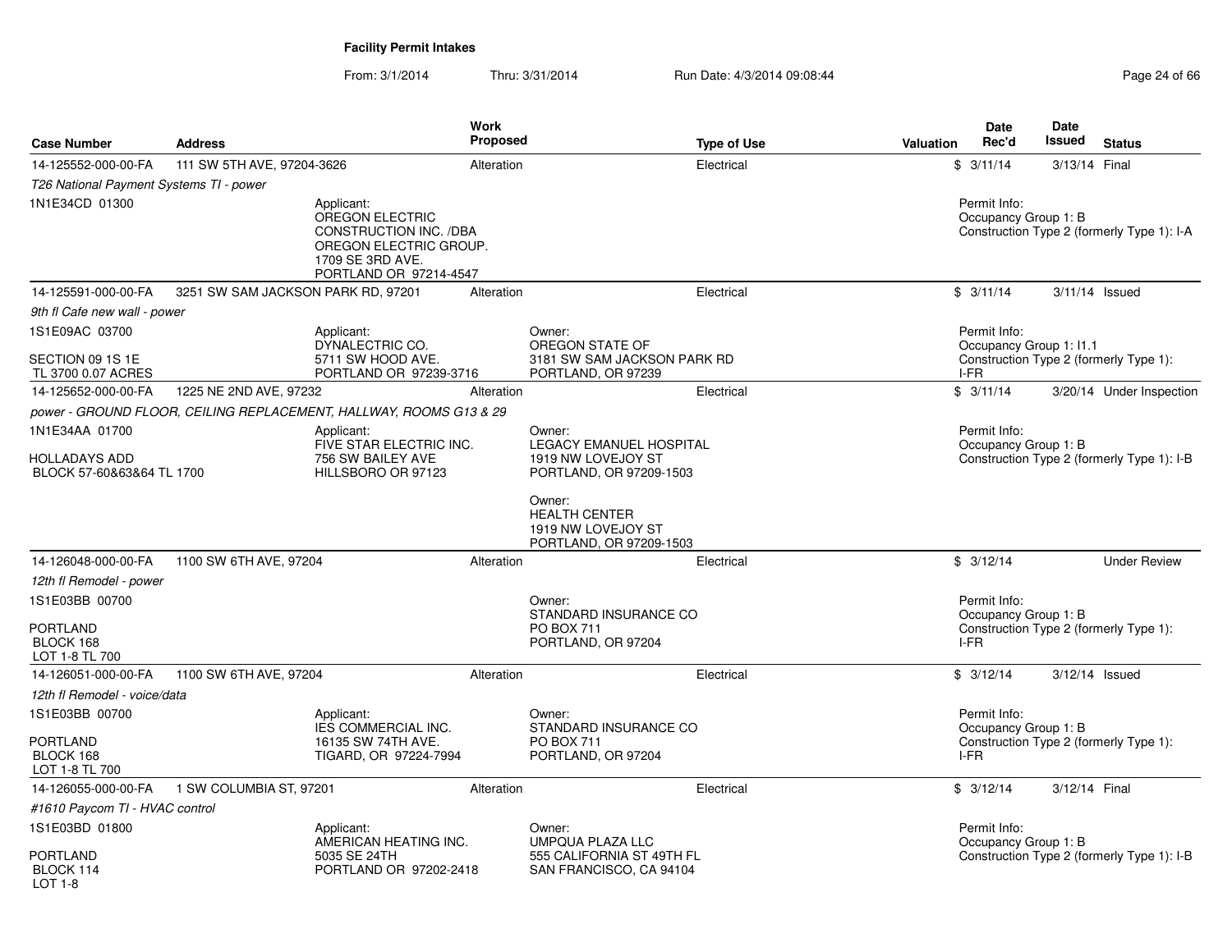|                                                   |                                    | Work                                                                                                                                   |                 |                                                                                 |           | <b>Date</b>                          | Date          |                                            |
|---------------------------------------------------|------------------------------------|----------------------------------------------------------------------------------------------------------------------------------------|-----------------|---------------------------------------------------------------------------------|-----------|--------------------------------------|---------------|--------------------------------------------|
| <b>Case Number</b>                                | <b>Address</b>                     |                                                                                                                                        | <b>Proposed</b> | <b>Type of Use</b>                                                              | Valuation | Rec'd                                | Issued        | <b>Status</b>                              |
| 14-125552-000-00-FA                               | 111 SW 5TH AVE, 97204-3626         |                                                                                                                                        | Alteration      | Electrical                                                                      |           | \$3/11/14                            | 3/13/14 Final |                                            |
| T26 National Payment Systems TI - power           |                                    |                                                                                                                                        |                 |                                                                                 |           |                                      |               |                                            |
| 1N1E34CD 01300                                    |                                    | Applicant:<br><b>OREGON ELECTRIC</b><br>CONSTRUCTION INC. /DBA<br>OREGON ELECTRIC GROUP.<br>1709 SE 3RD AVE.<br>PORTLAND OR 97214-4547 |                 |                                                                                 |           | Permit Info:<br>Occupancy Group 1: B |               | Construction Type 2 (formerly Type 1): I-A |
| 14-125591-000-00-FA                               | 3251 SW SAM JACKSON PARK RD, 97201 |                                                                                                                                        | Alteration      | Electrical                                                                      |           | \$3/11/14                            |               | $3/11/14$ Issued                           |
| 9th fl Cafe new wall - power                      |                                    |                                                                                                                                        |                 |                                                                                 |           |                                      |               |                                            |
| 1S1E09AC 03700                                    |                                    | Applicant:                                                                                                                             |                 | Owner:                                                                          |           | Permit Info:                         |               |                                            |
| SECTION 09 1S 1E<br>TL 3700 0.07 ACRES            |                                    | DYNALECTRIC CO.<br>5711 SW HOOD AVE.<br>PORTLAND OR 97239-3716                                                                         |                 | OREGON STATE OF<br>3181 SW SAM JACKSON PARK RD<br>PORTLAND, OR 97239            | I-FR      | Occupancy Group 1: I1.1              |               | Construction Type 2 (formerly Type 1):     |
| 14-125652-000-00-FA                               | 1225 NE 2ND AVE, 97232             |                                                                                                                                        | Alteration      | Electrical                                                                      |           | \$3/11/14                            |               | 3/20/14 Under Inspection                   |
|                                                   |                                    | power - GROUND FLOOR, CEILING REPLACEMENT, HALLWAY, ROOMS G13 & 29                                                                     |                 |                                                                                 |           |                                      |               |                                            |
| 1N1E34AA 01700                                    |                                    | Applicant:                                                                                                                             |                 | Owner:                                                                          |           | Permit Info:                         |               |                                            |
| <b>HOLLADAYS ADD</b><br>BLOCK 57-60&63&64 TL 1700 |                                    | FIVE STAR ELECTRIC INC.<br>756 SW BAILEY AVE<br>HILLSBORO OR 97123                                                                     |                 | LEGACY EMANUEL HOSPITAL<br>1919 NW LOVEJOY ST<br>PORTLAND, OR 97209-1503        |           | Occupancy Group 1: B                 |               | Construction Type 2 (formerly Type 1): I-B |
|                                                   |                                    |                                                                                                                                        |                 | Owner:<br><b>HEALTH CENTER</b><br>1919 NW LOVEJOY ST<br>PORTLAND, OR 97209-1503 |           |                                      |               |                                            |
| 14-126048-000-00-FA                               | 1100 SW 6TH AVE, 97204             |                                                                                                                                        | Alteration      | Electrical                                                                      |           | \$3/12/14                            |               | <b>Under Review</b>                        |
| 12th fl Remodel - power                           |                                    |                                                                                                                                        |                 |                                                                                 |           |                                      |               |                                            |
| 1S1E03BB 00700                                    |                                    |                                                                                                                                        |                 | Owner:<br>STANDARD INSURANCE CO                                                 |           | Permit Info:<br>Occupancy Group 1: B |               |                                            |
| <b>PORTLAND</b><br>BLOCK 168<br>LOT 1-8 TL 700    |                                    |                                                                                                                                        |                 | <b>PO BOX 711</b><br>PORTLAND, OR 97204                                         |           | I-FR                                 |               | Construction Type 2 (formerly Type 1):     |
| 14-126051-000-00-FA                               | 1100 SW 6TH AVE, 97204             |                                                                                                                                        | Alteration      | Electrical                                                                      |           | \$3/12/14                            |               | $3/12/14$ Issued                           |
| 12th fl Remodel - voice/data                      |                                    |                                                                                                                                        |                 |                                                                                 |           |                                      |               |                                            |
| 1S1E03BB 00700                                    |                                    | Applicant:<br><b>IES COMMERCIAL INC.</b>                                                                                               |                 | Owner:<br>STANDARD INSURANCE CO                                                 |           | Permit Info:<br>Occupancy Group 1: B |               |                                            |
| <b>PORTLAND</b><br>BLOCK 168<br>LOT 1-8 TL 700    |                                    | 16135 SW 74TH AVE.<br>TIGARD, OR 97224-7994                                                                                            |                 | <b>PO BOX 711</b><br>PORTLAND, OR 97204                                         |           | I-FR                                 |               | Construction Type 2 (formerly Type 1):     |
| 14-126055-000-00-FA                               | 1 SW COLUMBIA ST, 97201            |                                                                                                                                        | Alteration      | Electrical                                                                      |           | \$3/12/14                            | 3/12/14 Final |                                            |
| #1610 Paycom TI - HVAC control                    |                                    |                                                                                                                                        |                 |                                                                                 |           |                                      |               |                                            |
| 1S1E03BD 01800                                    |                                    | Applicant:<br>AMERICAN HEATING INC.                                                                                                    |                 | Owner:<br><b>UMPQUA PLAZA LLC</b>                                               |           | Permit Info:<br>Occupancy Group 1: B |               |                                            |
| <b>PORTLAND</b><br>BLOCK 114<br>LOT 1-8           |                                    | 5035 SE 24TH<br>PORTLAND OR 97202-2418                                                                                                 |                 | 555 CALIFORNIA ST 49TH FL<br>SAN FRANCISCO, CA 94104                            |           |                                      |               | Construction Type 2 (formerly Type 1): I-B |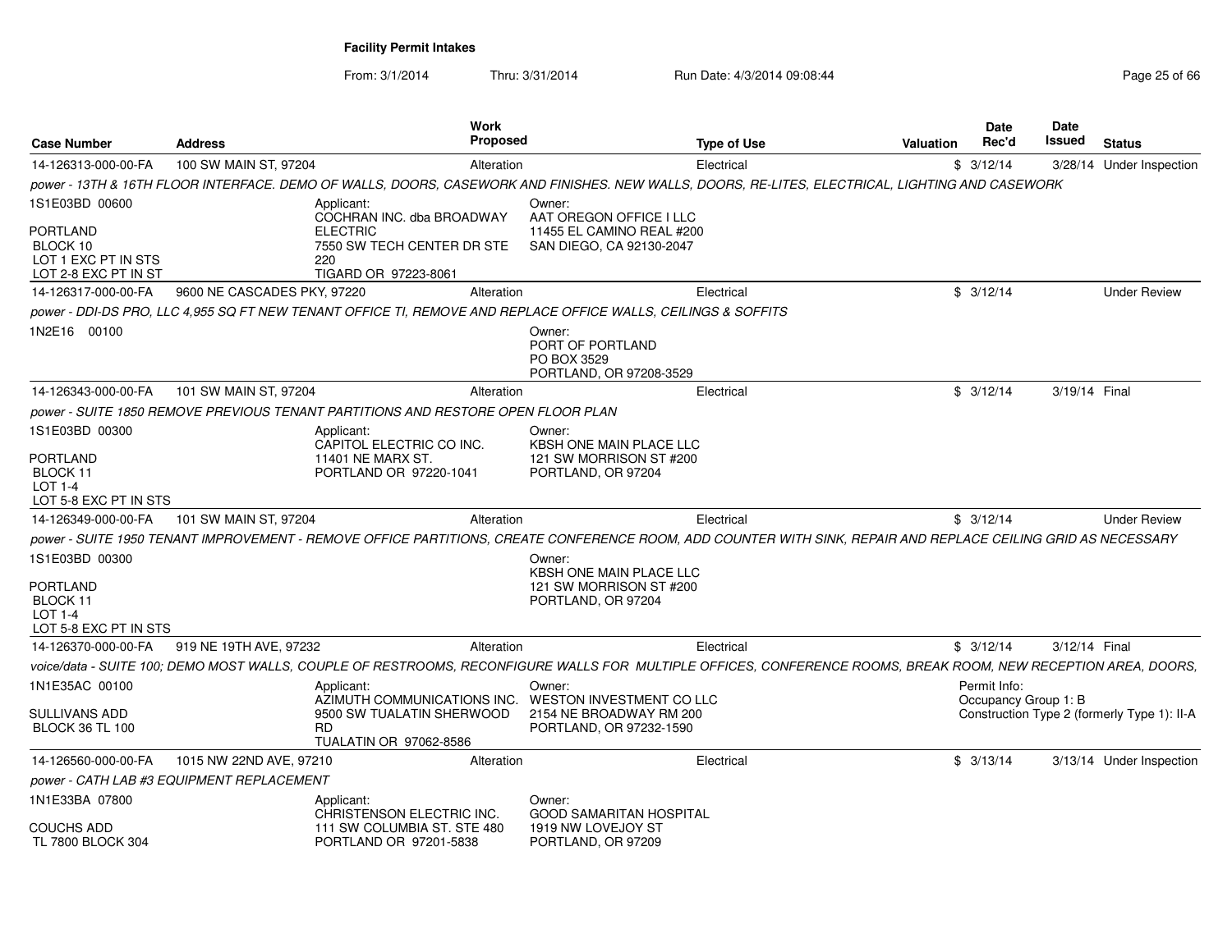| <b>Case Number</b>                                                                           | <b>Address</b>                                                                   | Work<br><b>Proposed</b>                                                            | Type of Use                                                                                                                                                    | Valuation | <b>Date</b><br>Rec'd                 | Date<br>Issued<br><b>Status</b>             |
|----------------------------------------------------------------------------------------------|----------------------------------------------------------------------------------|------------------------------------------------------------------------------------|----------------------------------------------------------------------------------------------------------------------------------------------------------------|-----------|--------------------------------------|---------------------------------------------|
| 14-126313-000-00-FA                                                                          | 100 SW MAIN ST, 97204                                                            | Alteration                                                                         | Electrical                                                                                                                                                     | \$3/12/14 |                                      | 3/28/14 Under Inspection                    |
|                                                                                              |                                                                                  |                                                                                    | power - 13TH & 16TH FLOOR INTERFACE. DEMO OF WALLS, DOORS, CASEWORK AND FINISHES. NEW WALLS, DOORS, RE-LITES, ELECTRICAL, LIGHTING AND CASEWORK                |           |                                      |                                             |
| 1S1E03BD 00600<br><b>PORTLAND</b><br>BLOCK 10<br>LOT 1 EXC PT IN STS<br>LOT 2-8 EXC PT IN ST | Applicant:<br><b>ELECTRIC</b><br>220                                             | COCHRAN INC. dba BROADWAY<br>7550 SW TECH CENTER DR STE<br>TIGARD OR 97223-8061    | Owner:<br>AAT OREGON OFFICE I LLC<br>11455 EL CAMINO REAL #200<br>SAN DIEGO, CA 92130-2047                                                                     |           |                                      |                                             |
| 14-126317-000-00-FA                                                                          | 9600 NE CASCADES PKY, 97220                                                      | Alteration                                                                         | Electrical                                                                                                                                                     | \$3/12/14 |                                      | <b>Under Review</b>                         |
|                                                                                              |                                                                                  |                                                                                    | power - DDI-DS PRO. LLC 4.955 SQ FT NEW TENANT OFFICE TI. REMOVE AND REPLACE OFFICE WALLS. CEILINGS & SOFFITS                                                  |           |                                      |                                             |
| 1N2E16 00100                                                                                 |                                                                                  |                                                                                    | Owner:<br>PORT OF PORTLAND<br>PO BOX 3529<br>PORTLAND, OR 97208-3529                                                                                           |           |                                      |                                             |
| 14-126343-000-00-FA                                                                          | 101 SW MAIN ST, 97204                                                            | Alteration                                                                         | Electrical                                                                                                                                                     | \$3/12/14 |                                      | 3/19/14 Final                               |
|                                                                                              | power - SUITE 1850 REMOVE PREVIOUS TENANT PARTITIONS AND RESTORE OPEN FLOOR PLAN |                                                                                    |                                                                                                                                                                |           |                                      |                                             |
| 1S1E03BD 00300<br><b>PORTLAND</b><br>BLOCK 11<br>LOT 1-4<br>LOT 5-8 EXC PT IN STS            | Applicant:<br>11401 NE MARX ST.                                                  | CAPITOL ELECTRIC CO INC.<br>PORTLAND OR 97220-1041                                 | Owner:<br>KBSH ONE MAIN PLACE LLC<br>121 SW MORRISON ST #200<br>PORTLAND, OR 97204                                                                             |           |                                      |                                             |
| 14-126349-000-00-FA                                                                          | 101 SW MAIN ST, 97204                                                            | Alteration                                                                         | Electrical                                                                                                                                                     | \$3/12/14 |                                      | <b>Under Review</b>                         |
|                                                                                              |                                                                                  |                                                                                    | power - SUITE 1950 TENANT IMPROVEMENT - REMOVE OFFICE PARTITIONS. CREATE CONFERENCE ROOM. ADD COUNTER WITH SINK. REPAIR AND REPLACE CEILING GRID AS NECESSARY  |           |                                      |                                             |
| 1S1E03BD 00300<br>PORTLAND<br>BLOCK 11<br>LOT 1-4<br>LOT 5-8 EXC PT IN STS                   |                                                                                  |                                                                                    | Owner:<br>KBSH ONE MAIN PLACE LLC<br>121 SW MORRISON ST #200<br>PORTLAND, OR 97204                                                                             |           |                                      |                                             |
|                                                                                              | 14-126370-000-00-FA 919 NE 19TH AVE, 97232                                       | Alteration                                                                         | Electrical                                                                                                                                                     | \$3/12/14 |                                      | 3/12/14 Final                               |
|                                                                                              |                                                                                  |                                                                                    | voice/data - SUITE 100; DEMO MOST WALLS, COUPLE OF RESTROOMS, RECONFIGURE WALLS FOR MULTIPLE OFFICES, CONFERENCE ROOMS, BREAK ROOM, NEW RECEPTION AREA, DOORS, |           |                                      |                                             |
| 1N1E35AC 00100<br>SULLIVANS ADD<br><b>BLOCK 36 TL 100</b>                                    | Applicant:<br><b>RD</b>                                                          | 9500 SW TUALATIN SHERWOOD<br><b>TUALATIN OR 97062-8586</b>                         | Owner:<br>AZIMUTH COMMUNICATIONS INC. WESTON INVESTMENT CO LLC<br>2154 NE BROADWAY RM 200<br>PORTLAND, OR 97232-1590                                           |           | Permit Info:<br>Occupancy Group 1: B | Construction Type 2 (formerly Type 1): II-A |
| 14-126560-000-00-FA                                                                          | 1015 NW 22ND AVE, 97210                                                          | Alteration                                                                         | Electrical                                                                                                                                                     | \$3/13/14 |                                      | 3/13/14 Under Inspection                    |
|                                                                                              | power - CATH LAB #3 EQUIPMENT REPLACEMENT                                        |                                                                                    |                                                                                                                                                                |           |                                      |                                             |
| 1N1E33BA 07800<br><b>COUCHS ADD</b><br>TL 7800 BLOCK 304                                     | Applicant:                                                                       | CHRISTENSON ELECTRIC INC.<br>111 SW COLUMBIA ST. STE 480<br>PORTLAND OR 97201-5838 | Owner:<br><b>GOOD SAMARITAN HOSPITAL</b><br>1919 NW LOVEJOY ST<br>PORTLAND, OR 97209                                                                           |           |                                      |                                             |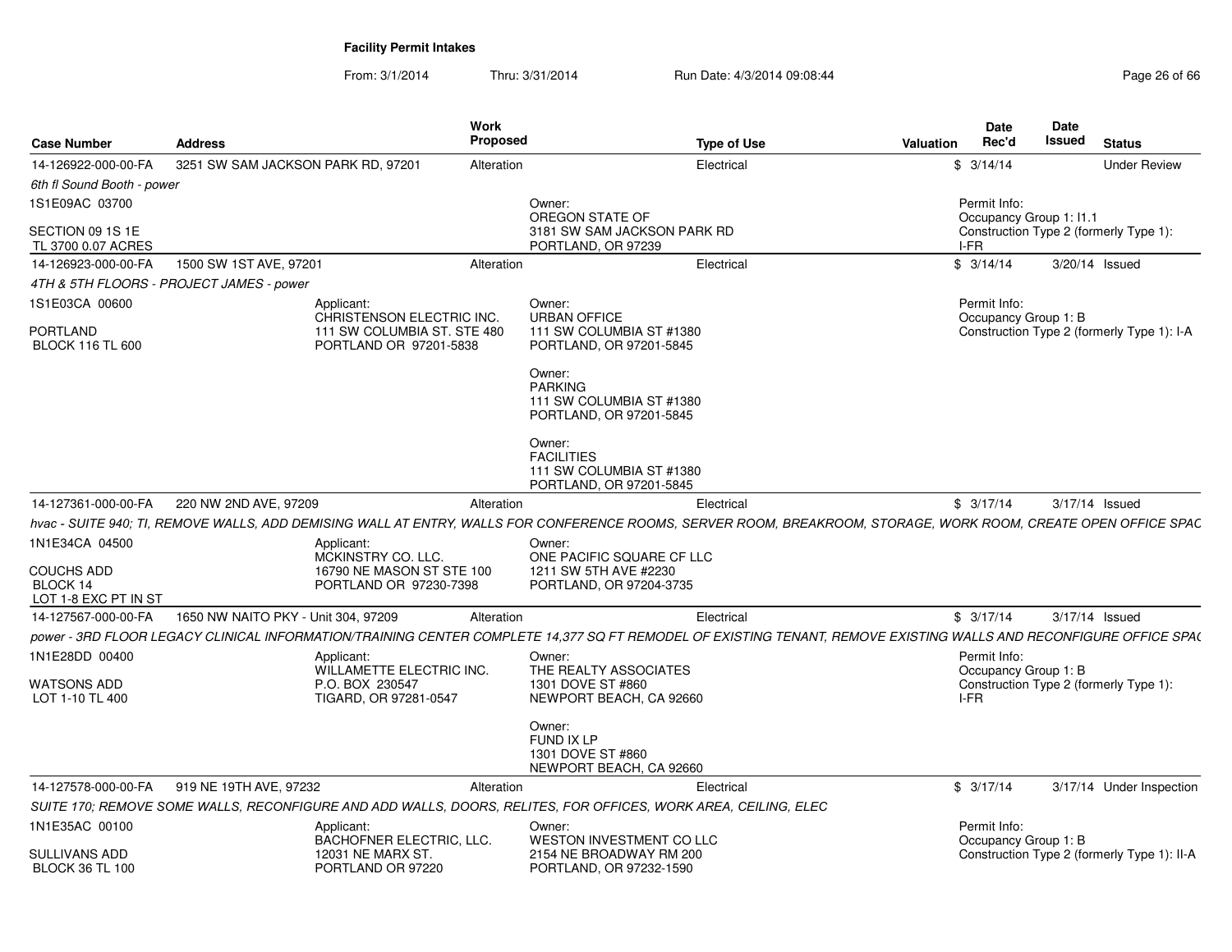| <b>Case Number</b>                             | <b>Address</b>                           | Work<br>Proposed                                           | <b>Type of Use</b>                                                                                                                                                | Valuation | <b>Date</b><br>Rec'd                 | <b>Date</b><br><b>Issued</b> | <b>Status</b>                               |
|------------------------------------------------|------------------------------------------|------------------------------------------------------------|-------------------------------------------------------------------------------------------------------------------------------------------------------------------|-----------|--------------------------------------|------------------------------|---------------------------------------------|
| 14-126922-000-00-FA                            | 3251 SW SAM JACKSON PARK RD, 97201       | Alteration                                                 | Electrical                                                                                                                                                        | \$3/14/14 |                                      |                              | <b>Under Review</b>                         |
| 6th fl Sound Booth - power                     |                                          |                                                            |                                                                                                                                                                   |           |                                      |                              |                                             |
| 1S1E09AC 03700                                 |                                          | Owner:                                                     | OREGON STATE OF                                                                                                                                                   |           | Permit Info:                         | Occupancy Group 1: 11.1      |                                             |
| SECTION 09 1S 1E<br>TL 3700 0.07 ACRES         |                                          |                                                            | 3181 SW SAM JACKSON PARK RD<br>PORTLAND, OR 97239                                                                                                                 | I-FR      |                                      |                              | Construction Type 2 (formerly Type 1):      |
| 14-126923-000-00-FA                            | 1500 SW 1ST AVE, 97201                   | Alteration                                                 | Electrical                                                                                                                                                        | \$3/14/14 |                                      |                              | 3/20/14 Issued                              |
|                                                | 4TH & 5TH FLOORS - PROJECT JAMES - power |                                                            |                                                                                                                                                                   |           |                                      |                              |                                             |
| 1S1E03CA 00600                                 | Applicant:                               | Owner:<br>CHRISTENSON ELECTRIC INC.<br><b>URBAN OFFICE</b> |                                                                                                                                                                   |           | Permit Info:<br>Occupancy Group 1: B |                              |                                             |
| <b>PORTLAND</b><br><b>BLOCK 116 TL 600</b>     |                                          | 111 SW COLUMBIA ST. STE 480<br>PORTLAND OR 97201-5838      | 111 SW COLUMBIA ST #1380<br>PORTLAND, OR 97201-5845                                                                                                               |           |                                      |                              | Construction Type 2 (formerly Type 1): I-A  |
|                                                |                                          | Owner:<br><b>PARKING</b>                                   | 111 SW COLUMBIA ST #1380<br>PORTLAND, OR 97201-5845                                                                                                               |           |                                      |                              |                                             |
|                                                |                                          | Owner:<br><b>FACILITIES</b>                                | 111 SW COLUMBIA ST #1380<br>PORTLAND, OR 97201-5845                                                                                                               |           |                                      |                              |                                             |
| 14-127361-000-00-FA                            | 220 NW 2ND AVE, 97209                    | Alteration                                                 | Electrical                                                                                                                                                        | \$3/17/14 |                                      |                              | 3/17/14 Issued                              |
|                                                |                                          |                                                            | hvac - SUITE 940; TI, REMOVE WALLS, ADD DEMISING WALL AT ENTRY, WALLS FOR CONFERENCE ROOMS, SERVER ROOM, BREAKROOM, STORAGE, WORK ROOM, CREATE OPEN OFFICE SPAC   |           |                                      |                              |                                             |
| 1N1E34CA 04500<br><b>COUCHS ADD</b>            | Applicant:                               | Owner:<br>MCKINSTRY CO. LLC.<br>16790 NE MASON ST STE 100  | ONE PACIFIC SQUARE CF LLC<br>1211 SW 5TH AVE #2230                                                                                                                |           |                                      |                              |                                             |
| BLOCK 14<br>LOT 1-8 EXC PT IN ST               |                                          | PORTLAND OR 97230-7398                                     | PORTLAND, OR 97204-3735                                                                                                                                           |           |                                      |                              |                                             |
| 14-127567-000-00-FA                            | 1650 NW NAITO PKY - Unit 304, 97209      | Alteration                                                 | Electrical                                                                                                                                                        | \$3/17/14 |                                      |                              | 3/17/14 Issued                              |
|                                                |                                          |                                                            | power - 3RD FLOOR LEGACY CLINICAL INFORMATION/TRAINING CENTER COMPLETE 14,377 SQ FT REMODEL OF EXISTING TENANT, REMOVE EXISTING WALLS AND RECONFIGURE OFFICE SPA( |           |                                      |                              |                                             |
| 1N1E28DD 00400                                 | Applicant:                               | Owner:<br><b>WILLAMETTE ELECTRIC INC.</b>                  | THE REALTY ASSOCIATES                                                                                                                                             |           | Permit Info:<br>Occupancy Group 1: B |                              |                                             |
| WATSONS ADD<br>LOT 1-10 TL 400                 | P.O. BOX 230547                          | TIGARD, OR 97281-0547                                      | 1301 DOVE ST #860<br>NEWPORT BEACH, CA 92660                                                                                                                      | I-FR      |                                      |                              | Construction Type 2 (formerly Type 1):      |
|                                                |                                          | Owner:<br><b>FUND IX LP</b>                                | 1301 DOVE ST #860<br>NEWPORT BEACH, CA 92660                                                                                                                      |           |                                      |                              |                                             |
| 14-127578-000-00-FA                            | 919 NE 19TH AVE, 97232                   | Alteration                                                 | Electrical                                                                                                                                                        | \$3/17/14 |                                      |                              | 3/17/14 Under Inspection                    |
|                                                |                                          |                                                            | SUITE 170; REMOVE SOME WALLS, RECONFIGURE AND ADD WALLS, DOORS, RELITES, FOR OFFICES, WORK AREA, CEILING, ELEC                                                    |           |                                      |                              |                                             |
| 1N1E35AC 00100                                 | Applicant:                               | Owner:<br><b>BACHOFNER ELECTRIC, LLC.</b>                  | WESTON INVESTMENT CO LLC                                                                                                                                          |           | Permit Info:<br>Occupancy Group 1: B |                              |                                             |
| <b>SULLIVANS ADD</b><br><b>BLOCK 36 TL 100</b> |                                          | 12031 NE MARX ST.<br>PORTLAND OR 97220                     | 2154 NE BROADWAY RM 200<br>PORTLAND, OR 97232-1590                                                                                                                |           |                                      |                              | Construction Type 2 (formerly Type 1): II-A |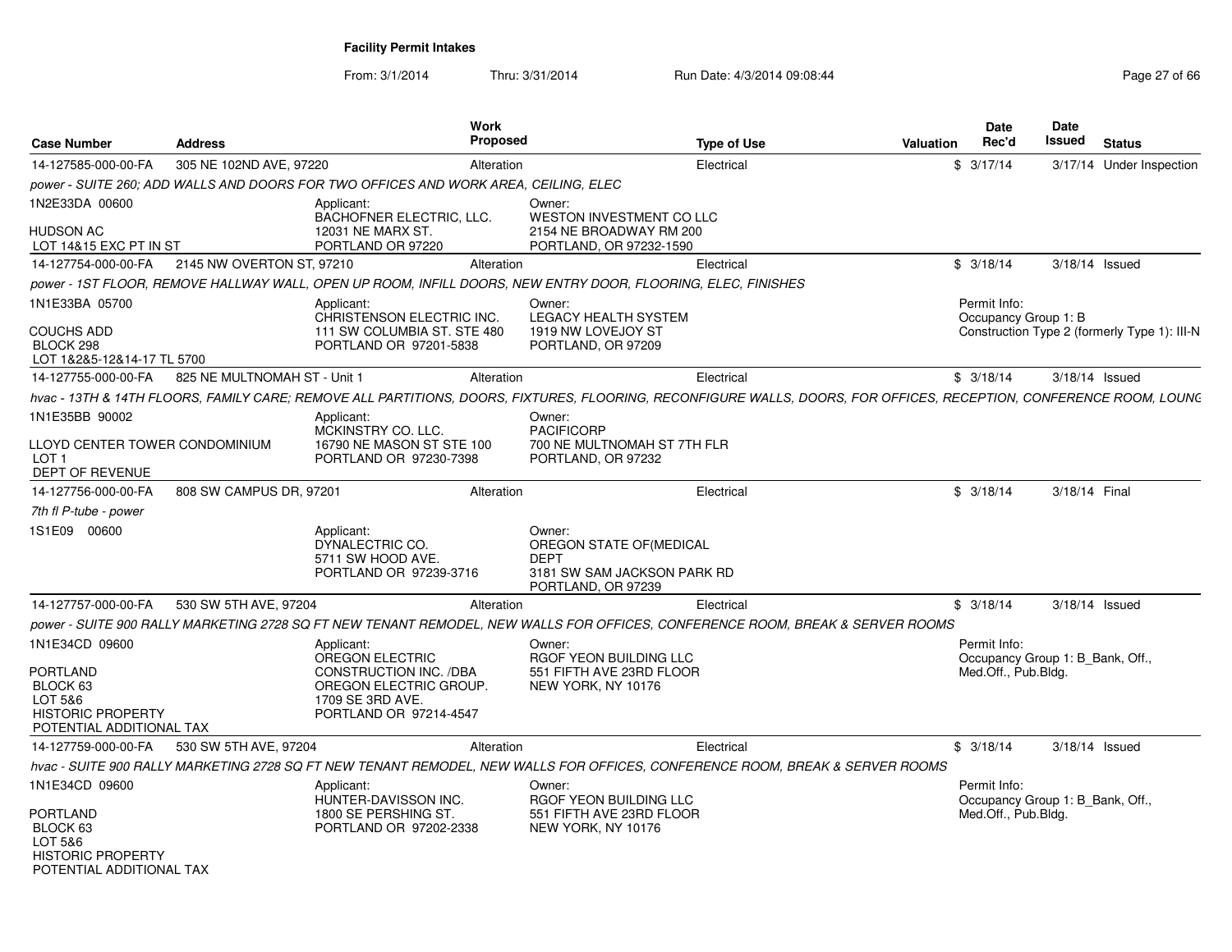| Case Number                                                                                                                 | <b>Address</b>               |                                                                                                                                               | Work<br>Proposed |                                                                                                              | <b>Type of Use</b>                                                                                                                                                 | <b>Date</b><br>Rec'd<br>Valuation   |                     | <b>Date</b><br>Issued<br><b>Status</b>       |
|-----------------------------------------------------------------------------------------------------------------------------|------------------------------|-----------------------------------------------------------------------------------------------------------------------------------------------|------------------|--------------------------------------------------------------------------------------------------------------|--------------------------------------------------------------------------------------------------------------------------------------------------------------------|-------------------------------------|---------------------|----------------------------------------------|
| 14-127585-000-00-FA                                                                                                         | 305 NE 102ND AVE, 97220      |                                                                                                                                               | Alteration       |                                                                                                              | Electrical                                                                                                                                                         | \$3/17/14                           |                     | 3/17/14 Under Inspection                     |
|                                                                                                                             |                              | power - SUITE 260; ADD WALLS AND DOORS FOR TWO OFFICES AND WORK AREA, CEILING, ELEC                                                           |                  |                                                                                                              |                                                                                                                                                                    |                                     |                     |                                              |
| 1N2E33DA 00600                                                                                                              |                              | Applicant:                                                                                                                                    |                  | Owner:                                                                                                       |                                                                                                                                                                    |                                     |                     |                                              |
| <b>HUDSON AC</b><br>LOT 14&15 EXC PT IN ST                                                                                  |                              | <b>BACHOFNER ELECTRIC, LLC.</b><br>12031 NE MARX ST.<br>PORTLAND OR 97220                                                                     |                  | WESTON INVESTMENT CO LLC<br>2154 NE BROADWAY RM 200<br>PORTLAND, OR 97232-1590                               |                                                                                                                                                                    |                                     |                     |                                              |
| 14-127754-000-00-FA                                                                                                         | 2145 NW OVERTON ST, 97210    |                                                                                                                                               | Alteration       |                                                                                                              | Electrical                                                                                                                                                         | \$3/18/14                           |                     | 3/18/14 Issued                               |
|                                                                                                                             |                              |                                                                                                                                               |                  | power - 1ST FLOOR, REMOVE HALLWAY WALL, OPEN UP ROOM, INFILL DOORS, NEW ENTRY DOOR, FLOORING, ELEC, FINISHES |                                                                                                                                                                    |                                     |                     |                                              |
| 1N1E33BA 05700                                                                                                              |                              | Applicant:                                                                                                                                    |                  | Owner:                                                                                                       |                                                                                                                                                                    | Permit Info:                        |                     |                                              |
| <b>COUCHS ADD</b><br>BLOCK 298<br>LOT 1&2&5-12&14-17 TL 5700                                                                |                              | CHRISTENSON ELECTRIC INC.<br>111 SW COLUMBIA ST. STE 480<br>PORTLAND OR 97201-5838                                                            |                  | <b>LEGACY HEALTH SYSTEM</b><br>1919 NW LOVEJOY ST<br>PORTLAND, OR 97209                                      |                                                                                                                                                                    | Occupancy Group 1: B                |                     | Construction Type 2 (formerly Type 1): III-N |
| 14-127755-000-00-FA                                                                                                         | 825 NE MULTNOMAH ST - Unit 1 |                                                                                                                                               | Alteration       |                                                                                                              | Electrical                                                                                                                                                         | \$3/18/14                           |                     | $3/18/14$ Issued                             |
|                                                                                                                             |                              |                                                                                                                                               |                  |                                                                                                              | hvac - 13TH & 14TH FLOORS. FAMILY CARE: REMOVE ALL PARTITIONS. DOORS. FIXTURES. FLOORING. RECONFIGURE WALLS. DOORS. FOR OFFICES. RECEPTION. CONFERENCE ROOM. LOUNC |                                     |                     |                                              |
| 1N1E35BB 90002                                                                                                              |                              | Applicant:                                                                                                                                    |                  | Owner:                                                                                                       |                                                                                                                                                                    |                                     |                     |                                              |
| LLOYD CENTER TOWER CONDOMINIUM<br>LOT <sub>1</sub><br>DEPT OF REVENUE                                                       |                              | MCKINSTRY CO. LLC.<br>16790 NE MASON ST STE 100<br>PORTLAND OR 97230-7398                                                                     |                  | <b>PACIFICORP</b><br>700 NE MULTNOMAH ST 7TH FLR<br>PORTLAND, OR 97232                                       |                                                                                                                                                                    |                                     |                     |                                              |
| 14-127756-000-00-FA                                                                                                         | 808 SW CAMPUS DR. 97201      |                                                                                                                                               | Alteration       |                                                                                                              | Electrical                                                                                                                                                         | \$3/18/14                           |                     | 3/18/14 Final                                |
| 7th fl P-tube - power                                                                                                       |                              |                                                                                                                                               |                  |                                                                                                              |                                                                                                                                                                    |                                     |                     |                                              |
| 1S1E09 00600                                                                                                                |                              | Applicant:<br>DYNALECTRIC CO.<br>5711 SW HOOD AVE.<br>PORTLAND OR 97239-3716                                                                  |                  | Owner:<br>OREGON STATE OF (MEDICAL<br><b>DEPT</b><br>3181 SW SAM JACKSON PARK RD<br>PORTLAND, OR 97239       |                                                                                                                                                                    |                                     |                     |                                              |
| 14-127757-000-00-FA                                                                                                         | 530 SW 5TH AVE, 97204        |                                                                                                                                               | Alteration       |                                                                                                              | Electrical                                                                                                                                                         | \$3/18/14                           |                     | 3/18/14 Issued                               |
|                                                                                                                             |                              |                                                                                                                                               |                  |                                                                                                              | power - SUITE 900 RALLY MARKETING 2728 SQ FT NEW TENANT REMODEL, NEW WALLS FOR OFFICES, CONFERENCE ROOM, BREAK & SERVER ROOMS                                      |                                     |                     |                                              |
| 1N1E34CD 09600<br><b>PORTLAND</b><br>BLOCK 63<br>LOT 5&6<br><b>HISTORIC PROPERTY</b><br>POTENTIAL ADDITIONAL TAX            |                              | Applicant:<br><b>OREGON ELECTRIC</b><br><b>CONSTRUCTION INC. /DBA</b><br>OREGON ELECTRIC GROUP.<br>1709 SE 3RD AVE.<br>PORTLAND OR 97214-4547 |                  | Owner:<br>RGOF YEON BUILDING LLC<br>551 FIFTH AVE 23RD FLOOR<br>NEW YORK, NY 10176                           |                                                                                                                                                                    | Permit Info:<br>Med.Off., Pub.Bldg. |                     | Occupancy Group 1: B Bank, Off.,             |
| 14-127759-000-00-FA                                                                                                         | 530 SW 5TH AVE, 97204        |                                                                                                                                               | Alteration       |                                                                                                              | Electrical                                                                                                                                                         | \$3/18/14                           |                     | 3/18/14 Issued                               |
|                                                                                                                             |                              |                                                                                                                                               |                  |                                                                                                              | hvac - SUITE 900 RALLY MARKETING 2728 SQ FT NEW TENANT REMODEL, NEW WALLS FOR OFFICES, CONFERENCE ROOM, BREAK & SERVER ROOMS                                       |                                     |                     |                                              |
| 1N1E34CD 09600<br><b>PORTLAND</b><br>BLOCK <sub>63</sub><br>LOT 5&6<br><b>HISTORIC PROPERTY</b><br>POTENTIAL ADDITIONAL TAX |                              | Applicant:<br>HUNTER-DAVISSON INC.<br>1800 SE PERSHING ST.<br>PORTLAND OR 97202-2338                                                          |                  | Owner:<br>RGOF YEON BUILDING LLC<br>551 FIFTH AVE 23RD FLOOR<br>NEW YORK, NY 10176                           |                                                                                                                                                                    | Permit Info:                        | Med.Off., Pub.Bldg. | Occupancy Group 1: B Bank, Off.,             |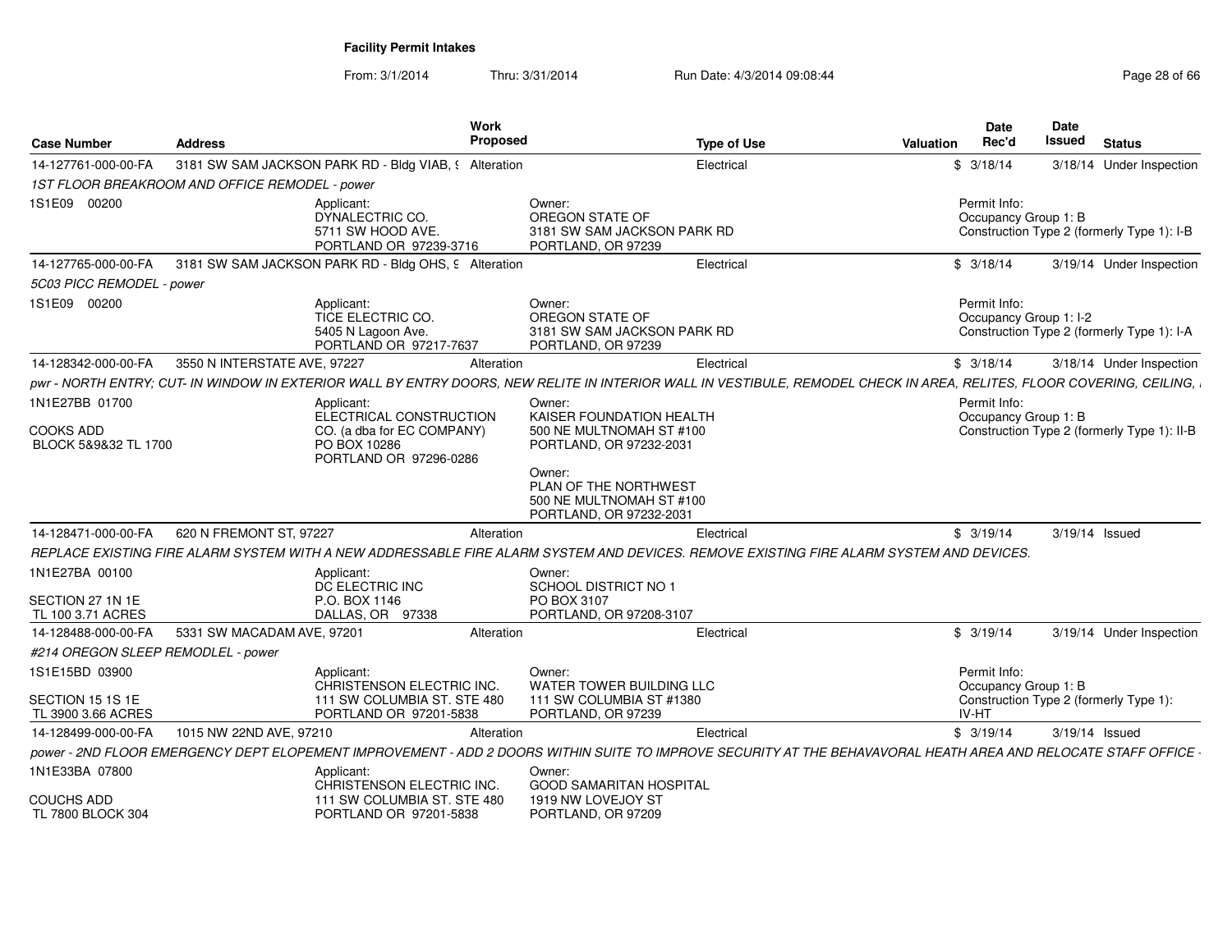| <b>Case Number</b>                       | <b>Address</b>                                 | <b>Work</b><br>Proposed                                                                                                                                               |                                                                                        | <b>Type of Use</b> | <b>Valuation</b> | Date<br>Rec'd                          | Date<br>Issued | <b>Status</b>                               |
|------------------------------------------|------------------------------------------------|-----------------------------------------------------------------------------------------------------------------------------------------------------------------------|----------------------------------------------------------------------------------------|--------------------|------------------|----------------------------------------|----------------|---------------------------------------------|
| 14-127761-000-00-FA                      |                                                | 3181 SW SAM JACKSON PARK RD - Bldg VIAB, § Alteration                                                                                                                 |                                                                                        | Electrical         |                  | \$3/18/14                              |                | 3/18/14 Under Inspection                    |
|                                          | 1ST FLOOR BREAKROOM AND OFFICE REMODEL - power |                                                                                                                                                                       |                                                                                        |                    |                  |                                        |                |                                             |
| 1S1E09 00200                             |                                                | Applicant:<br>DYNALECTRIC CO.<br>5711 SW HOOD AVE.<br>PORTLAND OR 97239-3716                                                                                          | Owner:<br>OREGON STATE OF<br>3181 SW SAM JACKSON PARK RD<br>PORTLAND, OR 97239         |                    |                  | Permit Info:<br>Occupancy Group 1: B   |                | Construction Type 2 (formerly Type 1): I-B  |
| 14-127765-000-00-FA                      |                                                | 3181 SW SAM JACKSON PARK RD - Bldg OHS, 9 Alteration                                                                                                                  |                                                                                        | Electrical         |                  | \$3/18/14                              |                | 3/19/14 Under Inspection                    |
| 5C03 PICC REMODEL - power                |                                                |                                                                                                                                                                       |                                                                                        |                    |                  |                                        |                |                                             |
| 1S1E09 00200                             |                                                | Applicant:<br>TICE ELECTRIC CO.<br>5405 N Lagoon Ave.<br>PORTLAND OR 97217-7637                                                                                       | Owner:<br>OREGON STATE OF<br>3181 SW SAM JACKSON PARK RD<br>PORTLAND, OR 97239         |                    |                  | Permit Info:<br>Occupancy Group 1: I-2 |                | Construction Type 2 (formerly Type 1): I-A  |
| 14-128342-000-00-FA                      | 3550 N INTERSTATE AVE, 97227                   | Alteration                                                                                                                                                            |                                                                                        | Electrical         |                  | \$3/18/14                              |                | 3/18/14 Under Inspection                    |
|                                          |                                                | pwr - NORTH ENTRY; CUT- IN WINDOW IN EXTERIOR WALL BY ENTRY DOORS. NEW RELITE IN INTERIOR WALL IN VESTIBULE, REMODEL CHECK IN AREA, RELITES, FLOOR COVERING, CEILING, |                                                                                        |                    |                  |                                        |                |                                             |
| 1N1E27BB 01700                           |                                                | Applicant:<br>ELECTRICAL CONSTRUCTION                                                                                                                                 | Owner:<br>KAISER FOUNDATION HEALTH                                                     |                    |                  | Permit Info:                           |                |                                             |
| <b>COOKS ADD</b><br>BLOCK 5&9&32 TL 1700 |                                                | CO. (a dba for EC COMPANY)<br>PO BOX 10286<br>PORTLAND OR 97296-0286                                                                                                  | 500 NE MULTNOMAH ST #100<br>PORTLAND, OR 97232-2031                                    |                    |                  | Occupancy Group 1: B                   |                | Construction Type 2 (formerly Type 1): II-B |
|                                          |                                                |                                                                                                                                                                       | Owner:<br>PLAN OF THE NORTHWEST<br>500 NE MULTNOMAH ST #100<br>PORTLAND, OR 97232-2031 |                    |                  |                                        |                |                                             |
| 14-128471-000-00-FA                      | 620 N FREMONT ST, 97227                        | Alteration                                                                                                                                                            |                                                                                        | Electrical         |                  | \$3/19/14                              |                | $3/19/14$ Issued                            |
|                                          |                                                | REPLACE EXISTING FIRE ALARM SYSTEM WITH A NEW ADDRESSABLE FIRE ALARM SYSTEM AND DEVICES. REMOVE EXISTING FIRE ALARM SYSTEM AND DEVICES.                               |                                                                                        |                    |                  |                                        |                |                                             |
| 1N1E27BA 00100<br>SECTION 27 1N 1E       |                                                | Applicant:<br>DC ELECTRIC INC<br>P.O. BOX 1146                                                                                                                        | Owner:<br>SCHOOL DISTRICT NO 1<br>PO BOX 3107                                          |                    |                  |                                        |                |                                             |
| TL 100 3.71 ACRES                        |                                                | DALLAS, OR 97338                                                                                                                                                      | PORTLAND, OR 97208-3107                                                                |                    |                  |                                        |                |                                             |
| 14-128488-000-00-FA                      | 5331 SW MACADAM AVE, 97201                     | Alteration                                                                                                                                                            |                                                                                        | Electrical         |                  | \$3/19/14                              |                | 3/19/14 Under Inspection                    |
| #214 OREGON SLEEP REMODLEL - power       |                                                |                                                                                                                                                                       |                                                                                        |                    |                  |                                        |                |                                             |
| 1S1E15BD 03900                           |                                                | Applicant:<br>CHRISTENSON ELECTRIC INC.                                                                                                                               | Owner:<br><b>WATER TOWER BUILDING LLC</b>                                              |                    |                  | Permit Info:<br>Occupancy Group 1: B   |                |                                             |
| SECTION 15 1S 1E<br>TL 3900 3.66 ACRES   |                                                | 111 SW COLUMBIA ST. STE 480<br>PORTLAND OR 97201-5838                                                                                                                 | 111 SW COLUMBIA ST #1380<br>PORTLAND, OR 97239                                         |                    |                  | IV-HT                                  |                | Construction Type 2 (formerly Type 1):      |
| 14-128499-000-00-FA                      | 1015 NW 22ND AVE, 97210                        | Alteration                                                                                                                                                            |                                                                                        | Electrical         |                  | \$3/19/14                              |                | 3/19/14 Issued                              |
|                                          |                                                | power - 2ND FLOOR EMERGENCY DEPT ELOPEMENT IMPROVEMENT - ADD 2 DOORS WITHIN SUITE TO IMPROVE SECURITY AT THE BEHAVAVORAL HEATH AREA AND RELOCATE STAFF OFFICE -       |                                                                                        |                    |                  |                                        |                |                                             |
| 1N1E33BA 07800                           |                                                | Applicant:<br>CHRISTENSON ELECTRIC INC.                                                                                                                               | Owner:<br><b>GOOD SAMARITAN HOSPITAL</b>                                               |                    |                  |                                        |                |                                             |
| <b>COUCHS ADD</b><br>TL 7800 BLOCK 304   |                                                | 111 SW COLUMBIA ST. STE 480<br>PORTLAND OR 97201-5838                                                                                                                 | 1919 NW LOVEJOY ST<br>PORTLAND, OR 97209                                               |                    |                  |                                        |                |                                             |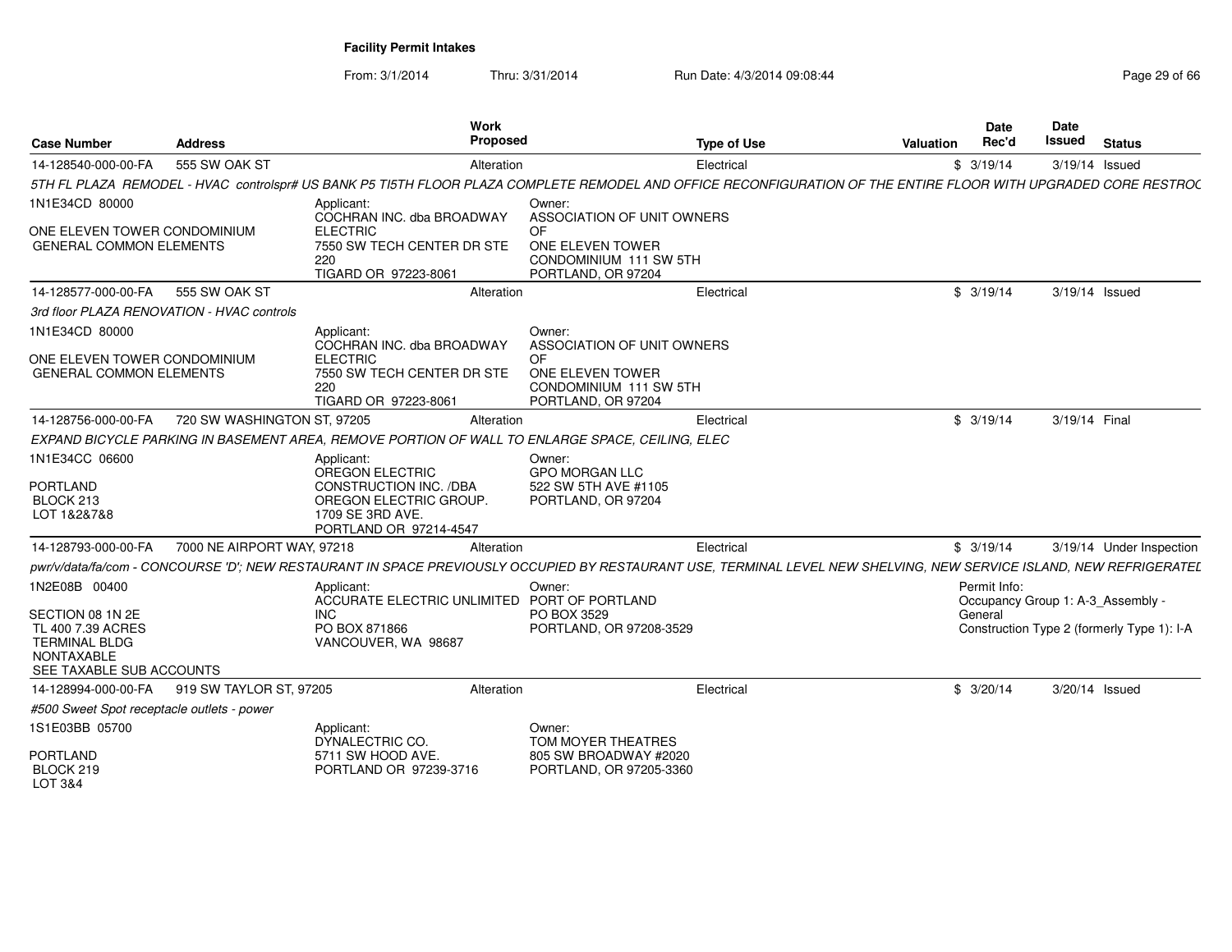From: 3/1/2014Thru: 3/31/2014 Run Date: 4/3/2014 09:08:44 Run Date: 4/3/2014 09:08:44

|                                                                                                                |                             | Work                                                                                                                                                                |                                                                        |                    |           | <b>Date</b>                                       | <b>Date</b>    |                                            |
|----------------------------------------------------------------------------------------------------------------|-----------------------------|---------------------------------------------------------------------------------------------------------------------------------------------------------------------|------------------------------------------------------------------------|--------------------|-----------|---------------------------------------------------|----------------|--------------------------------------------|
| <b>Case Number</b>                                                                                             | <b>Address</b>              | Proposed                                                                                                                                                            |                                                                        | <b>Type of Use</b> | Valuation | Rec'd                                             | Issued         | <b>Status</b>                              |
| 14-128540-000-00-FA                                                                                            | 555 SW OAK ST               | Alteration                                                                                                                                                          |                                                                        | Electrical         |           | \$3/19/14                                         |                | 3/19/14 Issued                             |
|                                                                                                                |                             | 5TH FL PLAZA REMODEL - HVAC controlspr# US BANK P5 TI5TH FLOOR PLAZA COMPLETE REMODEL AND OFFICE RECONFIGURATION OF THE ENTIRE FLOOR WITH UPGRADED CORE RESTROC     |                                                                        |                    |           |                                                   |                |                                            |
| 1N1E34CD 80000<br>ONE ELEVEN TOWER CONDOMINIUM                                                                 |                             | Applicant<br>COCHRAN INC. dba BROADWAY<br><b>ELECTRIC</b>                                                                                                           | Owner:<br>ASSOCIATION OF UNIT OWNERS<br>OF                             |                    |           |                                                   |                |                                            |
| <b>GENERAL COMMON ELEMENTS</b>                                                                                 |                             | 7550 SW TECH CENTER DR STE<br>220<br>TIGARD OR 97223-8061                                                                                                           | ONE ELEVEN TOWER<br>CONDOMINIUM 111 SW 5TH<br>PORTLAND, OR 97204       |                    |           |                                                   |                |                                            |
| 14-128577-000-00-FA                                                                                            | 555 SW OAK ST               | Alteration                                                                                                                                                          |                                                                        | Electrical         |           | \$3/19/14                                         |                | 3/19/14 Issued                             |
| 3rd floor PLAZA RENOVATION - HVAC controls                                                                     |                             |                                                                                                                                                                     |                                                                        |                    |           |                                                   |                |                                            |
| 1N1E34CD 80000                                                                                                 |                             | Applicant<br>COCHRAN INC. dba BROADWAY                                                                                                                              | Owner:<br>ASSOCIATION OF UNIT OWNERS                                   |                    |           |                                                   |                |                                            |
| ONE ELEVEN TOWER CONDOMINIUM<br><b>GENERAL COMMON ELEMENTS</b>                                                 |                             | <b>ELECTRIC</b><br>7550 SW TECH CENTER DR STE<br>220<br>TIGARD OR 97223-8061                                                                                        | OF<br>ONE ELEVEN TOWER<br>CONDOMINIUM 111 SW 5TH<br>PORTLAND, OR 97204 |                    |           |                                                   |                |                                            |
| 14-128756-000-00-FA                                                                                            | 720 SW WASHINGTON ST, 97205 | Alteration                                                                                                                                                          |                                                                        | Electrical         |           | \$3/19/14                                         | 3/19/14 Final  |                                            |
|                                                                                                                |                             | EXPAND BICYCLE PARKING IN BASEMENT AREA, REMOVE PORTION OF WALL TO ENLARGE SPACE, CEILING, ELEC                                                                     |                                                                        |                    |           |                                                   |                |                                            |
| 1N1E34CC 06600                                                                                                 |                             | Applicant                                                                                                                                                           | Owner:                                                                 |                    |           |                                                   |                |                                            |
| PORTLAND<br>BLOCK 213<br>LOT 1&2&7&8                                                                           |                             | OREGON ELECTRIC<br>CONSTRUCTION INC. /DBA<br>OREGON ELECTRIC GROUP<br>1709 SE 3RD AVE.<br>PORTLAND OR 97214-4547                                                    | <b>GPO MORGAN LLC</b><br>522 SW 5TH AVE #1105<br>PORTLAND, OR 97204    |                    |           |                                                   |                |                                            |
| 14-128793-000-00-FA                                                                                            | 7000 NE AIRPORT WAY, 97218  | Alteration                                                                                                                                                          |                                                                        | Electrical         |           | \$3/19/14                                         |                | 3/19/14 Under Inspection                   |
|                                                                                                                |                             | pwr/v/data/fa/com - CONCOURSE 'D'; NEW RESTAURANT IN SPACE PREVIOUSLY OCCUPIED BY RESTAURANT USE, TERMINAL LEVEL NEW SHELVING, NEW SERVICE ISLAND, NEW REFRIGERATEL |                                                                        |                    |           |                                                   |                |                                            |
| 1N2E08B 00400                                                                                                  |                             | Applicant<br><b>ACCURATE ELECTRIC UNLIMITED</b>                                                                                                                     | Owner:<br>PORT OF PORTLAND                                             |                    |           | Permit Info:<br>Occupancy Group 1: A-3_Assembly - |                |                                            |
| SECTION 08 1N 2E<br>TL 400 7.39 ACRES<br><b>TERMINAL BLDG</b><br><b>NONTAXABLE</b><br>SEE TAXABLE SUB ACCOUNTS |                             | INC.<br>PO BOX 871866<br>VANCOUVER, WA 98687                                                                                                                        | PO BOX 3529<br>PORTLAND, OR 97208-3529                                 |                    |           | General                                           |                | Construction Type 2 (formerly Type 1): I-A |
| 14-128994-000-00-FA 919 SW TAYLOR ST, 97205                                                                    |                             | Alteration                                                                                                                                                          |                                                                        | Electrical         |           | \$3/20/14                                         | 3/20/14 Issued |                                            |
| #500 Sweet Spot receptacle outlets - power                                                                     |                             |                                                                                                                                                                     |                                                                        |                    |           |                                                   |                |                                            |
| 1S1E03BB 05700                                                                                                 |                             | Applicant:<br>DYNALECTRIC CO.                                                                                                                                       | Owner:<br>TOM MOYER THEATRES                                           |                    |           |                                                   |                |                                            |
| PORTLAND<br>BLOCK 219                                                                                          |                             | 5711 SW HOOD AVE.<br>PORTLAND OR 97239-3716                                                                                                                         | 805 SW BROADWAY #2020<br>PORTLAND, OR 97205-3360                       |                    |           |                                                   |                |                                            |

LOT 3&4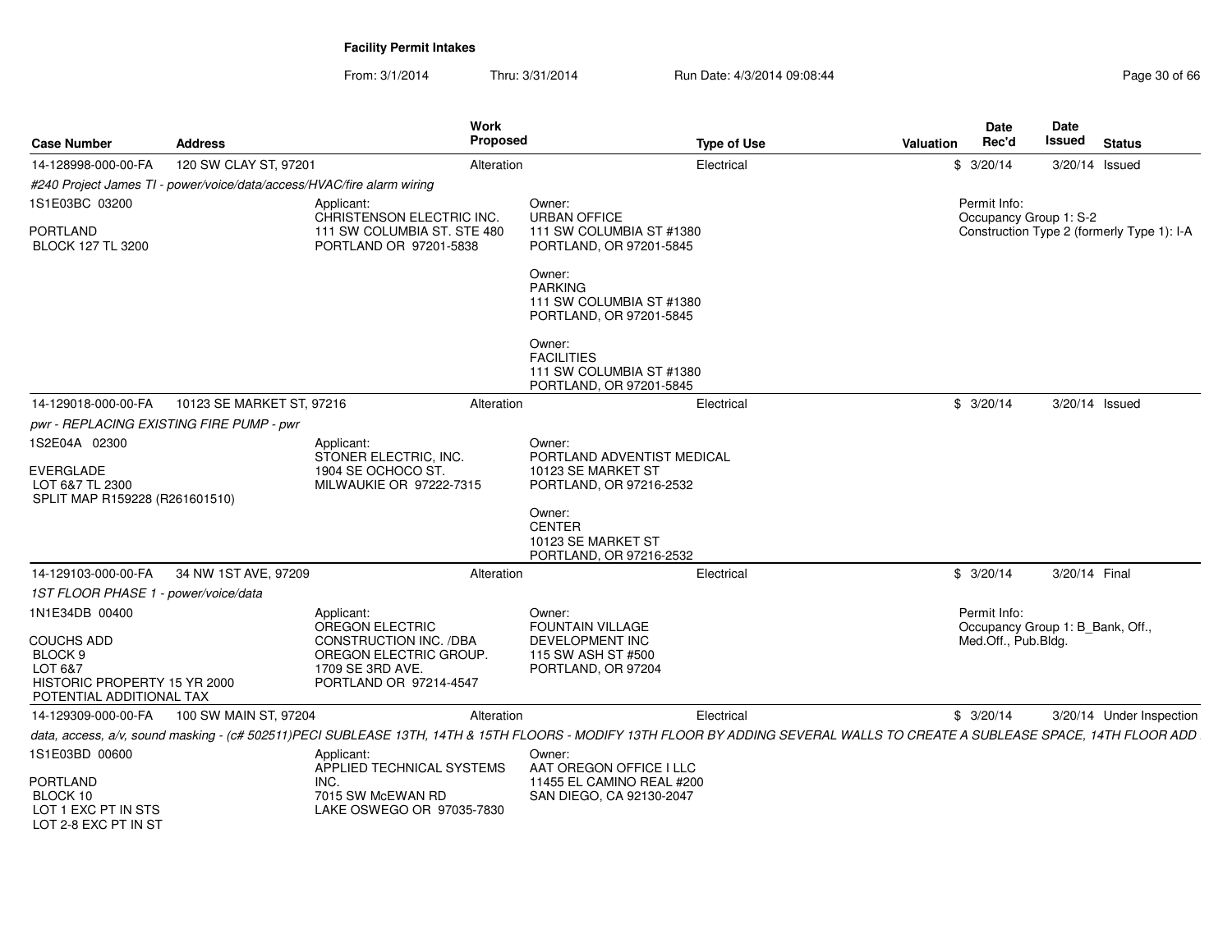| <b>Case Number</b>                                                                                             | <b>Address</b>                                                         | Work<br>Proposed                                                                                                                                                            |                                                                                    | <b>Type of Use</b> | Valuation | <b>Date</b><br>Rec'd                             | <b>Date</b><br><b>Issued</b> | <b>Status</b>                              |
|----------------------------------------------------------------------------------------------------------------|------------------------------------------------------------------------|-----------------------------------------------------------------------------------------------------------------------------------------------------------------------------|------------------------------------------------------------------------------------|--------------------|-----------|--------------------------------------------------|------------------------------|--------------------------------------------|
| 14-128998-000-00-FA                                                                                            | 120 SW CLAY ST, 97201                                                  | Alteration                                                                                                                                                                  |                                                                                    | Electrical         |           | \$3/20/14                                        | 3/20/14 Issued               |                                            |
|                                                                                                                | #240 Project James TI - power/voice/data/access/HVAC/fire alarm wiring |                                                                                                                                                                             |                                                                                    |                    |           |                                                  |                              |                                            |
| 1S1E03BC 03200                                                                                                 |                                                                        | Applicant:<br>CHRISTENSON ELECTRIC INC.                                                                                                                                     | Owner:<br><b>URBAN OFFICE</b>                                                      |                    |           | Permit Info:                                     |                              |                                            |
| <b>PORTLAND</b><br>BLOCK 127 TL 3200                                                                           |                                                                        | 111 SW COLUMBIA ST. STE 480<br>PORTLAND OR 97201-5838                                                                                                                       | 111 SW COLUMBIA ST #1380<br>PORTLAND, OR 97201-5845                                |                    |           | Occupancy Group 1: S-2                           |                              | Construction Type 2 (formerly Type 1): I-A |
|                                                                                                                |                                                                        |                                                                                                                                                                             | Owner:<br><b>PARKING</b><br>111 SW COLUMBIA ST #1380<br>PORTLAND, OR 97201-5845    |                    |           |                                                  |                              |                                            |
|                                                                                                                |                                                                        |                                                                                                                                                                             | Owner:<br><b>FACILITIES</b><br>111 SW COLUMBIA ST #1380<br>PORTLAND, OR 97201-5845 |                    |           |                                                  |                              |                                            |
| 14-129018-000-00-FA                                                                                            | 10123 SE MARKET ST, 97216                                              | Alteration                                                                                                                                                                  |                                                                                    | Electrical         |           | \$3/20/14                                        | 3/20/14 Issued               |                                            |
|                                                                                                                | pwr - REPLACING EXISTING FIRE PUMP - pwr                               |                                                                                                                                                                             |                                                                                    |                    |           |                                                  |                              |                                            |
| 1S2E04A 02300                                                                                                  |                                                                        | Applicant:                                                                                                                                                                  | Owner:                                                                             |                    |           |                                                  |                              |                                            |
| EVERGLADE<br>LOT 6&7 TL 2300<br>SPLIT MAP R159228 (R261601510)                                                 |                                                                        | STONER ELECTRIC, INC.<br>1904 SE OCHOCO ST<br>MILWAUKIE OR 97222-7315                                                                                                       | PORTLAND ADVENTIST MEDICAL<br>10123 SE MARKET ST<br>PORTLAND, OR 97216-2532        |                    |           |                                                  |                              |                                            |
|                                                                                                                |                                                                        |                                                                                                                                                                             | Owner:<br><b>CENTER</b><br>10123 SE MARKET ST<br>PORTLAND, OR 97216-2532           |                    |           |                                                  |                              |                                            |
| 14-129103-000-00-FA                                                                                            | 34 NW 1ST AVE, 97209                                                   | Alteration                                                                                                                                                                  |                                                                                    | Electrical         |           | \$3/20/14                                        | 3/20/14 Final                |                                            |
| 1ST FLOOR PHASE 1 - power/voice/data                                                                           |                                                                        |                                                                                                                                                                             |                                                                                    |                    |           |                                                  |                              |                                            |
| 1N1E34DB 00400                                                                                                 |                                                                        | Applicant:<br>OREGON ELECTRIC                                                                                                                                               | Owner:<br><b>FOUNTAIN VILLAGE</b>                                                  |                    |           | Permit Info:<br>Occupancy Group 1: B_Bank, Off., |                              |                                            |
| <b>COUCHS ADD</b><br>BLOCK <sub>9</sub><br>LOT 6&7<br>HISTORIC PROPERTY 15 YR 2000<br>POTENTIAL ADDITIONAL TAX |                                                                        | CONSTRUCTION INC. /DBA<br>OREGON ELECTRIC GROUP.<br>1709 SE 3RD AVE.<br>PORTLAND OR 97214-4547                                                                              | DEVELOPMENT INC<br>115 SW ASH ST #500<br>PORTLAND, OR 97204                        |                    |           | Med.Off., Pub.Bldg.                              |                              |                                            |
|                                                                                                                | 14-129309-000-00-FA 100 SW MAIN ST, 97204                              | Alteration                                                                                                                                                                  |                                                                                    | Electrical         |           | \$3/20/14                                        |                              | 3/20/14 Under Inspection                   |
|                                                                                                                |                                                                        | data, access, a/v, sound masking - (c# 502511)PECI SUBLEASE 13TH, 14TH & 15TH FLOORS - MODIFY 13TH FLOOR BY ADDING SEVERAL WALLS TO CREATE A SUBLEASE SPACE, 14TH FLOOR ADD |                                                                                    |                    |           |                                                  |                              |                                            |
| 1S1E03BD 00600<br><b>PORTLAND</b>                                                                              |                                                                        | Applicant:<br>APPLIED TECHNICAL SYSTEMS<br>INC.                                                                                                                             | Owner:<br>AAT OREGON OFFICE I LLC<br>11455 EL CAMINO REAL #200                     |                    |           |                                                  |                              |                                            |
| BLOCK 10<br>LOT 1 EXC PT IN STS<br>LOT 2-8 EXC PT IN ST                                                        |                                                                        | 7015 SW McEWAN RD<br>LAKE OSWEGO OR 97035-7830                                                                                                                              | SAN DIEGO, CA 92130-2047                                                           |                    |           |                                                  |                              |                                            |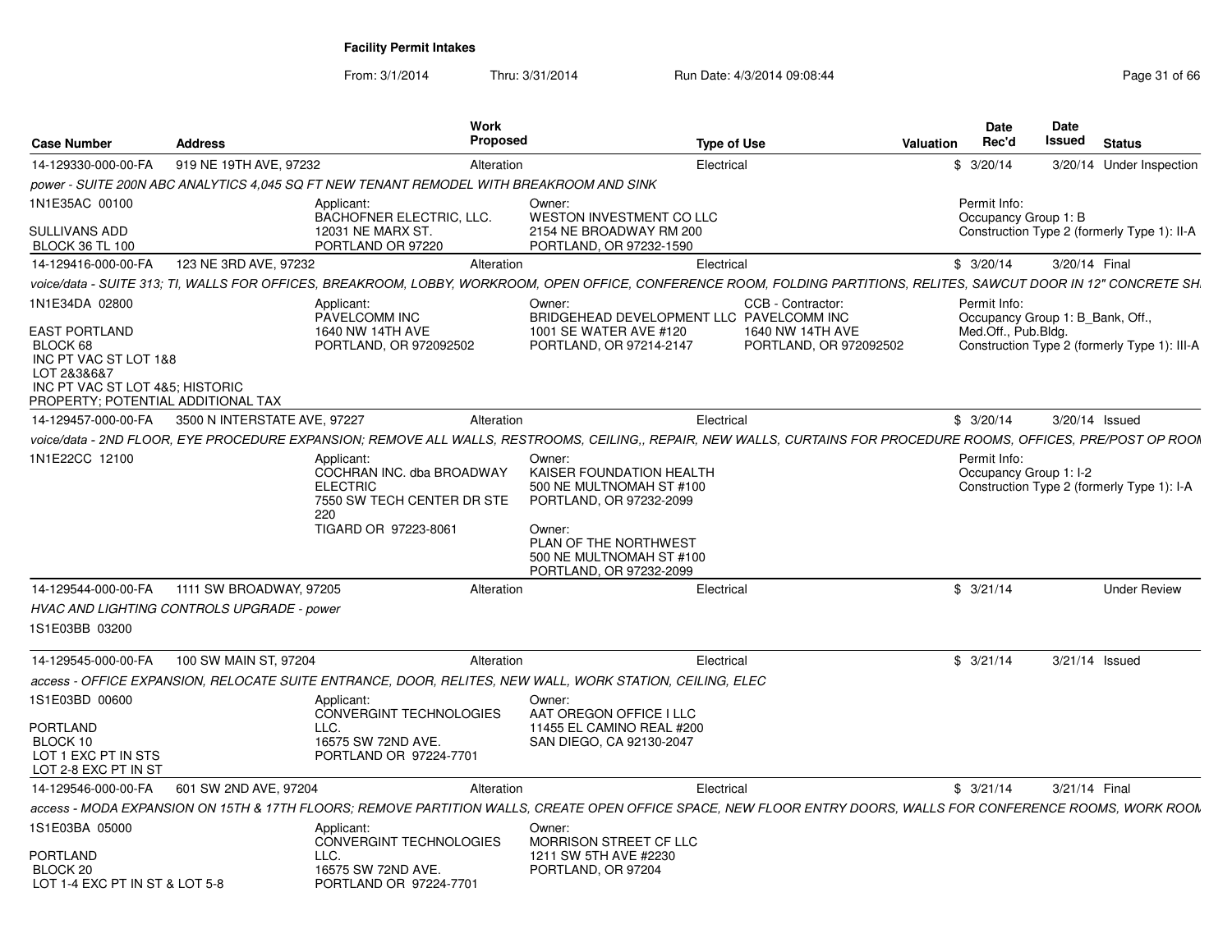| <b>Case Number</b>                                                                                                                                           | <b>Address</b>                             | Work<br>Proposed                                                                                                 |                                                                                                                                                                                     | <b>Type of Use</b>                                              | <b>Valuation</b> | <b>Date</b><br>Rec'd                   | Date<br>Issued | <b>Status</b>                                                                    |
|--------------------------------------------------------------------------------------------------------------------------------------------------------------|--------------------------------------------|------------------------------------------------------------------------------------------------------------------|-------------------------------------------------------------------------------------------------------------------------------------------------------------------------------------|-----------------------------------------------------------------|------------------|----------------------------------------|----------------|----------------------------------------------------------------------------------|
| 14-129330-000-00-FA                                                                                                                                          | 919 NE 19TH AVE, 97232                     | Alteration                                                                                                       |                                                                                                                                                                                     | Electrical                                                      |                  | \$3/20/14                              |                | 3/20/14 Under Inspection                                                         |
|                                                                                                                                                              |                                            | power - SUITE 200N ABC ANALYTICS 4,045 SQ FT NEW TENANT REMODEL WITH BREAKROOM AND SINK                          |                                                                                                                                                                                     |                                                                 |                  |                                        |                |                                                                                  |
| 1N1E35AC 00100<br>SULLIVANS ADD                                                                                                                              |                                            | Applicant:<br><b>BACHOFNER ELECTRIC, LLC.</b><br>12031 NE MARX ST.<br>PORTLAND OR 97220                          | Owner:<br>WESTON INVESTMENT CO LLC<br>2154 NE BROADWAY RM 200                                                                                                                       |                                                                 |                  | Permit Info:<br>Occupancy Group 1: B   |                | Construction Type 2 (formerly Type 1): II-A                                      |
| <b>BLOCK 36 TL 100</b><br>14-129416-000-00-FA                                                                                                                | 123 NE 3RD AVE, 97232                      | Alteration                                                                                                       | PORTLAND, OR 97232-1590                                                                                                                                                             | Electrical                                                      |                  | \$3/20/14                              |                | 3/20/14 Final                                                                    |
|                                                                                                                                                              |                                            |                                                                                                                  |                                                                                                                                                                                     |                                                                 |                  |                                        |                |                                                                                  |
|                                                                                                                                                              |                                            |                                                                                                                  | voice/data - SUITE 313; TI, WALLS FOR OFFICES, BREAKROOM, LOBBY, WORKROOM, OPEN OFFICE, CONFERENCE ROOM, FOLDING PARTITIONS, RELITES, SAWCUT DOOR IN 12" CONCRETE SH.               |                                                                 |                  |                                        |                |                                                                                  |
| 1N1E34DA 02800<br>EAST PORTLAND<br>BLOCK 68<br>INC PT VAC ST LOT 1&8<br>LOT 2&3&6&7<br>INC PT VAC ST LOT 4&5; HISTORIC<br>PROPERTY; POTENTIAL ADDITIONAL TAX |                                            | Applicant:<br>PAVELCOMM INC<br>1640 NW 14TH AVE<br>PORTLAND, OR 972092502                                        | Owner:<br>BRIDGEHEAD DEVELOPMENT LLC PAVELCOMM INC<br>1001 SE WATER AVE #120<br>PORTLAND, OR 97214-2147                                                                             | CCB - Contractor:<br>1640 NW 14TH AVE<br>PORTLAND, OR 972092502 |                  | Permit Info:<br>Med.Off., Pub.Bldg.    |                | Occupancy Group 1: B_Bank, Off.,<br>Construction Type 2 (formerly Type 1): III-A |
| 14-129457-000-00-FA                                                                                                                                          | 3500 N INTERSTATE AVE, 97227               | Alteration                                                                                                       |                                                                                                                                                                                     | Electrical                                                      |                  | \$3/20/14                              |                | 3/20/14 Issued                                                                   |
|                                                                                                                                                              |                                            |                                                                                                                  | voice/data - 2ND FLOOR, EYE PROCEDURE EXPANSION; REMOVE ALL WALLS, RESTROOMS, CEILING., REPAIR, NEW WALLS, CURTAINS FOR PROCEDURE ROOMS, OFFICES, PRE/POST OP ROOM                  |                                                                 |                  |                                        |                |                                                                                  |
| 1N1E22CC 12100                                                                                                                                               | 220                                        | Applicant:<br>COCHRAN INC. dba BROADWAY<br><b>ELECTRIC</b><br>7550 SW TECH CENTER DR STE<br>TIGARD OR 97223-8061 | Owner:<br>KAISER FOUNDATION HEALTH<br>500 NE MULTNOMAH ST #100<br>PORTLAND, OR 97232-2099<br>Owner:<br>PLAN OF THE NORTHWEST<br>500 NE MULTNOMAH ST #100<br>PORTLAND, OR 97232-2099 |                                                                 |                  | Permit Info:<br>Occupancy Group 1: I-2 |                | Construction Type 2 (formerly Type 1): I-A                                       |
| 14-129544-000-00-FA                                                                                                                                          | 1111 SW BROADWAY, 97205                    | Alteration                                                                                                       |                                                                                                                                                                                     | Electrical                                                      |                  | \$3/21/14                              |                | <b>Under Review</b>                                                              |
|                                                                                                                                                              | HVAC AND LIGHTING CONTROLS UPGRADE - power |                                                                                                                  |                                                                                                                                                                                     |                                                                 |                  |                                        |                |                                                                                  |
| 1S1E03BB 03200                                                                                                                                               |                                            |                                                                                                                  |                                                                                                                                                                                     |                                                                 |                  |                                        |                |                                                                                  |
| 14-129545-000-00-FA                                                                                                                                          | 100 SW MAIN ST, 97204                      | Alteration                                                                                                       |                                                                                                                                                                                     | Electrical                                                      |                  | \$3/21/14                              |                | 3/21/14 Issued                                                                   |
|                                                                                                                                                              |                                            |                                                                                                                  | access - OFFICE EXPANSION, RELOCATE SUITE ENTRANCE, DOOR, RELITES, NEW WALL, WORK STATION, CEILING, ELEC                                                                            |                                                                 |                  |                                        |                |                                                                                  |
| 1S1E03BD 00600<br><b>PORTLAND</b><br>BLOCK 10<br>LOT 1 EXC PT IN STS<br>LOT 2-8 EXC PT IN ST                                                                 | LLC.                                       | Applicant:<br>CONVERGINT TECHNOLOGIES<br>16575 SW 72ND AVE.<br>PORTLAND OR 97224-7701                            | Owner:<br>AAT OREGON OFFICE I LLC<br>11455 EL CAMINO REAL #200<br>SAN DIEGO, CA 92130-2047                                                                                          |                                                                 |                  |                                        |                |                                                                                  |
| 14-129546-000-00-FA                                                                                                                                          | 601 SW 2ND AVE, 97204                      | Alteration                                                                                                       |                                                                                                                                                                                     | Electrical                                                      |                  | \$3/21/14                              |                | 3/21/14 Final                                                                    |
|                                                                                                                                                              |                                            |                                                                                                                  | access - MODA EXPANSION ON 15TH & 17TH FLOORS: REMOVE PARTITION WALLS. CREATE OPEN OFFICE SPACE. NEW FLOOR ENTRY DOORS. WALLS FOR CONFERENCE ROOMS. WORK ROOM                       |                                                                 |                  |                                        |                |                                                                                  |
| 1S1E03BA 05000                                                                                                                                               |                                            | Applicant:<br>CONVERGINT TECHNOLOGIES                                                                            | Owner:<br><b>MORRISON STREET CF LLC</b>                                                                                                                                             |                                                                 |                  |                                        |                |                                                                                  |
| <b>PORTLAND</b><br>BLOCK 20<br>LOT 1-4 EXC PT IN ST & LOT 5-8                                                                                                | LLC.                                       | 16575 SW 72ND AVE.<br>PORTLAND OR 97224-7701                                                                     | 1211 SW 5TH AVE #2230<br>PORTLAND, OR 97204                                                                                                                                         |                                                                 |                  |                                        |                |                                                                                  |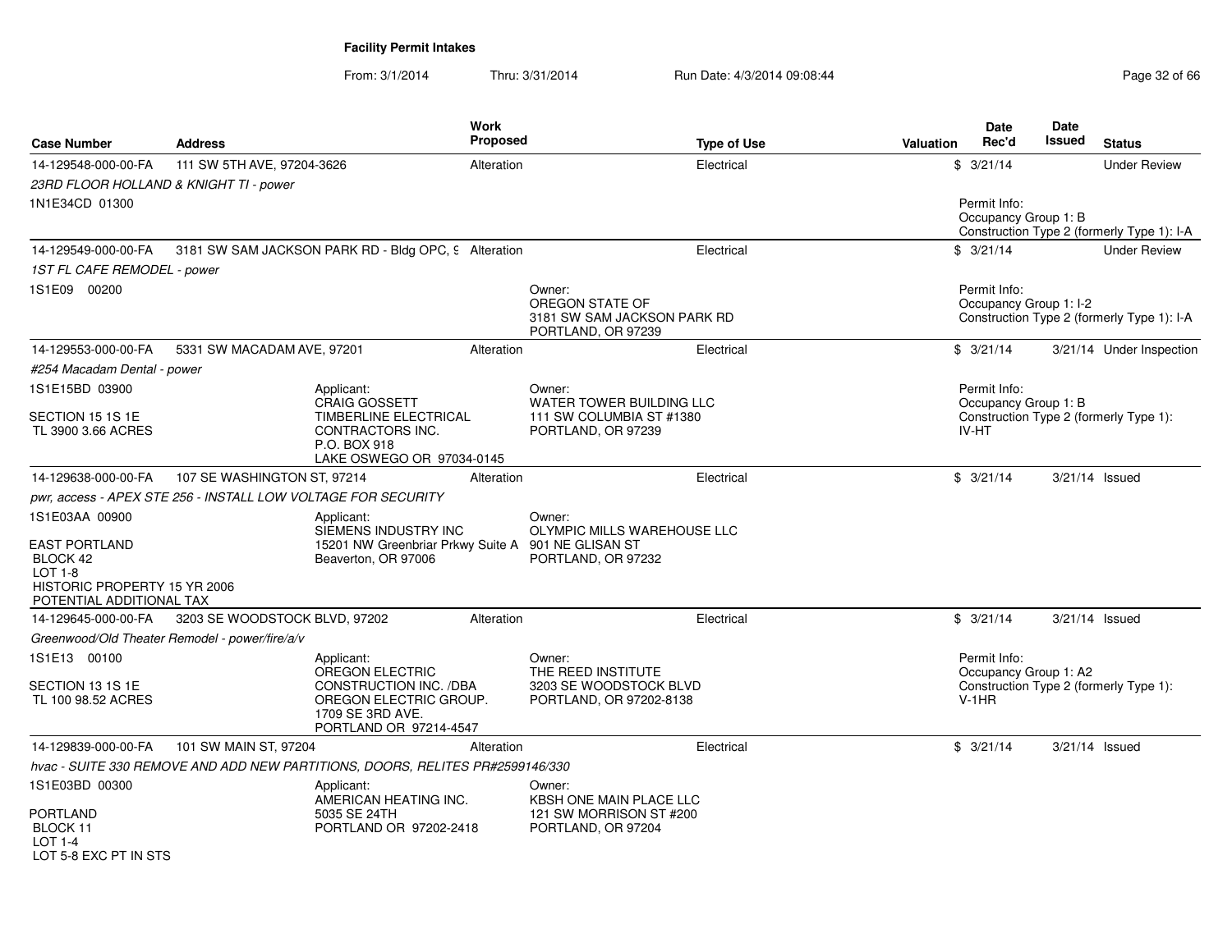| <b>Case Number</b>                                                                                                          | Address                                                       |                                                                                                                                 | <b>Work</b><br><b>Proposed</b> |                                                                                    | <b>Type of Use</b> | <b>Valuation</b> |                         | <b>Date</b><br>Rec'd | Date<br>Issued         | <b>Status</b>                              |
|-----------------------------------------------------------------------------------------------------------------------------|---------------------------------------------------------------|---------------------------------------------------------------------------------------------------------------------------------|--------------------------------|------------------------------------------------------------------------------------|--------------------|------------------|-------------------------|----------------------|------------------------|--------------------------------------------|
| 14-129548-000-00-FA                                                                                                         | 111 SW 5TH AVE, 97204-3626                                    |                                                                                                                                 | Alteration                     |                                                                                    | Electrical         |                  | \$3/21/14               |                      |                        | <b>Under Review</b>                        |
| 23RD FLOOR HOLLAND & KNIGHT TI - power                                                                                      |                                                               |                                                                                                                                 |                                |                                                                                    |                    |                  |                         |                      |                        |                                            |
| 1N1E34CD 01300                                                                                                              |                                                               |                                                                                                                                 |                                |                                                                                    |                    |                  |                         | Permit Info:         | Occupancy Group 1: B   | Construction Type 2 (formerly Type 1): I-A |
| 14-129549-000-00-FA                                                                                                         |                                                               | 3181 SW SAM JACKSON PARK RD - Bldg OPC, 9 Alteration                                                                            |                                |                                                                                    | Electrical         |                  | \$3/21/14               |                      |                        | <b>Under Review</b>                        |
| 1ST FL CAFE REMODEL - power                                                                                                 |                                                               |                                                                                                                                 |                                |                                                                                    |                    |                  |                         |                      |                        |                                            |
| 1S1E09 00200                                                                                                                |                                                               |                                                                                                                                 |                                | Owner:<br>OREGON STATE OF<br>3181 SW SAM JACKSON PARK RD<br>PORTLAND, OR 97239     |                    |                  |                         | Permit Info:         | Occupancy Group 1: I-2 | Construction Type 2 (formerly Type 1): I-A |
| 14-129553-000-00-FA                                                                                                         | 5331 SW MACADAM AVE, 97201                                    |                                                                                                                                 | Alteration                     |                                                                                    | Electrical         |                  | \$3/21/14               |                      |                        | 3/21/14 Under Inspection                   |
| #254 Macadam Dental - power                                                                                                 |                                                               |                                                                                                                                 |                                |                                                                                    |                    |                  |                         |                      |                        |                                            |
| 1S1E15BD 03900                                                                                                              |                                                               | Applicant:                                                                                                                      |                                | Owner:                                                                             |                    |                  |                         | Permit Info:         |                        |                                            |
| SECTION 15 1S 1E<br>TL 3900 3.66 ACRES                                                                                      |                                                               | <b>CRAIG GOSSETT</b><br><b>TIMBERLINE ELECTRICAL</b><br>CONTRACTORS INC.<br>P.O. BOX 918<br>LAKE OSWEGO OR 97034-0145           |                                | WATER TOWER BUILDING LLC<br>111 SW COLUMBIA ST #1380<br>PORTLAND, OR 97239         |                    |                  | <b>IV-HT</b>            |                      | Occupancy Group 1: B   | Construction Type 2 (formerly Type 1):     |
| 14-129638-000-00-FA                                                                                                         | 107 SE WASHINGTON ST, 97214                                   |                                                                                                                                 | Alteration                     |                                                                                    | Electrical         |                  | \$3/21/14               |                      | $3/21/14$ Issued       |                                            |
|                                                                                                                             | pwr, access - APEX STE 256 - INSTALL LOW VOLTAGE FOR SECURITY |                                                                                                                                 |                                |                                                                                    |                    |                  |                         |                      |                        |                                            |
| 1S1E03AA 00900<br><b>EAST PORTLAND</b><br>BLOCK 42<br>$LOT 1-8$<br>HISTORIC PROPERTY 15 YR 2006<br>POTENTIAL ADDITIONAL TAX |                                                               | Applicant:<br>SIEMENS INDUSTRY INC<br>15201 NW Greenbriar Prkwy Suite A 901 NE GLISAN ST<br>Beaverton, OR 97006                 |                                | Owner:<br>OLYMPIC MILLS WAREHOUSE LLC<br>PORTLAND, OR 97232                        |                    |                  |                         |                      |                        |                                            |
| 14-129645-000-00-FA                                                                                                         | 3203 SE WOODSTOCK BLVD, 97202                                 |                                                                                                                                 | Alteration                     |                                                                                    | Electrical         |                  | \$3/21/14               |                      | $3/21/14$ Issued       |                                            |
|                                                                                                                             | Greenwood/Old Theater Remodel - power/fire/a/v                |                                                                                                                                 |                                |                                                                                    |                    |                  |                         |                      |                        |                                            |
| 1S1E13 00100<br>SECTION 13 1S 1E<br>TL 100 98.52 ACRES                                                                      |                                                               | Applicant:<br>OREGON ELECTRIC<br>CONSTRUCTION INC. /DBA<br>OREGON ELECTRIC GROUP.<br>1709 SE 3RD AVE.<br>PORTLAND OR 97214-4547 |                                | Owner:<br>THE REED INSTITUTE<br>3203 SE WOODSTOCK BLVD<br>PORTLAND, OR 97202-8138  |                    |                  | Permit Info:<br>$V-1HR$ |                      | Occupancy Group 1: A2  | Construction Type 2 (formerly Type 1):     |
| 14-129839-000-00-FA                                                                                                         | 101 SW MAIN ST, 97204                                         |                                                                                                                                 | Alteration                     |                                                                                    | Electrical         |                  | \$3/21/14               |                      | $3/21/14$ Issued       |                                            |
|                                                                                                                             |                                                               | hvac - SUITE 330 REMOVE AND ADD NEW PARTITIONS, DOORS, RELITES PR#2599146/330                                                   |                                |                                                                                    |                    |                  |                         |                      |                        |                                            |
| 1S1E03BD 00300<br>PORTLAND<br>BLOCK 11<br>LOT 1-4                                                                           |                                                               | Applicant:<br>AMERICAN HEATING INC.<br>5035 SE 24TH<br>PORTLAND OR 97202-2418                                                   |                                | Owner:<br>KBSH ONE MAIN PLACE LLC<br>121 SW MORRISON ST #200<br>PORTLAND, OR 97204 |                    |                  |                         |                      |                        |                                            |
| LOT 5-8 EXC PT IN STS                                                                                                       |                                                               |                                                                                                                                 |                                |                                                                                    |                    |                  |                         |                      |                        |                                            |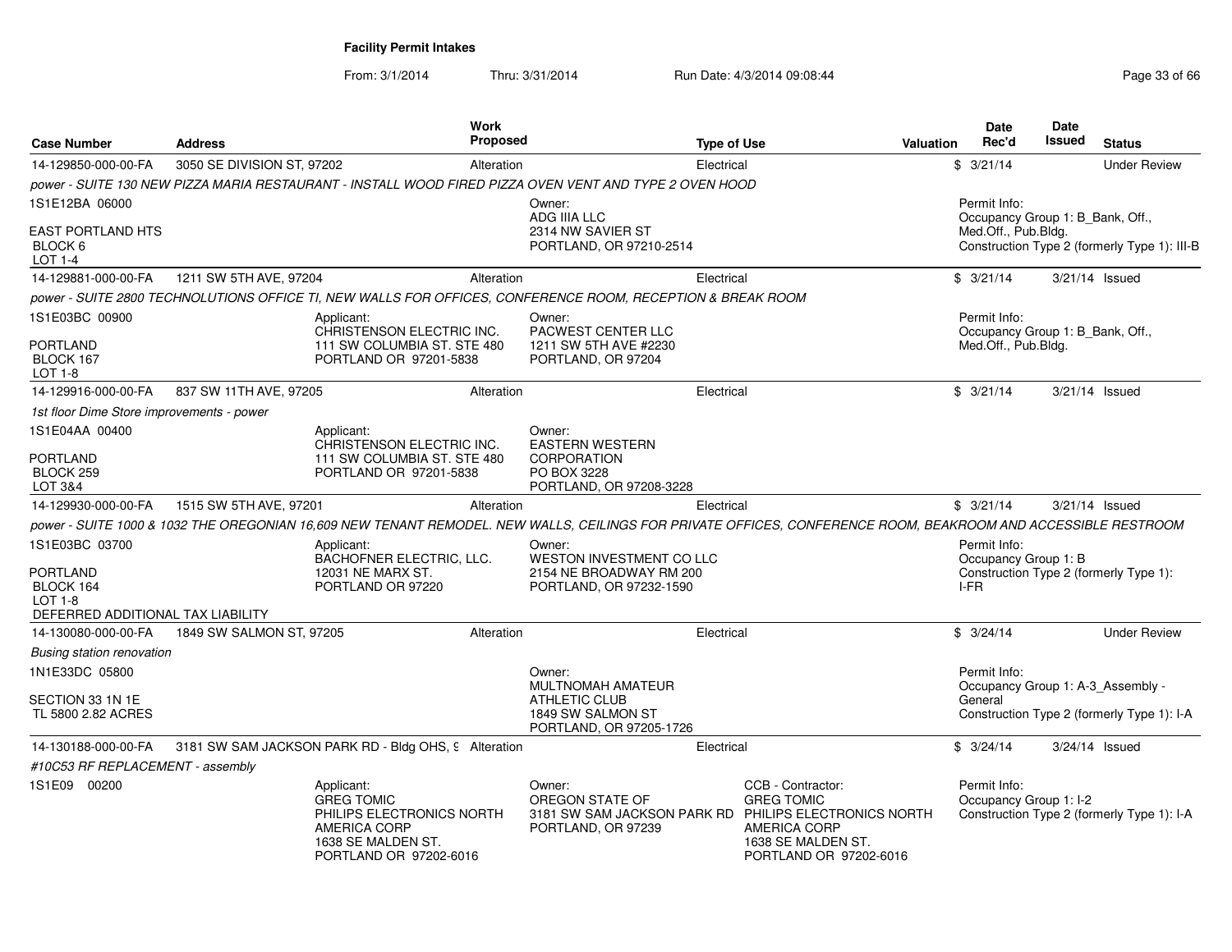| <b>Case Number</b>                                 | <b>Address</b>             | <b>Work</b><br>Proposed                                                                                                             |                                                                                                                                                               | <b>Type of Use</b>                                                                                     | <b>Valuation</b> | <b>Date</b><br>Rec'd                   | <b>Date</b><br>Issued | <b>Status</b>                                                                   |
|----------------------------------------------------|----------------------------|-------------------------------------------------------------------------------------------------------------------------------------|---------------------------------------------------------------------------------------------------------------------------------------------------------------|--------------------------------------------------------------------------------------------------------|------------------|----------------------------------------|-----------------------|---------------------------------------------------------------------------------|
| 14-129850-000-00-FA                                | 3050 SE DIVISION ST, 97202 | Alteration                                                                                                                          | Electrical                                                                                                                                                    |                                                                                                        |                  | \$3/21/14                              |                       | <b>Under Review</b>                                                             |
|                                                    |                            |                                                                                                                                     | power - SUITE 130 NEW PIZZA MARIA RESTAURANT - INSTALL WOOD FIRED PIZZA OVEN VENT AND TYPE 2 OVEN HOOD                                                        |                                                                                                        |                  |                                        |                       |                                                                                 |
| 1S1E12BA 06000                                     |                            |                                                                                                                                     | Owner:<br><b>ADG IIIA LLC</b>                                                                                                                                 |                                                                                                        |                  | Permit Info:                           |                       | Occupancy Group 1: B_Bank, Off.,                                                |
| <b>EAST PORTLAND HTS</b><br>BLOCK 6<br>LOT 1-4     |                            |                                                                                                                                     | 2314 NW SAVIER ST<br>PORTLAND, OR 97210-2514                                                                                                                  |                                                                                                        |                  | Med.Off., Pub.Bldg.                    |                       | Construction Type 2 (formerly Type 1): III-B                                    |
| 14-129881-000-00-FA                                | 1211 SW 5TH AVE, 97204     | Alteration                                                                                                                          | Electrical                                                                                                                                                    |                                                                                                        |                  | \$3/21/14                              |                       | $3/21/14$ Issued                                                                |
|                                                    |                            |                                                                                                                                     | power - SUITE 2800 TECHNOLUTIONS OFFICE TI, NEW WALLS FOR OFFICES, CONFERENCE ROOM, RECEPTION & BREAK ROOM                                                    |                                                                                                        |                  |                                        |                       |                                                                                 |
| 1S1E03BC 00900                                     |                            | Applicant:<br>CHRISTENSON ELECTRIC INC.                                                                                             | Owner:<br>PACWEST CENTER LLC                                                                                                                                  |                                                                                                        |                  | Permit Info:                           |                       | Occupancy Group 1: B_Bank, Off.,                                                |
| <b>PORTLAND</b><br>BLOCK 167<br>LOT 1-8            |                            | 111 SW COLUMBIA ST. STE 480<br>PORTLAND OR 97201-5838                                                                               | 1211 SW 5TH AVE #2230<br>PORTLAND, OR 97204                                                                                                                   |                                                                                                        |                  | Med.Off., Pub.Bldg.                    |                       |                                                                                 |
| 14-129916-000-00-FA                                | 837 SW 11TH AVE, 97205     | Alteration                                                                                                                          | Electrical                                                                                                                                                    |                                                                                                        |                  | \$3/21/14                              |                       | $3/21/14$ Issued                                                                |
| 1st floor Dime Store improvements - power          |                            |                                                                                                                                     |                                                                                                                                                               |                                                                                                        |                  |                                        |                       |                                                                                 |
| 1S1E04AA 00400                                     |                            | Applicant:<br>CHRISTENSON ELECTRIC INC.                                                                                             | Owner:<br><b>EASTERN WESTERN</b>                                                                                                                              |                                                                                                        |                  |                                        |                       |                                                                                 |
| PORTLAND<br>BLOCK 259<br>LOT 3&4                   |                            | 111 SW COLUMBIA ST. STE 480<br>PORTLAND OR 97201-5838                                                                               | <b>CORPORATION</b><br>PO BOX 3228<br>PORTLAND, OR 97208-3228                                                                                                  |                                                                                                        |                  |                                        |                       |                                                                                 |
| 14-129930-000-00-FA                                | 1515 SW 5TH AVE, 97201     | Alteration                                                                                                                          | Electrical                                                                                                                                                    |                                                                                                        |                  | \$3/21/14                              |                       | $3/21/14$ Issued                                                                |
|                                                    |                            |                                                                                                                                     | power - SUITE 1000 & 1032 THE OREGONIAN 16,609 NEW TENANT REMODEL. NEW WALLS, CEILINGS FOR PRIVATE OFFICES, CONFERENCE ROOM, BEAKROOM AND ACCESSIBLE RESTROOM |                                                                                                        |                  |                                        |                       |                                                                                 |
| 1S1E03BC 03700                                     |                            | Applicant:<br>BACHOFNER ELECTRIC, LLC.                                                                                              | Owner:<br>WESTON INVESTMENT CO LLC                                                                                                                            |                                                                                                        |                  | Permit Info:<br>Occupancy Group 1: B   |                       |                                                                                 |
| PORTLAND<br>BLOCK 164<br><b>LOT 1-8</b>            |                            | 12031 NE MARX ST.<br>PORTLAND OR 97220                                                                                              | 2154 NE BROADWAY RM 200<br>PORTLAND, OR 97232-1590                                                                                                            |                                                                                                        |                  | I-FR                                   |                       | Construction Type 2 (formerly Type 1):                                          |
| DEFERRED ADDITIONAL TAX LIABILITY                  |                            |                                                                                                                                     |                                                                                                                                                               |                                                                                                        |                  |                                        |                       |                                                                                 |
| 14-130080-000-00-FA                                | 1849 SW SALMON ST, 97205   | Alteration                                                                                                                          | Electrical                                                                                                                                                    |                                                                                                        |                  | \$3/24/14                              |                       | <b>Under Review</b>                                                             |
| <b>Busing station renovation</b><br>1N1E33DC 05800 |                            |                                                                                                                                     | Owner:                                                                                                                                                        |                                                                                                        |                  | Permit Info:                           |                       |                                                                                 |
| SECTION 33 1N 1E<br>TL 5800 2.82 ACRES             |                            |                                                                                                                                     | MULTNOMAH AMATEUR<br><b>ATHLETIC CLUB</b><br>1849 SW SALMON ST<br>PORTLAND, OR 97205-1726                                                                     |                                                                                                        |                  | General                                |                       | Occupancy Group 1: A-3_Assembly -<br>Construction Type 2 (formerly Type 1): I-A |
| 14-130188-000-00-FA                                |                            | 3181 SW SAM JACKSON PARK RD - Bldg OHS, 9 Alteration                                                                                | Electrical                                                                                                                                                    |                                                                                                        |                  | \$3/24/14                              |                       | 3/24/14 Issued                                                                  |
| #10C53 RF REPLACEMENT - assembly                   |                            |                                                                                                                                     |                                                                                                                                                               |                                                                                                        |                  |                                        |                       |                                                                                 |
| 1S1E09 00200                                       |                            | Applicant:<br><b>GREG TOMIC</b><br>PHILIPS ELECTRONICS NORTH<br><b>AMERICA CORP</b><br>1638 SE MALDEN ST.<br>PORTLAND OR 97202-6016 | Owner:<br>OREGON STATE OF<br>3181 SW SAM JACKSON PARK RD PHILIPS ELECTRONICS NORTH<br>PORTLAND, OR 97239                                                      | CCB - Contractor:<br><b>GREG TOMIC</b><br>AMERICA CORP<br>1638 SE MALDEN ST.<br>PORTLAND OR 97202-6016 |                  | Permit Info:<br>Occupancy Group 1: I-2 |                       | Construction Type 2 (formerly Type 1): I-A                                      |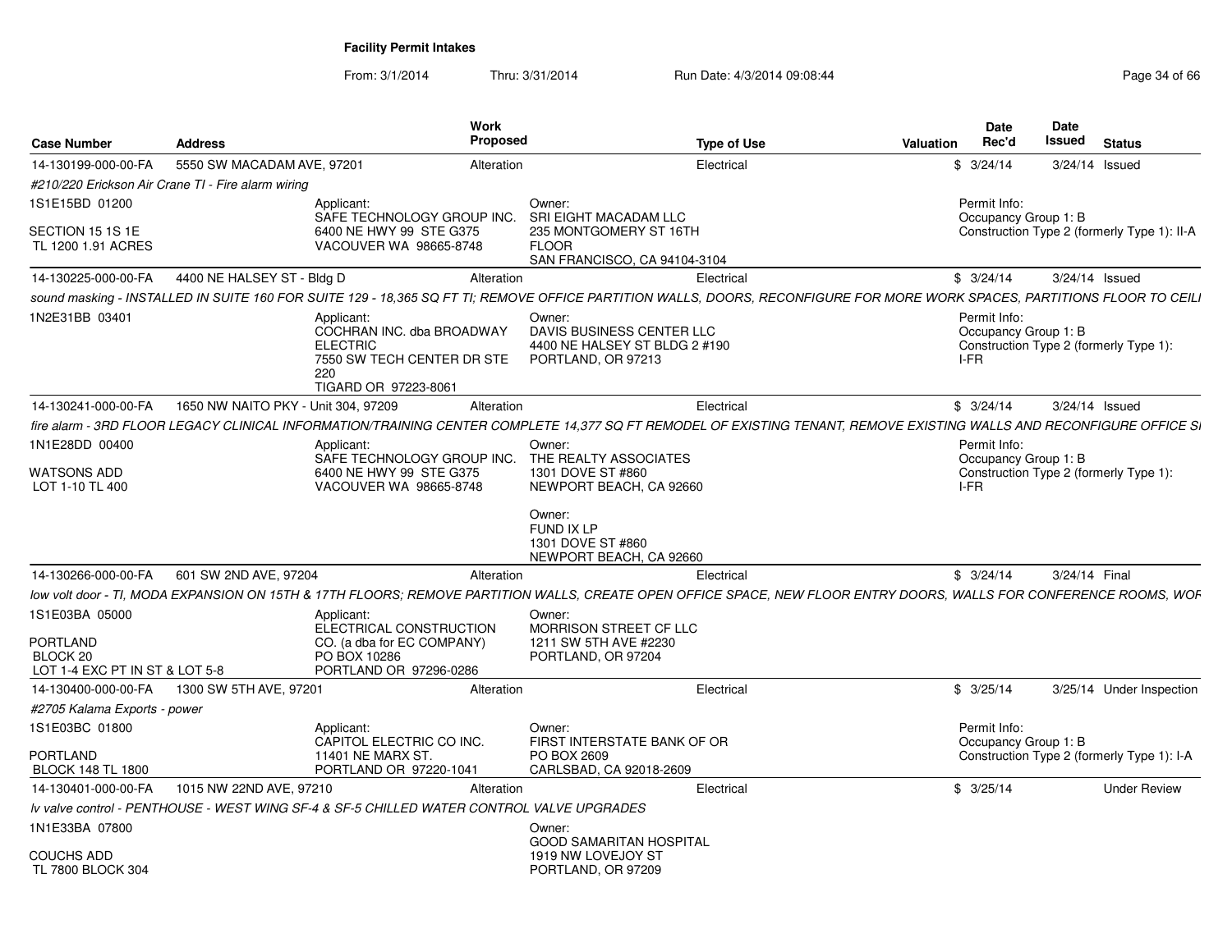| <b>Case Number</b>                         | <b>Address</b>                                     | Work<br><b>Proposed</b>                                                                                                                                                   |                                                                                            | <b>Type of Use</b> | Valuation | <b>Date</b><br>Rec'd                         | Date<br>Issued | <b>Status</b>                               |
|--------------------------------------------|----------------------------------------------------|---------------------------------------------------------------------------------------------------------------------------------------------------------------------------|--------------------------------------------------------------------------------------------|--------------------|-----------|----------------------------------------------|----------------|---------------------------------------------|
|                                            |                                                    |                                                                                                                                                                           |                                                                                            |                    |           |                                              |                |                                             |
| 14-130199-000-00-FA                        | 5550 SW MACADAM AVE, 97201                         | Alteration                                                                                                                                                                |                                                                                            | Electrical         |           | \$3/24/14                                    |                | 3/24/14 Issued                              |
|                                            | #210/220 Erickson Air Crane TI - Fire alarm wiring |                                                                                                                                                                           |                                                                                            |                    |           |                                              |                |                                             |
| 1S1E15BD 01200                             |                                                    | Applicant:<br>SAFE TECHNOLOGY GROUP INC.                                                                                                                                  | Owner:<br>SRI EIGHT MACADAM LLC                                                            |                    |           | Permit Info:<br>Occupancy Group 1: B         |                |                                             |
| SECTION 15 1S 1E<br>TL 1200 1.91 ACRES     |                                                    | 6400 NE HWY 99 STE G375<br>VACOUVER WA 98665-8748                                                                                                                         | 235 MONTGOMERY ST 16TH<br><b>FLOOR</b><br>SAN FRANCISCO, CA 94104-3104                     |                    |           |                                              |                | Construction Type 2 (formerly Type 1): II-A |
| 14-130225-000-00-FA                        | 4400 NE HALSEY ST - Bldg D                         | Alteration                                                                                                                                                                |                                                                                            | Electrical         |           | \$3/24/14                                    |                | 3/24/14 Issued                              |
|                                            |                                                    | sound masking - INSTALLED IN SUITE 160 FOR SUITE 129 - 18,365 SQ FT TI; REMOVE OFFICE PARTITION WALLS, DOORS, RECONFIGURE FOR MORE WORK SPACES, PARTITIONS FLOOR TO CEILI |                                                                                            |                    |           |                                              |                |                                             |
| 1N2E31BB 03401                             |                                                    | Applicant:<br>COCHRAN INC. dba BROADWAY<br><b>ELECTRIC</b><br>7550 SW TECH CENTER DR STE<br>220<br>TIGARD OR 97223-8061                                                   | Owner:<br>DAVIS BUSINESS CENTER LLC<br>4400 NE HALSEY ST BLDG 2 #190<br>PORTLAND, OR 97213 |                    |           | Permit Info:<br>Occupancy Group 1: B<br>I-FR |                | Construction Type 2 (formerly Type 1):      |
| 14-130241-000-00-FA                        | 1650 NW NAITO PKY - Unit 304, 97209                | Alteration                                                                                                                                                                |                                                                                            | Electrical         |           | \$3/24/14                                    |                | 3/24/14 Issued                              |
|                                            |                                                    | fire alarm - 3RD FLOOR LEGACY CLINICAL INFORMATION/TRAINING CENTER COMPLETE 14,377 SQ FT REMODEL OF EXISTING TENANT, REMOVE EXISTING WALLS AND RECONFIGURE OFFICE SI      |                                                                                            |                    |           |                                              |                |                                             |
| 1N1E28DD 00400                             |                                                    | Applicant:                                                                                                                                                                | Owner:                                                                                     |                    |           | Permit Info:                                 |                |                                             |
|                                            |                                                    | SAFE TECHNOLOGY GROUP INC.                                                                                                                                                | THE REALTY ASSOCIATES                                                                      |                    |           | Occupancy Group 1: B                         |                |                                             |
| <b>WATSONS ADD</b><br>LOT 1-10 TL 400      |                                                    | 6400 NE HWY 99 STE G375<br>VACOUVER WA 98665-8748                                                                                                                         | 1301 DOVE ST #860<br>NEWPORT BEACH, CA 92660                                               |                    |           | I-FR                                         |                | Construction Type 2 (formerly Type 1):      |
|                                            |                                                    |                                                                                                                                                                           | Owner:<br>FUND IX LP<br>1301 DOVE ST #860<br>NEWPORT BEACH, CA 92660                       |                    |           |                                              |                |                                             |
| 14-130266-000-00-FA                        | 601 SW 2ND AVE, 97204                              | Alteration                                                                                                                                                                |                                                                                            | Electrical         |           | \$3/24/14                                    | 3/24/14 Final  |                                             |
|                                            |                                                    | low volt door - TI, MODA EXPANSION ON 15TH & 17TH FLOORS; REMOVE PARTITION WALLS, CREATE OPEN OFFICE SPACE, NEW FLOOR ENTRY DOORS, WALLS FOR CONFERENCE ROOMS, WOF        |                                                                                            |                    |           |                                              |                |                                             |
| 1S1E03BA 05000                             |                                                    | Applicant:<br>ELECTRICAL CONSTRUCTION                                                                                                                                     | Owner:<br>MORRISON STREET CF LLC                                                           |                    |           |                                              |                |                                             |
| PORTLAND                                   |                                                    | CO. (a dba for EC COMPANY)                                                                                                                                                | 1211 SW 5TH AVE #2230                                                                      |                    |           |                                              |                |                                             |
| BLOCK 20<br>LOT 1-4 EXC PT IN ST & LOT 5-8 |                                                    | PO BOX 10286<br>PORTLAND OR 97296-0286                                                                                                                                    | PORTLAND, OR 97204                                                                         |                    |           |                                              |                |                                             |
| 14-130400-000-00-FA                        | 1300 SW 5TH AVE, 97201                             | Alteration                                                                                                                                                                |                                                                                            | Electrical         |           | \$3/25/14                                    |                | 3/25/14 Under Inspection                    |
| #2705 Kalama Exports - power               |                                                    |                                                                                                                                                                           |                                                                                            |                    |           |                                              |                |                                             |
| 1S1E03BC 01800                             |                                                    | Applicant:                                                                                                                                                                | Owner:                                                                                     |                    |           | Permit Info:                                 |                |                                             |
|                                            |                                                    | CAPITOL ELECTRIC CO INC.                                                                                                                                                  | FIRST INTERSTATE BANK OF OR                                                                |                    |           | Occupancy Group 1: B                         |                |                                             |
| <b>PORTLAND</b>                            |                                                    | 11401 NE MARX ST.                                                                                                                                                         | PO BOX 2609                                                                                |                    |           |                                              |                | Construction Type 2 (formerly Type 1): I-A  |
| <b>BLOCK 148 TL 1800</b>                   |                                                    | PORTLAND OR 97220-1041                                                                                                                                                    | CARLSBAD, CA 92018-2609                                                                    |                    |           |                                              |                |                                             |
| 14-130401-000-00-FA                        | 1015 NW 22ND AVE, 97210                            | Alteration                                                                                                                                                                |                                                                                            | Electrical         |           | \$3/25/14                                    |                | <b>Under Review</b>                         |
|                                            |                                                    | Iv valve control - PENTHOUSE - WEST WING SF-4 & SF-5 CHILLED WATER CONTROL VALVE UPGRADES                                                                                 |                                                                                            |                    |           |                                              |                |                                             |
| 1N1E33BA 07800                             |                                                    |                                                                                                                                                                           | Owner:                                                                                     |                    |           |                                              |                |                                             |
| COUCHS ADD<br>TL 7800 BLOCK 304            |                                                    |                                                                                                                                                                           | <b>GOOD SAMARITAN HOSPITAL</b><br>1919 NW LOVEJOY ST<br>PORTLAND, OR 97209                 |                    |           |                                              |                |                                             |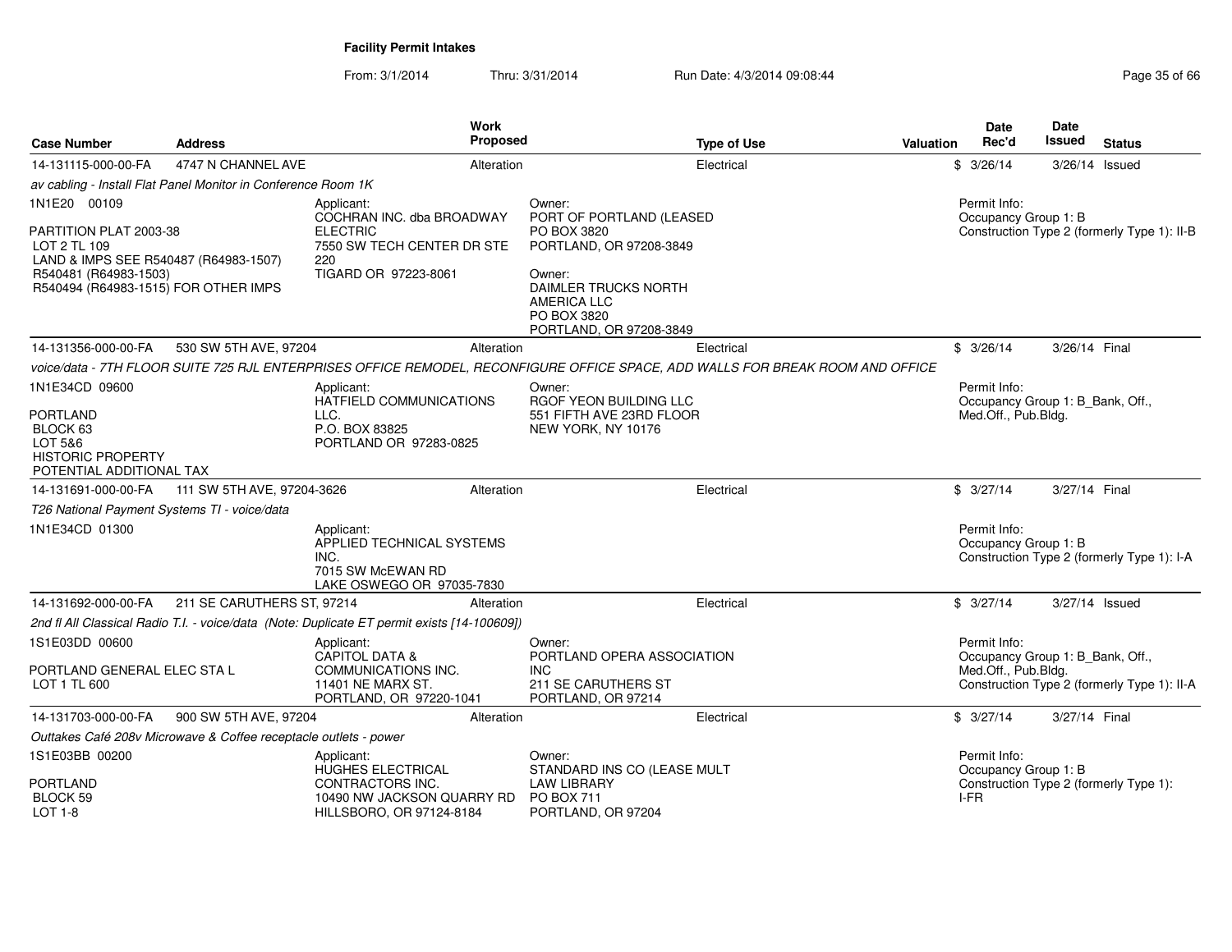| <b>Case Number</b>                                                                                                                                               | <b>Address</b>                                                   | Work<br>Proposed                                                                                                        | <b>Type of Use</b>                                                                                                             | <b>Valuation</b> | <b>Date</b><br>Rec'd                                                    | Date<br>Issued   | <b>Status</b>                               |
|------------------------------------------------------------------------------------------------------------------------------------------------------------------|------------------------------------------------------------------|-------------------------------------------------------------------------------------------------------------------------|--------------------------------------------------------------------------------------------------------------------------------|------------------|-------------------------------------------------------------------------|------------------|---------------------------------------------|
| 14-131115-000-00-FA                                                                                                                                              | 4747 N CHANNEL AVE                                               | Alteration                                                                                                              | Electrical                                                                                                                     |                  | \$3/26/14                                                               | $3/26/14$ Issued |                                             |
|                                                                                                                                                                  | av cabling - Install Flat Panel Monitor in Conference Room 1K    |                                                                                                                         |                                                                                                                                |                  |                                                                         |                  |                                             |
| 1N1E20 00109<br>PARTITION PLAT 2003-38<br>LOT 2 TL 109<br>LAND & IMPS SEE R540487 (R64983-1507)<br>R540481 (R64983-1503)<br>R540494 (R64983-1515) FOR OTHER IMPS |                                                                  | Applicant:<br>COCHRAN INC. dba BROADWAY<br><b>ELECTRIC</b><br>7550 SW TECH CENTER DR STE<br>220<br>TIGARD OR 97223-8061 | Owner:<br>PORT OF PORTLAND (LEASED<br>PO BOX 3820<br>PORTLAND, OR 97208-3849<br>Owner:<br>DAIMLER TRUCKS NORTH                 |                  | Permit Info:<br>Occupancy Group 1: B                                    |                  | Construction Type 2 (formerly Type 1): II-B |
|                                                                                                                                                                  |                                                                  |                                                                                                                         | AMERICA LLC<br>PO BOX 3820<br>PORTLAND, OR 97208-3849                                                                          |                  |                                                                         |                  |                                             |
| 14-131356-000-00-FA                                                                                                                                              | 530 SW 5TH AVE, 97204                                            | Alteration                                                                                                              | Electrical                                                                                                                     |                  | \$3/26/14                                                               | 3/26/14 Final    |                                             |
|                                                                                                                                                                  |                                                                  |                                                                                                                         | voice/data - 7TH FLOOR SUITE 725 RJL ENTERPRISES OFFICE REMODEL, RECONFIGURE OFFICE SPACE, ADD WALLS FOR BREAK ROOM AND OFFICE |                  |                                                                         |                  |                                             |
| 1N1E34CD 09600<br><b>PORTLAND</b>                                                                                                                                |                                                                  | Applicant:<br>HATFIELD COMMUNICATIONS<br>LLC.                                                                           | Owner:<br>RGOF YEON BUILDING LLC<br>551 FIFTH AVE 23RD FLOOR                                                                   |                  | Permit Info:<br>Occupancy Group 1: B_Bank, Off.,<br>Med.Off., Pub.Bldg. |                  |                                             |
| BLOCK 63<br>LOT 5&6<br><b>HISTORIC PROPERTY</b><br>POTENTIAL ADDITIONAL TAX                                                                                      |                                                                  | P.O. BOX 83825<br>PORTLAND OR 97283-0825                                                                                | NEW YORK, NY 10176                                                                                                             |                  |                                                                         |                  |                                             |
| 14-131691-000-00-FA                                                                                                                                              | 111 SW 5TH AVE, 97204-3626                                       | Alteration                                                                                                              | Electrical                                                                                                                     |                  | \$3/27/14                                                               | 3/27/14 Final    |                                             |
| T26 National Payment Systems TI - voice/data                                                                                                                     |                                                                  |                                                                                                                         |                                                                                                                                |                  |                                                                         |                  |                                             |
| 1N1E34CD 01300                                                                                                                                                   |                                                                  | Applicant:<br>APPLIED TECHNICAL SYSTEMS<br>INC.<br>7015 SW McEWAN RD<br>LAKE OSWEGO OR 97035-7830                       |                                                                                                                                |                  | Permit Info:<br>Occupancy Group 1: B                                    |                  | Construction Type 2 (formerly Type 1): I-A  |
| 14-131692-000-00-FA                                                                                                                                              | 211 SE CARUTHERS ST, 97214                                       | Alteration                                                                                                              | Electrical                                                                                                                     |                  | \$3/27/14                                                               | 3/27/14 Issued   |                                             |
|                                                                                                                                                                  |                                                                  | 2nd fl All Classical Radio T.I. - voice/data (Note: Duplicate ET permit exists [14-100609])                             |                                                                                                                                |                  |                                                                         |                  |                                             |
| 1S1E03DD 00600                                                                                                                                                   |                                                                  | Applicant:<br><b>CAPITOL DATA &amp;</b>                                                                                 | Owner:<br>PORTLAND OPERA ASSOCIATION                                                                                           |                  | Permit Info:<br>Occupancy Group 1: B_Bank, Off.,                        |                  |                                             |
| PORTLAND GENERAL ELEC STA L<br>LOT 1 TL 600                                                                                                                      |                                                                  | COMMUNICATIONS INC.<br>11401 NE MARX ST.<br>PORTLAND, OR 97220-1041                                                     | <b>INC</b><br>211 SE CARUTHERS ST<br>PORTLAND, OR 97214                                                                        |                  | Med.Off., Pub.Bldg.                                                     |                  | Construction Type 2 (formerly Type 1): II-A |
| 14-131703-000-00-FA                                                                                                                                              | 900 SW 5TH AVE, 97204                                            | Alteration                                                                                                              | Electrical                                                                                                                     |                  | \$3/27/14                                                               | 3/27/14 Final    |                                             |
|                                                                                                                                                                  | Outtakes Café 208v Microwave & Coffee receptacle outlets - power |                                                                                                                         |                                                                                                                                |                  |                                                                         |                  |                                             |
| 1S1E03BB 00200                                                                                                                                                   |                                                                  | Applicant:<br>HUGHES ELECTRICAL                                                                                         | Owner:<br>STANDARD INS CO (LEASE MULT                                                                                          |                  | Permit Info:<br>Occupancy Group 1: B                                    |                  |                                             |
| <b>PORTLAND</b><br>BLOCK 59<br>LOT 1-8                                                                                                                           |                                                                  | CONTRACTORS INC.<br>10490 NW JACKSON QUARRY RD<br>HILLSBORO, OR 97124-8184                                              | <b>LAW LIBRARY</b><br>PO BOX 711<br>PORTLAND, OR 97204                                                                         |                  | I-FR                                                                    |                  | Construction Type 2 (formerly Type 1):      |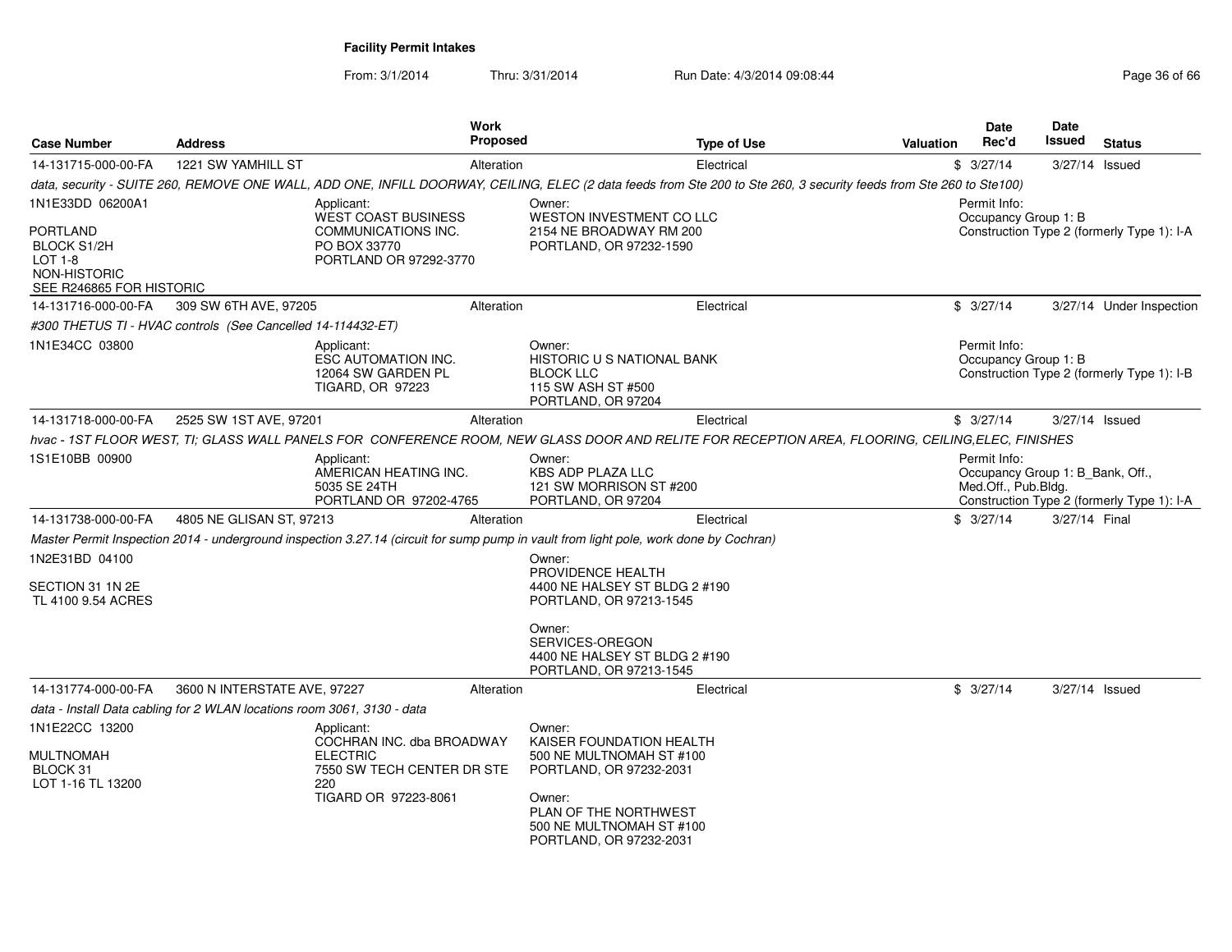From: 3/1/2014

| <b>Case Number</b>                                                                                 | <b>Address</b>                                                          | Work                                                                                                                    | <b>Proposed</b> | <b>Type of Use</b>                                                                                                                                                                  | <b>Valuation</b> | Date<br>Rec'd                                                           | Date<br>Issued | <b>Status</b>                              |
|----------------------------------------------------------------------------------------------------|-------------------------------------------------------------------------|-------------------------------------------------------------------------------------------------------------------------|-----------------|-------------------------------------------------------------------------------------------------------------------------------------------------------------------------------------|------------------|-------------------------------------------------------------------------|----------------|--------------------------------------------|
| 14-131715-000-00-FA                                                                                | 1221 SW YAMHILL ST                                                      |                                                                                                                         | Alteration      | Electrical                                                                                                                                                                          |                  | \$3/27/14                                                               |                | 3/27/14 Issued                             |
|                                                                                                    |                                                                         |                                                                                                                         |                 | data, security - SUITE 260, REMOVE ONE WALL, ADD ONE, INFILL DOORWAY, CEILING, ELEC (2 data feeds from Ste 200 to Ste 260, 3 security feeds from Ste 260 to Ste100)                 |                  |                                                                         |                |                                            |
| 1N1E33DD 06200A1<br>PORTLAND<br>BLOCK S1/2H<br>LOT 1-8<br>NON-HISTORIC<br>SEE R246865 FOR HISTORIC |                                                                         | Applicant:<br><b>WEST COAST BUSINESS</b><br>COMMUNICATIONS INC.<br>PO BOX 33770<br>PORTLAND OR 97292-3770               |                 | Owner:<br>WESTON INVESTMENT CO LLC<br>2154 NE BROADWAY RM 200<br>PORTLAND, OR 97232-1590                                                                                            |                  | Permit Info:<br>Occupancy Group 1: B                                    |                | Construction Type 2 (formerly Type 1): I-A |
| 14-131716-000-00-FA                                                                                | 309 SW 6TH AVE, 97205                                                   |                                                                                                                         | Alteration      | Electrical                                                                                                                                                                          |                  | \$3/27/14                                                               |                | 3/27/14 Under Inspection                   |
|                                                                                                    | #300 THETUS TI - HVAC controls (See Cancelled 14-114432-ET)             |                                                                                                                         |                 |                                                                                                                                                                                     |                  |                                                                         |                |                                            |
| 1N1E34CC 03800                                                                                     |                                                                         | Applicant:<br>ESC AUTOMATION INC.<br>12064 SW GARDEN PL<br><b>TIGARD, OR 97223</b>                                      |                 | Owner:<br>HISTORIC U S NATIONAL BANK<br><b>BLOCK LLC</b><br>115 SW ASH ST #500<br>PORTLAND, OR 97204                                                                                |                  | Permit Info:<br>Occupancy Group 1: B                                    |                | Construction Type 2 (formerly Type 1): I-B |
| 14-131718-000-00-FA                                                                                | 2525 SW 1ST AVE, 97201                                                  |                                                                                                                         | Alteration      | Electrical                                                                                                                                                                          |                  | \$3/27/14                                                               |                | 3/27/14 Issued                             |
|                                                                                                    |                                                                         |                                                                                                                         |                 | hvac - 1ST FLOOR WEST, TI; GLASS WALL PANELS FOR CONFERENCE ROOM, NEW GLASS DOOR AND RELITE FOR RECEPTION AREA, FLOORING, CEILING,ELEC, FINISHES                                    |                  |                                                                         |                |                                            |
| 1S1E10BB 00900                                                                                     |                                                                         | Applicant:<br>AMERICAN HEATING INC.<br>5035 SE 24TH<br>PORTLAND OR 97202-4765                                           |                 | Owner:<br><b>KBS ADP PLAZA LLC</b><br>121 SW MORRISON ST #200<br>PORTLAND, OR 97204                                                                                                 |                  | Permit Info:<br>Occupancy Group 1: B Bank, Off.,<br>Med.Off., Pub.Bldg. |                | Construction Type 2 (formerly Type 1): I-A |
| 14-131738-000-00-FA                                                                                | 4805 NE GLISAN ST, 97213                                                |                                                                                                                         | Alteration      | Electrical                                                                                                                                                                          |                  | \$3/27/14                                                               | 3/27/14 Final  |                                            |
|                                                                                                    |                                                                         |                                                                                                                         |                 | Master Permit Inspection 2014 - underground inspection 3.27.14 (circuit for sump pump in vault from light pole, work done by Cochran)                                               |                  |                                                                         |                |                                            |
| 1N2E31BD 04100<br>SECTION 31 1N 2E<br>TL 4100 9.54 ACRES                                           |                                                                         |                                                                                                                         |                 | Owner:<br>PROVIDENCE HEALTH<br>4400 NE HALSEY ST BLDG 2 #190<br>PORTLAND, OR 97213-1545                                                                                             |                  |                                                                         |                |                                            |
|                                                                                                    |                                                                         |                                                                                                                         |                 | Owner:<br>SERVICES-OREGON<br>4400 NE HALSEY ST BLDG 2 #190<br>PORTLAND, OR 97213-1545                                                                                               |                  |                                                                         |                |                                            |
| 14-131774-000-00-FA                                                                                | 3600 N INTERSTATE AVE, 97227                                            |                                                                                                                         | Alteration      | Electrical                                                                                                                                                                          |                  | \$3/27/14                                                               |                | 3/27/14 Issued                             |
|                                                                                                    | data - Install Data cabling for 2 WLAN locations room 3061, 3130 - data |                                                                                                                         |                 |                                                                                                                                                                                     |                  |                                                                         |                |                                            |
| 1N1E22CC 13200<br><b>MULTNOMAH</b><br>BLOCK 31<br>LOT 1-16 TL 13200                                |                                                                         | Applicant:<br>COCHRAN INC. dba BROADWAY<br><b>ELECTRIC</b><br>7550 SW TECH CENTER DR STE<br>220<br>TIGARD OR 97223-8061 |                 | Owner:<br>KAISER FOUNDATION HEALTH<br>500 NE MULTNOMAH ST #100<br>PORTLAND, OR 97232-2031<br>Owner:<br>PLAN OF THE NORTHWEST<br>500 NE MULTNOMAH ST #100<br>PORTLAND, OR 97232-2031 |                  |                                                                         |                |                                            |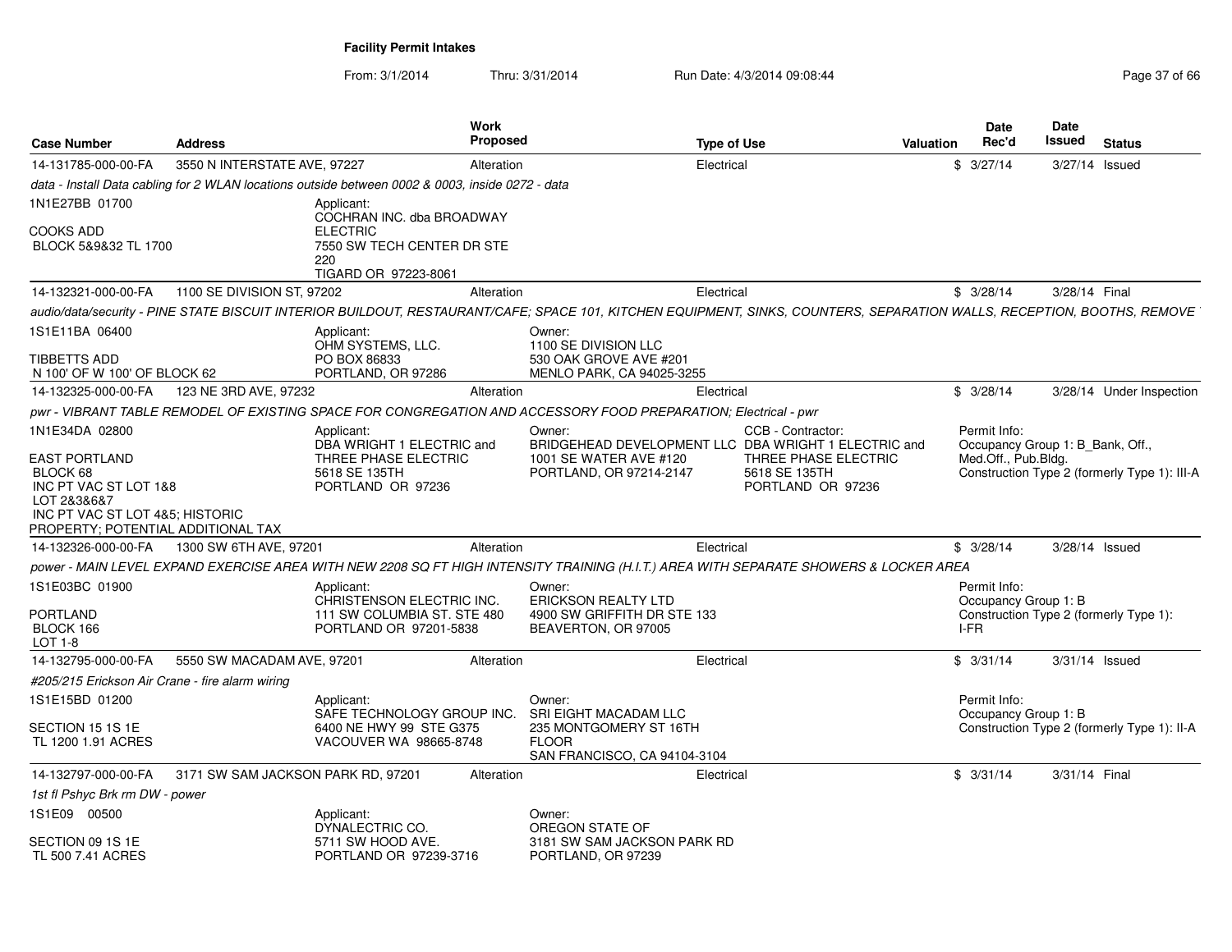| <b>Case Number</b>                                                                                                                                | <b>Address</b>                     |                                                                                                  | Work<br><b>Proposed</b> |                                                                                                                 | <b>Type of Use</b>                                                                                                                                                      | Valuation | Date<br>Rec'd                                    | Date<br><b>Issued</b> | <b>Status</b>                                |
|---------------------------------------------------------------------------------------------------------------------------------------------------|------------------------------------|--------------------------------------------------------------------------------------------------|-------------------------|-----------------------------------------------------------------------------------------------------------------|-------------------------------------------------------------------------------------------------------------------------------------------------------------------------|-----------|--------------------------------------------------|-----------------------|----------------------------------------------|
| 14-131785-000-00-FA                                                                                                                               | 3550 N INTERSTATE AVE, 97227       |                                                                                                  | Alteration              |                                                                                                                 | Electrical                                                                                                                                                              |           | \$3/27/14                                        |                       | 3/27/14 Issued                               |
|                                                                                                                                                   |                                    | data - Install Data cabling for 2 WLAN locations outside between 0002 & 0003, inside 0272 - data |                         |                                                                                                                 |                                                                                                                                                                         |           |                                                  |                       |                                              |
| 1N1E27BB 01700                                                                                                                                    |                                    | Applicant:<br>COCHRAN INC. dba BROADWAY                                                          |                         |                                                                                                                 |                                                                                                                                                                         |           |                                                  |                       |                                              |
| COOKS ADD<br>BLOCK 5&9&32 TL 1700                                                                                                                 |                                    | <b>ELECTRIC</b><br>7550 SW TECH CENTER DR STE<br>220<br>TIGARD OR 97223-8061                     |                         |                                                                                                                 |                                                                                                                                                                         |           |                                                  |                       |                                              |
| 14-132321-000-00-FA                                                                                                                               | 1100 SE DIVISION ST, 97202         |                                                                                                  | Alteration              |                                                                                                                 | Electrical                                                                                                                                                              |           | \$3/28/14                                        | 3/28/14 Final         |                                              |
|                                                                                                                                                   |                                    |                                                                                                  |                         |                                                                                                                 | audio/data/security - PINE STATE BISCUIT INTERIOR BUILDOUT, RESTAURANT/CAFE; SPACE 101, KITCHEN EQUIPMENT, SINKS, COUNTERS, SEPARATION WALLS, RECEPTION, BOOTHS, REMOVE |           |                                                  |                       |                                              |
| 1S1E11BA 06400                                                                                                                                    |                                    | Applicant:<br>OHM SYSTEMS, LLC.                                                                  |                         | Owner:<br>1100 SE DIVISION LLC                                                                                  |                                                                                                                                                                         |           |                                                  |                       |                                              |
| TIBBETTS ADD<br>N 100' OF W 100' OF BLOCK 62                                                                                                      |                                    | PO BOX 86833<br>PORTLAND, OR 97286                                                               |                         | 530 OAK GROVE AVE #201<br>MENLO PARK, CA 94025-3255                                                             |                                                                                                                                                                         |           |                                                  |                       |                                              |
| 14-132325-000-00-FA                                                                                                                               | 123 NE 3RD AVE, 97232              |                                                                                                  | Alteration              |                                                                                                                 | Electrical                                                                                                                                                              |           | \$3/28/14                                        |                       | 3/28/14 Under Inspection                     |
|                                                                                                                                                   |                                    |                                                                                                  |                         | pwr - VIBRANT TABLE REMODEL OF EXISTING SPACE FOR CONGREGATION AND ACCESSORY FOOD PREPARATION: Electrical - pwr |                                                                                                                                                                         |           |                                                  |                       |                                              |
| 1N1E34DA 02800                                                                                                                                    |                                    | Applicant:<br>DBA WRIGHT 1 ELECTRIC and                                                          |                         | Owner:                                                                                                          | CCB - Contractor:<br>BRIDGEHEAD DEVELOPMENT LLC DBA WRIGHT 1 ELECTRIC and                                                                                               |           | Permit Info:<br>Occupancy Group 1: B_Bank, Off., |                       |                                              |
| <b>EAST PORTLAND</b><br>BLOCK 68<br>INC PT VAC ST LOT 1&8<br>LOT 2&3&6&7<br>INC PT VAC ST LOT 4&5; HISTORIC<br>PROPERTY; POTENTIAL ADDITIONAL TAX |                                    | THREE PHASE ELECTRIC<br>5618 SE 135TH<br>PORTLAND OR 97236                                       |                         | 1001 SE WATER AVE #120<br>PORTLAND, OR 97214-2147                                                               | THREE PHASE ELECTRIC<br>5618 SE 135TH<br>PORTLAND OR 97236                                                                                                              |           | Med.Off., Pub.Bldg.                              |                       | Construction Type 2 (formerly Type 1): III-A |
| 14-132326-000-00-FA                                                                                                                               | 1300 SW 6TH AVE, 97201             |                                                                                                  | Alteration              |                                                                                                                 | Electrical                                                                                                                                                              |           | \$3/28/14                                        |                       | 3/28/14 Issued                               |
|                                                                                                                                                   |                                    |                                                                                                  |                         |                                                                                                                 | power - MAIN LEVEL EXPAND EXERCISE AREA WITH NEW 2208 SQ FT HIGH INTENSITY TRAINING (H.I.T.) AREA WITH SEPARATE SHOWERS & LOCKER AREA                                   |           |                                                  |                       |                                              |
| 1S1E03BC 01900                                                                                                                                    |                                    | Applicant:<br>CHRISTENSON ELECTRIC INC.                                                          |                         | Owner:<br><b>ERICKSON REALTY LTD</b>                                                                            |                                                                                                                                                                         |           | Permit Info:<br>Occupancy Group 1: B             |                       |                                              |
| PORTLAND<br>BLOCK 166<br>LOT 1-8                                                                                                                  |                                    | 111 SW COLUMBIA ST. STE 480<br>PORTLAND OR 97201-5838                                            |                         | 4900 SW GRIFFITH DR STE 133<br>BEAVERTON, OR 97005                                                              |                                                                                                                                                                         |           | I-FR                                             |                       | Construction Type 2 (formerly Type 1):       |
| 14-132795-000-00-FA                                                                                                                               | 5550 SW MACADAM AVE, 97201         |                                                                                                  | Alteration              |                                                                                                                 | Electrical                                                                                                                                                              |           | \$3/31/14                                        |                       | 3/31/14 Issued                               |
| #205/215 Erickson Air Crane - fire alarm wiring                                                                                                   |                                    |                                                                                                  |                         |                                                                                                                 |                                                                                                                                                                         |           |                                                  |                       |                                              |
| 1S1E15BD 01200                                                                                                                                    |                                    | Applicant:<br>SAFE TECHNOLOGY GROUP INC.                                                         |                         | Owner:<br>SRI EIGHT MACADAM LLC                                                                                 |                                                                                                                                                                         |           | Permit Info:<br>Occupancy Group 1: B             |                       |                                              |
| SECTION 15 1S 1E<br>TL 1200 1.91 ACRES                                                                                                            |                                    | 6400 NE HWY 99 STE G375<br>VACOUVER WA 98665-8748                                                |                         | 235 MONTGOMERY ST 16TH<br><b>FLOOR</b><br>SAN FRANCISCO, CA 94104-3104                                          |                                                                                                                                                                         |           |                                                  |                       | Construction Type 2 (formerly Type 1): II-A  |
| 14-132797-000-00-FA                                                                                                                               | 3171 SW SAM JACKSON PARK RD. 97201 |                                                                                                  | Alteration              |                                                                                                                 | Electrical                                                                                                                                                              |           | \$3/31/14                                        | 3/31/14 Final         |                                              |
| 1st fl Pshyc Brk rm DW - power                                                                                                                    |                                    |                                                                                                  |                         |                                                                                                                 |                                                                                                                                                                         |           |                                                  |                       |                                              |
| 1S1E09 00500                                                                                                                                      |                                    | Applicant:<br>DYNALECTRIC CO.                                                                    |                         | Owner:<br>OREGON STATE OF                                                                                       |                                                                                                                                                                         |           |                                                  |                       |                                              |
| SECTION 09 1S 1E<br>TL 500 7.41 ACRES                                                                                                             |                                    | 5711 SW HOOD AVE.<br>PORTLAND OR 97239-3716                                                      |                         | 3181 SW SAM JACKSON PARK RD<br>PORTLAND, OR 97239                                                               |                                                                                                                                                                         |           |                                                  |                       |                                              |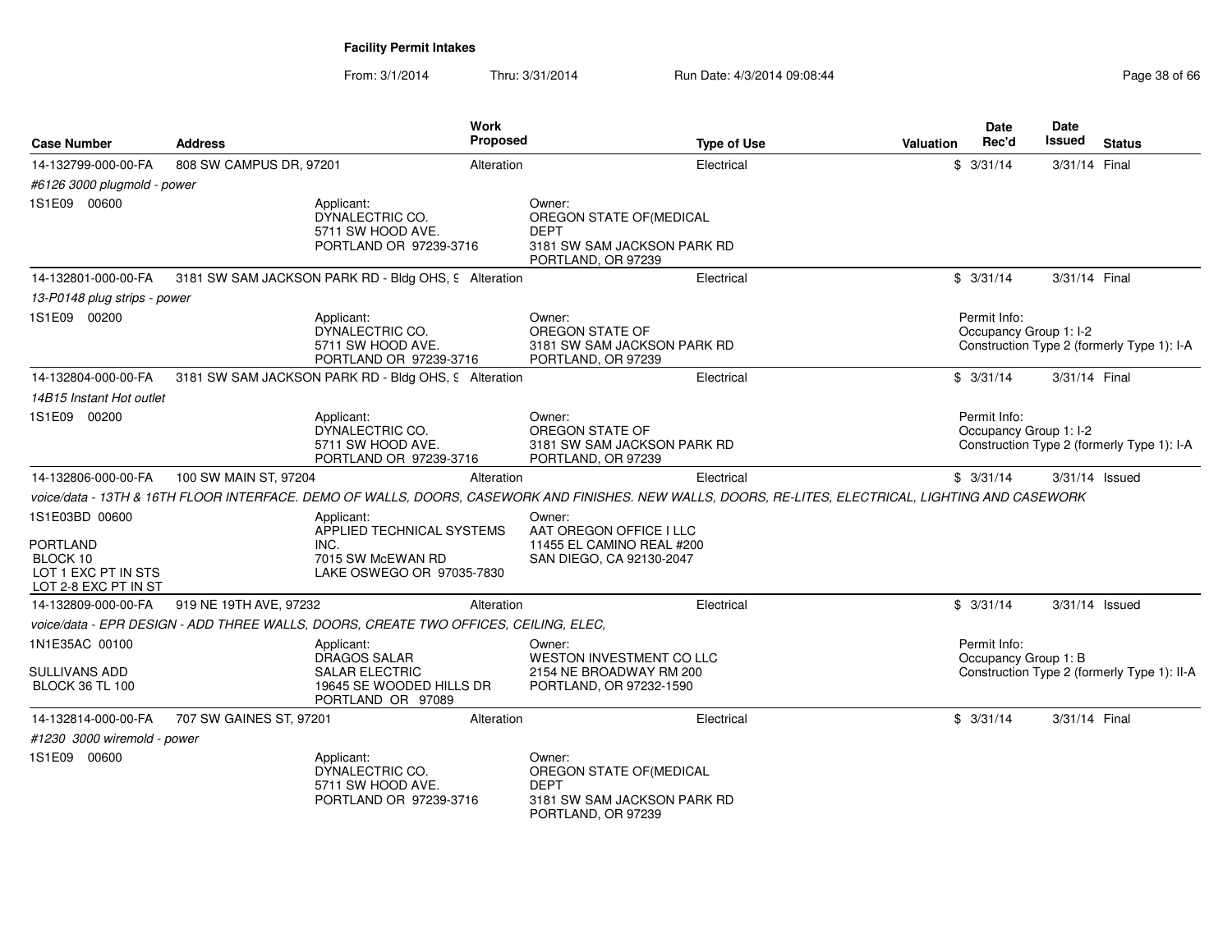| <b>Case Number</b>                                                                           | <b>Address</b>          | Work<br>Proposed                                                                                                                                     |                                                                                                       | <b>Type of Use</b> | <b>Valuation</b> | <b>Date</b><br>Rec'd                   | <b>Date</b><br><b>Issued</b> | <b>Status</b>                               |
|----------------------------------------------------------------------------------------------|-------------------------|------------------------------------------------------------------------------------------------------------------------------------------------------|-------------------------------------------------------------------------------------------------------|--------------------|------------------|----------------------------------------|------------------------------|---------------------------------------------|
| 14-132799-000-00-FA                                                                          | 808 SW CAMPUS DR, 97201 | Alteration                                                                                                                                           |                                                                                                       | Electrical         |                  | \$3/31/14                              | 3/31/14 Final                |                                             |
| #6126 3000 plugmold - power                                                                  |                         |                                                                                                                                                      |                                                                                                       |                    |                  |                                        |                              |                                             |
| 1S1E09 00600                                                                                 |                         | Applicant:<br>DYNALECTRIC CO.<br>5711 SW HOOD AVE.<br>PORTLAND OR 97239-3716                                                                         | Owner:<br>OREGON STATE OF(MEDICAL<br><b>DEPT</b><br>3181 SW SAM JACKSON PARK RD<br>PORTLAND, OR 97239 |                    |                  |                                        |                              |                                             |
| 14-132801-000-00-FA                                                                          |                         | 3181 SW SAM JACKSON PARK RD - Bldg OHS, 9 Alteration                                                                                                 |                                                                                                       | Electrical         |                  | \$3/31/14                              | 3/31/14 Final                |                                             |
| 13-P0148 plug strips - power                                                                 |                         |                                                                                                                                                      |                                                                                                       |                    |                  |                                        |                              |                                             |
| 1S1E09 00200                                                                                 |                         | Applicant:<br>DYNALECTRIC CO.<br>5711 SW HOOD AVE.<br>PORTLAND OR 97239-3716                                                                         | Owner:<br>OREGON STATE OF<br>3181 SW SAM JACKSON PARK RD<br>PORTLAND, OR 97239                        |                    |                  | Permit Info:<br>Occupancy Group 1: I-2 |                              | Construction Type 2 (formerly Type 1): I-A  |
| 14-132804-000-00-FA                                                                          |                         | 3181 SW SAM JACKSON PARK RD - Bldg OHS, 9 Alteration                                                                                                 |                                                                                                       | Electrical         |                  | \$3/31/14                              | 3/31/14 Final                |                                             |
| 14B15 Instant Hot outlet                                                                     |                         |                                                                                                                                                      |                                                                                                       |                    |                  |                                        |                              |                                             |
| 1S1E09 00200                                                                                 |                         | Applicant:<br>DYNALECTRIC CO.<br>5711 SW HOOD AVE.<br>PORTLAND OR 97239-3716                                                                         | Owner:<br>OREGON STATE OF<br>3181 SW SAM JACKSON PARK RD<br>PORTLAND, OR 97239                        |                    |                  | Permit Info:<br>Occupancy Group 1: I-2 |                              | Construction Type 2 (formerly Type 1): I-A  |
| 14-132806-000-00-FA                                                                          | 100 SW MAIN ST, 97204   | Alteration                                                                                                                                           |                                                                                                       | Electrical         |                  | \$3/31/14                              | $3/31/14$ Issued             |                                             |
|                                                                                              |                         | voice/data - 13TH & 16TH FLOOR INTERFACE. DEMO OF WALLS, DOORS, CASEWORK AND FINISHES. NEW WALLS, DOORS, RE-LITES, ELECTRICAL, LIGHTING AND CASEWORK |                                                                                                       |                    |                  |                                        |                              |                                             |
| 1S1E03BD 00600<br><b>PORTLAND</b><br>BLOCK 10<br>LOT 1 EXC PT IN STS<br>LOT 2-8 EXC PT IN ST |                         | Applicant:<br>APPLIED TECHNICAL SYSTEMS<br>INC.<br>7015 SW McEWAN RD<br>LAKE OSWEGO OR 97035-7830                                                    | Owner:<br>AAT OREGON OFFICE I LLC<br>11455 EL CAMINO REAL #200<br>SAN DIEGO, CA 92130-2047            |                    |                  |                                        |                              |                                             |
| 14-132809-000-00-FA                                                                          | 919 NE 19TH AVE, 97232  | Alteration                                                                                                                                           |                                                                                                       | Electrical         |                  | \$3/31/14                              | 3/31/14 Issued               |                                             |
|                                                                                              |                         | voice/data - EPR DESIGN - ADD THREE WALLS, DOORS, CREATE TWO OFFICES, CEILING, ELEC,                                                                 |                                                                                                       |                    |                  |                                        |                              |                                             |
| 1N1E35AC 00100<br>SULLIVANS ADD<br><b>BLOCK 36 TL 100</b>                                    |                         | Applicant:<br>DRAGOS SALAR<br><b>SALAR ELECTRIC</b><br>19645 SE WOODED HILLS DR<br>PORTLAND OR 97089                                                 | Owner:<br>WESTON INVESTMENT CO LLC<br>2154 NE BROADWAY RM 200<br>PORTLAND, OR 97232-1590              |                    |                  | Permit Info:<br>Occupancy Group 1: B   |                              | Construction Type 2 (formerly Type 1): II-A |
| 14-132814-000-00-FA                                                                          | 707 SW GAINES ST, 97201 | Alteration                                                                                                                                           |                                                                                                       | Electrical         |                  | \$3/31/14                              | 3/31/14 Final                |                                             |
| #1230 3000 wiremold - power                                                                  |                         |                                                                                                                                                      |                                                                                                       |                    |                  |                                        |                              |                                             |
| 1S1E09 00600                                                                                 |                         | Applicant:<br>DYNALECTRIC CO.<br>5711 SW HOOD AVE.<br>PORTLAND OR 97239-3716                                                                         | Owner:<br>OREGON STATE OF (MEDICAL<br>DEPT<br>3181 SW SAM JACKSON PARK RD<br>PORTLAND, OR 97239       |                    |                  |                                        |                              |                                             |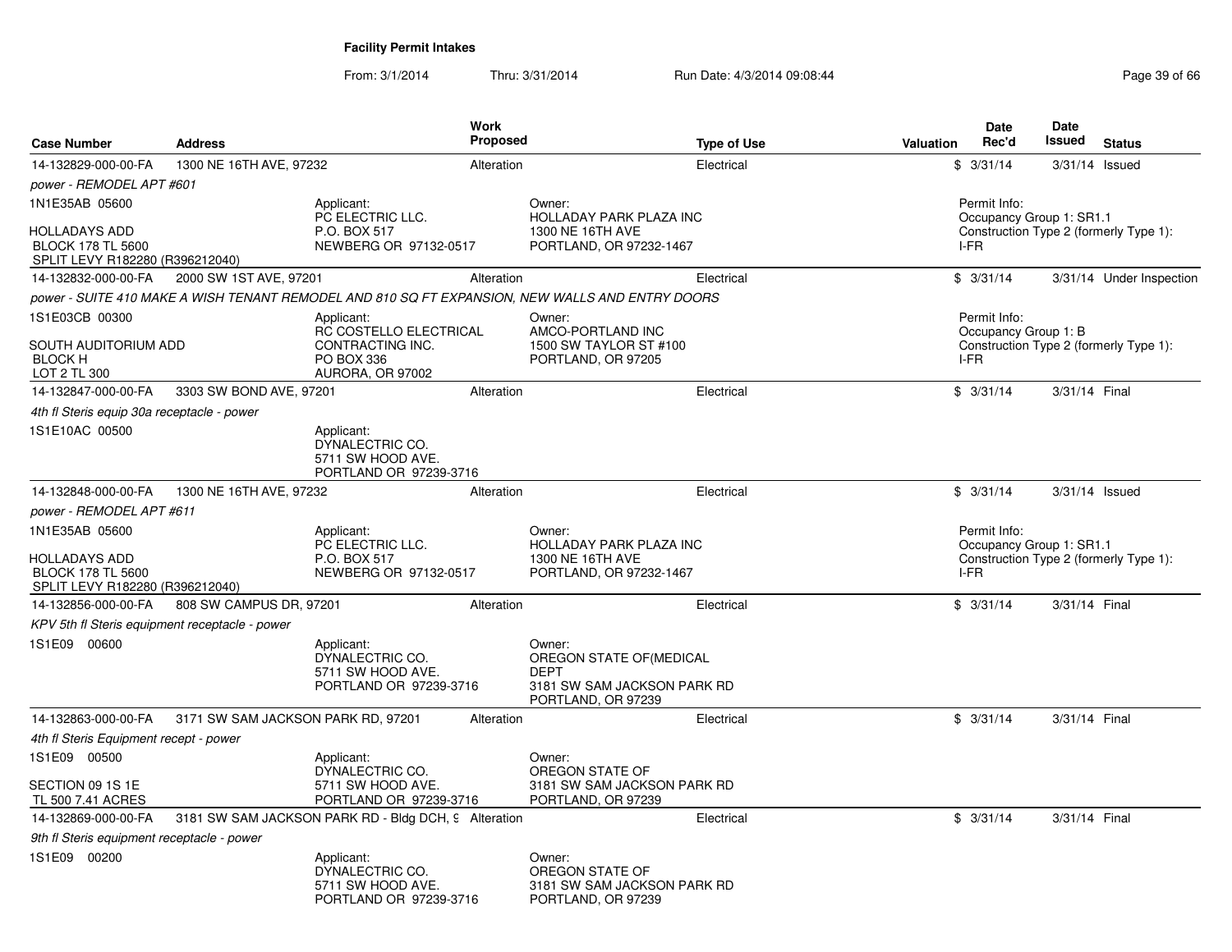| <b>Case Number</b>                                                                                    | <b>Address</b>                                 | <b>Work</b><br><b>Proposed</b>                                                                  |                                                                                                        | <b>Type of Use</b> | <b>Valuation</b> | <b>Date</b><br>Rec'd         | Date<br>Issued           | <b>Status</b>                          |
|-------------------------------------------------------------------------------------------------------|------------------------------------------------|-------------------------------------------------------------------------------------------------|--------------------------------------------------------------------------------------------------------|--------------------|------------------|------------------------------|--------------------------|----------------------------------------|
| 14-132829-000-00-FA                                                                                   | 1300 NE 16TH AVE, 97232                        | Alteration                                                                                      |                                                                                                        | Electrical         |                  | \$3/31/14                    |                          | $3/31/14$ Issued                       |
| <i>power - REMODEL APT #601</i>                                                                       |                                                |                                                                                                 |                                                                                                        |                    |                  |                              |                          |                                        |
| 1N1E35AB 05600<br><b>HOLLADAYS ADD</b><br><b>BLOCK 178 TL 5600</b><br>SPLIT LEVY R182280 (R396212040) |                                                | Applicant:<br>PC ELECTRIC LLC.<br>P.O. BOX 517<br>NEWBERG OR 97132-0517                         | Owner:<br>HOLLADAY PARK PLAZA INC<br>1300 NE 16TH AVE<br>PORTLAND, OR 97232-1467                       |                    |                  | Permit Info:<br>I-FR         | Occupancy Group 1: SR1.1 | Construction Type 2 (formerly Type 1): |
| 14-132832-000-00-FA                                                                                   | 2000 SW 1ST AVE, 97201                         | Alteration                                                                                      |                                                                                                        | Electrical         |                  | \$3/31/14                    |                          | 3/31/14 Under Inspection               |
|                                                                                                       |                                                | power - SUITE 410 MAKE A WISH TENANT REMODEL AND 810 SQ FT EXPANSION, NEW WALLS AND ENTRY DOORS |                                                                                                        |                    |                  |                              |                          |                                        |
| 1S1E03CB 00300                                                                                        |                                                | Applicant:                                                                                      | Owner:                                                                                                 |                    |                  | Permit Info:                 |                          |                                        |
| SOUTH AUDITORIUM ADD<br><b>BLOCK H</b><br>LOT 2 TL 300                                                |                                                | RC COSTELLO ELECTRICAL<br>CONTRACTING INC.<br>PO BOX 336<br>AURORA, OR 97002                    | AMCO-PORTLAND INC<br>1500 SW TAYLOR ST #100<br>PORTLAND, OR 97205                                      |                    |                  | Occupancy Group 1: B<br>I-FR |                          | Construction Type 2 (formerly Type 1): |
| 14-132847-000-00-FA                                                                                   | 3303 SW BOND AVE, 97201                        | Alteration                                                                                      |                                                                                                        | Electrical         |                  | \$3/31/14                    | 3/31/14 Final            |                                        |
| 4th fl Steris equip 30a receptacle - power                                                            |                                                |                                                                                                 |                                                                                                        |                    |                  |                              |                          |                                        |
| 1S1E10AC 00500                                                                                        |                                                | Applicant:<br>DYNALECTRIC CO.<br>5711 SW HOOD AVE.<br>PORTLAND OR 97239-3716                    |                                                                                                        |                    |                  |                              |                          |                                        |
| 14-132848-000-00-FA                                                                                   | 1300 NE 16TH AVE, 97232                        | Alteration                                                                                      |                                                                                                        | Electrical         |                  | \$3/31/14                    |                          | 3/31/14 Issued                         |
| <i>power - REMODEL APT #611</i>                                                                       |                                                |                                                                                                 |                                                                                                        |                    |                  |                              |                          |                                        |
| 1N1E35AB 05600<br><b>HOLLADAYS ADD</b><br><b>BLOCK 178 TL 5600</b><br>SPLIT LEVY R182280 (R396212040) |                                                | Applicant:<br>PC ELECTRIC LLC.<br>P.O. BOX 517<br>NEWBERG OR 97132-0517                         | Owner:<br>HOLLADAY PARK PLAZA INC<br>1300 NE 16TH AVE<br>PORTLAND, OR 97232-1467                       |                    |                  | Permit Info:<br>I-FR         | Occupancy Group 1: SR1.1 | Construction Type 2 (formerly Type 1): |
| 14-132856-000-00-FA                                                                                   | 808 SW CAMPUS DR, 97201                        | Alteration                                                                                      |                                                                                                        | Electrical         |                  | \$3/31/14                    | 3/31/14 Final            |                                        |
|                                                                                                       | KPV 5th fl Steris equipment receptacle - power |                                                                                                 |                                                                                                        |                    |                  |                              |                          |                                        |
| 1S1E09 00600                                                                                          |                                                | Applicant:<br>DYNALECTRIC CO.<br>5711 SW HOOD AVE.<br>PORTLAND OR 97239-3716                    | Owner:<br>OREGON STATE OF (MEDICAL<br><b>DEPT</b><br>3181 SW SAM JACKSON PARK RD<br>PORTLAND, OR 97239 |                    |                  |                              |                          |                                        |
| 14-132863-000-00-FA                                                                                   | 3171 SW SAM JACKSON PARK RD, 97201             | Alteration                                                                                      |                                                                                                        | Electrical         |                  | \$3/31/14                    | 3/31/14 Final            |                                        |
| 4th fl Steris Equipment recept - power                                                                |                                                |                                                                                                 |                                                                                                        |                    |                  |                              |                          |                                        |
| 1S1E09 00500                                                                                          |                                                | Applicant:                                                                                      | Owner:                                                                                                 |                    |                  |                              |                          |                                        |
| SECTION 09 1S 1E<br>TL 500 7.41 ACRES                                                                 |                                                | DYNALECTRIC CO.<br>5711 SW HOOD AVE.<br>PORTLAND OR 97239-3716                                  | OREGON STATE OF<br>3181 SW SAM JACKSON PARK RD<br>PORTLAND, OR 97239                                   |                    |                  |                              |                          |                                        |
| 14-132869-000-00-FA                                                                                   |                                                | 3181 SW SAM JACKSON PARK RD - Bldg DCH, 9 Alteration                                            |                                                                                                        | Electrical         |                  | \$3/31/14                    | 3/31/14 Final            |                                        |
| 9th fl Steris equipment receptacle - power                                                            |                                                |                                                                                                 |                                                                                                        |                    |                  |                              |                          |                                        |
| 1S1E09 00200                                                                                          |                                                | Applicant:<br>DYNALECTRIC CO.<br>5711 SW HOOD AVE.<br>PORTLAND OR 97239-3716                    | Owner:<br>OREGON STATE OF<br>3181 SW SAM JACKSON PARK RD<br>PORTLAND, OR 97239                         |                    |                  |                              |                          |                                        |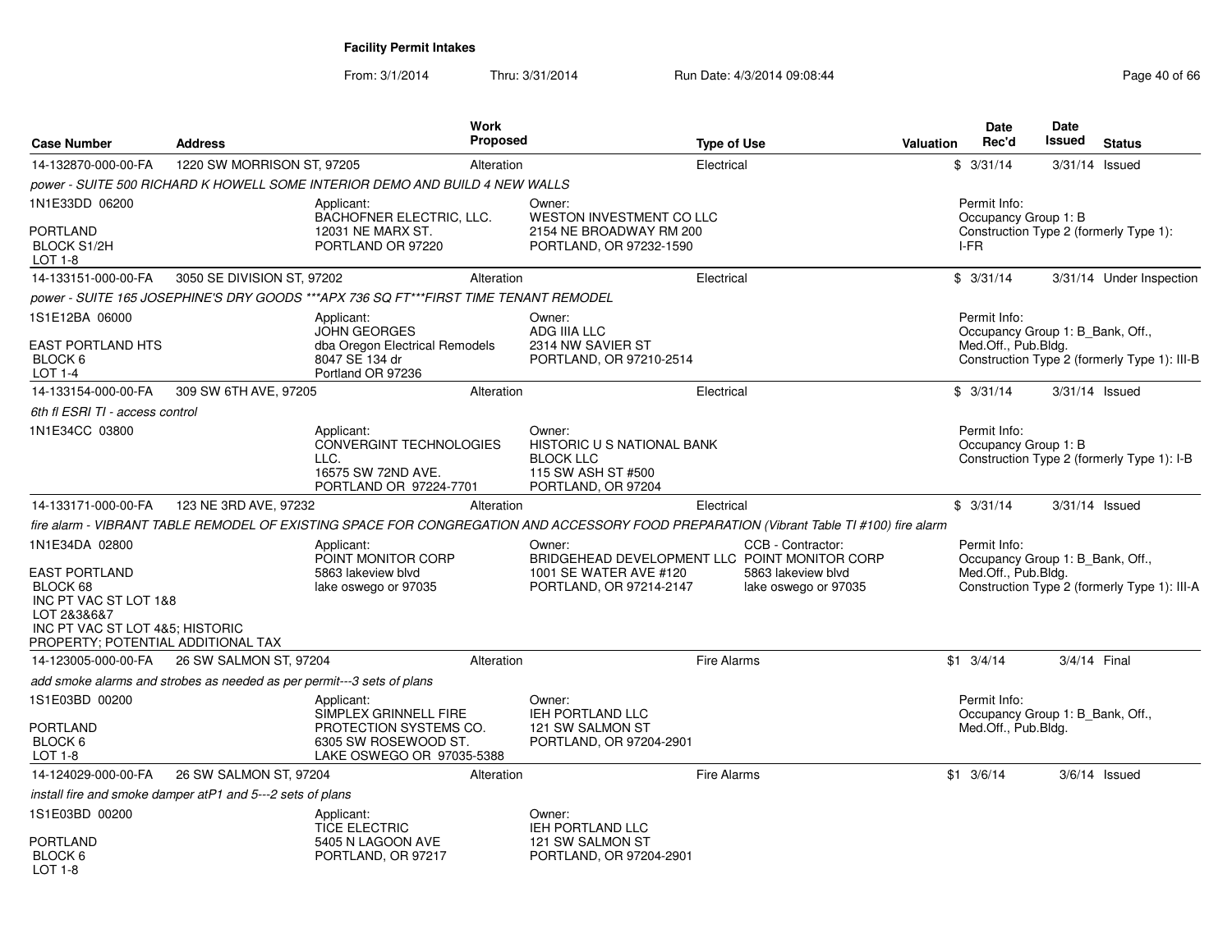| <b>Case Number</b>                                                                                                                                                  | <b>Address</b>                                                         |                                                                                                                    | <b>Work</b><br>Proposed |                                                                                                              | <b>Type of Use</b> |                                                                                                                                         | <b>Valuation</b> | Date<br>Rec'd                                                           | <b>Date</b><br><b>Issued</b> | <b>Status</b>                                |
|---------------------------------------------------------------------------------------------------------------------------------------------------------------------|------------------------------------------------------------------------|--------------------------------------------------------------------------------------------------------------------|-------------------------|--------------------------------------------------------------------------------------------------------------|--------------------|-----------------------------------------------------------------------------------------------------------------------------------------|------------------|-------------------------------------------------------------------------|------------------------------|----------------------------------------------|
| 14-132870-000-00-FA                                                                                                                                                 | 1220 SW MORRISON ST, 97205                                             |                                                                                                                    | Alteration              |                                                                                                              | Electrical         |                                                                                                                                         |                  | \$3/31/14                                                               |                              | $3/31/14$ Issued                             |
|                                                                                                                                                                     |                                                                        | power - SUITE 500 RICHARD K HOWELL SOME INTERIOR DEMO AND BUILD 4 NEW WALLS                                        |                         |                                                                                                              |                    |                                                                                                                                         |                  |                                                                         |                              |                                              |
| 1N1E33DD 06200<br>PORTLAND<br><b>BLOCK S1/2H</b><br>LOT 1-8                                                                                                         |                                                                        | Applicant:<br>BACHOFNER ELECTRIC, LLC.<br>12031 NE MARX ST.<br>PORTLAND OR 97220                                   |                         | Owner:<br>WESTON INVESTMENT CO LLC<br>2154 NE BROADWAY RM 200<br>PORTLAND, OR 97232-1590                     |                    |                                                                                                                                         |                  | Permit Info:<br>Occupancy Group 1: B<br>I-FR                            |                              | Construction Type 2 (formerly Type 1):       |
| 14-133151-000-00-FA                                                                                                                                                 | 3050 SE DIVISION ST, 97202                                             |                                                                                                                    | Alteration              |                                                                                                              | Electrical         |                                                                                                                                         |                  | \$3/31/14                                                               |                              | 3/31/14 Under Inspection                     |
|                                                                                                                                                                     |                                                                        | power - SUITE 165 JOSEPHINE'S DRY GOODS ***APX 736 SQ FT***FIRST TIME TENANT REMODEL                               |                         |                                                                                                              |                    |                                                                                                                                         |                  |                                                                         |                              |                                              |
| 1S1E12BA 06000<br><b>EAST PORTLAND HTS</b><br>BLOCK 6<br><b>LOT 1-4</b>                                                                                             |                                                                        | Applicant:<br><b>JOHN GEORGES</b><br>dba Oregon Electrical Remodels<br>8047 SE 134 dr<br>Portland OR 97236         |                         | Owner:<br>ADG IIIA LLC<br>2314 NW SAVIER ST<br>PORTLAND, OR 97210-2514                                       |                    |                                                                                                                                         |                  | Permit Info:<br>Occupancy Group 1: B_Bank, Off.,<br>Med.Off., Pub.Bldg. |                              | Construction Type 2 (formerly Type 1): III-B |
| 14-133154-000-00-FA                                                                                                                                                 | 309 SW 6TH AVE, 97205                                                  |                                                                                                                    | Alteration              |                                                                                                              | Electrical         |                                                                                                                                         |                  | \$3/31/14                                                               |                              | 3/31/14 Issued                               |
| 6th fl ESRI TI - access control                                                                                                                                     |                                                                        |                                                                                                                    |                         |                                                                                                              |                    |                                                                                                                                         |                  |                                                                         |                              |                                              |
| 1N1E34CC 03800                                                                                                                                                      |                                                                        | Applicant:<br>CONVERGINT TECHNOLOGIES<br>LLC.<br>16575 SW 72ND AVE.<br>PORTLAND OR 97224-7701                      |                         | Owner:<br>HISTORIC U S NATIONAL BANK<br><b>BLOCK LLC</b><br>115 SW ASH ST #500<br>PORTLAND, OR 97204         |                    |                                                                                                                                         |                  | Permit Info:<br>Occupancy Group 1: B                                    |                              | Construction Type 2 (formerly Type 1): I-B   |
| 14-133171-000-00-FA                                                                                                                                                 | 123 NE 3RD AVE, 97232                                                  |                                                                                                                    | Alteration              |                                                                                                              | Electrical         |                                                                                                                                         |                  | \$3/31/14                                                               |                              | 3/31/14 Issued                               |
|                                                                                                                                                                     |                                                                        |                                                                                                                    |                         |                                                                                                              |                    | fire alarm - VIBRANT TABLE REMODEL OF EXISTING SPACE FOR CONGREGATION AND ACCESSORY FOOD PREPARATION (Vibrant Table TI #100) fire alarm |                  |                                                                         |                              |                                              |
| 1N1E34DA 02800<br><b>EAST PORTLAND</b><br>BLOCK 68<br>INC PT VAC ST LOT 1&8<br>LOT 2&3&6&7<br>INC PT VAC ST LOT 4&5: HISTORIC<br>PROPERTY; POTENTIAL ADDITIONAL TAX |                                                                        | Applicant:<br>POINT MONITOR CORP<br>5863 lakeview blyd<br>lake oswego or 97035                                     |                         | Owner:<br>BRIDGEHEAD DEVELOPMENT LLC POINT MONITOR CORP<br>1001 SE WATER AVE #120<br>PORTLAND, OR 97214-2147 |                    | CCB - Contractor:<br>5863 lakeview blvd<br>lake oswego or 97035                                                                         |                  | Permit Info:<br>Occupancy Group 1: B_Bank, Off.,<br>Med.Off., Pub.Bldg. |                              | Construction Type 2 (formerly Type 1): III-A |
| 14-123005-000-00-FA                                                                                                                                                 | 26 SW SALMON ST, 97204                                                 |                                                                                                                    | Alteration              |                                                                                                              | <b>Fire Alarms</b> |                                                                                                                                         |                  | $$1 \quad 3/4/14$                                                       | 3/4/14 Final                 |                                              |
|                                                                                                                                                                     | add smoke alarms and strobes as needed as per permit---3 sets of plans |                                                                                                                    |                         |                                                                                                              |                    |                                                                                                                                         |                  |                                                                         |                              |                                              |
| 1S1E03BD 00200<br>PORTLAND<br>BLOCK 6<br>LOT 1-8                                                                                                                    |                                                                        | Applicant:<br>SIMPLEX GRINNELL FIRE<br>PROTECTION SYSTEMS CO.<br>6305 SW ROSEWOOD ST.<br>LAKE OSWEGO OR 97035-5388 |                         | Owner:<br><b>IEH PORTLAND LLC</b><br>121 SW SALMON ST<br>PORTLAND, OR 97204-2901                             |                    |                                                                                                                                         |                  | Permit Info:<br>Occupancy Group 1: B Bank, Off.,<br>Med.Off., Pub.Bldg. |                              |                                              |
| 14-124029-000-00-FA                                                                                                                                                 | 26 SW SALMON ST, 97204                                                 |                                                                                                                    | Alteration              |                                                                                                              | Fire Alarms        |                                                                                                                                         |                  | $$1 \t3/6/14$                                                           |                              | $3/6/14$ Issued                              |
|                                                                                                                                                                     | install fire and smoke damper atP1 and 5---2 sets of plans             |                                                                                                                    |                         |                                                                                                              |                    |                                                                                                                                         |                  |                                                                         |                              |                                              |
| 1S1E03BD 00200<br>PORTLAND<br>BLOCK 6<br>$1$ OT 1-8                                                                                                                 |                                                                        | Applicant:<br><b>TICE ELECTRIC</b><br>5405 N LAGOON AVE<br>PORTLAND, OR 97217                                      |                         | Owner:<br><b>IEH PORTLAND LLC</b><br>121 SW SALMON ST<br>PORTLAND, OR 97204-2901                             |                    |                                                                                                                                         |                  |                                                                         |                              |                                              |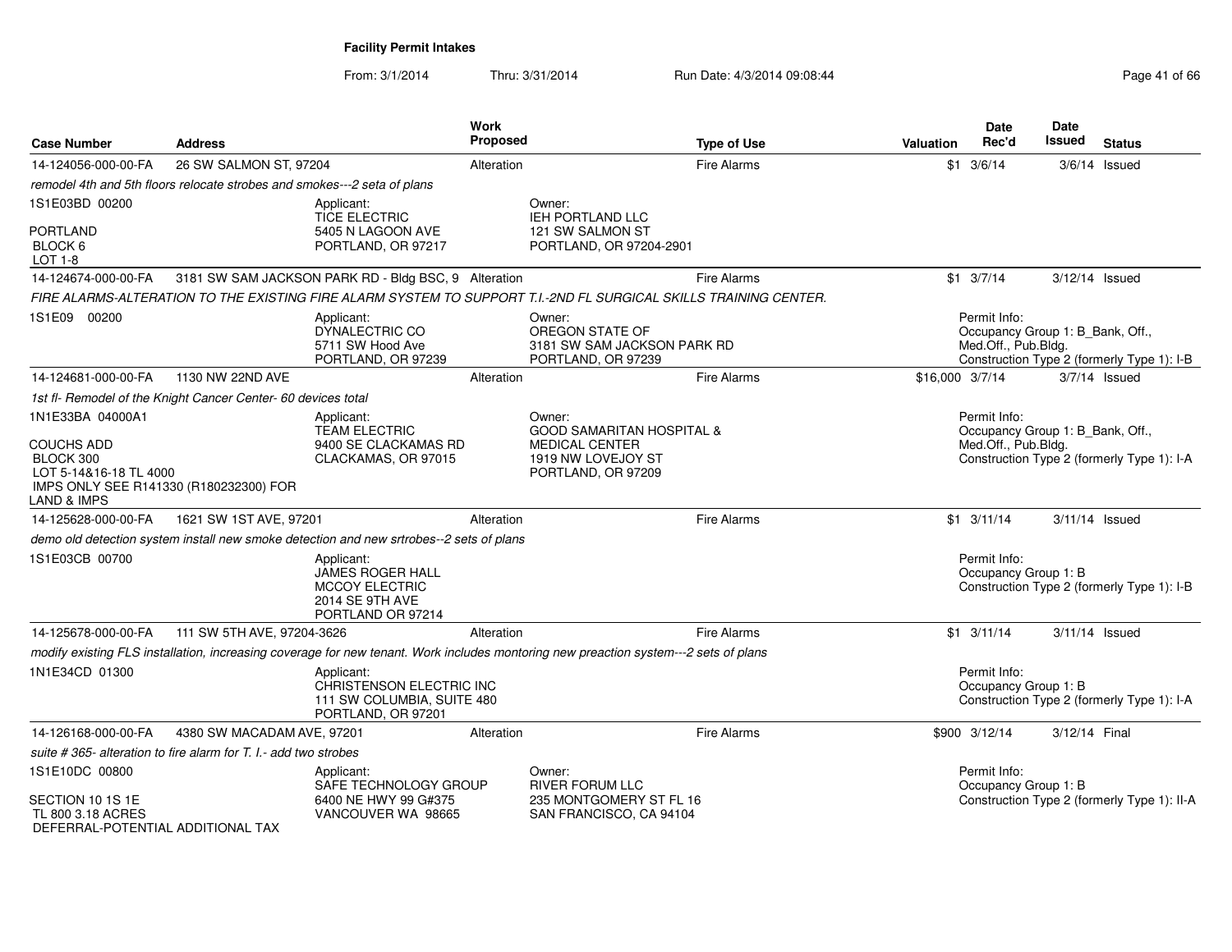| <b>Case Number</b>                                                         | <b>Address</b>                                                           |                                                                                                        | Work<br>Proposed | <b>Type of Use</b>                                                                                                                   | Valuation       | Date<br>Rec'd                                                           | <b>Date</b><br><b>Issued</b> | <b>Status</b>                               |
|----------------------------------------------------------------------------|--------------------------------------------------------------------------|--------------------------------------------------------------------------------------------------------|------------------|--------------------------------------------------------------------------------------------------------------------------------------|-----------------|-------------------------------------------------------------------------|------------------------------|---------------------------------------------|
| 14-124056-000-00-FA                                                        | 26 SW SALMON ST, 97204                                                   |                                                                                                        | Alteration       | <b>Fire Alarms</b>                                                                                                                   |                 | $$1 \t3/6/14$                                                           |                              | $3/6/14$ Issued                             |
|                                                                            | remodel 4th and 5th floors relocate strobes and smokes---2 seta of plans |                                                                                                        |                  |                                                                                                                                      |                 |                                                                         |                              |                                             |
| 1S1E03BD 00200<br>PORTLAND                                                 |                                                                          | Applicant:<br><b>TICE ELECTRIC</b><br>5405 N LAGOON AVE                                                |                  | Owner:<br><b>IEH PORTLAND LLC</b><br>121 SW SALMON ST                                                                                |                 |                                                                         |                              |                                             |
| BLOCK 6<br>LOT 1-8                                                         |                                                                          | PORTLAND, OR 97217                                                                                     |                  | PORTLAND, OR 97204-2901                                                                                                              |                 |                                                                         |                              |                                             |
| 14-124674-000-00-FA                                                        |                                                                          | 3181 SW SAM JACKSON PARK RD - Bldg BSC, 9 Alteration                                                   |                  | <b>Fire Alarms</b>                                                                                                                   |                 | $$1 \t3/7/14$                                                           | 3/12/14 Issued               |                                             |
|                                                                            |                                                                          |                                                                                                        |                  | FIRE ALARMS-ALTERATION TO THE EXISTING FIRE ALARM SYSTEM TO SUPPORT T.I.-2ND FL SURGICAL SKILLS TRAINING CENTER.                     |                 |                                                                         |                              |                                             |
| 1S1E09 00200                                                               |                                                                          | Applicant:<br>DYNALECTRIC CO<br>5711 SW Hood Ave<br>PORTLAND, OR 97239                                 |                  | Owner:<br>OREGON STATE OF<br>3181 SW SAM JACKSON PARK RD<br>PORTLAND, OR 97239                                                       |                 | Permit Info:<br>Occupancy Group 1: B_Bank, Off.,<br>Med.Off., Pub.Bldg. |                              | Construction Type 2 (formerly Type 1): I-B  |
| 14-124681-000-00-FA                                                        | 1130 NW 22ND AVE                                                         |                                                                                                        | Alteration       | <b>Fire Alarms</b>                                                                                                                   | \$16,000 3/7/14 |                                                                         |                              | $3/7/14$ Issued                             |
|                                                                            | 1st fl- Remodel of the Knight Cancer Center- 60 devices total            |                                                                                                        |                  |                                                                                                                                      |                 |                                                                         |                              |                                             |
| 1N1E33BA 04000A1                                                           |                                                                          | Applicant:<br><b>TEAM ELECTRIC</b>                                                                     |                  | Owner:<br><b>GOOD SAMARITAN HOSPITAL &amp;</b>                                                                                       |                 | Permit Info:<br>Occupancy Group 1: B_Bank, Off.,                        |                              |                                             |
| <b>COUCHS ADD</b><br>BLOCK 300<br>LOT 5-14&16-18 TL 4000<br>LAND & IMPS    | IMPS ONLY SEE R141330 (R180232300) FOR                                   | 9400 SE CLACKAMAS RD<br>CLACKAMAS, OR 97015                                                            |                  | <b>MEDICAL CENTER</b><br>1919 NW LOVEJOY ST<br>PORTLAND, OR 97209                                                                    |                 | Med.Off., Pub.Bldg.                                                     |                              | Construction Type 2 (formerly Type 1): I-A  |
| 14-125628-000-00-FA                                                        | 1621 SW 1ST AVE, 97201                                                   |                                                                                                        | Alteration       | <b>Fire Alarms</b>                                                                                                                   |                 | $$1 \t3/11/14$                                                          | $3/11/14$ Issued             |                                             |
|                                                                            |                                                                          | demo old detection system install new smoke detection and new srtrobes--2 sets of plans                |                  |                                                                                                                                      |                 |                                                                         |                              |                                             |
| 1S1E03CB 00700                                                             |                                                                          | Applicant:<br><b>JAMES ROGER HALL</b><br><b>MCCOY ELECTRIC</b><br>2014 SE 9TH AVE<br>PORTLAND OR 97214 |                  |                                                                                                                                      |                 | Permit Info:<br>Occupancy Group 1: B                                    |                              | Construction Type 2 (formerly Type 1): I-B  |
| 14-125678-000-00-FA                                                        | 111 SW 5TH AVE, 97204-3626                                               |                                                                                                        | Alteration       | <b>Fire Alarms</b>                                                                                                                   |                 | $$1 \quad 3/11/14$                                                      | $3/11/14$ Issued             |                                             |
|                                                                            |                                                                          |                                                                                                        |                  | modify existing FLS installation, increasing coverage for new tenant. Work includes montoring new preaction system---2 sets of plans |                 |                                                                         |                              |                                             |
| 1N1E34CD 01300                                                             |                                                                          | Applicant:<br>CHRISTENSON ELECTRIC INC<br>111 SW COLUMBIA, SUITE 480<br>PORTLAND, OR 97201             |                  |                                                                                                                                      |                 | Permit Info:<br>Occupancy Group 1: B                                    |                              | Construction Type 2 (formerly Type 1): I-A  |
| 14-126168-000-00-FA                                                        | 4380 SW MACADAM AVE, 97201                                               |                                                                                                        | Alteration       | <b>Fire Alarms</b>                                                                                                                   |                 | \$900 3/12/14                                                           | 3/12/14 Final                |                                             |
|                                                                            | suite #365- alteration to fire alarm for T. I.- add two strobes          |                                                                                                        |                  |                                                                                                                                      |                 |                                                                         |                              |                                             |
| 1S1E10DC 00800                                                             |                                                                          | Applicant:<br>SAFE TECHNOLOGY GROUP                                                                    |                  | Owner:<br><b>RIVER FORUM LLC</b>                                                                                                     |                 | Permit Info:<br>Occupancy Group 1: B                                    |                              |                                             |
| SECTION 10 1S 1E<br>TL 800 3.18 ACRES<br>DEFERRAI-POTENTIAI ADDITIONAI TAX |                                                                          | 6400 NE HWY 99 G#375<br>VANCOUVER WA 98665                                                             |                  | 235 MONTGOMERY ST FL 16<br>SAN FRANCISCO, CA 94104                                                                                   |                 |                                                                         |                              | Construction Type 2 (formerly Type 1): II-A |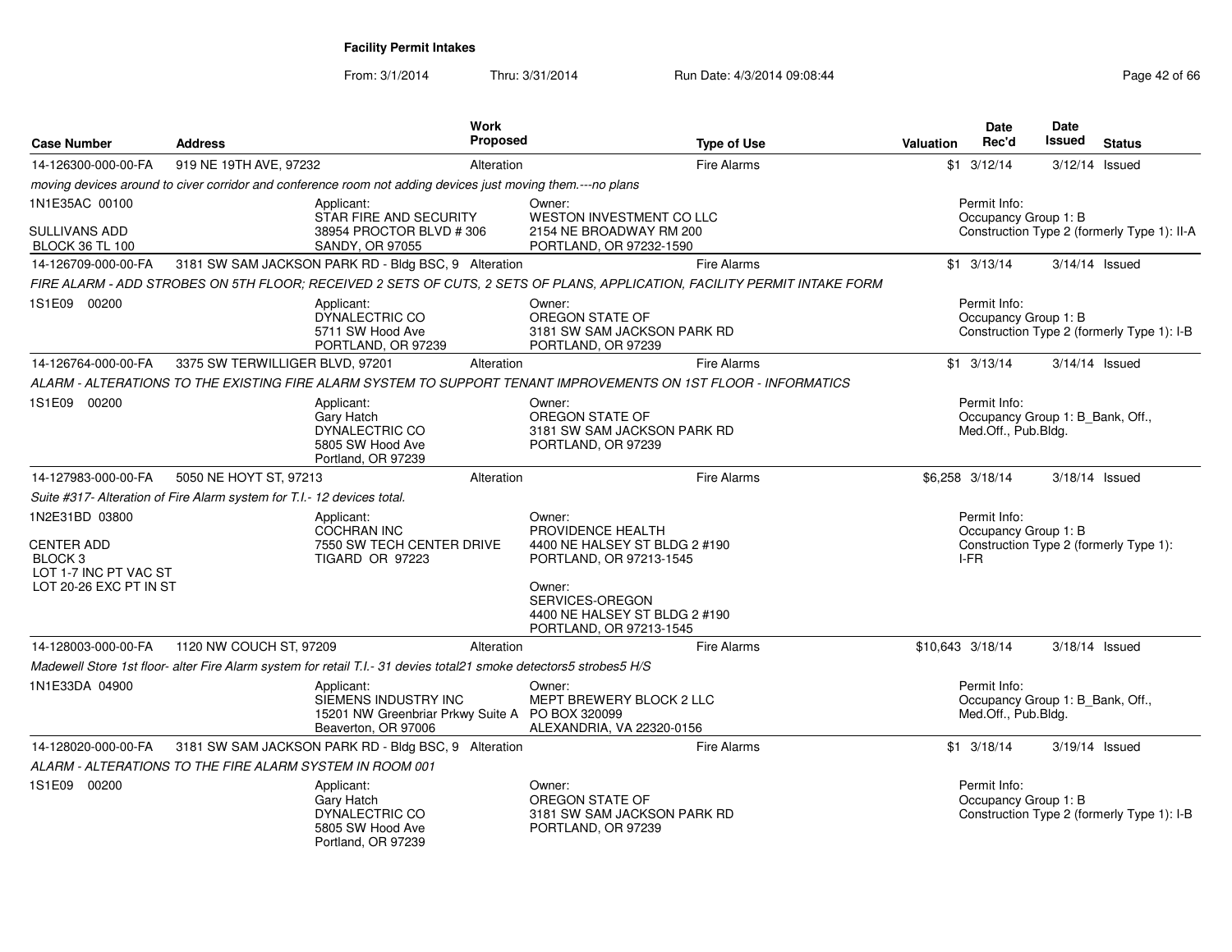| <b>Case Number</b>                                                                                | <b>Address</b>                                                          | Work<br><b>Proposed</b>                                                                                                   |                                                                                                                                                                                  | <b>Type of Use</b> | <b>Valuation</b>                                                                    | <b>Date</b><br>Rec'd                                                    | <b>Date</b><br>Issued | <b>Status</b>                              |
|---------------------------------------------------------------------------------------------------|-------------------------------------------------------------------------|---------------------------------------------------------------------------------------------------------------------------|----------------------------------------------------------------------------------------------------------------------------------------------------------------------------------|--------------------|-------------------------------------------------------------------------------------|-------------------------------------------------------------------------|-----------------------|--------------------------------------------|
| 14-126300-000-00-FA                                                                               | 919 NE 19TH AVE, 97232                                                  | Alteration                                                                                                                |                                                                                                                                                                                  | <b>Fire Alarms</b> |                                                                                     | $$1 \t3/12/14$                                                          | $3/12/14$ Issued      |                                            |
|                                                                                                   |                                                                         | moving devices around to civer corridor and conference room not adding devices just moving them.---no plans               |                                                                                                                                                                                  |                    |                                                                                     |                                                                         |                       |                                            |
| 1N1E35AC 00100<br>SULLIVANS ADD<br><b>BLOCK 36 TL 100</b>                                         |                                                                         | Applicant:<br>STAR FIRE AND SECURITY<br>38954 PROCTOR BLVD #306<br>SANDY, OR 97055                                        | Owner:<br>WESTON INVESTMENT CO LLC<br>2154 NE BROADWAY RM 200<br>PORTLAND, OR 97232-1590                                                                                         |                    | Permit Info:<br>Occupancy Group 1: B<br>Construction Type 2 (formerly Type 1): II-A |                                                                         |                       |                                            |
| 14-126709-000-00-FA                                                                               |                                                                         | 3181 SW SAM JACKSON PARK RD - Bldg BSC, 9 Alteration                                                                      |                                                                                                                                                                                  | Fire Alarms        |                                                                                     | $$1$ 3/13/14                                                            | $3/14/14$ Issued      |                                            |
|                                                                                                   |                                                                         | FIRE ALARM - ADD STROBES ON 5TH FLOOR; RECEIVED 2 SETS OF CUTS, 2 SETS OF PLANS, APPLICATION, FACILITY PERMIT INTAKE FORM |                                                                                                                                                                                  |                    |                                                                                     |                                                                         |                       |                                            |
| 1S1E09 00200                                                                                      |                                                                         | Applicant:<br>DYNALECTRIC CO<br>5711 SW Hood Ave<br>PORTLAND, OR 97239                                                    | Owner:<br>OREGON STATE OF<br>3181 SW SAM JACKSON PARK RD<br>PORTLAND, OR 97239                                                                                                   |                    |                                                                                     | Permit Info:<br>Occupancy Group 1: B                                    |                       | Construction Type 2 (formerly Type 1): I-B |
| 14-126764-000-00-FA                                                                               | 3375 SW TERWILLIGER BLVD, 97201                                         | Alteration                                                                                                                |                                                                                                                                                                                  | Fire Alarms        |                                                                                     | $$1$ 3/13/14                                                            | $3/14/14$ Issued      |                                            |
|                                                                                                   |                                                                         | ALARM - ALTERATIONS TO THE EXISTING FIRE ALARM SYSTEM TO SUPPORT TENANT IMPROVEMENTS ON 1ST FLOOR - INFORMATICS           |                                                                                                                                                                                  |                    |                                                                                     |                                                                         |                       |                                            |
| 1S1E09 00200                                                                                      |                                                                         | Applicant:<br>Gary Hatch<br>DYNALECTRIC CO<br>5805 SW Hood Ave<br>Portland, OR 97239                                      | Owner:<br>OREGON STATE OF<br>3181 SW SAM JACKSON PARK RD<br>PORTLAND, OR 97239                                                                                                   |                    |                                                                                     | Permit Info:<br>Occupancy Group 1: B_Bank, Off.,<br>Med.Off., Pub.Bldg. |                       |                                            |
| 14-127983-000-00-FA                                                                               | 5050 NE HOYT ST, 97213                                                  | Alteration                                                                                                                |                                                                                                                                                                                  | Fire Alarms        |                                                                                     | \$6,258 3/18/14                                                         | 3/18/14 Issued        |                                            |
|                                                                                                   | Suite #317- Alteration of Fire Alarm system for T.I.- 12 devices total. |                                                                                                                           |                                                                                                                                                                                  |                    |                                                                                     |                                                                         |                       |                                            |
| 1N2E31BD 03800<br><b>CENTER ADD</b><br>BLOCK 3<br>LOT 1-7 INC PT VAC ST<br>LOT 20-26 EXC PT IN ST |                                                                         | Applicant:<br><b>COCHRAN INC</b><br>7550 SW TECH CENTER DRIVE<br>TIGARD OR 97223                                          | Owner:<br>PROVIDENCE HEALTH<br>4400 NE HALSEY ST BLDG 2 #190<br>PORTLAND, OR 97213-1545<br>Owner:<br>SERVICES-OREGON<br>4400 NE HALSEY ST BLDG 2 #190<br>PORTLAND, OR 97213-1545 |                    |                                                                                     | Permit Info:<br>Occupancy Group 1: B<br>I-FR                            |                       | Construction Type 2 (formerly Type 1):     |
| 14-128003-000-00-FA                                                                               | 1120 NW COUCH ST, 97209                                                 | Alteration                                                                                                                |                                                                                                                                                                                  | <b>Fire Alarms</b> | \$10,643 3/18/14                                                                    |                                                                         | 3/18/14 Issued        |                                            |
|                                                                                                   |                                                                         | Madewell Store 1st floor- alter Fire Alarm system for retail T.I.- 31 devies total21 smoke detectors5 strobes5 H/S        |                                                                                                                                                                                  |                    |                                                                                     |                                                                         |                       |                                            |
| 1N1E33DA 04900                                                                                    |                                                                         | Applicant:<br>SIEMENS INDUSTRY INC<br>15201 NW Greenbriar Prkwy Suite A PO BOX 320099<br>Beaverton, OR 97006              | Owner:<br>MEPT BREWERY BLOCK 2 LLC<br>ALEXANDRIA, VA 22320-0156                                                                                                                  |                    |                                                                                     | Permit Info:<br>Occupancy Group 1: B_Bank, Off.,<br>Med.Off., Pub.Bldg. |                       |                                            |
| 14-128020-000-00-FA                                                                               |                                                                         | 3181 SW SAM JACKSON PARK RD - Bldg BSC, 9 Alteration                                                                      |                                                                                                                                                                                  | <b>Fire Alarms</b> |                                                                                     | $$1 \t3/18/14$                                                          | 3/19/14 Issued        |                                            |
|                                                                                                   | ALARM - ALTERATIONS TO THE FIRE ALARM SYSTEM IN ROOM 001                |                                                                                                                           |                                                                                                                                                                                  |                    |                                                                                     |                                                                         |                       |                                            |
| 1S1E09 00200                                                                                      |                                                                         | Applicant:<br>Gary Hatch<br>DYNALECTRIC CO<br>5805 SW Hood Ave<br>Portland, OR 97239                                      | Owner:<br>OREGON STATE OF<br>3181 SW SAM JACKSON PARK RD<br>PORTLAND, OR 97239                                                                                                   |                    |                                                                                     | Permit Info:<br>Occupancy Group 1: B                                    |                       | Construction Type 2 (formerly Type 1): I-B |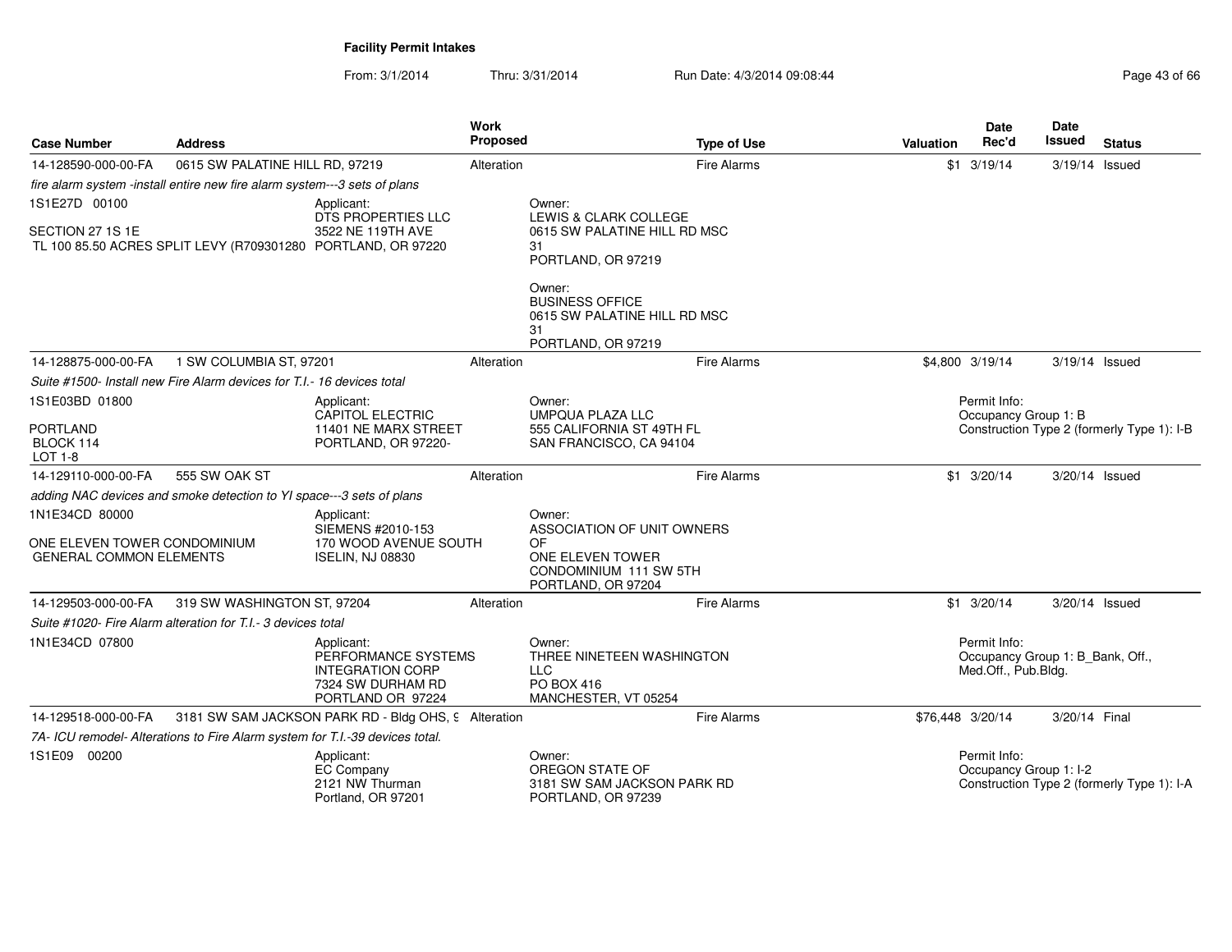| <b>Case Number</b>                                                               | <b>Address</b>                                                               |                                                                                                        | <b>Work</b><br>Proposed |                                                                                              | <b>Type of Use</b> | <b>Valuation</b> | <b>Date</b><br>Rec'd                                                    | <b>Date</b><br>Issued                                              | <b>Status</b>                              |  |
|----------------------------------------------------------------------------------|------------------------------------------------------------------------------|--------------------------------------------------------------------------------------------------------|-------------------------|----------------------------------------------------------------------------------------------|--------------------|------------------|-------------------------------------------------------------------------|--------------------------------------------------------------------|--------------------------------------------|--|
| 14-128590-000-00-FA                                                              | 0615 SW PALATINE HILL RD, 97219                                              |                                                                                                        | Alteration              |                                                                                              | <b>Fire Alarms</b> |                  | $$1 \t3/19/14$                                                          | 3/19/14 Issued                                                     |                                            |  |
|                                                                                  | fire alarm system -install entire new fire alarm system---3 sets of plans    |                                                                                                        |                         |                                                                                              |                    |                  |                                                                         |                                                                    |                                            |  |
| 1S1E27D 00100<br>SECTION 27 1S 1E                                                | TL 100 85.50 ACRES SPLIT LEVY (R709301280 PORTLAND, OR 97220                 | Applicant:<br>DTS PROPERTIES LLC<br>3522 NE 119TH AVE                                                  |                         | Owner:<br>LEWIS & CLARK COLLEGE<br>0615 SW PALATINE HILL RD MSC<br>31<br>PORTLAND, OR 97219  |                    |                  |                                                                         |                                                                    |                                            |  |
|                                                                                  |                                                                              |                                                                                                        |                         | Owner:<br><b>BUSINESS OFFICE</b><br>0615 SW PALATINE HILL RD MSC<br>31<br>PORTLAND, OR 97219 |                    |                  |                                                                         |                                                                    |                                            |  |
| 14-128875-000-00-FA                                                              | 1 SW COLUMBIA ST, 97201                                                      |                                                                                                        | Alteration              |                                                                                              | <b>Fire Alarms</b> |                  | \$4,800 3/19/14                                                         | 3/19/14 Issued                                                     |                                            |  |
|                                                                                  | Suite #1500- Install new Fire Alarm devices for T.I.- 16 devices total       |                                                                                                        |                         |                                                                                              |                    |                  |                                                                         |                                                                    |                                            |  |
| 1S1E03BD 01800                                                                   |                                                                              | Applicant:                                                                                             |                         | Owner:                                                                                       |                    |                  | Permit Info:                                                            |                                                                    |                                            |  |
| <b>PORTLAND</b><br>BLOCK 114<br>LOT 1-8                                          |                                                                              | CAPITOL ELECTRIC<br>11401 NE MARX STREET<br>PORTLAND, OR 97220-                                        |                         | UMPQUA PLAZA LLC<br>555 CALIFORNIA ST 49TH FL<br>SAN FRANCISCO, CA 94104                     |                    |                  |                                                                         | Occupancy Group 1: B<br>Construction Type 2 (formerly Type 1): I-B |                                            |  |
| 14-129110-000-00-FA                                                              | 555 SW OAK ST                                                                |                                                                                                        | Alteration              |                                                                                              | <b>Fire Alarms</b> |                  | $$1 \t3/20/14$                                                          | 3/20/14 Issued                                                     |                                            |  |
|                                                                                  | adding NAC devices and smoke detection to YI space---3 sets of plans         |                                                                                                        |                         |                                                                                              |                    |                  |                                                                         |                                                                    |                                            |  |
| 1N1E34CD 80000<br>ONE ELEVEN TOWER CONDOMINIUM<br><b>GENERAL COMMON ELEMENTS</b> |                                                                              | Applicant:<br>SIEMENS #2010-153<br>170 WOOD AVENUE SOUTH<br><b>ISELIN, NJ 08830</b>                    |                         | Owner:<br>ASSOCIATION OF UNIT OWNERS<br>OF<br>ONE ELEVEN TOWER<br>CONDOMINIUM 111 SW 5TH     |                    |                  |                                                                         |                                                                    |                                            |  |
|                                                                                  |                                                                              |                                                                                                        |                         | PORTLAND, OR 97204                                                                           |                    |                  |                                                                         |                                                                    |                                            |  |
| 14-129503-000-00-FA                                                              | 319 SW WASHINGTON ST, 97204                                                  |                                                                                                        | Alteration              |                                                                                              | <b>Fire Alarms</b> |                  | $$1 \quad 3/20/14$                                                      | 3/20/14 Issued                                                     |                                            |  |
|                                                                                  | Suite #1020- Fire Alarm alteration for T.I.- 3 devices total                 |                                                                                                        |                         |                                                                                              |                    |                  |                                                                         |                                                                    |                                            |  |
| 1N1E34CD 07800                                                                   |                                                                              | Applicant:<br>PERFORMANCE SYSTEMS<br><b>INTEGRATION CORP</b><br>7324 SW DURHAM RD<br>PORTLAND OR 97224 |                         | Owner:<br>THREE NINETEEN WASHINGTON<br>LLC<br>PO BOX 416<br>MANCHESTER, VT 05254             |                    |                  | Permit Info:<br>Occupancy Group 1: B Bank, Off.,<br>Med.Off., Pub.Bldg. |                                                                    |                                            |  |
| 14-129518-000-00-FA                                                              |                                                                              | 3181 SW SAM JACKSON PARK RD - Bldg OHS, 9 Alteration                                                   |                         |                                                                                              | <b>Fire Alarms</b> | \$76,448 3/20/14 |                                                                         | 3/20/14 Final                                                      |                                            |  |
|                                                                                  | 7A- ICU remodel- Alterations to Fire Alarm system for T.I.-39 devices total. |                                                                                                        |                         |                                                                                              |                    |                  |                                                                         |                                                                    |                                            |  |
| 1S1E09 00200                                                                     |                                                                              | Applicant:<br><b>EC Company</b><br>2121 NW Thurman<br>Portland, OR 97201                               |                         | Owner:<br>OREGON STATE OF<br>3181 SW SAM JACKSON PARK RD<br>PORTLAND, OR 97239               |                    |                  | Permit Info:<br>Occupancy Group 1: I-2                                  |                                                                    | Construction Type 2 (formerly Type 1): I-A |  |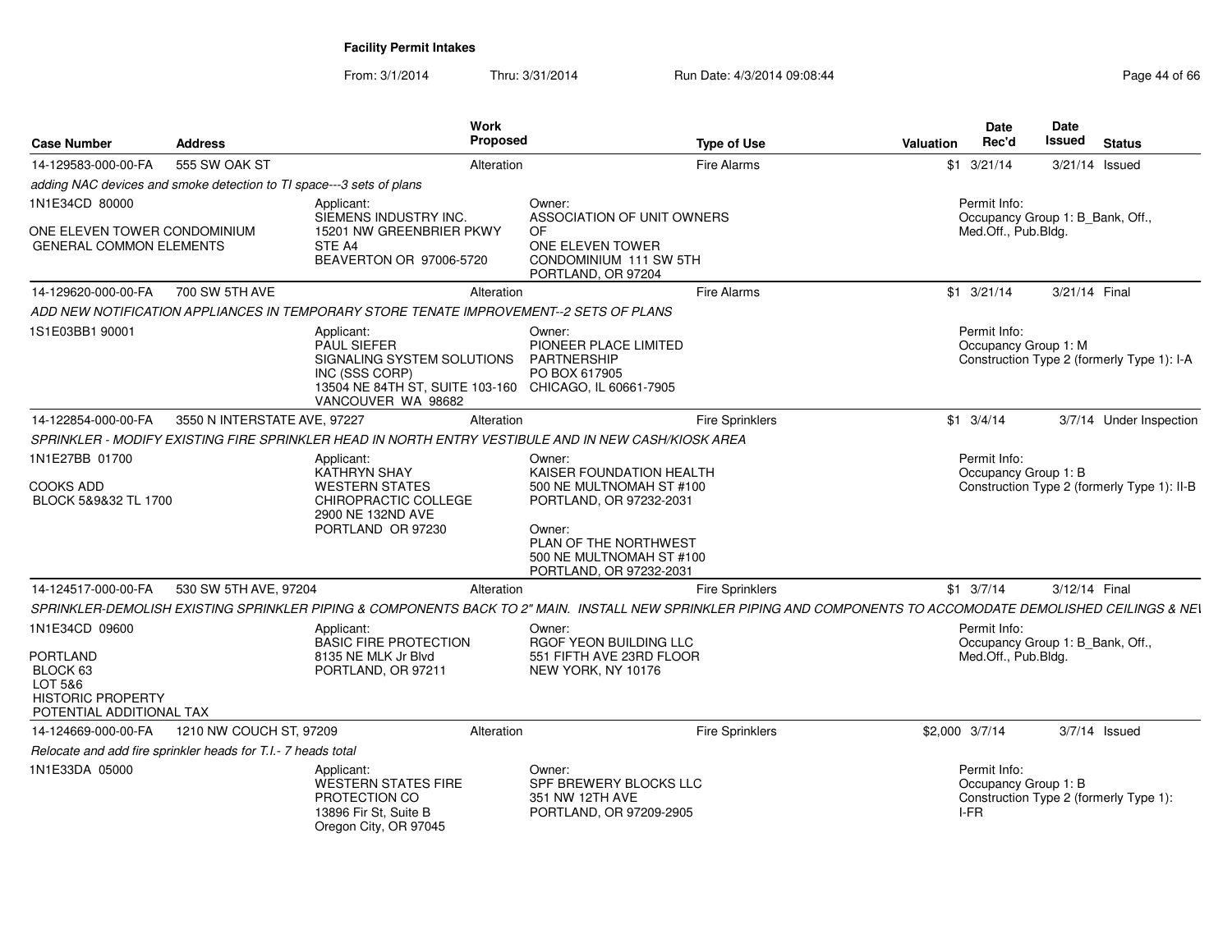|                                                                             |                              |                                                                                                                                                                  | Work                                                                                                                                                                                |                                                                                                                                                                | <b>Date</b>                                  | <b>Date</b>                                 |
|-----------------------------------------------------------------------------|------------------------------|------------------------------------------------------------------------------------------------------------------------------------------------------------------|-------------------------------------------------------------------------------------------------------------------------------------------------------------------------------------|----------------------------------------------------------------------------------------------------------------------------------------------------------------|----------------------------------------------|---------------------------------------------|
| <b>Case Number</b>                                                          | <b>Address</b>               |                                                                                                                                                                  | Proposed                                                                                                                                                                            | <b>Type of Use</b>                                                                                                                                             | Rec'd<br><b>Valuation</b>                    | Issued<br><b>Status</b>                     |
| 14-129583-000-00-FA                                                         | 555 SW OAK ST                |                                                                                                                                                                  | Alteration                                                                                                                                                                          | Fire Alarms                                                                                                                                                    | $$1 \t3/21/14$                               | 3/21/14 Issued                              |
| adding NAC devices and smoke detection to TI space---3 sets of plans        |                              |                                                                                                                                                                  |                                                                                                                                                                                     |                                                                                                                                                                |                                              |                                             |
| 1N1E34CD 80000<br>ONE ELEVEN TOWER CONDOMINIUM                              |                              | Applicant:<br>SIEMENS INDUSTRY INC.<br>15201 NW GREENBRIER PKWY                                                                                                  | Owner:<br>ASSOCIATION OF UNIT OWNERS<br>OF.                                                                                                                                         |                                                                                                                                                                | Permit Info:<br>Med.Off., Pub.Bldg.          | Occupancy Group 1: B Bank, Off.,            |
| <b>GENERAL COMMON ELEMENTS</b>                                              |                              | STE A4<br>BEAVERTON OR 97006-5720                                                                                                                                | ONE ELEVEN TOWER<br>CONDOMINIUM 111 SW 5TH<br>PORTLAND, OR 97204                                                                                                                    |                                                                                                                                                                |                                              |                                             |
| 14-129620-000-00-FA                                                         | 700 SW 5TH AVE               |                                                                                                                                                                  | Alteration                                                                                                                                                                          | Fire Alarms                                                                                                                                                    | $$1 \t3/21/14$                               | 3/21/14 Final                               |
|                                                                             |                              | ADD NEW NOTIFICATION APPLIANCES IN TEMPORARY STORE TENATE IMPROVEMENT--2 SETS OF PLANS                                                                           |                                                                                                                                                                                     |                                                                                                                                                                |                                              |                                             |
| 1S1E03BB1 90001                                                             |                              | Applicant:<br><b>PAUL SIEFER</b><br>SIGNALING SYSTEM SOLUTIONS<br>INC (SSS CORP)<br>13504 NE 84TH ST, SUITE 103-160 CHICAGO, IL 60661-7905<br>VANCOUVER WA 98682 | Owner:<br>PIONEER PLACE LIMITED<br>PARTNERSHIP<br>PO BOX 617905                                                                                                                     |                                                                                                                                                                | Permit Info:<br>Occupancy Group 1: M         | Construction Type 2 (formerly Type 1): I-A  |
| 14-122854-000-00-FA                                                         | 3550 N INTERSTATE AVE, 97227 |                                                                                                                                                                  | Alteration                                                                                                                                                                          | <b>Fire Sprinklers</b>                                                                                                                                         | $$1 \t3/4/14$                                | 3/7/14 Under Inspection                     |
|                                                                             |                              | SPRINKLER - MODIFY EXISTING FIRE SPRINKLER HEAD IN NORTH ENTRY VESTIBULE AND IN NEW CASH/KIOSK AREA                                                              |                                                                                                                                                                                     |                                                                                                                                                                |                                              |                                             |
| 1N1E27BB 01700<br><b>COOKS ADD</b><br>BLOCK 5&9&32 TL 1700                  |                              | Applicant:<br>KATHRYN SHAY<br><b>WESTERN STATES</b><br>CHIROPRACTIC COLLEGE<br>2900 NE 132ND AVE<br>PORTLAND OR 97230                                            | Owner:<br>KAISER FOUNDATION HEALTH<br>500 NE MULTNOMAH ST #100<br>PORTLAND, OR 97232-2031<br>Owner:<br>PLAN OF THE NORTHWEST<br>500 NE MULTNOMAH ST #100<br>PORTLAND, OR 97232-2031 |                                                                                                                                                                | Permit Info:<br>Occupancy Group 1: B         | Construction Type 2 (formerly Type 1): II-B |
| 14-124517-000-00-FA                                                         | 530 SW 5TH AVE, 97204        |                                                                                                                                                                  | Alteration                                                                                                                                                                          | <b>Fire Sprinklers</b>                                                                                                                                         | $$1 \t3/7/14$                                | 3/12/14 Final                               |
|                                                                             |                              |                                                                                                                                                                  |                                                                                                                                                                                     | SPRINKLER-DEMOLISH EXISTING SPRINKLER PIPING & COMPONENTS BACK TO 2" MAIN. INSTALL NEW SPRINKLER PIPING AND COMPONENTS TO ACCOMODATE DEMOLISHED CEILINGS & NEI |                                              |                                             |
| 1N1E34CD 09600<br><b>PORTLAND</b>                                           |                              | Applicant:<br><b>BASIC FIRE PROTECTION</b><br>8135 NE MLK Jr Blvd                                                                                                | Owner:<br>RGOF YEON BUILDING LLC<br>551 FIFTH AVE 23RD FLOOR                                                                                                                        |                                                                                                                                                                | Permit Info:<br>Med.Off., Pub.Bldg.          | Occupancy Group 1: B_Bank, Off.,            |
| BLOCK 63<br>LOT 5&6<br><b>HISTORIC PROPERTY</b><br>POTENTIAL ADDITIONAL TAX |                              | PORTLAND, OR 97211                                                                                                                                               | NEW YORK, NY 10176                                                                                                                                                                  |                                                                                                                                                                |                                              |                                             |
| 14-124669-000-00-FA                                                         | 1210 NW COUCH ST, 97209      |                                                                                                                                                                  | Alteration                                                                                                                                                                          | <b>Fire Sprinklers</b>                                                                                                                                         | \$2,000 3/7/14                               | 3/7/14 Issued                               |
| Relocate and add fire sprinkler heads for T.I.- 7 heads total               |                              |                                                                                                                                                                  |                                                                                                                                                                                     |                                                                                                                                                                |                                              |                                             |
| 1N1E33DA 05000                                                              |                              | Applicant:<br>WESTERN STATES FIRE<br>PROTECTION CO<br>13896 Fir St, Suite B<br>Oregon City, OR 97045                                                             | Owner:<br>SPF BREWERY BLOCKS LLC<br>351 NW 12TH AVE<br>PORTLAND, OR 97209-2905                                                                                                      |                                                                                                                                                                | Permit Info:<br>Occupancy Group 1: B<br>I-FR | Construction Type 2 (formerly Type 1):      |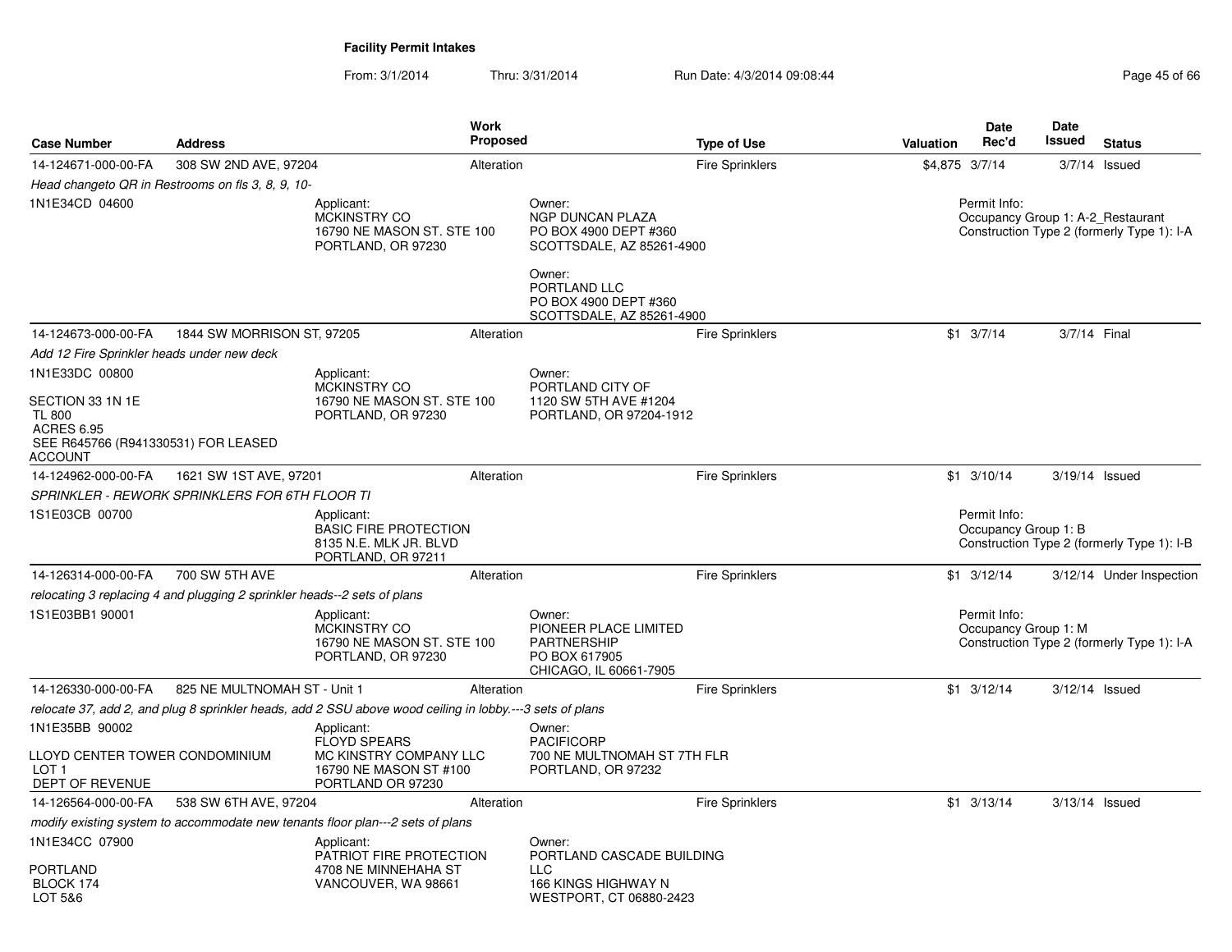| <b>Case Number</b>                                                                                       | <b>Address</b>                                                           | Work<br><b>Proposed</b>                                                                                  |                                                                                                  | <b>Type of Use</b>     | <b>Valuation</b> | <b>Date</b><br>Rec'd                              | Date<br><b>Issued</b> | <b>Status</b>                              |
|----------------------------------------------------------------------------------------------------------|--------------------------------------------------------------------------|----------------------------------------------------------------------------------------------------------|--------------------------------------------------------------------------------------------------|------------------------|------------------|---------------------------------------------------|-----------------------|--------------------------------------------|
| 14-124671-000-00-FA                                                                                      | 308 SW 2ND AVE, 97204                                                    | Alteration                                                                                               |                                                                                                  | <b>Fire Sprinklers</b> | \$4,875 3/7/14   |                                                   |                       | $3/7/14$ Issued                            |
|                                                                                                          | Head changeto QR in Restrooms on fls 3, 8, 9, 10-                        |                                                                                                          |                                                                                                  |                        |                  |                                                   |                       |                                            |
| 1N1E34CD 04600                                                                                           |                                                                          | Applicant:<br><b>MCKINSTRY CO</b><br>16790 NE MASON ST. STE 100<br>PORTLAND, OR 97230                    | Owner:<br><b>NGP DUNCAN PLAZA</b><br>PO BOX 4900 DEPT #360<br>SCOTTSDALE, AZ 85261-4900          |                        |                  | Permit Info:<br>Occupancy Group 1: A-2_Restaurant |                       | Construction Type 2 (formerly Type 1): I-A |
|                                                                                                          |                                                                          |                                                                                                          | Owner:<br>PORTLAND LLC<br>PO BOX 4900 DEPT #360<br>SCOTTSDALE, AZ 85261-4900                     |                        |                  |                                                   |                       |                                            |
| 14-124673-000-00-FA                                                                                      | 1844 SW MORRISON ST, 97205                                               | Alteration                                                                                               |                                                                                                  | <b>Fire Sprinklers</b> |                  | $$1 \t3/7/14$                                     | 3/7/14 Final          |                                            |
| Add 12 Fire Sprinkler heads under new deck                                                               |                                                                          |                                                                                                          |                                                                                                  |                        |                  |                                                   |                       |                                            |
| 1N1E33DC 00800                                                                                           |                                                                          | Applicant:                                                                                               | Owner:                                                                                           |                        |                  |                                                   |                       |                                            |
| SECTION 33 1N 1E<br><b>TL 800</b><br><b>ACRES 6.95</b><br>SEE R645766 (R941330531) FOR LEASED<br>ACCOUNT |                                                                          | MCKINSTRY CO<br>16790 NE MASON ST. STE 100<br>PORTLAND, OR 97230                                         | PORTLAND CITY OF<br>1120 SW 5TH AVE #1204<br>PORTLAND, OR 97204-1912                             |                        |                  |                                                   |                       |                                            |
| 14-124962-000-00-FA                                                                                      | 1621 SW 1ST AVE, 97201                                                   | Alteration                                                                                               |                                                                                                  | <b>Fire Sprinklers</b> |                  | $$1 \t3/10/14$                                    | 3/19/14 Issued        |                                            |
|                                                                                                          | <b>SPRINKLER - REWORK SPRINKLERS FOR 6TH FLOOR TI</b>                    |                                                                                                          |                                                                                                  |                        |                  |                                                   |                       |                                            |
| 1S1E03CB 00700                                                                                           |                                                                          | Applicant:<br><b>BASIC FIRE PROTECTION</b><br>8135 N.E. MLK JR. BLVD<br>PORTLAND, OR 97211               |                                                                                                  |                        |                  | Permit Info:<br>Occupancy Group 1: B              |                       | Construction Type 2 (formerly Type 1): I-B |
| 14-126314-000-00-FA                                                                                      | 700 SW 5TH AVE                                                           | Alteration                                                                                               |                                                                                                  | <b>Fire Sprinklers</b> |                  | $$1 \t3/12/14$                                    |                       | 3/12/14 Under Inspection                   |
|                                                                                                          | relocating 3 replacing 4 and plugging 2 sprinkler heads--2 sets of plans |                                                                                                          |                                                                                                  |                        |                  |                                                   |                       |                                            |
| 1S1E03BB1 90001                                                                                          |                                                                          | Applicant:<br>MCKINSTRY CO<br>16790 NE MASON ST. STE 100<br>PORTLAND, OR 97230                           | Owner:<br>PIONEER PLACE LIMITED<br><b>PARTNERSHIP</b><br>PO BOX 617905<br>CHICAGO, IL 60661-7905 |                        |                  | Permit Info:<br>Occupancy Group 1: M              |                       | Construction Type 2 (formerly Type 1): I-A |
| 14-126330-000-00-FA                                                                                      | 825 NE MULTNOMAH ST - Unit 1                                             | Alteration                                                                                               |                                                                                                  | <b>Fire Sprinklers</b> |                  | $$1 \t3/12/14$                                    | $3/12/14$ Issued      |                                            |
|                                                                                                          |                                                                          | relocate 37, add 2, and plug 8 sprinkler heads, add 2 SSU above wood ceiling in lobby.---3 sets of plans |                                                                                                  |                        |                  |                                                   |                       |                                            |
| 1N1E35BB 90002                                                                                           |                                                                          | Applicant:                                                                                               | Owner:                                                                                           |                        |                  |                                                   |                       |                                            |
| LLOYD CENTER TOWER CONDOMINIUM<br>LOT <sub>1</sub><br>DEPT OF REVENUE                                    |                                                                          | <b>FLOYD SPEARS</b><br>MC KINSTRY COMPANY LLC<br>16790 NE MASON ST #100<br>PORTLAND OR 97230             | <b>PACIFICORP</b><br>700 NE MULTNOMAH ST 7TH FLR<br>PORTLAND, OR 97232                           |                        |                  |                                                   |                       |                                            |
| 14-126564-000-00-FA                                                                                      | 538 SW 6TH AVE, 97204                                                    | Alteration                                                                                               |                                                                                                  | <b>Fire Sprinklers</b> |                  | $$1 \t3/13/14$                                    | 3/13/14 Issued        |                                            |
|                                                                                                          |                                                                          | modify existing system to accommodate new tenants floor plan---2 sets of plans                           |                                                                                                  |                        |                  |                                                   |                       |                                            |
| 1N1E34CC 07900                                                                                           |                                                                          | Applicant:<br>PATRIOT FIRE PROTECTION                                                                    | Owner:<br>PORTLAND CASCADE BUILDING                                                              |                        |                  |                                                   |                       |                                            |
| PORTLAND<br>BLOCK 174<br>LOT 5&6                                                                         |                                                                          | 4708 NE MINNEHAHA ST<br>VANCOUVER, WA 98661                                                              | LLC.<br>166 KINGS HIGHWAY N<br>WESTPORT, CT 06880-2423                                           |                        |                  |                                                   |                       |                                            |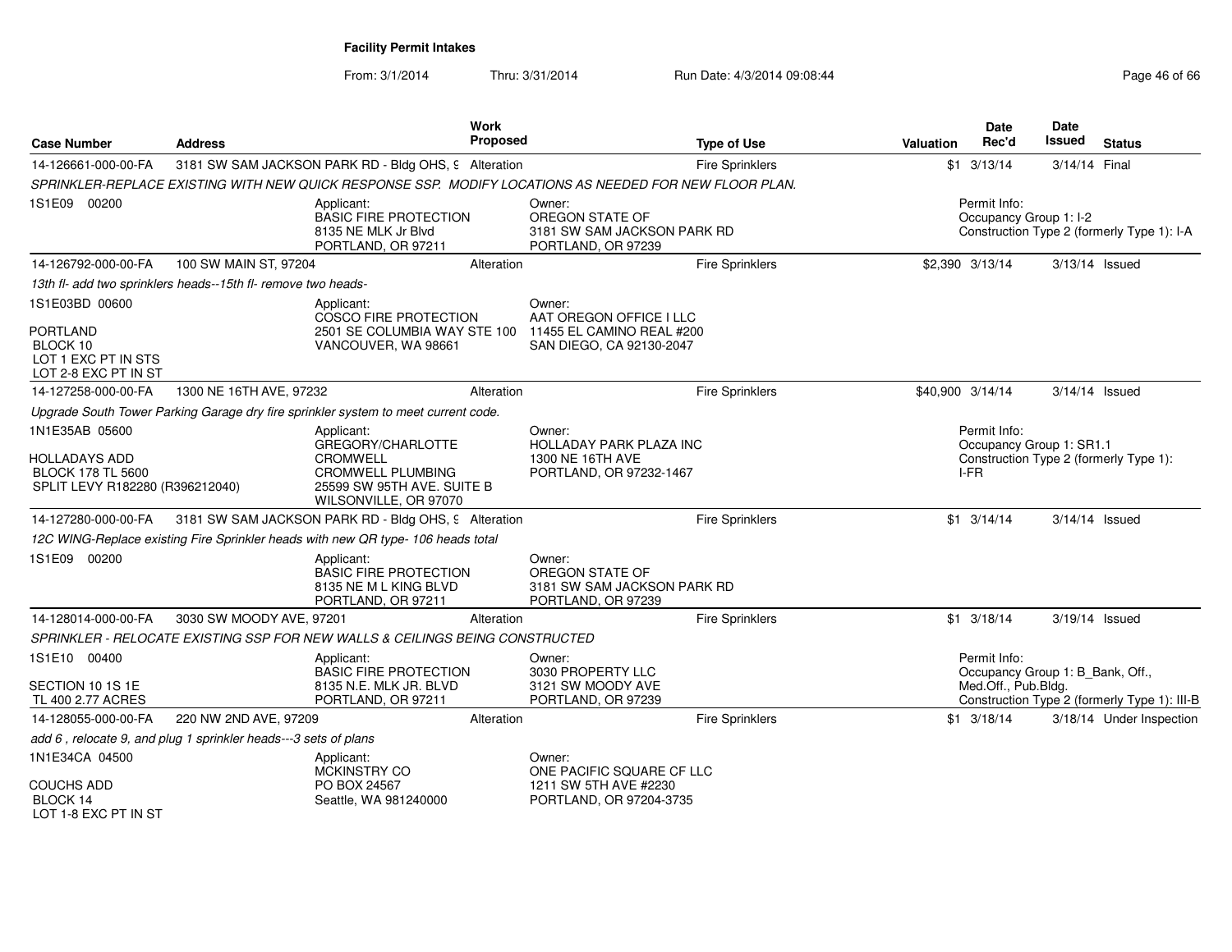| <b>Case Number</b>                                                                  | <b>Address</b>                                                                                                          |                                                                                                        | Work<br>Proposed |                                                                                | <b>Type of Use</b>     | <b>Valuation</b>                 | <b>Date</b><br>Rec'd                                    | Date<br>Issued                                                       | <b>Status</b>                                |
|-------------------------------------------------------------------------------------|-------------------------------------------------------------------------------------------------------------------------|--------------------------------------------------------------------------------------------------------|------------------|--------------------------------------------------------------------------------|------------------------|----------------------------------|---------------------------------------------------------|----------------------------------------------------------------------|----------------------------------------------|
| 14-126661-000-00-FA                                                                 |                                                                                                                         | 3181 SW SAM JACKSON PARK RD - Bldg OHS, 9 Alteration                                                   |                  |                                                                                | <b>Fire Sprinklers</b> |                                  | $$1 \t3/13/14$                                          | 3/14/14 Final                                                        |                                              |
|                                                                                     |                                                                                                                         | SPRINKLER-REPLACE EXISTING WITH NEW QUICK RESPONSE SSP. MODIFY LOCATIONS AS NEEDED FOR NEW FLOOR PLAN. |                  |                                                                                |                        |                                  |                                                         |                                                                      |                                              |
| 1S1E09 00200                                                                        |                                                                                                                         | Applicant:<br><b>BASIC FIRE PROTECTION</b><br>8135 NE MLK Jr Blyd<br>PORTLAND, OR 97211                |                  | Owner:<br>OREGON STATE OF<br>3181 SW SAM JACKSON PARK RD<br>PORTLAND, OR 97239 | Permit Info:           |                                  |                                                         | Occupancy Group 1: I-2<br>Construction Type 2 (formerly Type 1): I-A |                                              |
| 14-126792-000-00-FA                                                                 | 100 SW MAIN ST, 97204                                                                                                   |                                                                                                        | Alteration       |                                                                                | <b>Fire Sprinklers</b> |                                  | \$2,390 3/13/14                                         |                                                                      | 3/13/14 Issued                               |
|                                                                                     | 13th fl- add two sprinklers heads--15th fl- remove two heads-                                                           |                                                                                                        |                  |                                                                                |                        |                                  |                                                         |                                                                      |                                              |
| 1S1E03BD 00600<br><b>PORTLAND</b>                                                   |                                                                                                                         | Applicant:<br>COSCO FIRE PROTECTION<br>2501 SE COLUMBIA WAY STE 100                                    |                  | Owner:<br>AAT OREGON OFFICE I LLC<br>11455 EL CAMINO REAL #200                 |                        |                                  |                                                         |                                                                      |                                              |
| BLOCK 10<br>LOT 1 EXC PT IN STS<br>LOT 2-8 EXC PT IN ST                             |                                                                                                                         | VANCOUVER, WA 98661                                                                                    |                  | SAN DIEGO, CA 92130-2047                                                       |                        |                                  |                                                         |                                                                      |                                              |
| 14-127258-000-00-FA                                                                 | 1300 NE 16TH AVE, 97232                                                                                                 |                                                                                                        | Alteration       |                                                                                | <b>Fire Sprinklers</b> |                                  | \$40,900 3/14/14                                        |                                                                      | 3/14/14 Issued                               |
|                                                                                     |                                                                                                                         | Upgrade South Tower Parking Garage dry fire sprinkler system to meet current code.                     |                  |                                                                                |                        |                                  |                                                         |                                                                      |                                              |
| 1N1E35AB 05600                                                                      |                                                                                                                         | Applicant:                                                                                             |                  | Owner:                                                                         |                        |                                  | Permit Info:                                            |                                                                      |                                              |
| <b>HOLLADAYS ADD</b><br><b>BLOCK 178 TL 5600</b><br>SPLIT LEVY R182280 (R396212040) | GREGORY/CHARLOTTE<br><b>CROMWELL</b><br><b>CROMWELL PLUMBING</b><br>25599 SW 95TH AVE. SUITE B<br>WILSONVILLE, OR 97070 |                                                                                                        |                  | <b>HOLLADAY PARK PLAZA INC</b><br>1300 NE 16TH AVE<br>PORTLAND, OR 97232-1467  |                        | Occupancy Group 1: SR1.1<br>I-FR |                                                         | Construction Type 2 (formerly Type 1):                               |                                              |
| 14-127280-000-00-FA                                                                 |                                                                                                                         | 3181 SW SAM JACKSON PARK RD - Bldg OHS, 9 Alteration                                                   |                  |                                                                                | <b>Fire Sprinklers</b> |                                  | $$1 \t3/14/14$                                          |                                                                      | 3/14/14 Issued                               |
|                                                                                     |                                                                                                                         | 12C WING-Replace existing Fire Sprinkler heads with new QR type-106 heads total                        |                  |                                                                                |                        |                                  |                                                         |                                                                      |                                              |
| 1S1E09 00200                                                                        |                                                                                                                         | Applicant:<br><b>BASIC FIRE PROTECTION</b><br>8135 NE M L KING BLVD<br>PORTLAND, OR 97211              |                  | Owner:<br>OREGON STATE OF<br>3181 SW SAM JACKSON PARK RD<br>PORTLAND, OR 97239 |                        |                                  |                                                         |                                                                      |                                              |
| 14-128014-000-00-FA                                                                 | 3030 SW MOODY AVE, 97201                                                                                                |                                                                                                        | Alteration       |                                                                                | <b>Fire Sprinklers</b> |                                  | $$1 \t3/18/14$                                          |                                                                      | 3/19/14 Issued                               |
|                                                                                     |                                                                                                                         | SPRINKLER - RELOCATE EXISTING SSP FOR NEW WALLS & CEILINGS BEING CONSTRUCTED                           |                  |                                                                                |                        |                                  |                                                         |                                                                      |                                              |
| 1S1E10 00400                                                                        |                                                                                                                         | Applicant:                                                                                             |                  | Owner:                                                                         |                        |                                  | Permit Info:                                            |                                                                      |                                              |
| SECTION 10 1S 1E<br>TL 400 2.77 ACRES                                               |                                                                                                                         | <b>BASIC FIRE PROTECTION</b><br>8135 N.E. MLK JR. BLVD<br>PORTLAND, OR 97211                           |                  | 3030 PROPERTY LLC<br>3121 SW MOODY AVE<br>PORTLAND, OR 97239                   |                        |                                  | Occupancy Group 1: B_Bank, Off.,<br>Med.Off., Pub.Bldg. |                                                                      | Construction Type 2 (formerly Type 1): III-B |
| 14-128055-000-00-FA                                                                 | 220 NW 2ND AVE, 97209                                                                                                   |                                                                                                        | Alteration       |                                                                                | <b>Fire Sprinklers</b> |                                  | $$1 \t3/18/14$                                          |                                                                      | 3/18/14 Under Inspection                     |
|                                                                                     | add 6, relocate 9, and plug 1 sprinkler heads---3 sets of plans                                                         |                                                                                                        |                  |                                                                                |                        |                                  |                                                         |                                                                      |                                              |
| 1N1E34CA 04500                                                                      |                                                                                                                         | Applicant:<br>MCKINSTRY CO                                                                             |                  | Owner:<br>ONE PACIFIC SQUARE CF LLC                                            |                        |                                  |                                                         |                                                                      |                                              |
| <b>COUCHS ADD</b><br>BLOCK 14<br>LOT 1-8 EXC PT IN ST                               |                                                                                                                         | PO BOX 24567<br>Seattle, WA 981240000                                                                  |                  | 1211 SW 5TH AVE #2230<br>PORTLAND, OR 97204-3735                               |                        |                                  |                                                         |                                                                      |                                              |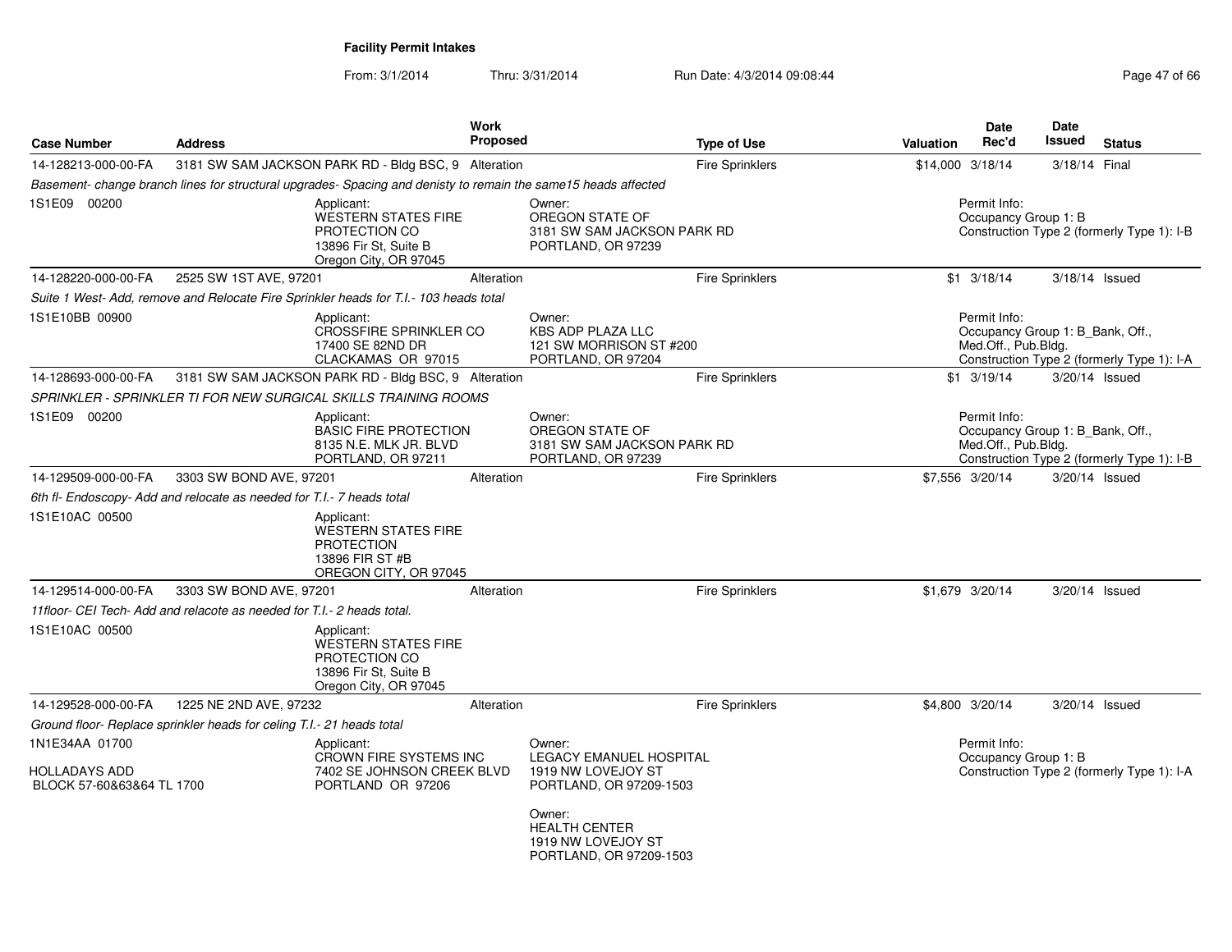|                                                              |                                                                                       | <b>Work</b>                                                                                                    |                                                                                 | <b>Date</b>                                                                        | Date                                                                           |  |  |
|--------------------------------------------------------------|---------------------------------------------------------------------------------------|----------------------------------------------------------------------------------------------------------------|---------------------------------------------------------------------------------|------------------------------------------------------------------------------------|--------------------------------------------------------------------------------|--|--|
| <b>Case Number</b>                                           | <b>Address</b>                                                                        | <b>Proposed</b>                                                                                                | <b>Type of Use</b>                                                              | Rec'd<br><b>Valuation</b>                                                          | Issued<br><b>Status</b>                                                        |  |  |
| 14-128213-000-00-FA                                          | 3181 SW SAM JACKSON PARK RD - Bldg BSC, 9 Alteration                                  |                                                                                                                | <b>Fire Sprinklers</b>                                                          | \$14,000 3/18/14                                                                   | 3/18/14 Final                                                                  |  |  |
|                                                              |                                                                                       | Basement- change branch lines for structural upgrades- Spacing and denisty to remain the same15 heads affected |                                                                                 |                                                                                    |                                                                                |  |  |
| 1S1E09 00200                                                 | Applicant:<br>PROTECTION CO<br>13896 Fir St, Suite B                                  | Owner:<br><b>WESTERN STATES FIRE</b><br>OREGON STATE OF<br>Oregon City, OR 97045                               | 3181 SW SAM JACKSON PARK RD<br>PORTLAND, OR 97239                               | Permit Info:<br>Occupancy Group 1: B<br>Construction Type 2 (formerly Type 1): I-B |                                                                                |  |  |
| 14-128220-000-00-FA                                          | 2525 SW 1ST AVE, 97201                                                                | Alteration                                                                                                     | Fire Sprinklers                                                                 | $$1 \t3/18/14$                                                                     | $3/18/14$ Issued                                                               |  |  |
|                                                              | Suite 1 West- Add, remove and Relocate Fire Sprinkler heads for T.I.- 103 heads total |                                                                                                                |                                                                                 |                                                                                    |                                                                                |  |  |
| 1S1E10BB 00900                                               | Applicant:<br>17400 SE 82ND DR                                                        | Owner:<br>CROSSFIRE SPRINKLER CO<br><b>KBS ADP PLAZA LLC</b><br>CLACKAMAS OR 97015                             | 121 SW MORRISON ST #200<br>PORTLAND, OR 97204                                   | Permit Info:<br>Med.Off., Pub.Bldg.                                                | Occupancy Group 1: B_Bank, Off.,<br>Construction Type 2 (formerly Type 1): I-A |  |  |
| 14-128693-000-00-FA                                          | 3181 SW SAM JACKSON PARK RD - Bldg BSC, 9 Alteration                                  |                                                                                                                | Fire Sprinklers                                                                 | $$1 \quad 3/19/14$                                                                 | 3/20/14 Issued                                                                 |  |  |
|                                                              | SPRINKLER - SPRINKLER TI FOR NEW SURGICAL SKILLS TRAINING ROOMS                       |                                                                                                                |                                                                                 |                                                                                    |                                                                                |  |  |
| 1S1E09 00200                                                 | Applicant:                                                                            | Owner:<br>OREGON STATE OF<br><b>BASIC FIRE PROTECTION</b><br>8135 N.E. MLK JR. BLVD<br>PORTLAND, OR 97211      | 3181 SW SAM JACKSON PARK RD<br>PORTLAND, OR 97239                               | Permit Info:<br>Med.Off., Pub.Bldg.                                                | Occupancy Group 1: B Bank, Off.,<br>Construction Type 2 (formerly Type 1): I-B |  |  |
| 14-129509-000-00-FA                                          | 3303 SW BOND AVE, 97201                                                               | Alteration                                                                                                     | Fire Sprinklers                                                                 | \$7,556 3/20/14                                                                    | 3/20/14 Issued                                                                 |  |  |
|                                                              | 6th fl- Endoscopy- Add and relocate as needed for T.I.- 7 heads total                 |                                                                                                                |                                                                                 |                                                                                    |                                                                                |  |  |
| 1S1E10AC 00500                                               | Applicant:<br><b>PROTECTION</b><br>13896 FIR ST #B                                    | <b>WESTERN STATES FIRE</b><br>OREGON CITY, OR 97045                                                            |                                                                                 |                                                                                    |                                                                                |  |  |
| 14-129514-000-00-FA                                          | 3303 SW BOND AVE, 97201                                                               | Alteration                                                                                                     | Fire Sprinklers                                                                 | \$1,679 3/20/14                                                                    | 3/20/14 Issued                                                                 |  |  |
|                                                              | 11floor- CEI Tech- Add and relacote as needed for T.I.- 2 heads total.                |                                                                                                                |                                                                                 |                                                                                    |                                                                                |  |  |
| 1S1E10AC 00500                                               | Applicant:<br>PROTECTION CO<br>13896 Fir St, Suite B                                  | <b>WESTERN STATES FIRE</b><br>Oregon City, OR 97045                                                            |                                                                                 |                                                                                    |                                                                                |  |  |
| 14-129528-000-00-FA                                          | 1225 NE 2ND AVE, 97232                                                                | Alteration                                                                                                     | Fire Sprinklers                                                                 | \$4,800 3/20/14                                                                    | 3/20/14 Issued                                                                 |  |  |
|                                                              | Ground floor- Replace sprinkler heads for celing T.I.- 21 heads total                 |                                                                                                                |                                                                                 |                                                                                    |                                                                                |  |  |
| 1N1E34AA 01700<br>HOLLADAYS ADD<br>BLOCK 57-60&63&64 TL 1700 | Applicant:                                                                            | Owner:<br>CROWN FIRE SYSTEMS INC<br>7402 SE JOHNSON CREEK BLVD<br>PORTLAND OR 97206                            | <b>LEGACY EMANUEL HOSPITAL</b><br>1919 NW LOVEJOY ST<br>PORTLAND, OR 97209-1503 | Permit Info:                                                                       | Occupancy Group 1: B<br>Construction Type 2 (formerly Type 1): I-A             |  |  |
|                                                              |                                                                                       | Owner:<br><b>HEALTH CENTER</b>                                                                                 | 1919 NW LOVEJOY ST<br>PORTLAND, OR 97209-1503                                   |                                                                                    |                                                                                |  |  |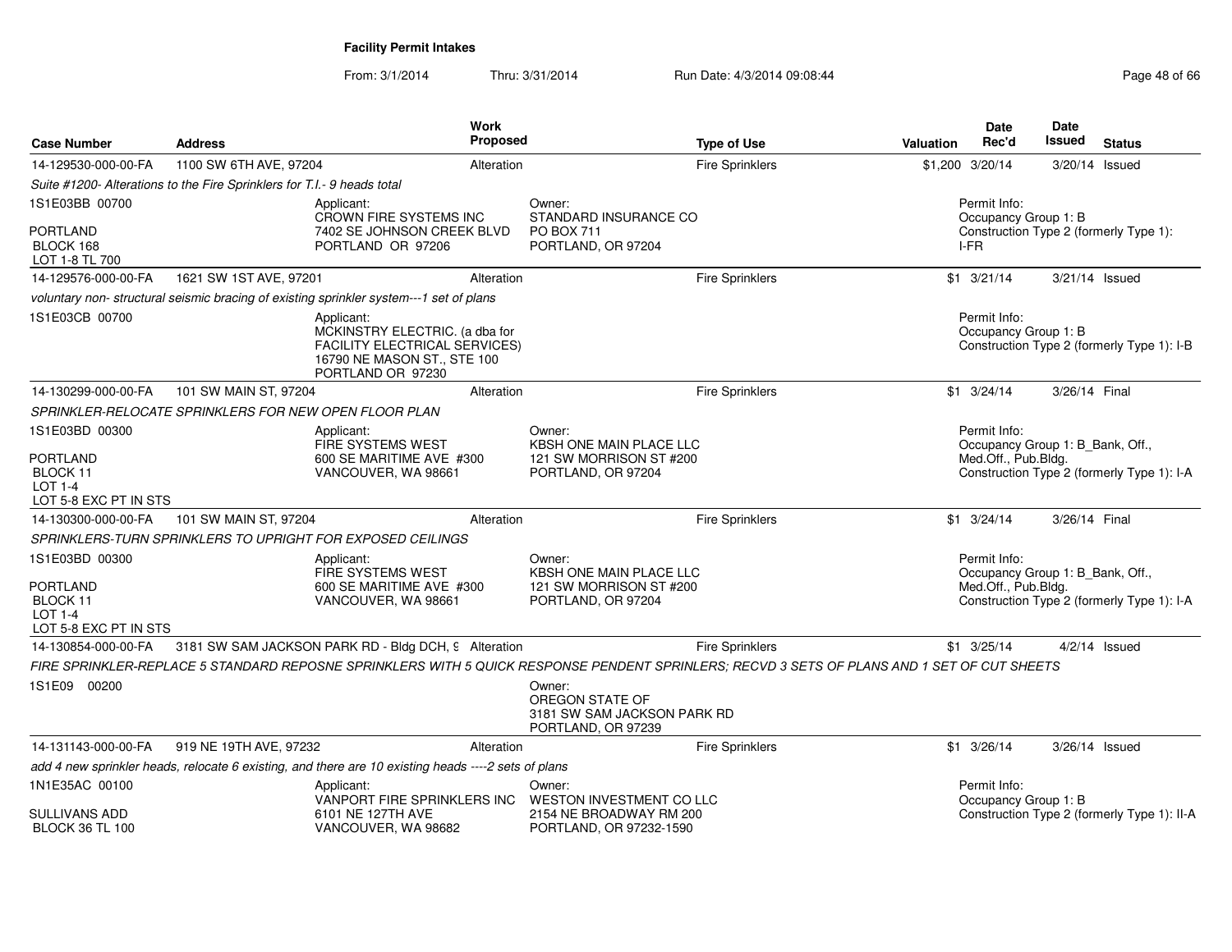| <b>Case Number</b>                                                     | <b>Address</b>                                                          | <b>Work</b><br><b>Proposed</b>                                                                                                              |                                                                                | <b>Type of Use</b>     | Valuation | <b>Date</b><br>Rec'd                                                   | <b>Date</b><br>Issued | <b>Status</b>                               |
|------------------------------------------------------------------------|-------------------------------------------------------------------------|---------------------------------------------------------------------------------------------------------------------------------------------|--------------------------------------------------------------------------------|------------------------|-----------|------------------------------------------------------------------------|-----------------------|---------------------------------------------|
| 14-129530-000-00-FA                                                    | 1100 SW 6TH AVE, 97204                                                  | Alteration                                                                                                                                  |                                                                                | Fire Sprinklers        |           | \$1,200 3/20/14                                                        | 3/20/14 Issued        |                                             |
|                                                                        | Suite #1200- Alterations to the Fire Sprinklers for T.I.- 9 heads total |                                                                                                                                             |                                                                                |                        |           |                                                                        |                       |                                             |
| 1S1E03BB 00700                                                         |                                                                         | Applicant:<br>CROWN FIRE SYSTEMS INC                                                                                                        | Owner:<br>STANDARD INSURANCE CO                                                |                        |           | Permit Info:                                                           |                       |                                             |
| <b>PORTLAND</b><br>BLOCK 168<br>LOT 1-8 TL 700                         |                                                                         | 7402 SE JOHNSON CREEK BLVD<br>PORTLAND OR 97206                                                                                             | <b>PO BOX 711</b><br>PORTLAND, OR 97204                                        |                        |           | Occupancy Group 1: B<br>Construction Type 2 (formerly Type 1):<br>I-FR |                       |                                             |
| 14-129576-000-00-FA                                                    | 1621 SW 1ST AVE, 97201                                                  | Alteration                                                                                                                                  |                                                                                | <b>Fire Sprinklers</b> |           | $$1 \t3/21/14$                                                         | 3/21/14 Issued        |                                             |
|                                                                        |                                                                         | voluntary non- structural seismic bracing of existing sprinkler system---1 set of plans                                                     |                                                                                |                        |           |                                                                        |                       |                                             |
| 1S1E03CB 00700                                                         |                                                                         | Applicant:<br>MCKINSTRY ELECTRIC. (a dba for<br>FACILITY ELECTRICAL SERVICES)<br>16790 NE MASON ST., STE 100<br>PORTLAND OR 97230           |                                                                                |                        |           | Permit Info:<br>Occupancy Group 1: B                                   |                       | Construction Type 2 (formerly Type 1): I-B  |
| 14-130299-000-00-FA                                                    | 101 SW MAIN ST, 97204                                                   | Alteration                                                                                                                                  |                                                                                | <b>Fire Sprinklers</b> |           | $$1 \t3/24/14$                                                         | 3/26/14 Final         |                                             |
|                                                                        | SPRINKLER-RELOCATE SPRINKLERS FOR NEW OPEN FLOOR PLAN                   |                                                                                                                                             |                                                                                |                        |           |                                                                        |                       |                                             |
| 1S1E03BD 00300                                                         |                                                                         | Applicant:<br><b>FIRE SYSTEMS WEST</b>                                                                                                      | Owner:<br><b>KBSH ONE MAIN PLACE LLC</b>                                       |                        |           | Permit Info:<br>Occupancy Group 1: B_Bank, Off.,                       |                       |                                             |
| <b>PORTLAND</b><br>BLOCK 11<br><b>LOT 1-4</b><br>LOT 5-8 EXC PT IN STS |                                                                         | 600 SE MARITIME AVE #300<br>VANCOUVER, WA 98661                                                                                             | 121 SW MORRISON ST #200<br>PORTLAND, OR 97204                                  |                        |           | Med.Off., Pub.Bldg.                                                    |                       | Construction Type 2 (formerly Type 1): I-A  |
| 14-130300-000-00-FA                                                    | 101 SW MAIN ST, 97204                                                   | Alteration                                                                                                                                  |                                                                                | Fire Sprinklers        |           | $$1 \quad 3/24/14$                                                     | 3/26/14 Final         |                                             |
|                                                                        |                                                                         | SPRINKLERS-TURN SPRINKLERS TO UPRIGHT FOR EXPOSED CEILINGS                                                                                  |                                                                                |                        |           |                                                                        |                       |                                             |
| 1S1E03BD 00300                                                         |                                                                         | Applicant:<br><b>FIRE SYSTEMS WEST</b>                                                                                                      | Owner:<br>KBSH ONE MAIN PLACE LLC                                              |                        |           | Permit Info:<br>Occupancy Group 1: B_Bank, Off.,                       |                       |                                             |
| <b>PORTLAND</b><br>BLOCK 11<br>LOT 1-4<br>LOT 5-8 EXC PT IN STS        |                                                                         | 600 SE MARITIME AVE #300<br>VANCOUVER, WA 98661                                                                                             | 121 SW MORRISON ST #200<br>PORTLAND, OR 97204                                  |                        |           | Med.Off., Pub.Bldg.                                                    |                       | Construction Type 2 (formerly Type 1): I-A  |
| 14-130854-000-00-FA                                                    |                                                                         | 3181 SW SAM JACKSON PARK RD - Bldg DCH, 9 Alteration                                                                                        |                                                                                | <b>Fire Sprinklers</b> |           | $$1 \quad 3/25/14$                                                     |                       | $4/2/14$ Issued                             |
|                                                                        |                                                                         | FIRE SPRINKLER-REPLACE 5 STANDARD REPOSNE SPRINKLERS WITH 5 QUICK RESPONSE PENDENT SPRINLERS: RECVD 3 SETS OF PLANS AND 1 SET OF CUT SHEETS |                                                                                |                        |           |                                                                        |                       |                                             |
| 1S1E09 00200                                                           |                                                                         |                                                                                                                                             | Owner:<br>OREGON STATE OF<br>3181 SW SAM JACKSON PARK RD<br>PORTLAND, OR 97239 |                        |           |                                                                        |                       |                                             |
| 14-131143-000-00-FA                                                    | 919 NE 19TH AVE, 97232                                                  | Alteration                                                                                                                                  |                                                                                | Fire Sprinklers        |           | $$1 \t3/26/14$                                                         | 3/26/14 Issued        |                                             |
|                                                                        |                                                                         | add 4 new sprinkler heads, relocate 6 existing, and there are 10 existing heads ----2 sets of plans                                         |                                                                                |                        |           |                                                                        |                       |                                             |
| 1N1E35AC 00100                                                         |                                                                         | Applicant:<br>VANPORT FIRE SPRINKLERS INC                                                                                                   | Owner:<br>WESTON INVESTMENT CO LLC                                             |                        |           | Permit Info:<br>Occupancy Group 1: B                                   |                       |                                             |
| <b>SULLIVANS ADD</b><br><b>BLOCK 36 TL 100</b>                         |                                                                         | 6101 NE 127TH AVE<br>VANCOUVER, WA 98682                                                                                                    | 2154 NE BROADWAY RM 200<br>PORTLAND, OR 97232-1590                             |                        |           |                                                                        |                       | Construction Type 2 (formerly Type 1): II-A |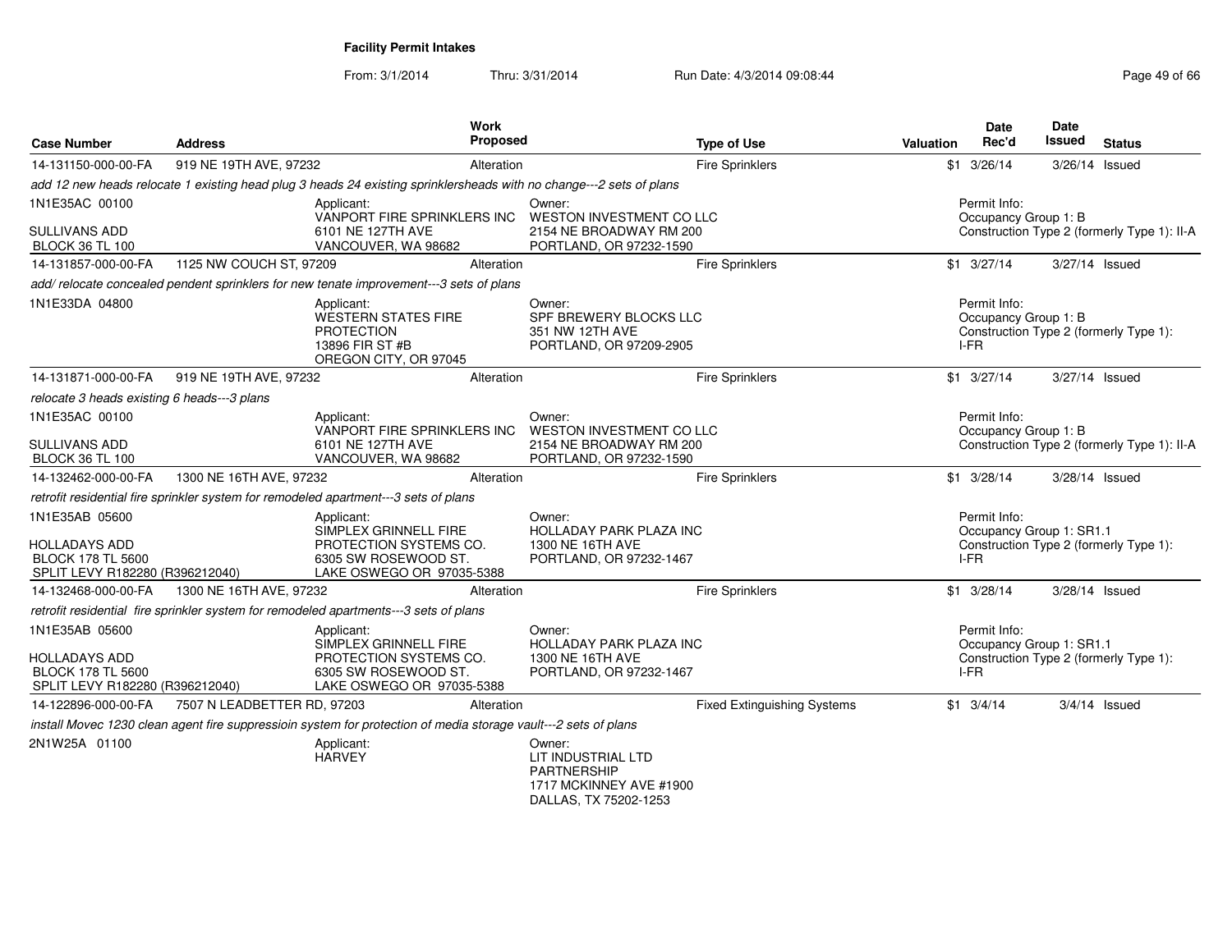From: 3/1/2014Thru: 3/31/2014 Run Date: 4/3/2014 09:08:44 Run Date: 4/3/2014 09:08:44

| <b>Case Number</b>                                                                             | <b>Address</b>              |                                                                                                                     | <b>Work</b><br>Proposed |                                                                                         | <b>Type of Use</b>                 | Valuation | <b>Date</b><br>Rec'd                             | <b>Date</b><br>Issued | <b>Status</b>                               |
|------------------------------------------------------------------------------------------------|-----------------------------|---------------------------------------------------------------------------------------------------------------------|-------------------------|-----------------------------------------------------------------------------------------|------------------------------------|-----------|--------------------------------------------------|-----------------------|---------------------------------------------|
| 14-131150-000-00-FA                                                                            | 919 NE 19TH AVE, 97232      |                                                                                                                     | Alteration              |                                                                                         | <b>Fire Sprinklers</b>             |           | $$1 \t3/26/14$                                   |                       | 3/26/14 Issued                              |
|                                                                                                |                             | add 12 new heads relocate 1 existing head plug 3 heads 24 existing sprinklersheads with no change---2 sets of plans |                         |                                                                                         |                                    |           |                                                  |                       |                                             |
| 1N1E35AC 00100<br>SULLIVANS ADD                                                                |                             | Applicant:<br>VANPORT FIRE SPRINKLERS INC<br>6101 NE 127TH AVE                                                      |                         | Owner:<br>WESTON INVESTMENT CO LLC<br>2154 NE BROADWAY RM 200                           |                                    |           | Permit Info:<br>Occupancy Group 1: B             |                       | Construction Type 2 (formerly Type 1): II-A |
| <b>BLOCK 36 TL 100</b>                                                                         |                             | VANCOUVER, WA 98682                                                                                                 |                         | PORTLAND, OR 97232-1590                                                                 |                                    |           |                                                  |                       |                                             |
| 14-131857-000-00-FA                                                                            | 1125 NW COUCH ST, 97209     |                                                                                                                     | Alteration              |                                                                                         | Fire Sprinklers                    |           | $$1 \t3/27/14$                                   |                       | 3/27/14 Issued                              |
|                                                                                                |                             | add/relocate concealed pendent sprinklers for new tenate improvement---3 sets of plans                              |                         |                                                                                         |                                    |           |                                                  |                       |                                             |
| 1N1E33DA 04800                                                                                 |                             | Applicant:<br><b>WESTERN STATES FIRE</b><br><b>PROTECTION</b><br>13896 FIR ST #B<br>OREGON CITY, OR 97045           |                         | Owner:<br>SPF BREWERY BLOCKS LLC<br>351 NW 12TH AVE<br>PORTLAND, OR 97209-2905          |                                    |           | Permit Info:<br>Occupancy Group 1: B<br>I-FR     |                       | Construction Type 2 (formerly Type 1):      |
| 14-131871-000-00-FA                                                                            | 919 NE 19TH AVE, 97232      |                                                                                                                     | Alteration              |                                                                                         | Fire Sprinklers                    |           | $$1 \t3/27/14$                                   |                       | 3/27/14 Issued                              |
| relocate 3 heads existing 6 heads---3 plans                                                    |                             |                                                                                                                     |                         |                                                                                         |                                    |           |                                                  |                       |                                             |
| 1N1E35AC 00100                                                                                 |                             | Applicant:                                                                                                          |                         | Owner:                                                                                  |                                    |           | Permit Info:                                     |                       |                                             |
| <b>SULLIVANS ADD</b><br><b>BLOCK 36 TL 100</b>                                                 |                             | VANPORT FIRE SPRINKLERS INC<br>6101 NE 127TH AVE<br>VANCOUVER, WA 98682                                             |                         | WESTON INVESTMENT CO LLC<br>2154 NE BROADWAY RM 200<br>PORTLAND, OR 97232-1590          |                                    |           | Occupancy Group 1: B                             |                       | Construction Type 2 (formerly Type 1): II-A |
| 14-132462-000-00-FA                                                                            | 1300 NE 16TH AVE, 97232     |                                                                                                                     | Alteration              |                                                                                         | Fire Sprinklers                    |           | $$1 \t3/28/14$                                   |                       | 3/28/14 Issued                              |
|                                                                                                |                             | retrofit residential fire sprinkler system for remodeled apartment---3 sets of plans                                |                         |                                                                                         |                                    |           |                                                  |                       |                                             |
| 1N1E35AB 05600<br><b>HOLLADAYS ADD</b><br>BLOCK 178 TL 5600<br>SPLIT LEVY R182280 (R396212040) |                             | Applicant:<br>SIMPLEX GRINNELL FIRE<br>PROTECTION SYSTEMS CO.<br>6305 SW ROSEWOOD ST.<br>LAKE OSWEGO OR 97035-5388  |                         | Owner:<br>HOLLADAY PARK PLAZA INC<br>1300 NE 16TH AVE<br>PORTLAND, OR 97232-1467        |                                    |           | Permit Info:<br>Occupancy Group 1: SR1.1<br>IFR  |                       | Construction Type 2 (formerly Type 1):      |
| 14-132468-000-00-FA                                                                            | 1300 NE 16TH AVE, 97232     |                                                                                                                     | Alteration              |                                                                                         | Fire Sprinklers                    |           | $$1 \t3/28/14$                                   |                       | 3/28/14 Issued                              |
|                                                                                                |                             | retrofit residential fire sprinkler system for remodeled apartments---3 sets of plans                               |                         |                                                                                         |                                    |           |                                                  |                       |                                             |
| 1N1E35AB 05600<br>HOLLADAYS ADD<br><b>BLOCK 178 TL 5600</b><br>SPLIT LEVY R182280 (R396212040) |                             | Applicant:<br>SIMPLEX GRINNELL FIRE<br>PROTECTION SYSTEMS CO.<br>6305 SW ROSEWOOD ST.<br>LAKE OSWEGO OR 97035-5388  |                         | Owner:<br><b>HOLLADAY PARK PLAZA INC</b><br>1300 NE 16TH AVE<br>PORTLAND, OR 97232-1467 |                                    |           | Permit Info:<br>Occupancy Group 1: SR1.1<br>I-FR |                       | Construction Type 2 (formerly Type 1):      |
| 14-122896-000-00-FA                                                                            | 7507 N LEADBETTER RD, 97203 |                                                                                                                     | Alteration              |                                                                                         | <b>Fixed Extinguishing Systems</b> |           | $$1 \t3/4/14$                                    |                       | 3/4/14 Issued                               |
|                                                                                                |                             | install Movec 1230 clean agent fire suppressioin system for protection of media storage vault---2 sets of plans     |                         |                                                                                         |                                    |           |                                                  |                       |                                             |
| 2N1W25A 01100                                                                                  |                             | Applicant:<br><b>HARVEY</b>                                                                                         |                         | Owner:<br>LIT INDUSTRIAL LTD<br><b>PARTNERSHIP</b><br>1717 MCKINNEY AVE #1900           |                                    |           |                                                  |                       |                                             |

DALLAS, TX 75202-1253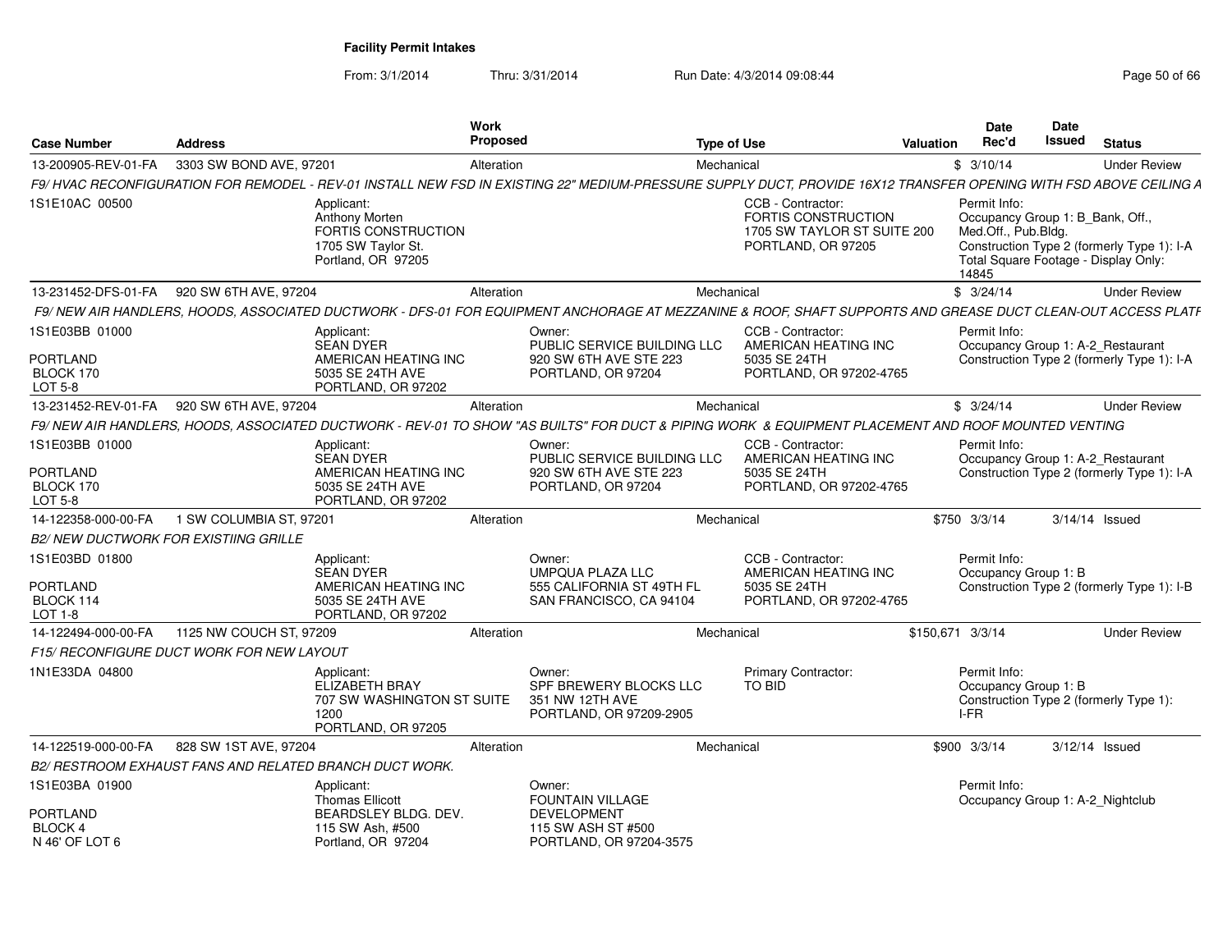| <b>Case Number</b>                                               | <b>Address</b>                               |                                                                                                  | Work<br><b>Proposed</b> |                                                                                                                                                                   | <b>Type of Use</b> |                                                                                                      | <b>Valuation</b> | <b>Date</b><br>Rec'd                         | Date<br>Issued | <b>Status</b>                                                                                                          |
|------------------------------------------------------------------|----------------------------------------------|--------------------------------------------------------------------------------------------------|-------------------------|-------------------------------------------------------------------------------------------------------------------------------------------------------------------|--------------------|------------------------------------------------------------------------------------------------------|------------------|----------------------------------------------|----------------|------------------------------------------------------------------------------------------------------------------------|
| 13-200905-REV-01-FA                                              | 3303 SW BOND AVE, 97201                      |                                                                                                  | Alteration              |                                                                                                                                                                   | Mechanical         |                                                                                                      |                  | \$3/10/14                                    |                | <b>Under Review</b>                                                                                                    |
|                                                                  |                                              |                                                                                                  |                         | F9/HVAC RECONFIGURATION FOR REMODEL - REV-01 INSTALL NEW FSD IN EXISTING 22" MEDIUM-PRESSURE SUPPLY DUCT, PROVIDE 16X12 TRANSFER OPENING WITH FSD ABOVE CEILING A |                    |                                                                                                      |                  |                                              |                |                                                                                                                        |
| 1S1E10AC 00500                                                   |                                              | Applicant:<br>Anthony Morten<br>FORTIS CONSTRUCTION<br>1705 SW Taylor St.<br>Portland, OR 97205  |                         |                                                                                                                                                                   |                    | CCB - Contractor:<br><b>FORTIS CONSTRUCTION</b><br>1705 SW TAYLOR ST SUITE 200<br>PORTLAND, OR 97205 |                  | Permit Info:<br>Med.Off., Pub.Bldg.<br>14845 |                | Occupancy Group 1: B_Bank, Off.,<br>Construction Type 2 (formerly Type 1): I-A<br>Total Square Footage - Display Only: |
| 13-231452-DFS-01-FA                                              | 920 SW 6TH AVE, 97204                        |                                                                                                  | Alteration              |                                                                                                                                                                   | Mechanical         |                                                                                                      |                  | \$3/24/14                                    |                | <b>Under Review</b>                                                                                                    |
|                                                                  |                                              |                                                                                                  |                         | F9/ NEW AIR HANDLERS, HOODS, ASSOCIATED DUCTWORK - DFS-01 FOR EQUIPMENT ANCHORAGE AT MEZZANINE & ROOF, SHAFT SUPPORTS AND GREASE DUCT CLEAN-OUT ACCESS PLATF      |                    |                                                                                                      |                  |                                              |                |                                                                                                                        |
| 1S1E03BB 01000                                                   |                                              | Applicant:<br><b>SEAN DYER</b>                                                                   |                         | Owner:<br>PUBLIC SERVICE BUILDING LLC                                                                                                                             |                    | CCB - Contractor:<br>AMERICAN HEATING INC                                                            |                  | Permit Info:                                 |                | Occupancy Group 1: A-2 Restaurant                                                                                      |
| PORTLAND<br>BLOCK 170<br><b>LOT 5-8</b>                          |                                              | AMERICAN HEATING INC<br>5035 SE 24TH AVE<br>PORTLAND, OR 97202                                   |                         | 920 SW 6TH AVE STE 223<br>PORTLAND, OR 97204                                                                                                                      |                    | 5035 SE 24TH<br>PORTLAND, OR 97202-4765                                                              |                  |                                              |                | Construction Type 2 (formerly Type 1): I-A                                                                             |
| 13-231452-REV-01-FA                                              | 920 SW 6TH AVE, 97204                        |                                                                                                  | Alteration              |                                                                                                                                                                   | Mechanical         |                                                                                                      |                  | \$3/24/14                                    |                | <b>Under Review</b>                                                                                                    |
|                                                                  |                                              |                                                                                                  |                         | F9/NEW AIR HANDLERS, HOODS, ASSOCIATED DUCTWORK - REV-01 TO SHOW "AS BUILTS" FOR DUCT & PIPING WORK & EQUIPMENT PLACEMENT AND ROOF MOUNTED VENTING                |                    |                                                                                                      |                  |                                              |                |                                                                                                                        |
| 1S1E03BB 01000<br><b>PORTLAND</b><br>BLOCK 170<br><b>LOT 5-8</b> |                                              | Applicant:<br><b>SEAN DYER</b><br>AMERICAN HEATING INC<br>5035 SE 24TH AVE<br>PORTLAND, OR 97202 |                         | Owner:<br>PUBLIC SERVICE BUILDING LLC<br>920 SW 6TH AVE STE 223<br>PORTLAND, OR 97204                                                                             |                    | CCB - Contractor:<br>AMERICAN HEATING INC<br>5035 SE 24TH<br>PORTLAND, OR 97202-4765                 |                  | Permit Info:                                 |                | Occupancy Group 1: A-2_Restaurant<br>Construction Type 2 (formerly Type 1): I-A                                        |
| 14-122358-000-00-FA                                              | 1 SW COLUMBIA ST, 97201                      |                                                                                                  | Alteration              |                                                                                                                                                                   | Mechanical         |                                                                                                      |                  | \$750 3/3/14                                 |                | 3/14/14 Issued                                                                                                         |
|                                                                  | <b>B2/ NEW DUCTWORK FOR EXISTIING GRILLE</b> |                                                                                                  |                         |                                                                                                                                                                   |                    |                                                                                                      |                  |                                              |                |                                                                                                                        |
| 1S1E03BD 01800<br>PORTLAND<br>BLOCK 114<br>LOT 1-8               |                                              | Applicant:<br><b>SEAN DYER</b><br>AMERICAN HEATING INC<br>5035 SE 24TH AVE<br>PORTLAND, OR 97202 |                         | Owner:<br>UMPQUA PLAZA LLC<br>555 CALIFORNIA ST 49TH FL<br>SAN FRANCISCO, CA 94104                                                                                |                    | CCB - Contractor:<br>AMERICAN HEATING INC<br>5035 SE 24TH<br>PORTLAND, OR 97202-4765                 |                  | Permit Info:<br>Occupancy Group 1: B         |                | Construction Type 2 (formerly Type 1): I-B                                                                             |
| 14-122494-000-00-FA                                              | 1125 NW COUCH ST, 97209                      |                                                                                                  | Alteration              |                                                                                                                                                                   | Mechanical         |                                                                                                      |                  | \$150.671 3/3/14                             |                | <b>Under Review</b>                                                                                                    |
|                                                                  | F15/ RECONFIGURE DUCT WORK FOR NEW LAYOUT    |                                                                                                  |                         |                                                                                                                                                                   |                    |                                                                                                      |                  |                                              |                |                                                                                                                        |
| 1N1E33DA 04800                                                   |                                              | Applicant:<br><b>ELIZABETH BRAY</b><br>707 SW WASHINGTON ST SUITE<br>1200<br>PORTLAND, OR 97205  |                         | Owner:<br>SPF BREWERY BLOCKS LLC<br>351 NW 12TH AVE<br>PORTLAND, OR 97209-2905                                                                                    |                    | <b>Primary Contractor:</b><br>TO BID                                                                 |                  | Permit Info:<br>Occupancy Group 1: B<br>I-FR |                | Construction Type 2 (formerly Type 1):                                                                                 |
| 14-122519-000-00-FA                                              | 828 SW 1ST AVE, 97204                        |                                                                                                  | Alteration              |                                                                                                                                                                   | Mechanical         |                                                                                                      |                  | \$900 3/3/14                                 |                | $3/12/14$ Issued                                                                                                       |
|                                                                  |                                              | B2/ RESTROOM EXHAUST FANS AND RELATED BRANCH DUCT WORK.                                          |                         |                                                                                                                                                                   |                    |                                                                                                      |                  |                                              |                |                                                                                                                        |
| 1S1E03BA 01900                                                   |                                              | Applicant:<br>Thomas Ellicott                                                                    |                         | Owner:<br><b>FOUNTAIN VILLAGE</b>                                                                                                                                 |                    |                                                                                                      |                  | Permit Info:                                 |                | Occupancy Group 1: A-2 Nightclub                                                                                       |
| <b>PORTLAND</b><br>BLOCK 4<br>N 46' OF LOT 6                     |                                              | BEARDSLEY BLDG. DEV.<br>115 SW Ash. #500<br>Portland, OR 97204                                   |                         | <b>DEVELOPMENT</b><br>115 SW ASH ST #500<br>PORTLAND, OR 97204-3575                                                                                               |                    |                                                                                                      |                  |                                              |                |                                                                                                                        |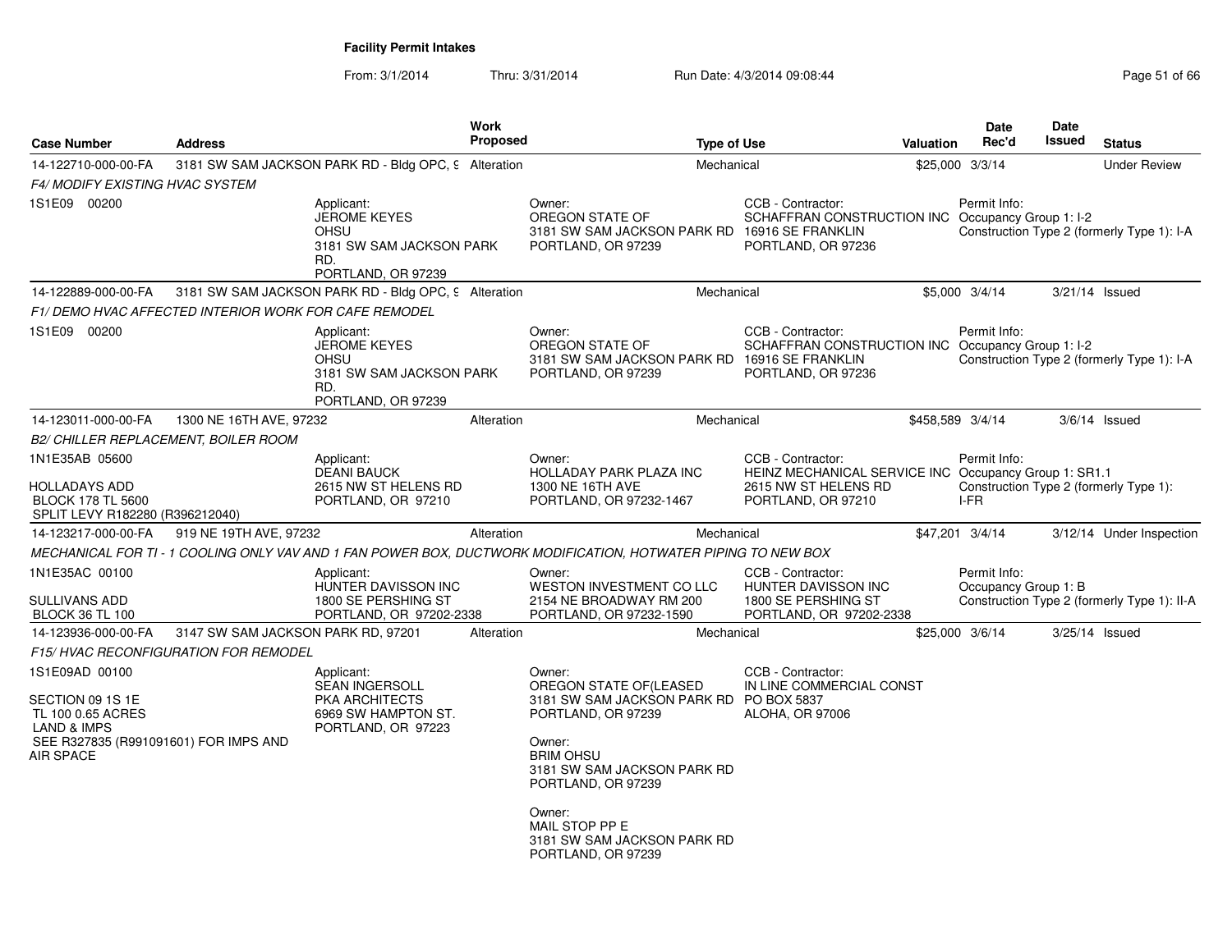| <b>Case Number</b>                                                                                                                      | <b>Address</b>                     |                                                                                                           | <b>Work</b><br>Proposed |                                                                                                                                                                                                                                                                       | <b>Type of Use</b>                                                                                                       | Valuation | Date<br>Rec'd                        | Date<br><b>Issued</b> | <b>Status</b>                               |
|-----------------------------------------------------------------------------------------------------------------------------------------|------------------------------------|-----------------------------------------------------------------------------------------------------------|-------------------------|-----------------------------------------------------------------------------------------------------------------------------------------------------------------------------------------------------------------------------------------------------------------------|--------------------------------------------------------------------------------------------------------------------------|-----------|--------------------------------------|-----------------------|---------------------------------------------|
| 14-122710-000-00-FA                                                                                                                     |                                    | 3181 SW SAM JACKSON PARK RD - Bldg OPC, 9 Alteration                                                      |                         |                                                                                                                                                                                                                                                                       | Mechanical                                                                                                               |           | \$25,000 3/3/14                      |                       | <b>Under Review</b>                         |
| F4/ MODIFY EXISTING HVAC SYSTEM                                                                                                         |                                    |                                                                                                           |                         |                                                                                                                                                                                                                                                                       |                                                                                                                          |           |                                      |                       |                                             |
| 1S1E09 00200                                                                                                                            |                                    | Applicant:<br><b>JEROME KEYES</b><br><b>OHSU</b><br>3181 SW SAM JACKSON PARK<br>RD.<br>PORTLAND, OR 97239 |                         | Owner:<br>OREGON STATE OF<br>3181 SW SAM JACKSON PARK RD 16916 SE FRANKLIN<br>PORTLAND, OR 97239                                                                                                                                                                      | CCB - Contractor:<br>SCHAFFRAN CONSTRUCTION INC Occupancy Group 1: I-2<br>PORTLAND, OR 97236                             |           | Permit Info:                         |                       | Construction Type 2 (formerly Type 1): I-A  |
| 14-122889-000-00-FA                                                                                                                     |                                    | 3181 SW SAM JACKSON PARK RD - Bldg OPC, 9 Alteration                                                      |                         |                                                                                                                                                                                                                                                                       | Mechanical                                                                                                               |           | \$5,000 3/4/14                       |                       | $3/21/14$ Issued                            |
| F1/DEMO HVAC AFFECTED INTERIOR WORK FOR CAFE REMODEL                                                                                    |                                    |                                                                                                           |                         |                                                                                                                                                                                                                                                                       |                                                                                                                          |           |                                      |                       |                                             |
| 1S1E09 00200                                                                                                                            |                                    | Applicant:<br><b>JEROME KEYES</b><br>OHSU<br>3181 SW SAM JACKSON PARK<br>RD.<br>PORTLAND, OR 97239        |                         | Owner:<br>OREGON STATE OF<br>3181 SW SAM JACKSON PARK RD 16916 SE FRANKLIN<br>PORTLAND, OR 97239                                                                                                                                                                      | CCB - Contractor:<br>SCHAFFRAN CONSTRUCTION INC Occupancy Group 1: I-2<br>PORTLAND, OR 97236                             |           | Permit Info:                         |                       | Construction Type 2 (formerly Type 1): I-A  |
| 14-123011-000-00-FA                                                                                                                     | 1300 NE 16TH AVE, 97232            |                                                                                                           | Alteration              |                                                                                                                                                                                                                                                                       | Mechanical                                                                                                               |           | \$458,589 3/4/14                     |                       | $3/6/14$ Issued                             |
| <b>B2/ CHILLER REPLACEMENT, BOILER ROOM</b>                                                                                             |                                    |                                                                                                           |                         |                                                                                                                                                                                                                                                                       |                                                                                                                          |           |                                      |                       |                                             |
| 1N1E35AB 05600<br>HOLLADAYS ADD<br><b>BLOCK 178 TL 5600</b><br>SPLIT LEVY R182280 (R396212040)                                          |                                    | Applicant:<br><b>DEANI BAUCK</b><br>2615 NW ST HELENS RD<br>PORTLAND, OR 97210                            |                         | Owner:<br>HOLLADAY PARK PLAZA INC<br>1300 NE 16TH AVE<br>PORTLAND, OR 97232-1467                                                                                                                                                                                      | CCB - Contractor:<br>HEINZ MECHANICAL SERVICE INC Occupancy Group 1: SR1.1<br>2615 NW ST HELENS RD<br>PORTLAND, OR 97210 |           | Permit Info:<br>I-FR                 |                       | Construction Type 2 (formerly Type 1):      |
| 14-123217-000-00-FA                                                                                                                     | 919 NE 19TH AVE, 97232             |                                                                                                           | Alteration              |                                                                                                                                                                                                                                                                       | Mechanical                                                                                                               |           | \$47,201 3/4/14                      |                       | 3/12/14 Under Inspection                    |
|                                                                                                                                         |                                    |                                                                                                           |                         | MECHANICAL FOR TI - 1 COOLING ONLY VAV AND 1 FAN POWER BOX, DUCTWORK MODIFICATION, HOTWATER PIPING TO NEW BOX                                                                                                                                                         |                                                                                                                          |           |                                      |                       |                                             |
| 1N1E35AC 00100<br>SULLIVANS ADD<br><b>BLOCK 36 TL 100</b>                                                                               |                                    | Applicant:<br>HUNTER DAVISSON INC<br>1800 SE PERSHING ST<br>PORTLAND, OR 97202-2338                       |                         | Owner:<br>WESTON INVESTMENT CO LLC<br>2154 NE BROADWAY RM 200<br>PORTLAND, OR 97232-1590                                                                                                                                                                              | CCB - Contractor:<br>HUNTER DAVISSON INC<br>1800 SE PERSHING ST<br>PORTLAND, OR 97202-2338                               |           | Permit Info:<br>Occupancy Group 1: B |                       | Construction Type 2 (formerly Type 1): II-A |
| 14-123936-000-00-FA                                                                                                                     | 3147 SW SAM JACKSON PARK RD, 97201 |                                                                                                           | Alteration              |                                                                                                                                                                                                                                                                       | Mechanical                                                                                                               |           | \$25,000 3/6/14                      |                       | 3/25/14 Issued                              |
| F15/HVAC RECONFIGURATION FOR REMODEL                                                                                                    |                                    |                                                                                                           |                         |                                                                                                                                                                                                                                                                       |                                                                                                                          |           |                                      |                       |                                             |
| 1S1E09AD 00100<br>SECTION 09 1S 1E<br>TL 100 0.65 ACRES<br><b>LAND &amp; IMPS</b><br>SEE R327835 (R991091601) FOR IMPS AND<br>AIR SPACE |                                    | Applicant:<br><b>SEAN INGERSOLL</b><br><b>PKA ARCHITECTS</b><br>6969 SW HAMPTON ST.<br>PORTLAND, OR 97223 |                         | Owner:<br>OREGON STATE OF(LEASED<br>3181 SW SAM JACKSON PARK RD PO BOX 5837<br>PORTLAND, OR 97239<br>Owner:<br><b>BRIM OHSU</b><br>3181 SW SAM JACKSON PARK RD<br>PORTLAND, OR 97239<br>Owner:<br>MAIL STOP PP E<br>3181 SW SAM JACKSON PARK RD<br>PORTLAND, OR 97239 | CCB - Contractor:<br>IN LINE COMMERCIAL CONST<br><b>ALOHA, OR 97006</b>                                                  |           |                                      |                       |                                             |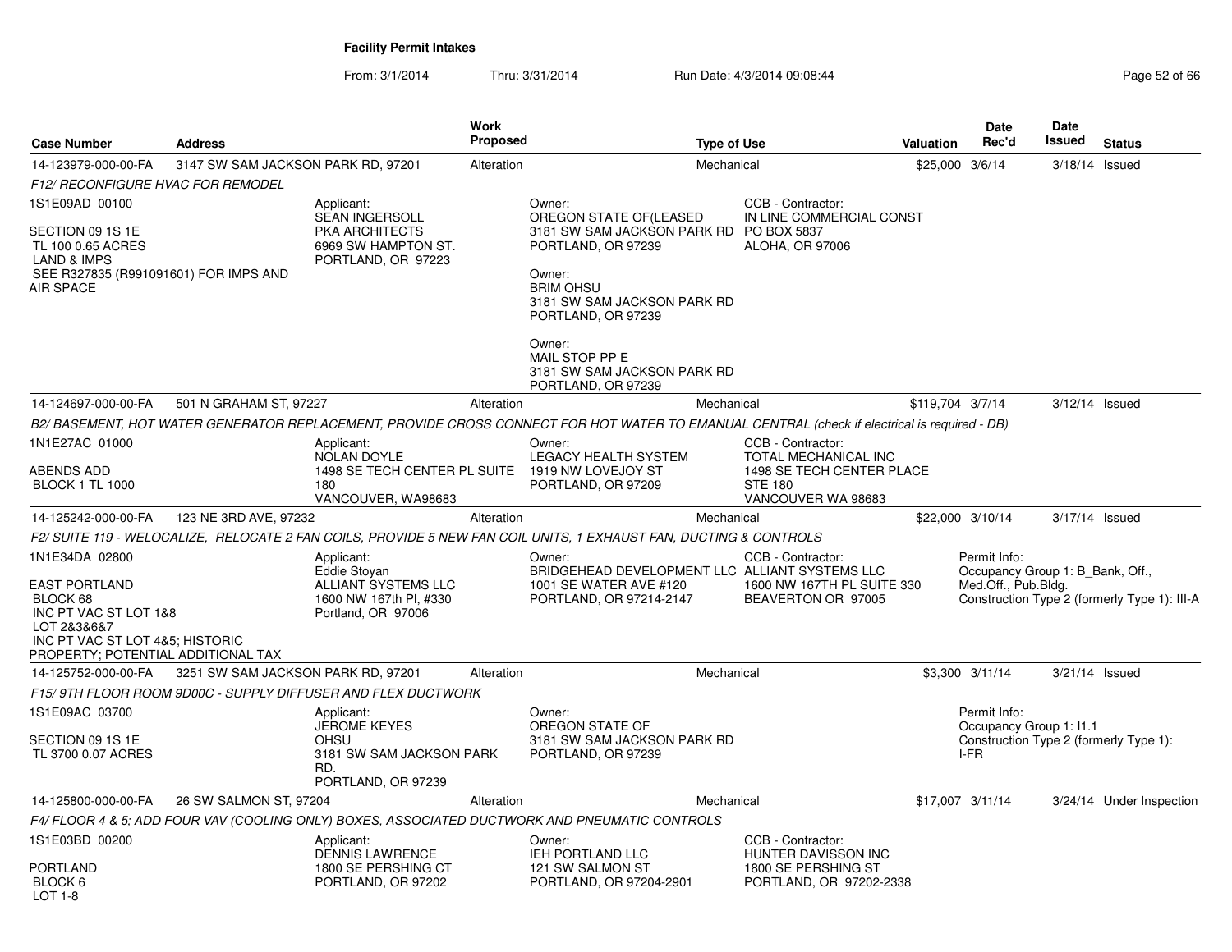| <b>Case Number</b>                                                                                                                                                  | <b>Address</b>                     |                                                                                                   | <b>Work</b><br>Proposed | <b>Type of Use</b>                                                                                                                               |                                                                                            | <b>Valuation</b> | <b>Date</b><br>Rec'd                                                    | <b>Date</b><br>Issued | <b>Status</b>                                |
|---------------------------------------------------------------------------------------------------------------------------------------------------------------------|------------------------------------|---------------------------------------------------------------------------------------------------|-------------------------|--------------------------------------------------------------------------------------------------------------------------------------------------|--------------------------------------------------------------------------------------------|------------------|-------------------------------------------------------------------------|-----------------------|----------------------------------------------|
| 14-123979-000-00-FA                                                                                                                                                 | 3147 SW SAM JACKSON PARK RD, 97201 |                                                                                                   | Alteration              | Mechanical                                                                                                                                       |                                                                                            | \$25,000         | 3/6/14                                                                  | 3/18/14 Issued        |                                              |
| <b>F12/ RECONFIGURE HVAC FOR REMODEL</b>                                                                                                                            |                                    |                                                                                                   |                         |                                                                                                                                                  |                                                                                            |                  |                                                                         |                       |                                              |
| 1S1E09AD 00100                                                                                                                                                      |                                    | Applicant:<br><b>SEAN INGERSOLL</b>                                                               |                         | Owner:<br>OREGON STATE OF(LEASED                                                                                                                 | CCB - Contractor:<br>IN LINE COMMERCIAL CONST                                              |                  |                                                                         |                       |                                              |
| SECTION 09 1S 1E<br>TL 100 0.65 ACRES<br><b>LAND &amp; IMPS</b><br>SEE R327835 (R991091601) FOR IMPS AND<br>AIR SPACE                                               |                                    | <b>PKA ARCHITECTS</b><br>6969 SW HAMPTON ST.<br>PORTLAND, OR 97223                                |                         | 3181 SW SAM JACKSON PARK RD PO BOX 5837<br>PORTLAND, OR 97239<br>Owner:<br><b>BRIM OHSU</b><br>3181 SW SAM JACKSON PARK RD<br>PORTLAND, OR 97239 | ALOHA, OR 97006                                                                            |                  |                                                                         |                       |                                              |
|                                                                                                                                                                     |                                    |                                                                                                   |                         | Owner:<br>MAIL STOP PP E<br>3181 SW SAM JACKSON PARK RD<br>PORTLAND, OR 97239                                                                    |                                                                                            |                  |                                                                         |                       |                                              |
| 14-124697-000-00-FA                                                                                                                                                 | 501 N GRAHAM ST, 97227             |                                                                                                   | Alteration              | Mechanical                                                                                                                                       |                                                                                            | \$119,704 3/7/14 |                                                                         | 3/12/14 Issued        |                                              |
|                                                                                                                                                                     |                                    |                                                                                                   |                         | B2/BASEMENT, HOT WATER GENERATOR REPLACEMENT, PROVIDE CROSS CONNECT FOR HOT WATER TO EMANUAL CENTRAL (check if electrical is required - DB)      |                                                                                            |                  |                                                                         |                       |                                              |
| 1N1E27AC 01000                                                                                                                                                      |                                    | Applicant:<br><b>NOLAN DOYLE</b>                                                                  |                         | Owner:<br>LEGACY HEALTH SYSTEM                                                                                                                   | CCB - Contractor:<br><b>TOTAL MECHANICAL INC</b>                                           |                  |                                                                         |                       |                                              |
| ABENDS ADD<br><b>BLOCK 1 TL 1000</b>                                                                                                                                |                                    | 1498 SE TECH CENTER PL SUITE 1919 NW LOVEJOY ST<br>180<br>VANCOUVER, WA98683                      |                         | PORTLAND, OR 97209                                                                                                                               | 1498 SE TECH CENTER PLACE<br><b>STE 180</b><br>VANCOUVER WA 98683                          |                  |                                                                         |                       |                                              |
| 14-125242-000-00-FA                                                                                                                                                 | 123 NE 3RD AVE, 97232              |                                                                                                   | Alteration              | Mechanical                                                                                                                                       |                                                                                            |                  | \$22,000 3/10/14                                                        | 3/17/14 Issued        |                                              |
|                                                                                                                                                                     |                                    |                                                                                                   |                         | F2/ SUITE 119 - WELOCALIZE, RELOCATE 2 FAN COILS, PROVIDE 5 NEW FAN COIL UNITS, 1 EXHAUST FAN, DUCTING & CONTROLS                                |                                                                                            |                  |                                                                         |                       |                                              |
| 1N1E34DA 02800<br><b>EAST PORTLAND</b><br>BLOCK 68<br>INC PT VAC ST LOT 1&8<br>LOT 2&3&6&7<br>INC PT VAC ST LOT 4&5; HISTORIC<br>PROPERTY; POTENTIAL ADDITIONAL TAX |                                    | Applicant:<br>Eddie Stoyan<br>ALLIANT SYSTEMS LLC<br>1600 NW 167th Pl, #330<br>Portland, OR 97006 |                         | Owner:<br>BRIDGEHEAD DEVELOPMENT LLC ALLIANT SYSTEMS LLC<br>1001 SE WATER AVE #120<br>PORTLAND, OR 97214-2147                                    | CCB - Contractor:<br>1600 NW 167TH PL SUITE 330<br>BEAVERTON OR 97005                      |                  | Permit Info:<br>Occupancy Group 1: B Bank, Off.,<br>Med.Off., Pub.Bldg. |                       | Construction Type 2 (formerly Type 1): III-A |
| 14-125752-000-00-FA                                                                                                                                                 | 3251 SW SAM JACKSON PARK RD, 97201 |                                                                                                   | Alteration              | Mechanical                                                                                                                                       |                                                                                            |                  | \$3,300 3/11/14                                                         | 3/21/14 Issued        |                                              |
|                                                                                                                                                                     |                                    | F15/9TH FLOOR ROOM 9D00C - SUPPLY DIFFUSER AND FLEX DUCTWORK                                      |                         |                                                                                                                                                  |                                                                                            |                  |                                                                         |                       |                                              |
| 1S1E09AC 03700<br>SECTION 09 1S 1E                                                                                                                                  |                                    | Applicant:<br><b>JEROME KEYES</b><br><b>OHSU</b>                                                  |                         | Owner:<br>OREGON STATE OF<br>3181 SW SAM JACKSON PARK RD                                                                                         |                                                                                            |                  | Permit Info:<br>Occupancy Group 1: I1.1                                 |                       | Construction Type 2 (formerly Type 1):       |
| TL 3700 0.07 ACRES                                                                                                                                                  |                                    | 3181 SW SAM JACKSON PARK<br>RD.<br>PORTLAND, OR 97239                                             |                         | PORTLAND, OR 97239                                                                                                                               |                                                                                            |                  | I-FR                                                                    |                       |                                              |
| 14-125800-000-00-FA                                                                                                                                                 | 26 SW SALMON ST, 97204             |                                                                                                   | Alteration              | Mechanical                                                                                                                                       |                                                                                            |                  | \$17,007 3/11/14                                                        |                       | 3/24/14 Under Inspection                     |
|                                                                                                                                                                     |                                    |                                                                                                   |                         | F4/ FLOOR 4 & 5: ADD FOUR VAV (COOLING ONLY) BOXES. ASSOCIATED DUCTWORK AND PNEUMATIC CONTROLS                                                   |                                                                                            |                  |                                                                         |                       |                                              |
| 1S1E03BD 00200<br>PORTLAND<br>BLOCK 6<br>$1$ OT 1-8                                                                                                                 |                                    | Applicant:<br>DENNIS LAWRENCE<br>1800 SE PERSHING CT<br>PORTLAND, OR 97202                        |                         | Owner:<br>IEH PORTLAND LLC<br>121 SW SALMON ST<br>PORTLAND, OR 97204-2901                                                                        | CCB - Contractor:<br>HUNTER DAVISSON INC<br>1800 SE PERSHING ST<br>PORTLAND, OR 97202-2338 |                  |                                                                         |                       |                                              |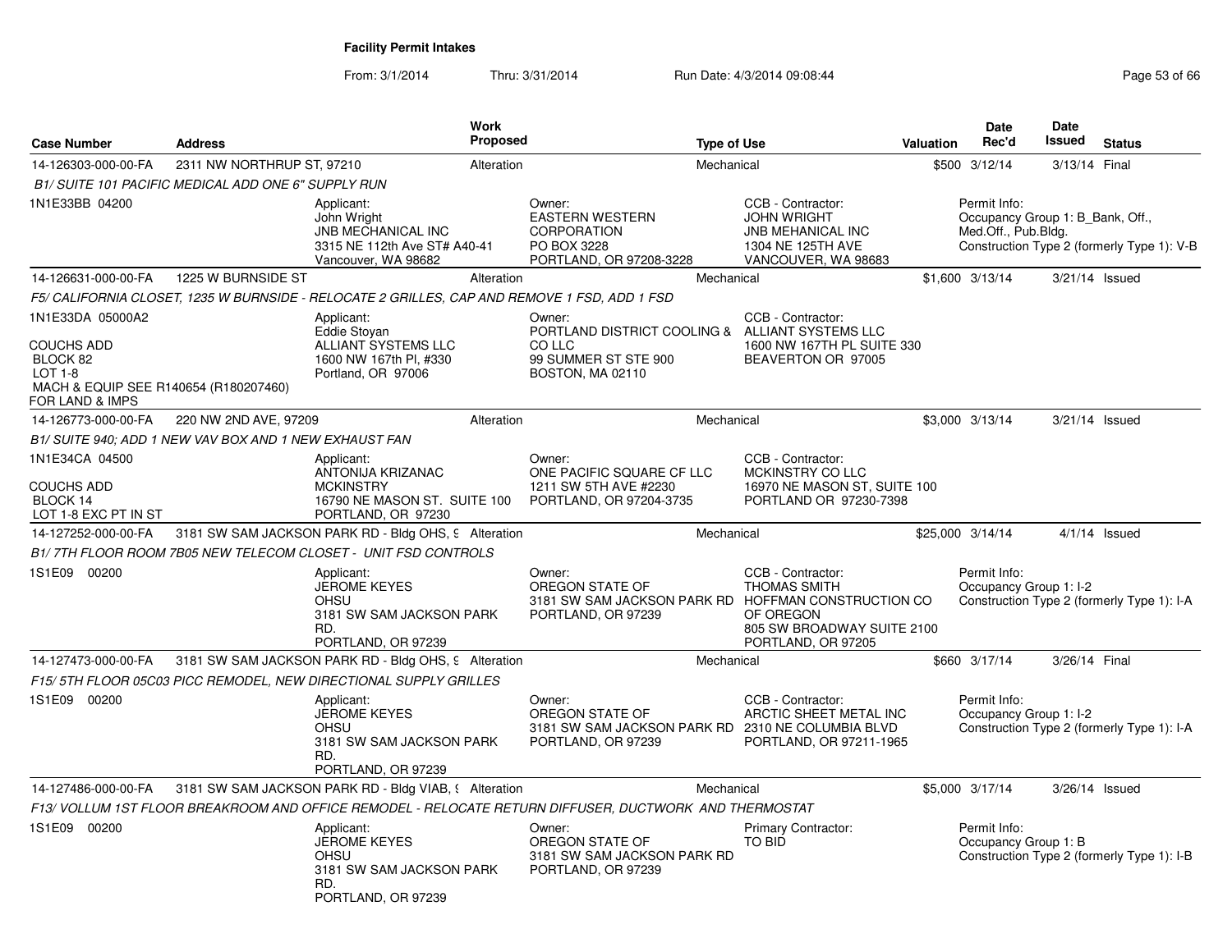| <b>Case Number</b>                                                                                                | <b>Address</b>             | Work                                                                                                             | Proposed   |                                                                                                                 | <b>Type of Use</b> |                                                                                                                 | <b>Valuation</b> | Date<br>Rec'd                                                           | <b>Date</b><br>Issued | <b>Status</b>                              |
|-------------------------------------------------------------------------------------------------------------------|----------------------------|------------------------------------------------------------------------------------------------------------------|------------|-----------------------------------------------------------------------------------------------------------------|--------------------|-----------------------------------------------------------------------------------------------------------------|------------------|-------------------------------------------------------------------------|-----------------------|--------------------------------------------|
| 14-126303-000-00-FA                                                                                               | 2311 NW NORTHRUP ST, 97210 |                                                                                                                  | Alteration |                                                                                                                 | Mechanical         |                                                                                                                 |                  | \$500 3/12/14                                                           | 3/13/14 Final         |                                            |
| B1/ SUITE 101 PACIFIC MEDICAL ADD ONE 6" SUPPLY RUN                                                               |                            |                                                                                                                  |            |                                                                                                                 |                    |                                                                                                                 |                  |                                                                         |                       |                                            |
| 1N1E33BB 04200                                                                                                    |                            | Applicant:<br>John Wright<br><b>JNB MECHANICAL INC</b><br>3315 NE 112th Ave ST# A40-41<br>Vancouver, WA 98682    |            | Owner:<br><b>EASTERN WESTERN</b><br><b>CORPORATION</b><br>PO BOX 3228<br>PORTLAND, OR 97208-3228                |                    | CCB - Contractor:<br><b>JOHN WRIGHT</b><br><b>JNB MEHANICAL INC</b><br>1304 NE 125TH AVE<br>VANCOUVER, WA 98683 |                  | Permit Info:<br>Occupancy Group 1: B Bank, Off.,<br>Med.Off., Pub.Bldg. |                       | Construction Type 2 (formerly Type 1): V-B |
| 14-126631-000-00-FA                                                                                               | 1225 W BURNSIDE ST         |                                                                                                                  | Alteration |                                                                                                                 | Mechanical         |                                                                                                                 |                  | \$1,600 3/13/14                                                         | 3/21/14 Issued        |                                            |
|                                                                                                                   |                            | F5/ CALIFORNIA CLOSET, 1235 W BURNSIDE - RELOCATE 2 GRILLES, CAP AND REMOVE 1 FSD, ADD 1 FSD                     |            |                                                                                                                 |                    |                                                                                                                 |                  |                                                                         |                       |                                            |
| 1N1E33DA 05000A2<br>COUCHS ADD<br>BLOCK 82<br>LOT 1-8<br>MACH & EQUIP SEE R140654 (R180207460)<br>FOR LAND & IMPS |                            | Applicant:<br>Eddie Stoyan<br>ALLIANT SYSTEMS LLC<br>1600 NW 167th PI, #330<br>Portland, OR 97006                |            | Owner:<br>PORTLAND DISTRICT COOLING & ALLIANT SYSTEMS LLC<br>CO LLC<br>99 SUMMER ST STE 900<br>BOSTON, MA 02110 |                    | CCB - Contractor:<br>1600 NW 167TH PL SUITE 330<br>BEAVERTON OR 97005                                           |                  |                                                                         |                       |                                            |
| 14-126773-000-00-FA                                                                                               | 220 NW 2ND AVE, 97209      |                                                                                                                  | Alteration |                                                                                                                 | Mechanical         |                                                                                                                 |                  | \$3,000 3/13/14                                                         | $3/21/14$ Issued      |                                            |
| B1/ SUITE 940: ADD 1 NEW VAV BOX AND 1 NEW EXHAUST FAN                                                            |                            |                                                                                                                  |            |                                                                                                                 |                    |                                                                                                                 |                  |                                                                         |                       |                                            |
| 1N1E34CA 04500<br><b>COUCHS ADD</b><br>BLOCK 14<br>LOT 1-8 EXC PT IN ST                                           |                            | Applicant:<br><b>ANTONIJA KRIZANAC</b><br><b>MCKINSTRY</b><br>16790 NE MASON ST. SUITE 100<br>PORTLAND, OR 97230 |            | Owner:<br>ONE PACIFIC SQUARE CF LLC<br>1211 SW 5TH AVE #2230<br>PORTLAND, OR 97204-3735                         |                    | CCB - Contractor:<br>MCKINSTRY CO LLC<br>16970 NE MASON ST, SUITE 100<br>PORTLAND OR 97230-7398                 |                  |                                                                         |                       |                                            |
| 14-127252-000-00-FA                                                                                               |                            | 3181 SW SAM JACKSON PARK RD - Bldg OHS, 9 Alteration                                                             |            |                                                                                                                 | Mechanical         |                                                                                                                 |                  | \$25,000 3/14/14                                                        |                       | $4/1/14$ Issued                            |
|                                                                                                                   |                            | B1/7TH FLOOR ROOM 7B05 NEW TELECOM CLOSET - UNIT FSD CONTROLS                                                    |            |                                                                                                                 |                    |                                                                                                                 |                  |                                                                         |                       |                                            |
| 1S1E09 00200                                                                                                      |                            | Applicant:<br><b>JEROME KEYES</b><br><b>OHSU</b><br>3181 SW SAM JACKSON PARK<br>RD.<br>PORTLAND, OR 97239        |            | Owner:<br>OREGON STATE OF<br>3181 SW SAM JACKSON PARK RD HOFFMAN CONSTRUCTION CO<br>PORTLAND, OR 97239          |                    | CCB - Contractor:<br><b>THOMAS SMITH</b><br>OF OREGON<br>805 SW BROADWAY SUITE 2100<br>PORTLAND, OR 97205       |                  | Permit Info:<br>Occupancy Group 1: I-2                                  |                       | Construction Type 2 (formerly Type 1): I-A |
| 14-127473-000-00-FA                                                                                               |                            | 3181 SW SAM JACKSON PARK RD - Bldg OHS, 9 Alteration                                                             |            |                                                                                                                 | Mechanical         |                                                                                                                 |                  | \$660 3/17/14                                                           | 3/26/14 Final         |                                            |
|                                                                                                                   |                            | F15/5TH FLOOR 05C03 PICC REMODEL, NEW DIRECTIONAL SUPPLY GRILLES                                                 |            |                                                                                                                 |                    |                                                                                                                 |                  |                                                                         |                       |                                            |
| 1S1E09 00200                                                                                                      |                            | Applicant:<br><b>JEROME KEYES</b><br><b>OHSU</b><br>3181 SW SAM JACKSON PARK<br>RD.<br>PORTLAND, OR 97239        |            | Owner:<br>OREGON STATE OF<br>3181 SW SAM JACKSON PARK RD 2310 NE COLUMBIA BLVD<br>PORTLAND, OR 97239            |                    | CCB - Contractor:<br>ARCTIC SHEET METAL INC<br>PORTLAND, OR 97211-1965                                          |                  | Permit Info:<br>Occupancy Group 1: I-2                                  |                       | Construction Type 2 (formerly Type 1): I-A |
| 14-127486-000-00-FA                                                                                               |                            | 3181 SW SAM JACKSON PARK RD - Bldg VIAB, § Alteration                                                            |            |                                                                                                                 | Mechanical         |                                                                                                                 |                  | \$5,000 3/17/14                                                         | $3/26/14$ Issued      |                                            |
|                                                                                                                   |                            | F13/ VOLLUM 1ST FLOOR BREAKROOM AND OFFICE REMODEL - RELOCATE RETURN DIFFUSER, DUCTWORK AND THERMOSTAT           |            |                                                                                                                 |                    |                                                                                                                 |                  |                                                                         |                       |                                            |
| 1S1E09 00200                                                                                                      |                            | Applicant:<br><b>JEROME KEYES</b><br><b>OHSU</b><br>3181 SW SAM JACKSON PARK<br>RD.<br>PORTLAND, OR 97239        |            | Owner:<br>OREGON STATE OF<br>3181 SW SAM JACKSON PARK RD<br>PORTLAND, OR 97239                                  |                    | Primary Contractor:<br>TO BID                                                                                   |                  | Permit Info:<br>Occupancy Group 1: B                                    |                       | Construction Type 2 (formerly Type 1): I-B |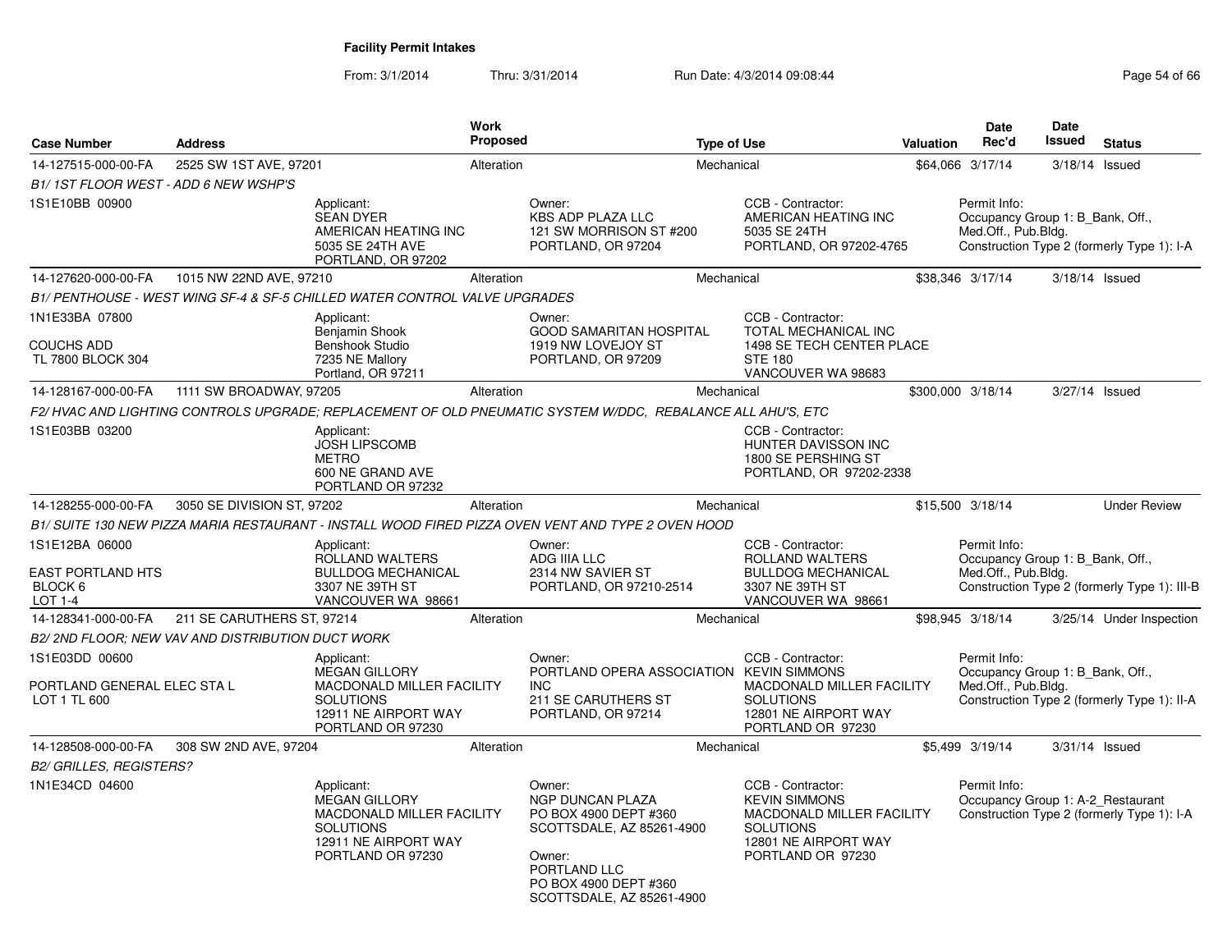| <b>Case Number</b>                                            | <b>Address</b>             |                                                                                                                                         | Work<br>Proposed |                                                                                                                                                                  | <b>Type of Use</b> |                                                                                                                                         | Valuation | <b>Date</b><br>Rec'd                                                    | Date<br><b>Issued</b> | <b>Status</b>                                |
|---------------------------------------------------------------|----------------------------|-----------------------------------------------------------------------------------------------------------------------------------------|------------------|------------------------------------------------------------------------------------------------------------------------------------------------------------------|--------------------|-----------------------------------------------------------------------------------------------------------------------------------------|-----------|-------------------------------------------------------------------------|-----------------------|----------------------------------------------|
| 14-127515-000-00-FA                                           | 2525 SW 1ST AVE, 97201     |                                                                                                                                         | Alteration       |                                                                                                                                                                  | Mechanical         |                                                                                                                                         |           | \$64,066 3/17/14                                                        | 3/18/14 Issued        |                                              |
| B1/1ST FLOOR WEST - ADD 6 NEW WSHP'S                          |                            |                                                                                                                                         |                  |                                                                                                                                                                  |                    |                                                                                                                                         |           |                                                                         |                       |                                              |
| 1S1E10BB 00900                                                |                            | Applicant:<br><b>SEAN DYER</b><br>AMERICAN HEATING INC<br>5035 SE 24TH AVE<br>PORTLAND, OR 97202                                        |                  | Owner:<br><b>KBS ADP PLAZA LLC</b><br>121 SW MORRISON ST #200<br>PORTLAND, OR 97204                                                                              |                    | CCB - Contractor:<br>AMERICAN HEATING INC<br>5035 SE 24TH<br>PORTLAND, OR 97202-4765                                                    |           | Permit Info:<br>Occupancy Group 1: B_Bank, Off.,<br>Med.Off., Pub.Bldg. |                       | Construction Type 2 (formerly Type 1): I-A   |
| 14-127620-000-00-FA                                           | 1015 NW 22ND AVE, 97210    |                                                                                                                                         | Alteration       |                                                                                                                                                                  | Mechanical         |                                                                                                                                         |           | \$38.346 3/17/14                                                        |                       | 3/18/14 Issued                               |
|                                                               |                            | B1/ PENTHOUSE - WEST WING SF-4 & SF-5 CHILLED WATER CONTROL VALVE UPGRADES                                                              |                  |                                                                                                                                                                  |                    |                                                                                                                                         |           |                                                                         |                       |                                              |
| 1N1E33BA 07800<br><b>COUCHS ADD</b><br>TL 7800 BLOCK 304      |                            | Applicant:<br>Benjamin Shook<br>Benshook Studio<br>7235 NE Mallory<br>Portland, OR 97211                                                |                  | Owner:<br><b>GOOD SAMARITAN HOSPITAL</b><br>1919 NW LOVEJOY ST<br>PORTLAND, OR 97209                                                                             |                    | CCB - Contractor:<br>TOTAL MECHANICAL INC<br>1498 SE TECH CENTER PLACE<br><b>STE 180</b><br>VANCOUVER WA 98683                          |           |                                                                         |                       |                                              |
| 14-128167-000-00-FA                                           | 1111 SW BROADWAY, 97205    |                                                                                                                                         | Alteration       |                                                                                                                                                                  | Mechanical         |                                                                                                                                         |           | \$300,000 3/18/14                                                       | 3/27/14 Issued        |                                              |
|                                                               |                            |                                                                                                                                         |                  | F2/HVAC AND LIGHTING CONTROLS UPGRADE; REPLACEMENT OF OLD PNEUMATIC SYSTEM W/DDC, REBALANCE ALL AHU'S, ETC                                                       |                    |                                                                                                                                         |           |                                                                         |                       |                                              |
| 1S1E03BB 03200                                                |                            | Applicant:<br><b>JOSH LIPSCOMB</b><br><b>METRO</b><br>600 NE GRAND AVE<br>PORTLAND OR 97232                                             |                  |                                                                                                                                                                  |                    | CCB - Contractor:<br>HUNTER DAVISSON INC<br>1800 SE PERSHING ST<br>PORTLAND, OR 97202-2338                                              |           |                                                                         |                       |                                              |
| 14-128255-000-00-FA                                           | 3050 SE DIVISION ST, 97202 |                                                                                                                                         | Alteration       |                                                                                                                                                                  | Mechanical         |                                                                                                                                         |           | \$15,500 3/18/14                                                        |                       | <b>Under Review</b>                          |
|                                                               |                            |                                                                                                                                         |                  | B1/ SUITE 130 NEW PIZZA MARIA RESTAURANT - INSTALL WOOD FIRED PIZZA OVEN VENT AND TYPE 2 OVEN HOOD                                                               |                    |                                                                                                                                         |           |                                                                         |                       |                                              |
| 1S1E12BA 06000<br>EAST PORTLAND HTS<br>BLOCK 6<br>LOT 1-4     |                            | Applicant:<br>ROLLAND WALTERS<br><b>BULLDOG MECHANICAL</b><br>3307 NE 39TH ST<br>VANCOUVER WA 98661                                     |                  | Owner:<br>ADG IIIA LLC<br>2314 NW SAVIER ST<br>PORTLAND, OR 97210-2514                                                                                           |                    | CCB - Contractor:<br>ROLLAND WALTERS<br><b>BULLDOG MECHANICAL</b><br>3307 NE 39TH ST<br>VANCOUVER WA 98661                              |           | Permit Info:<br>Occupancy Group 1: B Bank, Off.,<br>Med.Off., Pub.Bldg. |                       | Construction Type 2 (formerly Type 1): III-B |
| 14-128341-000-00-FA                                           | 211 SE CARUTHERS ST, 97214 |                                                                                                                                         | Alteration       |                                                                                                                                                                  | Mechanical         |                                                                                                                                         |           | \$98,945 3/18/14                                                        |                       | 3/25/14 Under Inspection                     |
| B2/2ND FLOOR; NEW VAV AND DISTRIBUTION DUCT WORK              |                            |                                                                                                                                         |                  |                                                                                                                                                                  |                    |                                                                                                                                         |           |                                                                         |                       |                                              |
| 1S1E03DD 00600<br>PORTLAND GENERAL ELEC STA L<br>LOT 1 TL 600 |                            | Applicant:<br><b>MEGAN GILLORY</b><br><b>MACDONALD MILLER FACILITY</b><br><b>SOLUTIONS</b><br>12911 NE AIRPORT WAY<br>PORTLAND OR 97230 |                  | Owner:<br>PORTLAND OPERA ASSOCIATION KEVIN SIMMONS<br><b>INC</b><br>211 SE CARUTHERS ST<br>PORTLAND, OR 97214                                                    |                    | CCB - Contractor:<br><b>MACDONALD MILLER FACILITY</b><br><b>SOLUTIONS</b><br>12801 NE AIRPORT WAY<br>PORTLAND OR 97230                  |           | Permit Info:<br>Occupancy Group 1: B Bank, Off.,<br>Med.Off., Pub.Bldg. |                       | Construction Type 2 (formerly Type 1): II-A  |
| 14-128508-000-00-FA                                           | 308 SW 2ND AVE, 97204      |                                                                                                                                         | Alteration       |                                                                                                                                                                  | Mechanical         |                                                                                                                                         |           | \$5,499 3/19/14                                                         | 3/31/14 Issued        |                                              |
| <b>B2/ GRILLES, REGISTERS?</b>                                |                            |                                                                                                                                         |                  |                                                                                                                                                                  |                    |                                                                                                                                         |           |                                                                         |                       |                                              |
| 1N1E34CD 04600                                                |                            | Applicant:<br><b>MEGAN GILLORY</b><br>MACDONALD MILLER FACILITY<br><b>SOLUTIONS</b><br>12911 NE AIRPORT WAY<br>PORTLAND OR 97230        |                  | Owner:<br>NGP DUNCAN PLAZA<br>PO BOX 4900 DEPT #360<br>SCOTTSDALE, AZ 85261-4900<br>Owner:<br>PORTLAND LLC<br>PO BOX 4900 DEPT #360<br>SCOTTSDALE, AZ 85261-4900 |                    | CCB - Contractor:<br><b>KEVIN SIMMONS</b><br>MACDONALD MILLER FACILITY<br><b>SOLUTIONS</b><br>12801 NE AIRPORT WAY<br>PORTLAND OR 97230 |           | Permit Info:<br>Occupancy Group 1: A-2_Restaurant                       |                       | Construction Type 2 (formerly Type 1): I-A   |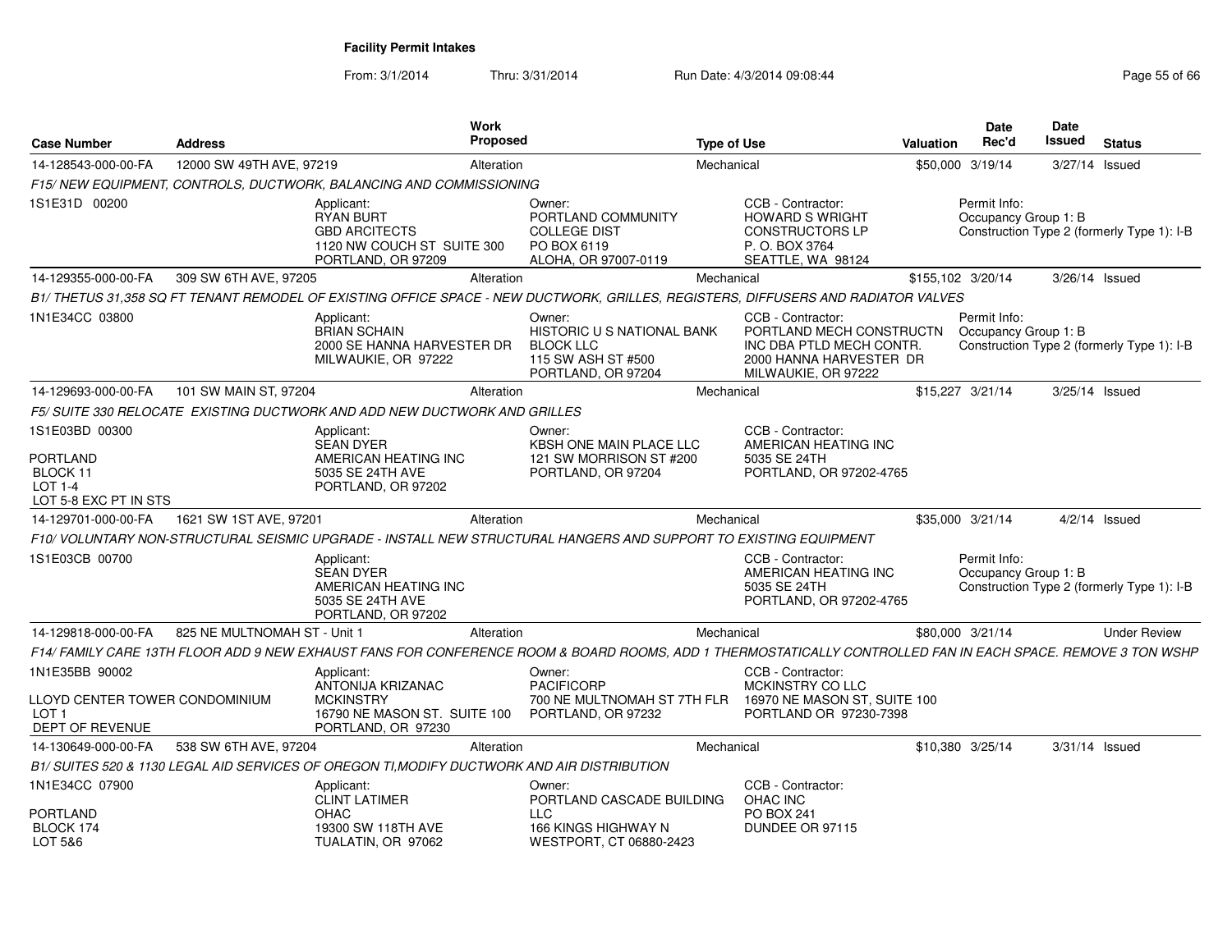| <b>Case Number</b>                                                           | <b>Address</b>               |                                                                                                                                                              | Work<br><b>Proposed</b> |                                                                                                             | <b>Type of Use</b> |                                                                                                                             | <b>Valuation</b>  | Date<br>Rec'd                                                                      | <b>Date</b><br>Issued | <b>Status</b>   |                     |
|------------------------------------------------------------------------------|------------------------------|--------------------------------------------------------------------------------------------------------------------------------------------------------------|-------------------------|-------------------------------------------------------------------------------------------------------------|--------------------|-----------------------------------------------------------------------------------------------------------------------------|-------------------|------------------------------------------------------------------------------------|-----------------------|-----------------|---------------------|
| 14-128543-000-00-FA                                                          | 12000 SW 49TH AVE, 97219     |                                                                                                                                                              | Alteration              |                                                                                                             | Mechanical         |                                                                                                                             |                   | \$50,000 3/19/14                                                                   |                       | 3/27/14 Issued  |                     |
|                                                                              |                              | F15/NEW EQUIPMENT, CONTROLS, DUCTWORK, BALANCING AND COMMISSIONING                                                                                           |                         |                                                                                                             |                    |                                                                                                                             |                   |                                                                                    |                       |                 |                     |
| 1S1E31D 00200                                                                |                              | Applicant:<br><b>RYAN BURT</b><br><b>GBD ARCITECTS</b><br>1120 NW COUCH ST SUITE 300<br>PORTLAND, OR 97209                                                   |                         | Owner:<br>PORTLAND COMMUNITY<br><b>COLLEGE DIST</b><br>PO BOX 6119<br>ALOHA, OR 97007-0119                  |                    | CCB - Contractor:<br><b>HOWARD S WRIGHT</b><br><b>CONSTRUCTORS LP</b><br>P.O. BOX 3764<br>SEATTLE, WA 98124                 |                   | Permit Info:<br>Occupancy Group 1: B<br>Construction Type 2 (formerly Type 1): I-B |                       |                 |                     |
| 14-129355-000-00-FA                                                          | 309 SW 6TH AVE, 97205        |                                                                                                                                                              | Alteration              |                                                                                                             | Mechanical         |                                                                                                                             | \$155,102 3/20/14 |                                                                                    |                       | 3/26/14 Issued  |                     |
|                                                                              |                              | B1/THETUS 31,358 SQ FT TENANT REMODEL OF EXISTING OFFICE SPACE - NEW DUCTWORK, GRILLES, REGISTERS, DIFFUSERS AND RADIATOR VALVES                             |                         |                                                                                                             |                    |                                                                                                                             |                   |                                                                                    |                       |                 |                     |
| 1N1E34CC 03800                                                               |                              | Applicant:<br><b>BRIAN SCHAIN</b><br>2000 SE HANNA HARVESTER DR<br>MILWAUKIE, OR 97222                                                                       |                         | Owner:<br><b>HISTORIC U S NATIONAL BANK</b><br><b>BLOCK LLC</b><br>115 SW ASH ST #500<br>PORTLAND, OR 97204 |                    | CCB - Contractor:<br>PORTLAND MECH CONSTRUCTN<br>INC DBA PTLD MECH CONTR.<br>2000 HANNA HARVESTER DR<br>MILWAUKIE, OR 97222 |                   | Permit Info:<br>Occupancy Group 1: B<br>Construction Type 2 (formerly Type 1): I-B |                       |                 |                     |
| 14-129693-000-00-FA                                                          | 101 SW MAIN ST, 97204        |                                                                                                                                                              | Alteration              |                                                                                                             | Mechanical         |                                                                                                                             |                   | \$15,227 3/21/14                                                                   |                       | 3/25/14 Issued  |                     |
|                                                                              |                              | F5/SUITE 330 RELOCATE EXISTING DUCTWORK AND ADD NEW DUCTWORK AND GRILLES                                                                                     |                         |                                                                                                             |                    |                                                                                                                             |                   |                                                                                    |                       |                 |                     |
| 1S1E03BD 00300                                                               |                              | Applicant:<br><b>SEAN DYER</b>                                                                                                                               |                         | Owner:<br><b>KBSH ONE MAIN PLACE LLC</b>                                                                    |                    | CCB - Contractor:<br>AMERICAN HEATING INC                                                                                   |                   |                                                                                    |                       |                 |                     |
| <b>PORTLAND</b><br>BLOCK 11<br>LOT 1-4<br>LOT 5-8 EXC PT IN STS              |                              | AMERICAN HEATING INC<br>5035 SE 24TH AVE<br>PORTLAND, OR 97202                                                                                               |                         | 121 SW MORRISON ST #200<br>PORTLAND, OR 97204                                                               |                    | 5035 SE 24TH<br>PORTLAND, OR 97202-4765                                                                                     |                   |                                                                                    |                       |                 |                     |
| 14-129701-000-00-FA                                                          | 1621 SW 1ST AVE, 97201       |                                                                                                                                                              | Alteration              |                                                                                                             | Mechanical         |                                                                                                                             |                   | \$35,000 3/21/14                                                                   |                       | $4/2/14$ Issued |                     |
|                                                                              |                              | F10/ VOLUNTARY NON-STRUCTURAL SEISMIC UPGRADE - INSTALL NEW STRUCTURAL HANGERS AND SUPPORT TO EXISTING EQUIPMENT                                             |                         |                                                                                                             |                    |                                                                                                                             |                   |                                                                                    |                       |                 |                     |
| 1S1E03CB 00700                                                               |                              | Applicant:<br><b>SEAN DYER</b><br>AMERICAN HEATING INC<br>5035 SE 24TH AVE<br>PORTLAND, OR 97202                                                             |                         |                                                                                                             |                    | CCB - Contractor:<br>AMERICAN HEATING INC<br>5035 SE 24TH<br>PORTLAND, OR 97202-4765                                        |                   | Permit Info:<br>Occupancy Group 1: B<br>Construction Type 2 (formerly Type 1): I-B |                       |                 |                     |
| 14-129818-000-00-FA                                                          | 825 NE MULTNOMAH ST - Unit 1 |                                                                                                                                                              | Alteration              |                                                                                                             | Mechanical         |                                                                                                                             |                   | \$80,000 3/21/14                                                                   |                       |                 | <b>Under Review</b> |
|                                                                              |                              | F14/ FAMILY CARE 13TH FLOOR ADD 9 NEW EXHAUST FANS FOR CONFERENCE ROOM & BOARD ROOMS, ADD 1 THERMOSTATICALLY CONTROLLED FAN IN EACH SPACE. REMOVE 3 TON WSHP |                         |                                                                                                             |                    |                                                                                                                             |                   |                                                                                    |                       |                 |                     |
| 1N1E35BB 90002                                                               |                              | Applicant:<br>ANTONIJA KRIZANAC                                                                                                                              |                         | Owner:<br><b>PACIFICORP</b>                                                                                 |                    | CCB - Contractor:<br>MCKINSTRY CO LLC                                                                                       |                   |                                                                                    |                       |                 |                     |
| LLOYD CENTER TOWER CONDOMINIUM<br>LOT <sub>1</sub><br><b>DEPT OF REVENUE</b> |                              | <b>MCKINSTRY</b><br>16790 NE MASON ST. SUITE 100<br>PORTLAND, OR 97230                                                                                       |                         | 700 NE MULTNOMAH ST 7TH FLR<br>PORTLAND, OR 97232                                                           |                    | 16970 NE MASON ST. SUITE 100<br>PORTLAND OR 97230-7398                                                                      |                   |                                                                                    |                       |                 |                     |
| 14-130649-000-00-FA                                                          | 538 SW 6TH AVE, 97204        |                                                                                                                                                              | Alteration              |                                                                                                             | Mechanical         |                                                                                                                             |                   | \$10,380 3/25/14                                                                   |                       | 3/31/14 Issued  |                     |
|                                                                              |                              | B1/ SUITES 520 & 1130 LEGAL AID SERVICES OF OREGON TI, MODIFY DUCTWORK AND AIR DISTRIBUTION                                                                  |                         |                                                                                                             |                    |                                                                                                                             |                   |                                                                                    |                       |                 |                     |
| 1N1E34CC 07900                                                               |                              | Applicant:<br><b>CLINT LATIMER</b>                                                                                                                           |                         | Owner:<br>PORTLAND CASCADE BUILDING                                                                         |                    | CCB - Contractor:<br>OHAC INC                                                                                               |                   |                                                                                    |                       |                 |                     |
| <b>PORTLAND</b><br>BLOCK 174<br>LOT 5&6                                      |                              | OHAC<br>19300 SW 118TH AVE<br>TUALATIN, OR 97062                                                                                                             |                         | LLC.<br>166 KINGS HIGHWAY N<br>WESTPORT, CT 06880-2423                                                      |                    | <b>PO BOX 241</b><br>DUNDEE OR 97115                                                                                        |                   |                                                                                    |                       |                 |                     |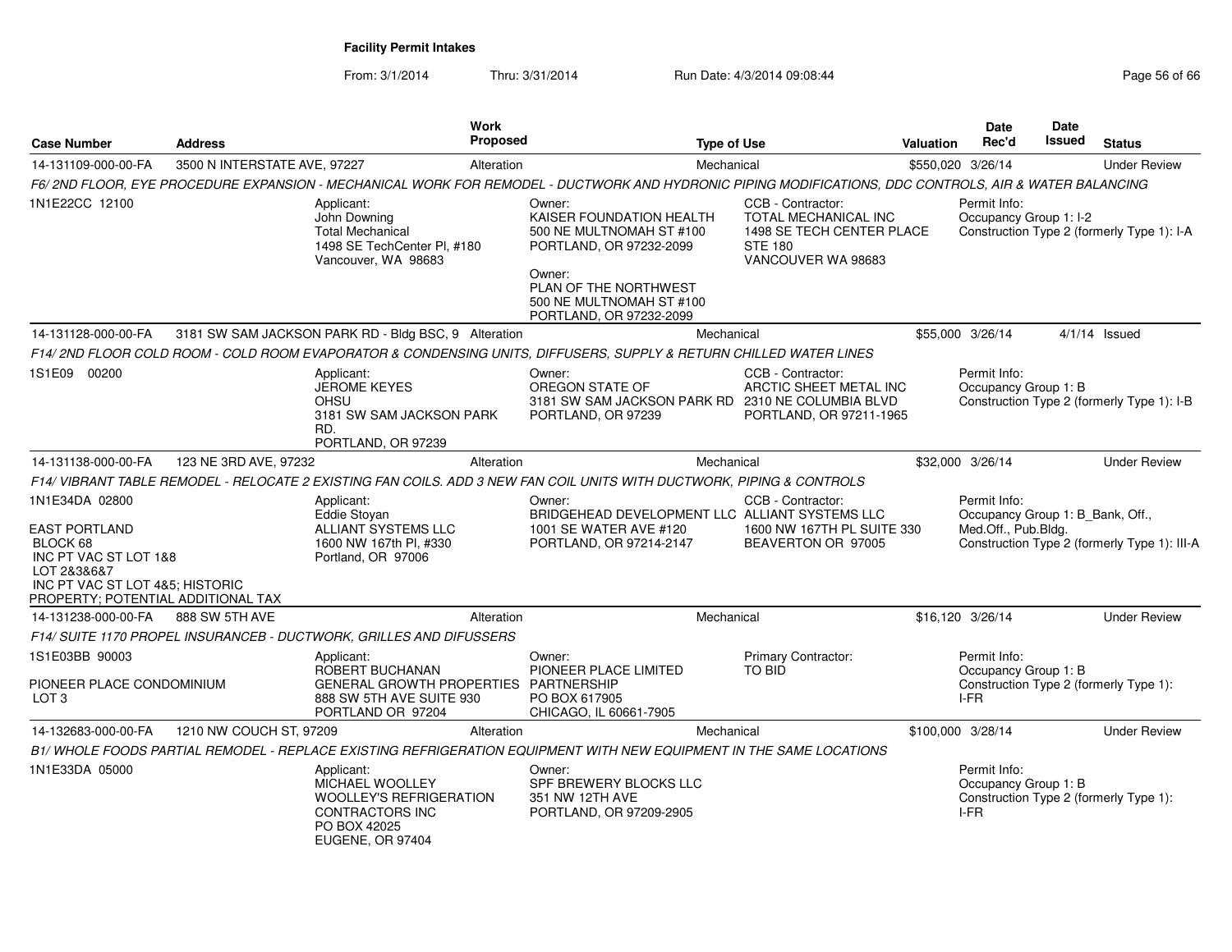| <b>Case Number</b>                                                                                                                                                  | <b>Address</b>               | <b>Work</b><br><b>Proposed</b>                                                                                                                        |                                                                                                                                                          | <b>Type of Use</b> |                                                                                                                       | <b>Valuation</b> | <b>Date</b><br>Rec'd                                                    | Date<br>Issued | <b>Status</b>                                |
|---------------------------------------------------------------------------------------------------------------------------------------------------------------------|------------------------------|-------------------------------------------------------------------------------------------------------------------------------------------------------|----------------------------------------------------------------------------------------------------------------------------------------------------------|--------------------|-----------------------------------------------------------------------------------------------------------------------|------------------|-------------------------------------------------------------------------|----------------|----------------------------------------------|
| 14-131109-000-00-FA                                                                                                                                                 | 3500 N INTERSTATE AVE, 97227 | Alteration                                                                                                                                            |                                                                                                                                                          | Mechanical         |                                                                                                                       |                  | \$550,020 3/26/14                                                       |                | <b>Under Review</b>                          |
|                                                                                                                                                                     |                              | F6/2ND FLOOR, EYE PROCEDURE EXPANSION - MECHANICAL WORK FOR REMODEL - DUCTWORK AND HYDRONIC PIPING MODIFICATIONS, DDC CONTROLS, AIR & WATER BALANCING |                                                                                                                                                          |                    |                                                                                                                       |                  |                                                                         |                |                                              |
| 1N1E22CC 12100                                                                                                                                                      |                              | Applicant:<br>John Downing<br><b>Total Mechanical</b><br>1498 SE TechCenter PI, #180<br>Vancouver, WA 98683                                           | Owner:<br>KAISER FOUNDATION HEALTH<br>500 NE MULTNOMAH ST #100<br>PORTLAND, OR 97232-2099<br>Owner:<br>PLAN OF THE NORTHWEST<br>500 NE MULTNOMAH ST #100 |                    | CCB - Contractor:<br><b>TOTAL MECHANICAL INC</b><br>1498 SE TECH CENTER PLACE<br><b>STE 180</b><br>VANCOUVER WA 98683 |                  | Permit Info:<br>Occupancy Group 1: I-2                                  |                | Construction Type 2 (formerly Type 1): I-A   |
|                                                                                                                                                                     |                              |                                                                                                                                                       | PORTLAND, OR 97232-2099                                                                                                                                  |                    |                                                                                                                       |                  |                                                                         |                |                                              |
| 14-131128-000-00-FA                                                                                                                                                 |                              | 3181 SW SAM JACKSON PARK RD - Bldg BSC, 9 Alteration                                                                                                  |                                                                                                                                                          | Mechanical         |                                                                                                                       |                  | \$55,000 3/26/14                                                        |                | $4/1/14$ Issued                              |
|                                                                                                                                                                     |                              | F14/ 2ND FLOOR COLD ROOM - COLD ROOM EVAPORATOR & CONDENSING UNITS, DIFFUSERS, SUPPLY & RETURN CHILLED WATER LINES                                    |                                                                                                                                                          |                    |                                                                                                                       |                  |                                                                         |                |                                              |
| 1S1E09 00200                                                                                                                                                        |                              | Applicant:<br><b>JEROME KEYES</b><br><b>OHSU</b><br>3181 SW SAM JACKSON PARK<br>RD.<br>PORTLAND, OR 97239                                             | Owner:<br>OREGON STATE OF<br>3181 SW SAM JACKSON PARK RD 2310 NE COLUMBIA BLVD<br>PORTLAND, OR 97239                                                     |                    | CCB - Contractor:<br>ARCTIC SHEET METAL INC<br>PORTLAND, OR 97211-1965                                                |                  | Permit Info:<br>Occupancy Group 1: B                                    |                | Construction Type 2 (formerly Type 1): I-B   |
| 14-131138-000-00-FA                                                                                                                                                 | 123 NE 3RD AVE, 97232        | Alteration                                                                                                                                            |                                                                                                                                                          | Mechanical         |                                                                                                                       |                  | \$32,000 3/26/14                                                        |                | <b>Under Review</b>                          |
|                                                                                                                                                                     |                              | F14/ VIBRANT TABLE REMODEL - RELOCATE 2 EXISTING FAN COILS. ADD 3 NEW FAN COIL UNITS WITH DUCTWORK, PIPING & CONTROLS                                 |                                                                                                                                                          |                    |                                                                                                                       |                  |                                                                         |                |                                              |
| 1N1E34DA 02800<br><b>EAST PORTLAND</b><br>BLOCK 68<br>INC PT VAC ST LOT 1&8<br>LOT 2&3&6&7<br>INC PT VAC ST LOT 4&5; HISTORIC<br>PROPERTY; POTENTIAL ADDITIONAL TAX |                              | Applicant:<br>Eddie Stovan<br>ALLIANT SYSTEMS LLC<br>1600 NW 167th Pl, #330<br>Portland, OR 97006                                                     | Owner:<br>BRIDGEHEAD DEVELOPMENT LLC ALLIANT SYSTEMS LLC<br>1001 SE WATER AVE #120<br>PORTLAND, OR 97214-2147                                            |                    | CCB - Contractor:<br>1600 NW 167TH PL SUITE 330<br>BEAVERTON OR 97005                                                 |                  | Permit Info:<br>Occupancy Group 1: B_Bank, Off.,<br>Med.Off., Pub.Bldg. |                | Construction Type 2 (formerly Type 1): III-A |
| 14-131238-000-00-FA                                                                                                                                                 | 888 SW 5TH AVE               | Alteration                                                                                                                                            |                                                                                                                                                          | Mechanical         |                                                                                                                       |                  | \$16,120 3/26/14                                                        |                | <b>Under Review</b>                          |
|                                                                                                                                                                     |                              | F14/ SUITE 1170 PROPEL INSURANCEB - DUCTWORK, GRILLES AND DIFUSSERS                                                                                   |                                                                                                                                                          |                    |                                                                                                                       |                  |                                                                         |                |                                              |
| 1S1E03BB 90003<br>PIONEER PLACE CONDOMINIUM<br>LOT <sub>3</sub>                                                                                                     |                              | Applicant:<br>ROBERT BUCHANAN<br>GENERAL GROWTH PROPERTIES PARTNERSHIP<br>888 SW 5TH AVE SUITE 930<br>PORTLAND OR 97204                               | Owner:<br>PIONEER PLACE LIMITED<br>PO BOX 617905<br>CHICAGO, IL 60661-7905                                                                               |                    | Primary Contractor:<br><b>TO BID</b>                                                                                  |                  | Permit Info:<br>Occupancy Group 1: B<br>I-FR                            |                | Construction Type 2 (formerly Type 1):       |
| 14-132683-000-00-FA                                                                                                                                                 | 1210 NW COUCH ST, 97209      | Alteration                                                                                                                                            |                                                                                                                                                          | Mechanical         |                                                                                                                       |                  | \$100,000 3/28/14                                                       |                | <b>Under Review</b>                          |
|                                                                                                                                                                     |                              | B1/WHOLE FOODS PARTIAL REMODEL - REPLACE EXISTING REFRIGERATION EQUIPMENT WITH NEW EQUIPMENT IN THE SAME LOCATIONS                                    |                                                                                                                                                          |                    |                                                                                                                       |                  |                                                                         |                |                                              |
| 1N1E33DA 05000                                                                                                                                                      |                              | Applicant:<br>MICHAEL WOOLLEY<br><b>WOOLLEY'S REFRIGERATION</b><br><b>CONTRACTORS INC</b><br>PO BOX 42025<br><b>EUGENE, OR 97404</b>                  | Owner:<br>SPF BREWERY BLOCKS LLC<br>351 NW 12TH AVE<br>PORTLAND, OR 97209-2905                                                                           |                    |                                                                                                                       |                  | Permit Info:<br>Occupancy Group 1: B<br>I-FR                            |                | Construction Type 2 (formerly Type 1):       |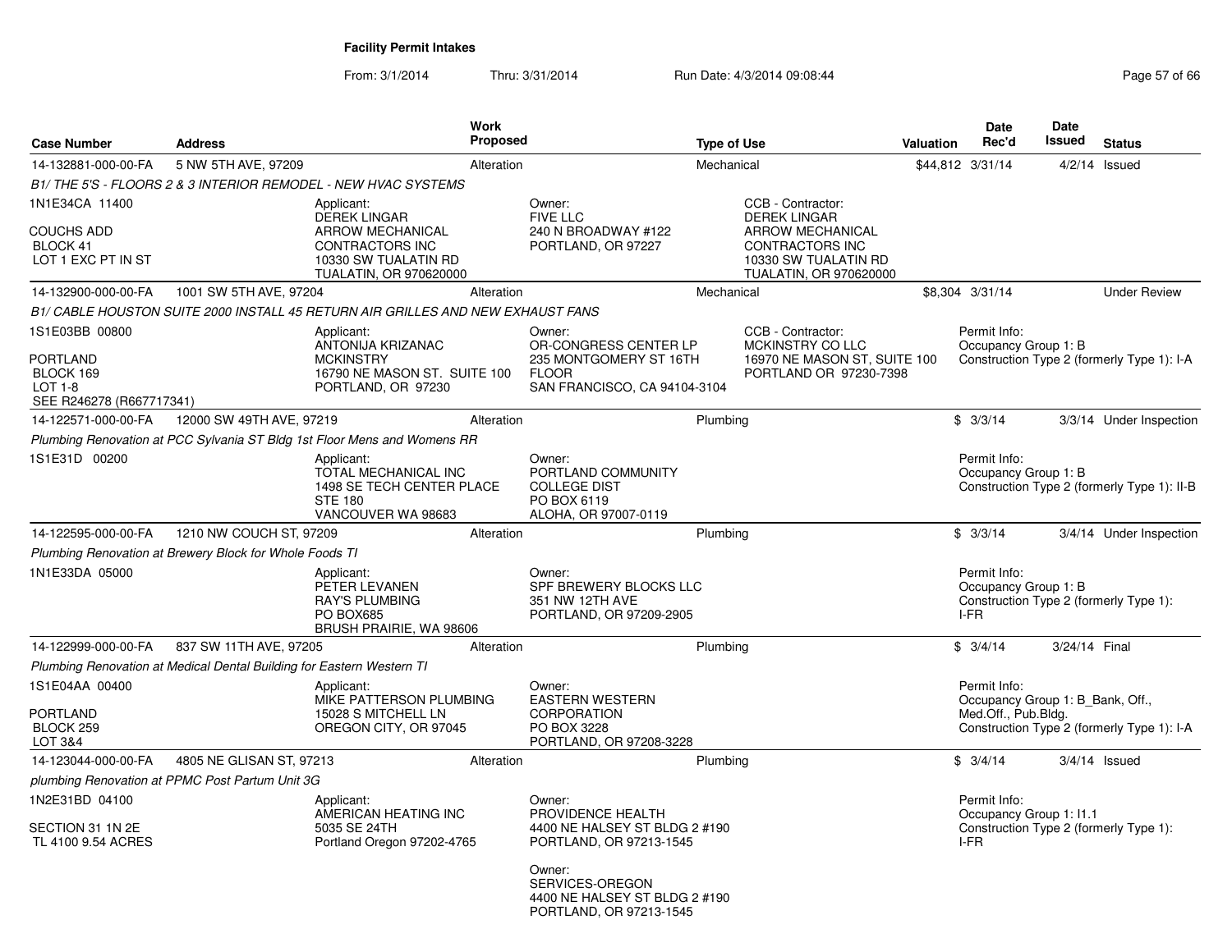| <b>Case Number</b>                                                                    | <b>Address</b>                                                        |                                                                                                                                          | <b>Work</b><br><b>Proposed</b> |                                                                                                           | <b>Type of Use</b> |                                                                                                                                                 | Valuation | <b>Date</b><br>Rec'd                                                    | <b>Date</b><br>Issued | <b>Status</b>                               |
|---------------------------------------------------------------------------------------|-----------------------------------------------------------------------|------------------------------------------------------------------------------------------------------------------------------------------|--------------------------------|-----------------------------------------------------------------------------------------------------------|--------------------|-------------------------------------------------------------------------------------------------------------------------------------------------|-----------|-------------------------------------------------------------------------|-----------------------|---------------------------------------------|
| 14-132881-000-00-FA                                                                   | 5 NW 5TH AVE, 97209                                                   |                                                                                                                                          | Alteration                     |                                                                                                           | Mechanical         |                                                                                                                                                 |           | \$44,812 3/31/14                                                        | 4/2/14                | Issued                                      |
|                                                                                       |                                                                       | B1/THE 5'S - FLOORS 2 & 3 INTERIOR REMODEL - NEW HVAC SYSTEMS                                                                            |                                |                                                                                                           |                    |                                                                                                                                                 |           |                                                                         |                       |                                             |
| 1N1E34CA 11400<br><b>COUCHS ADD</b><br>BLOCK 41<br>LOT 1 EXC PT IN ST                 |                                                                       | Applicant:<br><b>DEREK LINGAR</b><br><b>ARROW MECHANICAL</b><br><b>CONTRACTORS INC</b><br>10330 SW TUALATIN RD<br>TUALATIN, OR 970620000 |                                | Owner:<br><b>FIVE LLC</b><br>240 N BROADWAY #122<br>PORTLAND, OR 97227                                    |                    | CCB - Contractor:<br><b>DEREK LINGAR</b><br><b>ARROW MECHANICAL</b><br><b>CONTRACTORS INC</b><br>10330 SW TUALATIN RD<br>TUALATIN, OR 970620000 |           |                                                                         |                       |                                             |
| 14-132900-000-00-FA                                                                   | 1001 SW 5TH AVE, 97204                                                |                                                                                                                                          | Alteration                     |                                                                                                           | Mechanical         |                                                                                                                                                 |           | \$8,304 3/31/14                                                         |                       | <b>Under Review</b>                         |
|                                                                                       |                                                                       | B1/ CABLE HOUSTON SUITE 2000 INSTALL 45 RETURN AIR GRILLES AND NEW EXHAUST FANS                                                          |                                |                                                                                                           |                    |                                                                                                                                                 |           |                                                                         |                       |                                             |
| 1S1E03BB 00800<br><b>PORTLAND</b><br>BLOCK 169<br>LOT 1-8<br>SEE R246278 (R667717341) |                                                                       | Applicant:<br>ANTONIJA KRIZANAC<br><b>MCKINSTRY</b><br>16790 NE MASON ST. SUITE 100<br>PORTLAND, OR 97230                                |                                | Owner:<br>OR-CONGRESS CENTER LP<br>235 MONTGOMERY ST 16TH<br><b>FLOOR</b><br>SAN FRANCISCO, CA 94104-3104 |                    | CCB - Contractor:<br>MCKINSTRY CO LLC<br>16970 NE MASON ST, SUITE 100<br>PORTLAND OR 97230-7398                                                 |           | Permit Info:<br>Occupancy Group 1: B                                    |                       | Construction Type 2 (formerly Type 1): I-A  |
| 14-122571-000-00-FA                                                                   | 12000 SW 49TH AVE, 97219                                              |                                                                                                                                          | Alteration                     |                                                                                                           | Plumbing           |                                                                                                                                                 |           | \$3/3/14                                                                |                       | 3/3/14 Under Inspection                     |
|                                                                                       |                                                                       | Plumbing Renovation at PCC Sylvania ST Bldg 1st Floor Mens and Womens RR                                                                 |                                |                                                                                                           |                    |                                                                                                                                                 |           |                                                                         |                       |                                             |
| 1S1E31D 00200                                                                         |                                                                       | Applicant:<br>TOTAL MECHANICAL INC<br>1498 SE TECH CENTER PLACE<br><b>STE 180</b><br>VANCOUVER WA 98683                                  |                                | Owner:<br>PORTLAND COMMUNITY<br><b>COLLEGE DIST</b><br>PO BOX 6119<br>ALOHA, OR 97007-0119                |                    |                                                                                                                                                 |           | Permit Info:<br>Occupancy Group 1: B                                    |                       | Construction Type 2 (formerly Type 1): II-B |
| 14-122595-000-00-FA                                                                   | 1210 NW COUCH ST, 97209                                               |                                                                                                                                          | Alteration                     |                                                                                                           | Plumbing           |                                                                                                                                                 |           | \$3/3/14                                                                |                       | 3/4/14 Under Inspection                     |
|                                                                                       | Plumbing Renovation at Brewery Block for Whole Foods TI               |                                                                                                                                          |                                |                                                                                                           |                    |                                                                                                                                                 |           |                                                                         |                       |                                             |
| 1N1E33DA 05000                                                                        |                                                                       | Applicant:<br>PETER LEVANEN<br>RAY'S PLUMBING<br>PO BOX685<br>BRUSH PRAIRIE, WA 98606                                                    |                                | Owner:<br>SPF BREWERY BLOCKS LLC<br>351 NW 12TH AVE<br>PORTLAND, OR 97209-2905                            |                    |                                                                                                                                                 |           | Permit Info:<br>Occupancy Group 1: B<br>I-FR                            |                       | Construction Type 2 (formerly Type 1):      |
| 14-122999-000-00-FA                                                                   | 837 SW 11TH AVE, 97205                                                |                                                                                                                                          | Alteration                     |                                                                                                           | Plumbing           |                                                                                                                                                 |           | \$3/4/14                                                                | 3/24/14 Final         |                                             |
|                                                                                       | Plumbing Renovation at Medical Dental Building for Eastern Western TI |                                                                                                                                          |                                |                                                                                                           |                    |                                                                                                                                                 |           |                                                                         |                       |                                             |
| 1S1E04AA 00400<br><b>PORTLAND</b><br>BLOCK 259<br>LOT 3&4                             |                                                                       | Applicant:<br>MIKE PATTERSON PLUMBING<br>15028 S MITCHELL LN<br>OREGON CITY, OR 97045                                                    |                                | Owner:<br><b>EASTERN WESTERN</b><br>CORPORATION<br>PO BOX 3228<br>PORTLAND, OR 97208-3228                 |                    |                                                                                                                                                 |           | Permit Info:<br>Occupancy Group 1: B_Bank, Off.,<br>Med.Off., Pub.Bldg. |                       | Construction Type 2 (formerly Type 1): I-A  |
| 14-123044-000-00-FA                                                                   | 4805 NE GLISAN ST, 97213                                              |                                                                                                                                          | Alteration                     |                                                                                                           | Plumbing           |                                                                                                                                                 |           | \$3/4/14                                                                |                       | $3/4/14$ Issued                             |
|                                                                                       | plumbing Renovation at PPMC Post Partum Unit 3G                       |                                                                                                                                          |                                |                                                                                                           |                    |                                                                                                                                                 |           |                                                                         |                       |                                             |
| 1N2E31BD 04100<br>SECTION 31 1N 2E<br>TL 4100 9.54 ACRES                              |                                                                       | Applicant:<br>AMERICAN HEATING INC<br>5035 SE 24TH<br>Portland Oregon 97202-4765                                                         |                                | Owner:<br>PROVIDENCE HEALTH<br>4400 NE HALSEY ST BLDG 2 #190<br>PORTLAND, OR 97213-1545                   |                    |                                                                                                                                                 |           | Permit Info:<br>Occupancy Group 1: 11.1<br>I-FR                         |                       | Construction Type 2 (formerly Type 1):      |
|                                                                                       |                                                                       |                                                                                                                                          |                                | Owner:<br>SERVICES-OREGON<br>4400 NE HALSEY ST BLDG 2 #190<br>PORTLAND, OR 97213-1545                     |                    |                                                                                                                                                 |           |                                                                         |                       |                                             |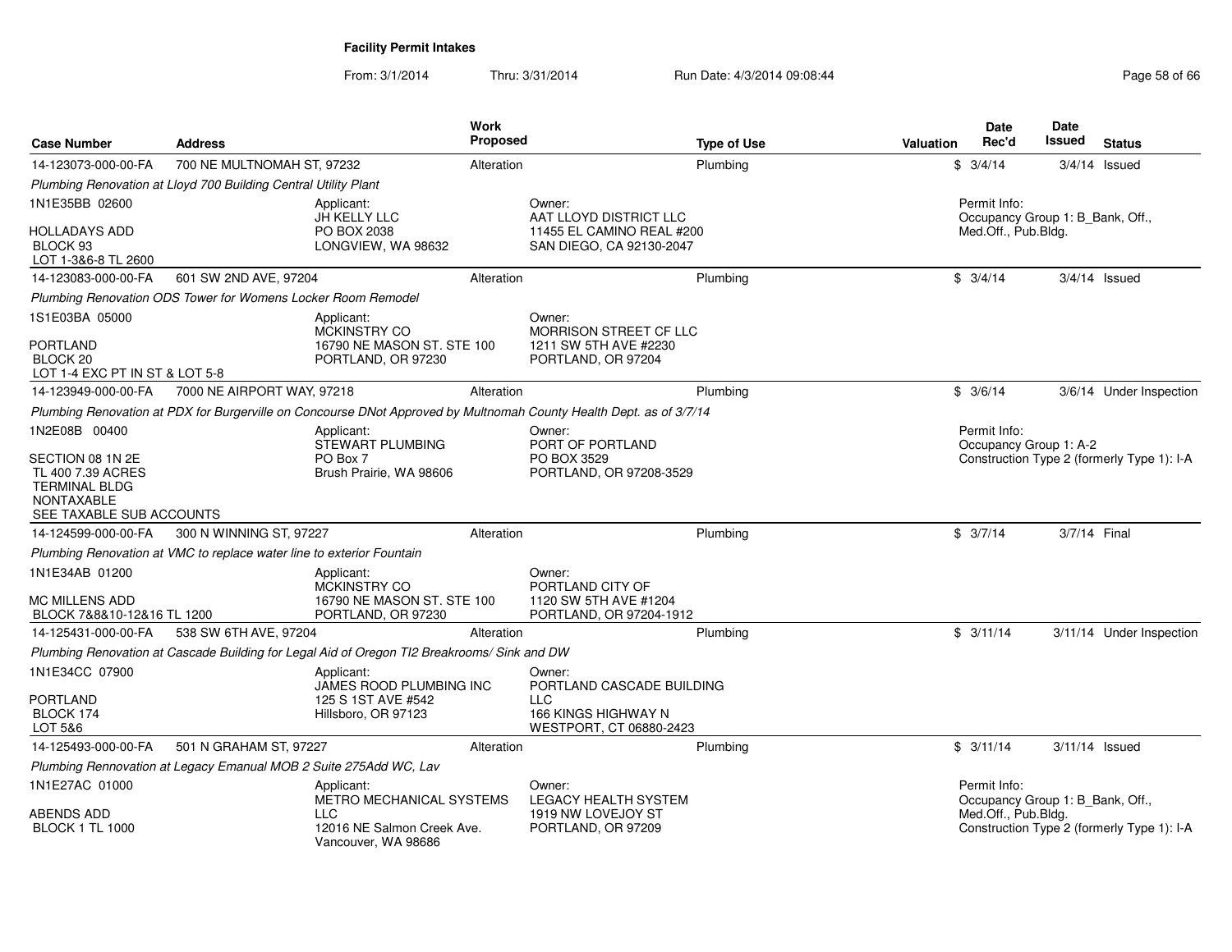| <b>Case Number</b>                                                                                             | <b>Address</b>                                                        |                                                                                             | Work<br><b>Proposed</b> |                                                                                                                     | <b>Type of Use</b> | <b>Valuation</b> | <b>Date</b><br>Rec'd                             | Date<br>Issued   | <b>Status</b>                              |
|----------------------------------------------------------------------------------------------------------------|-----------------------------------------------------------------------|---------------------------------------------------------------------------------------------|-------------------------|---------------------------------------------------------------------------------------------------------------------|--------------------|------------------|--------------------------------------------------|------------------|--------------------------------------------|
| 14-123073-000-00-FA                                                                                            | 700 NE MULTNOMAH ST, 97232                                            |                                                                                             | Alteration              |                                                                                                                     | Plumbing           |                  | \$3/4/14                                         |                  | $3/4/14$ Issued                            |
|                                                                                                                | Plumbing Renovation at Lloyd 700 Building Central Utility Plant       |                                                                                             |                         |                                                                                                                     |                    |                  |                                                  |                  |                                            |
| 1N1E35BB 02600                                                                                                 |                                                                       | Applicant:<br>JH KELLY LLC                                                                  |                         | Owner:<br>AAT LLOYD DISTRICT LLC                                                                                    |                    |                  | Permit Info:<br>Occupancy Group 1: B_Bank, Off., |                  |                                            |
| <b>HOLLADAYS ADD</b><br>BLOCK 93<br>LOT 1-3&6-8 TL 2600                                                        |                                                                       | PO BOX 2038<br>LONGVIEW, WA 98632                                                           |                         | 11455 EL CAMINO REAL #200<br>SAN DIEGO, CA 92130-2047                                                               |                    |                  | Med.Off., Pub.Bldg.                              |                  |                                            |
| 14-123083-000-00-FA                                                                                            | 601 SW 2ND AVE, 97204                                                 |                                                                                             | Alteration              |                                                                                                                     | Plumbing           |                  | \$3/4/14                                         |                  | $3/4/14$ Issued                            |
|                                                                                                                | Plumbing Renovation ODS Tower for Womens Locker Room Remodel          |                                                                                             |                         |                                                                                                                     |                    |                  |                                                  |                  |                                            |
| 1S1E03BA 05000                                                                                                 |                                                                       | Applicant:<br><b>MCKINSTRY CO</b>                                                           |                         | Owner:<br>MORRISON STREET CF LLC                                                                                    |                    |                  |                                                  |                  |                                            |
| <b>PORTLAND</b><br>BLOCK <sub>20</sub><br>LOT 1-4 EXC PT IN ST & LOT 5-8                                       |                                                                       | 16790 NE MASON ST. STE 100<br>PORTLAND, OR 97230                                            |                         | 1211 SW 5TH AVE #2230<br>PORTLAND, OR 97204                                                                         |                    |                  |                                                  |                  |                                            |
| 14-123949-000-00-FA                                                                                            | 7000 NE AIRPORT WAY, 97218                                            |                                                                                             | Alteration              |                                                                                                                     | Plumbing           |                  | \$3/6/14                                         |                  | 3/6/14 Under Inspection                    |
|                                                                                                                |                                                                       |                                                                                             |                         | Plumbing Renovation at PDX for Burgerville on Concourse DNot Approved by Multnomah County Health Dept. as of 3/7/14 |                    |                  |                                                  |                  |                                            |
| 1N2E08B 00400                                                                                                  |                                                                       | Applicant:<br>STEWART PLUMBING                                                              |                         | Owner:<br>PORT OF PORTLAND                                                                                          |                    |                  | Permit Info:<br>Occupancy Group 1: A-2           |                  |                                            |
| SECTION 08 1N 2E<br>TL 400 7.39 ACRES<br><b>TERMINAL BLDG</b><br><b>NONTAXABLE</b><br>SEE TAXABLE SUB ACCOUNTS |                                                                       | PO Box 7<br>Brush Prairie, WA 98606                                                         |                         | PO BOX 3529<br>PORTLAND, OR 97208-3529                                                                              |                    |                  |                                                  |                  | Construction Type 2 (formerly Type 1): I-A |
| 14-124599-000-00-FA                                                                                            | 300 N WINNING ST, 97227                                               |                                                                                             | Alteration              |                                                                                                                     | Plumbing           |                  | \$3/7/14                                         | 3/7/14 Final     |                                            |
|                                                                                                                | Plumbing Renovation at VMC to replace water line to exterior Fountain |                                                                                             |                         |                                                                                                                     |                    |                  |                                                  |                  |                                            |
| 1N1E34AB 01200                                                                                                 |                                                                       | Applicant:<br><b>MCKINSTRY CO</b>                                                           |                         | Owner:<br>PORTLAND CITY OF                                                                                          |                    |                  |                                                  |                  |                                            |
| <b>MC MILLENS ADD</b><br>BLOCK 7&8&10-12&16 TL 1200                                                            |                                                                       | 16790 NE MASON ST. STE 100<br>PORTLAND, OR 97230                                            |                         | 1120 SW 5TH AVE #1204<br>PORTLAND, OR 97204-1912                                                                    |                    |                  |                                                  |                  |                                            |
| 14-125431-000-00-FA                                                                                            | 538 SW 6TH AVE, 97204                                                 |                                                                                             | Alteration              |                                                                                                                     | Plumbing           |                  | \$3/11/14                                        |                  | 3/11/14 Under Inspection                   |
|                                                                                                                |                                                                       | Plumbing Renovation at Cascade Building for Legal Aid of Oregon TI2 Breakrooms/ Sink and DW |                         |                                                                                                                     |                    |                  |                                                  |                  |                                            |
| 1N1E34CC 07900                                                                                                 |                                                                       | Applicant:<br>JAMES ROOD PLUMBING INC                                                       |                         | Owner:<br>PORTLAND CASCADE BUILDING                                                                                 |                    |                  |                                                  |                  |                                            |
| <b>PORTLAND</b><br>BLOCK 174<br>LOT 5&6                                                                        |                                                                       | 125 S 1ST AVE #542<br>Hillsboro, OR 97123                                                   |                         | <b>LLC</b><br>166 KINGS HIGHWAY N<br>WESTPORT, CT 06880-2423                                                        |                    |                  |                                                  |                  |                                            |
| 14-125493-000-00-FA                                                                                            | 501 N GRAHAM ST, 97227                                                |                                                                                             | Alteration              |                                                                                                                     | Plumbing           |                  | \$3/11/14                                        | $3/11/14$ Issued |                                            |
|                                                                                                                | Plumbing Rennovation at Legacy Emanual MOB 2 Suite 275Add WC, Lav     |                                                                                             |                         |                                                                                                                     |                    |                  |                                                  |                  |                                            |
| 1N1E27AC 01000                                                                                                 |                                                                       | Applicant:<br>METRO MECHANICAL SYSTEMS                                                      |                         | Owner:<br><b>LEGACY HEALTH SYSTEM</b>                                                                               |                    |                  | Permit Info:<br>Occupancy Group 1: B_Bank, Off., |                  |                                            |
| <b>ABENDS ADD</b><br><b>BLOCK 1 TL 1000</b>                                                                    |                                                                       | <b>LLC</b><br>12016 NE Salmon Creek Ave.<br>Vancouver, WA 98686                             |                         | 1919 NW LOVEJOY ST<br>PORTLAND, OR 97209                                                                            |                    |                  | Med.Off., Pub.Bldg.                              |                  | Construction Type 2 (formerly Type 1): I-A |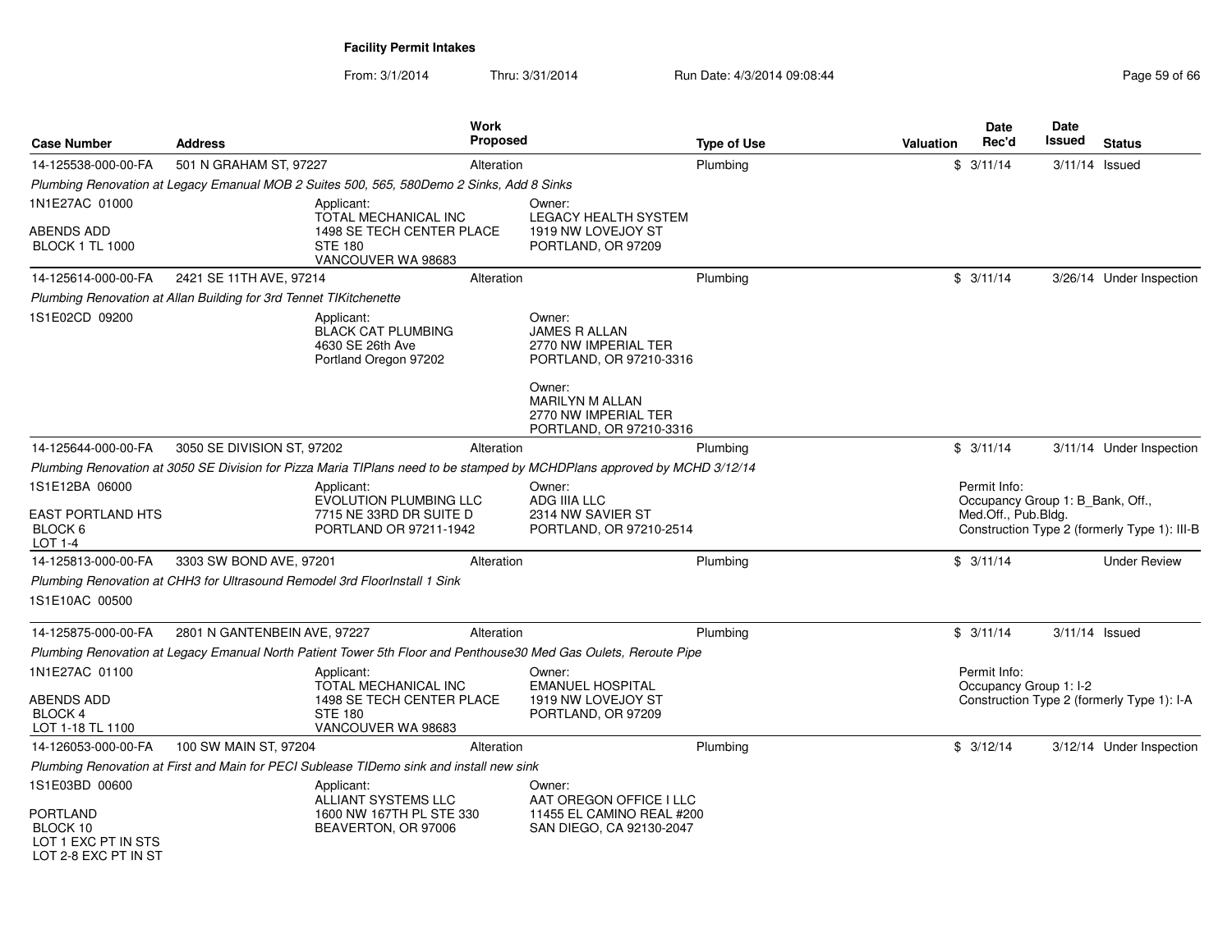| <b>Case Number</b>                                        | <b>Address</b>                                                     |                                                                                                  | <b>Work</b><br><b>Proposed</b> |                                                                                                                          | <b>Type of Use</b> | Valuation | <b>Date</b><br>Rec'd                                                    | Date<br>Issued   | <b>Status</b>                                |
|-----------------------------------------------------------|--------------------------------------------------------------------|--------------------------------------------------------------------------------------------------|--------------------------------|--------------------------------------------------------------------------------------------------------------------------|--------------------|-----------|-------------------------------------------------------------------------|------------------|----------------------------------------------|
| 14-125538-000-00-FA                                       | 501 N GRAHAM ST, 97227                                             |                                                                                                  | Alteration                     |                                                                                                                          | Plumbing           |           | \$3/11/14                                                               | $3/11/14$ Issued |                                              |
|                                                           |                                                                    | Plumbing Renovation at Legacy Emanual MOB 2 Suites 500, 565, 580Demo 2 Sinks, Add 8 Sinks        |                                |                                                                                                                          |                    |           |                                                                         |                  |                                              |
| 1N1E27AC 01000                                            |                                                                    | Applicant:<br>TOTAL MECHANICAL INC                                                               |                                | Owner:<br><b>LEGACY HEALTH SYSTEM</b>                                                                                    |                    |           |                                                                         |                  |                                              |
| ABENDS ADD<br><b>BLOCK 1 TL 1000</b>                      |                                                                    | 1498 SE TECH CENTER PLACE<br><b>STE 180</b><br>VANCOUVER WA 98683                                |                                | 1919 NW LOVEJOY ST<br>PORTLAND, OR 97209                                                                                 |                    |           |                                                                         |                  |                                              |
| 14-125614-000-00-FA                                       | 2421 SE 11TH AVE, 97214                                            |                                                                                                  | Alteration                     |                                                                                                                          | Plumbing           |           | \$3/11/14                                                               |                  | 3/26/14 Under Inspection                     |
|                                                           | Plumbing Renovation at Allan Building for 3rd Tennet TIKitchenette |                                                                                                  |                                |                                                                                                                          |                    |           |                                                                         |                  |                                              |
| 1S1E02CD 09200                                            |                                                                    | Applicant:<br><b>BLACK CAT PLUMBING</b><br>4630 SE 26th Ave<br>Portland Oregon 97202             |                                | Owner:<br><b>JAMES R ALLAN</b><br>2770 NW IMPERIAL TER<br>PORTLAND, OR 97210-3316<br>Owner:<br><b>MARILYN M ALLAN</b>    |                    |           |                                                                         |                  |                                              |
|                                                           |                                                                    |                                                                                                  |                                | 2770 NW IMPERIAL TER<br>PORTLAND, OR 97210-3316                                                                          |                    |           |                                                                         |                  |                                              |
| 14-125644-000-00-FA                                       | 3050 SE DIVISION ST, 97202                                         |                                                                                                  | Alteration                     |                                                                                                                          | Plumbing           |           | \$3/11/14                                                               |                  | 3/11/14 Under Inspection                     |
|                                                           |                                                                    |                                                                                                  |                                | Plumbing Renovation at 3050 SE Division for Pizza Maria TIPlans need to be stamped by MCHDPlans approved by MCHD 3/12/14 |                    |           |                                                                         |                  |                                              |
| 1S1E12BA 06000<br>EAST PORTLAND HTS<br>BLOCK 6<br>LOT 1-4 |                                                                    | Applicant:<br><b>EVOLUTION PLUMBING LLC</b><br>7715 NE 33RD DR SUITE D<br>PORTLAND OR 97211-1942 |                                | Owner:<br>ADG IIIA LLC<br>2314 NW SAVIER ST<br>PORTLAND, OR 97210-2514                                                   |                    |           | Permit Info:<br>Occupancy Group 1: B Bank, Off.,<br>Med.Off., Pub.Bldg. |                  | Construction Type 2 (formerly Type 1): III-B |
| 14-125813-000-00-FA                                       | 3303 SW BOND AVE, 97201                                            |                                                                                                  | Alteration                     |                                                                                                                          | Plumbing           |           | \$3/11/14                                                               |                  | <b>Under Review</b>                          |
|                                                           |                                                                    | Plumbing Renovation at CHH3 for Ultrasound Remodel 3rd FloorInstall 1 Sink                       |                                |                                                                                                                          |                    |           |                                                                         |                  |                                              |
| 1S1E10AC 00500                                            |                                                                    |                                                                                                  |                                |                                                                                                                          |                    |           |                                                                         |                  |                                              |
| 14-125875-000-00-FA                                       | 2801 N GANTENBEIN AVE, 97227                                       |                                                                                                  | Alteration                     |                                                                                                                          | Plumbing           |           | \$3/11/14                                                               | $3/11/14$ Issued |                                              |
|                                                           |                                                                    |                                                                                                  |                                | Plumbing Renovation at Legacy Emanual North Patient Tower 5th Floor and Penthouse30 Med Gas Oulets, Reroute Pipe         |                    |           |                                                                         |                  |                                              |
| 1N1E27AC 01100                                            |                                                                    | Applicant:<br>TOTAL MECHANICAL INC                                                               |                                | Owner:<br><b>EMANUEL HOSPITAL</b>                                                                                        |                    |           | Permit Info:<br>Occupancy Group 1: I-2                                  |                  |                                              |
| ABENDS ADD<br>BLOCK 4<br>LOT 1-18 TL 1100                 |                                                                    | 1498 SE TECH CENTER PLACE<br><b>STE 180</b><br>VANCOUVER WA 98683                                |                                | 1919 NW LOVEJOY ST<br>PORTLAND, OR 97209                                                                                 |                    |           |                                                                         |                  | Construction Type 2 (formerly Type 1): I-A   |
| 14-126053-000-00-FA                                       | 100 SW MAIN ST, 97204                                              |                                                                                                  | Alteration                     |                                                                                                                          | Plumbing           |           | \$3/12/14                                                               |                  | 3/12/14 Under Inspection                     |
|                                                           |                                                                    | Plumbing Renovation at First and Main for PECI Sublease TIDemo sink and install new sink         |                                |                                                                                                                          |                    |           |                                                                         |                  |                                              |
| 1S1E03BD 00600<br>PORTLAND<br>BLOCK 10                    |                                                                    | Applicant:<br><b>ALLIANT SYSTEMS LLC</b><br>1600 NW 167TH PL STE 330<br>BEAVERTON, OR 97006      |                                | Owner:<br>AAT OREGON OFFICE I LLC<br>11455 EL CAMINO REAL #200<br>SAN DIEGO, CA 92130-2047                               |                    |           |                                                                         |                  |                                              |
| LOT 1 EXC PT IN STS<br>LOT 2-8 EXC PT IN ST               |                                                                    |                                                                                                  |                                |                                                                                                                          |                    |           |                                                                         |                  |                                              |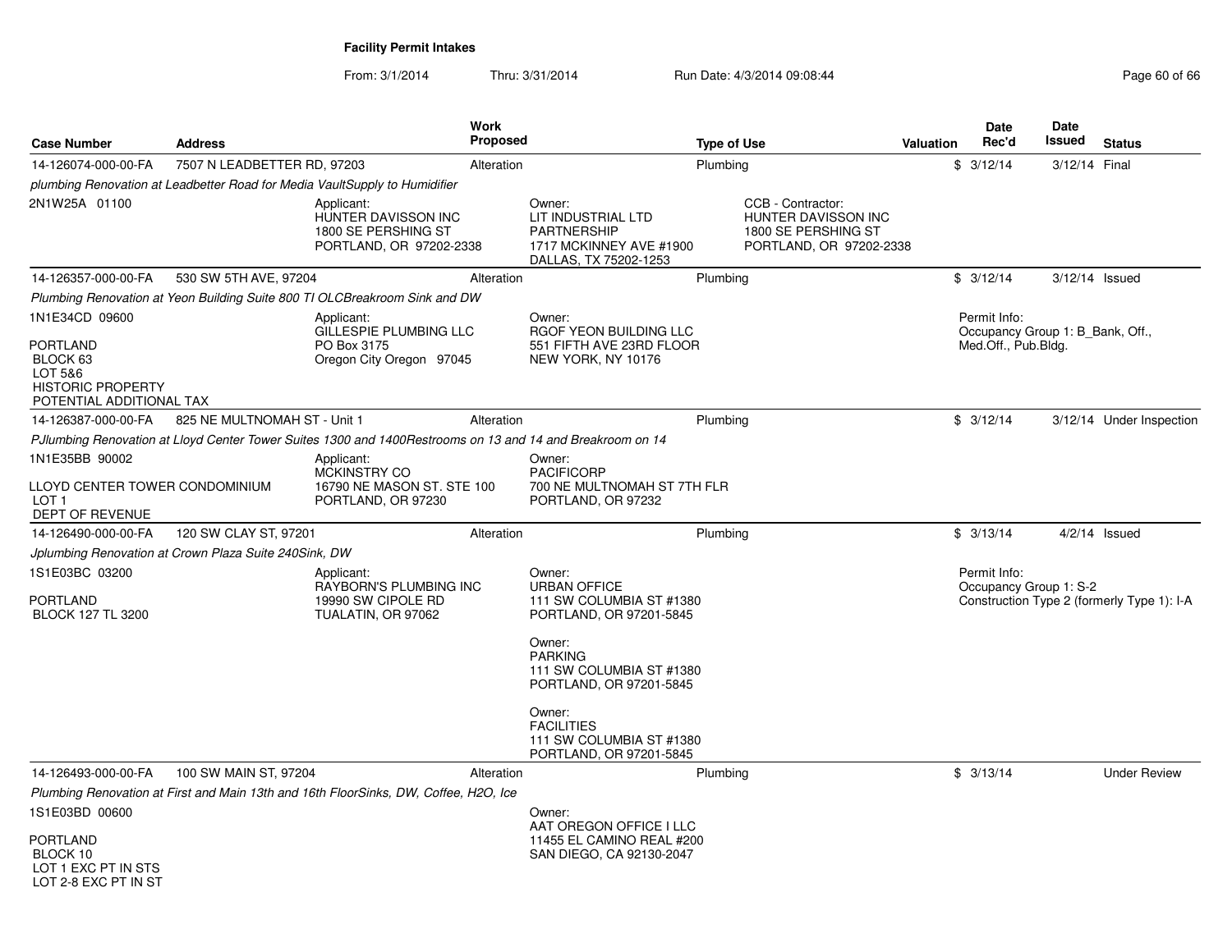| <b>Case Number</b>                                                                                                          | <b>Address</b>                                        |                                                                                                           | <b>Work</b><br><b>Proposed</b> |                                                                                                                                                                                                                                    | <b>Type of Use</b> |                                                                                            | <b>Valuation</b> | <b>Date</b><br>Rec'd                                                    | Date<br><b>Issued</b> | <b>Status</b>                              |
|-----------------------------------------------------------------------------------------------------------------------------|-------------------------------------------------------|-----------------------------------------------------------------------------------------------------------|--------------------------------|------------------------------------------------------------------------------------------------------------------------------------------------------------------------------------------------------------------------------------|--------------------|--------------------------------------------------------------------------------------------|------------------|-------------------------------------------------------------------------|-----------------------|--------------------------------------------|
| 14-126074-000-00-FA                                                                                                         | 7507 N LEADBETTER RD, 97203                           |                                                                                                           | Alteration                     |                                                                                                                                                                                                                                    | Plumbing           |                                                                                            |                  | \$3/12/14                                                               | 3/12/14 Final         |                                            |
|                                                                                                                             |                                                       | plumbing Renovation at Leadbetter Road for Media VaultSupply to Humidifier                                |                                |                                                                                                                                                                                                                                    |                    |                                                                                            |                  |                                                                         |                       |                                            |
| 2N1W25A 01100                                                                                                               |                                                       | Applicant:<br>HUNTER DAVISSON INC<br>1800 SE PERSHING ST<br>PORTLAND, OR 97202-2338                       |                                | Owner:<br>LIT INDUSTRIAL LTD<br><b>PARTNERSHIP</b><br>1717 MCKINNEY AVE #1900<br>DALLAS, TX 75202-1253                                                                                                                             |                    | CCB - Contractor:<br>HUNTER DAVISSON INC<br>1800 SE PERSHING ST<br>PORTLAND, OR 97202-2338 |                  |                                                                         |                       |                                            |
| 14-126357-000-00-FA                                                                                                         | 530 SW 5TH AVE, 97204                                 |                                                                                                           | Alteration                     |                                                                                                                                                                                                                                    | Plumbing           |                                                                                            |                  | \$3/12/14                                                               | $3/12/14$ Issued      |                                            |
|                                                                                                                             |                                                       | Plumbing Renovation at Yeon Building Suite 800 TI OLCBreakroom Sink and DW                                |                                |                                                                                                                                                                                                                                    |                    |                                                                                            |                  |                                                                         |                       |                                            |
| 1N1E34CD 09600<br><b>PORTLAND</b><br>BLOCK <sub>63</sub><br>LOT 5&6<br><b>HISTORIC PROPERTY</b><br>POTENTIAL ADDITIONAL TAX |                                                       | Applicant:<br>GILLESPIE PLUMBING LLC<br>PO Box 3175<br>Oregon City Oregon 97045                           |                                | Owner:<br>RGOF YEON BUILDING LLC<br>551 FIFTH AVE 23RD FLOOR<br>NEW YORK, NY 10176                                                                                                                                                 |                    |                                                                                            |                  | Permit Info:<br>Occupancy Group 1: B_Bank, Off.,<br>Med.Off., Pub.Bldg. |                       |                                            |
| 14-126387-000-00-FA                                                                                                         | 825 NE MULTNOMAH ST - Unit 1                          |                                                                                                           | Alteration                     |                                                                                                                                                                                                                                    | Plumbing           |                                                                                            |                  | \$3/12/14                                                               |                       | 3/12/14 Under Inspection                   |
|                                                                                                                             |                                                       | PJIumbing Renovation at Lloyd Center Tower Suites 1300 and 1400Restrooms on 13 and 14 and Breakroom on 14 |                                |                                                                                                                                                                                                                                    |                    |                                                                                            |                  |                                                                         |                       |                                            |
| 1N1E35BB 90002                                                                                                              |                                                       | Applicant:                                                                                                |                                | Owner:                                                                                                                                                                                                                             |                    |                                                                                            |                  |                                                                         |                       |                                            |
| LLOYD CENTER TOWER CONDOMINIUM<br>LOT <sub>1</sub><br>DEPT OF REVENUE                                                       |                                                       | MCKINSTRY CO<br>16790 NE MASON ST. STE 100<br>PORTLAND, OR 97230                                          |                                | <b>PACIFICORP</b><br>700 NE MULTNOMAH ST 7TH FLR<br>PORTLAND, OR 97232                                                                                                                                                             |                    |                                                                                            |                  |                                                                         |                       |                                            |
| 14-126490-000-00-FA                                                                                                         | 120 SW CLAY ST, 97201                                 |                                                                                                           | Alteration                     |                                                                                                                                                                                                                                    | Plumbing           |                                                                                            |                  | \$3/13/14                                                               |                       | $4/2/14$ Issued                            |
|                                                                                                                             | Jplumbing Renovation at Crown Plaza Suite 240Sink, DW |                                                                                                           |                                |                                                                                                                                                                                                                                    |                    |                                                                                            |                  |                                                                         |                       |                                            |
| 1S1E03BC 03200<br><b>PORTLAND</b><br><b>BLOCK 127 TL 3200</b>                                                               |                                                       | Applicant:<br>RAYBORN'S PLUMBING INC<br>19990 SW CIPOLE RD<br>TUALATIN, OR 97062                          |                                | Owner:<br><b>URBAN OFFICE</b><br>111 SW COLUMBIA ST #1380<br>PORTLAND, OR 97201-5845<br>Owner:<br><b>PARKING</b><br>111 SW COLUMBIA ST #1380<br>PORTLAND, OR 97201-5845<br>Owner:<br><b>FACILITIES</b><br>111 SW COLUMBIA ST #1380 |                    |                                                                                            |                  | Permit Info:<br>Occupancy Group 1: S-2                                  |                       | Construction Type 2 (formerly Type 1): I-A |
|                                                                                                                             |                                                       |                                                                                                           |                                | PORTLAND, OR 97201-5845                                                                                                                                                                                                            |                    |                                                                                            |                  |                                                                         |                       |                                            |
| 14-126493-000-00-FA                                                                                                         | 100 SW MAIN ST, 97204                                 | Plumbing Renovation at First and Main 13th and 16th FloorSinks, DW, Coffee, H2O, Ice                      | Alteration                     |                                                                                                                                                                                                                                    | Plumbing           |                                                                                            |                  | \$3/13/14                                                               |                       | <b>Under Review</b>                        |
| 1S1E03BD 00600                                                                                                              |                                                       |                                                                                                           |                                | Owner:                                                                                                                                                                                                                             |                    |                                                                                            |                  |                                                                         |                       |                                            |
| <b>PORTLAND</b><br>BLOCK 10<br>LOT 1 EXC PT IN STS<br>LOT 2-8 FXC PT IN ST                                                  |                                                       |                                                                                                           |                                | AAT OREGON OFFICE I LLC<br>11455 EL CAMINO REAL #200<br>SAN DIEGO, CA 92130-2047                                                                                                                                                   |                    |                                                                                            |                  |                                                                         |                       |                                            |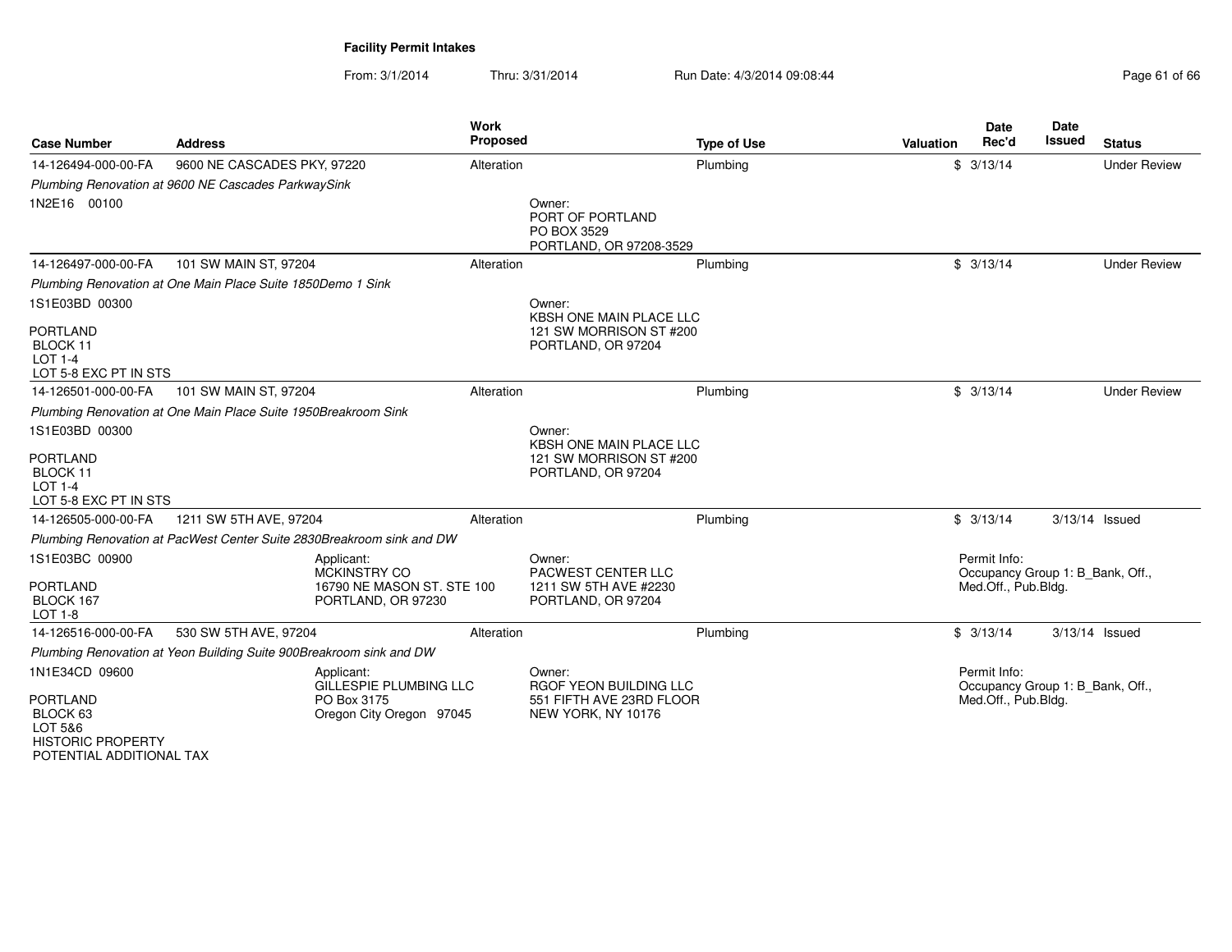From: 3/1/2014

| <b>Case Number</b>                                                                                                          | <b>Address</b>                                                        | <b>Work</b><br><b>Proposed</b>                     | <b>Type of Use</b>                                                                 | <b>Valuation</b> | <b>Date</b><br>Rec'd                                                    | Date<br>Issued | <b>Status</b>       |
|-----------------------------------------------------------------------------------------------------------------------------|-----------------------------------------------------------------------|----------------------------------------------------|------------------------------------------------------------------------------------|------------------|-------------------------------------------------------------------------|----------------|---------------------|
| 14-126494-000-00-FA                                                                                                         | 9600 NE CASCADES PKY, 97220                                           | Alteration                                         | Plumbing                                                                           |                  | \$3/13/14                                                               |                | <b>Under Review</b> |
|                                                                                                                             | Plumbing Renovation at 9600 NE Cascades ParkwaySink                   |                                                    |                                                                                    |                  |                                                                         |                |                     |
| 1N2E16 00100                                                                                                                |                                                                       |                                                    | Owner:<br>PORT OF PORTLAND<br>PO BOX 3529<br>PORTLAND, OR 97208-3529               |                  |                                                                         |                |                     |
| 14-126497-000-00-FA                                                                                                         | 101 SW MAIN ST, 97204                                                 | Alteration                                         | Plumbing                                                                           |                  | \$3/13/14                                                               |                | <b>Under Review</b> |
|                                                                                                                             | Plumbing Renovation at One Main Place Suite 1850Demo 1 Sink           |                                                    |                                                                                    |                  |                                                                         |                |                     |
| 1S1E03BD 00300                                                                                                              |                                                                       |                                                    | Owner:<br>KBSH ONE MAIN PLACE LLC                                                  |                  |                                                                         |                |                     |
| PORTLAND<br>BLOCK 11<br>$LOT 1-4$<br>LOT 5-8 EXC PT IN STS                                                                  |                                                                       |                                                    | 121 SW MORRISON ST #200<br>PORTLAND, OR 97204                                      |                  |                                                                         |                |                     |
| 14-126501-000-00-FA                                                                                                         | 101 SW MAIN ST, 97204                                                 | Alteration                                         | Plumbing                                                                           |                  | \$3/13/14                                                               |                | <b>Under Review</b> |
|                                                                                                                             | Plumbing Renovation at One Main Place Suite 1950Breakroom Sink        |                                                    |                                                                                    |                  |                                                                         |                |                     |
| 1S1E03BD 00300<br><b>PORTLAND</b><br>BLOCK 11<br>LOT 1-4<br>LOT 5-8 EXC PT IN STS                                           |                                                                       |                                                    | Owner:<br>KBSH ONE MAIN PLACE LLC<br>121 SW MORRISON ST #200<br>PORTLAND, OR 97204 |                  |                                                                         |                |                     |
| 14-126505-000-00-FA                                                                                                         | 1211 SW 5TH AVE, 97204                                                | Alteration                                         | Plumbing                                                                           |                  | \$3/13/14                                                               |                | 3/13/14 Issued      |
|                                                                                                                             | Plumbing Renovation at PacWest Center Suite 2830Breakroom sink and DW |                                                    |                                                                                    |                  |                                                                         |                |                     |
| 1S1E03BC 00900<br><b>PORTLAND</b><br>BLOCK 167<br>LOT 1-8                                                                   | Applicant:<br><b>MCKINSTRY CO</b><br>PORTLAND, OR 97230               | 16790 NE MASON ST. STE 100                         | Owner:<br>PACWEST CENTER LLC<br>1211 SW 5TH AVE #2230<br>PORTLAND, OR 97204        |                  | Permit Info:<br>Occupancy Group 1: B_Bank, Off.,<br>Med.Off., Pub.Bldg. |                |                     |
| 14-126516-000-00-FA                                                                                                         | 530 SW 5TH AVE, 97204                                                 | Alteration                                         | Plumbing                                                                           |                  | \$3/13/14                                                               |                | 3/13/14 Issued      |
|                                                                                                                             | Plumbing Renovation at Yeon Building Suite 900Breakroom sink and DW   |                                                    |                                                                                    |                  |                                                                         |                |                     |
| 1N1E34CD 09600<br><b>PORTLAND</b><br>BLOCK <sub>63</sub><br>LOT 5&6<br><b>HISTORIC PROPERTY</b><br>POTENTIAL ADDITIONAL TAX | Applicant:<br>PO Box 3175                                             | GILLESPIE PLUMBING LLC<br>Oregon City Oregon 97045 | Owner:<br>RGOF YEON BUILDING LLC<br>551 FIFTH AVE 23RD FLOOR<br>NEW YORK, NY 10176 |                  | Permit Info:<br>Occupancy Group 1: B Bank, Off.,<br>Med.Off., Pub.Bldg. |                |                     |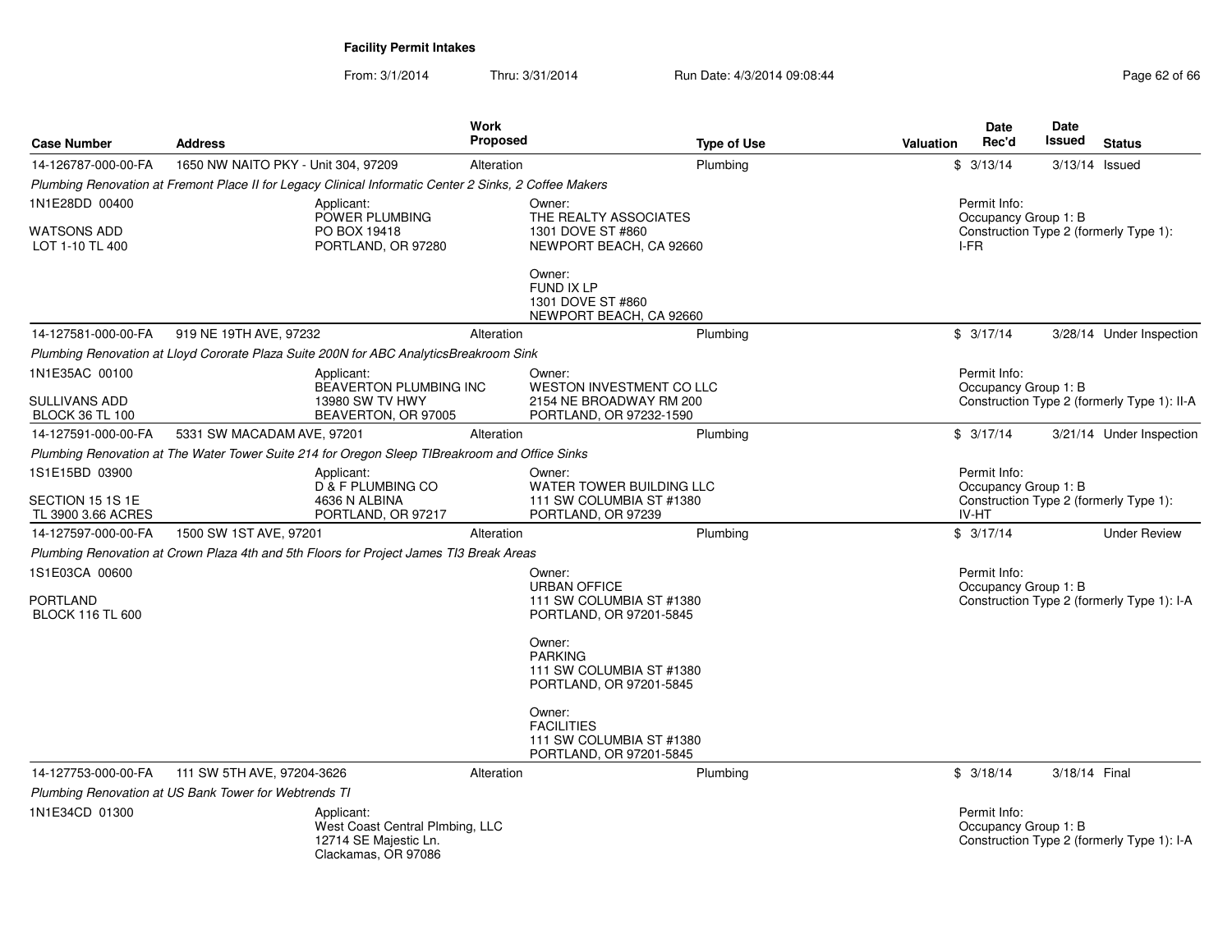| <b>Case Number</b>                                        | <b>Address</b>                                        |                                                                                                        | <b>Work</b><br><b>Proposed</b> |                                                                                          | <b>Type of Use</b> | Valuation | <b>Date</b><br>Rec'd                          | Date<br>Issued | <b>Status</b>                               |
|-----------------------------------------------------------|-------------------------------------------------------|--------------------------------------------------------------------------------------------------------|--------------------------------|------------------------------------------------------------------------------------------|--------------------|-----------|-----------------------------------------------|----------------|---------------------------------------------|
| 14-126787-000-00-FA                                       | 1650 NW NAITO PKY - Unit 304, 97209                   |                                                                                                        | Alteration                     |                                                                                          | Plumbina           |           | \$3/13/14                                     |                | 3/13/14 Issued                              |
|                                                           |                                                       | Plumbing Renovation at Fremont Place II for Legacy Clinical Informatic Center 2 Sinks, 2 Coffee Makers |                                |                                                                                          |                    |           |                                               |                |                                             |
| 1N1E28DD 00400                                            |                                                       | Applicant:                                                                                             |                                | Owner:                                                                                   |                    |           | Permit Info:                                  |                |                                             |
| <b>WATSONS ADD</b><br>LOT 1-10 TL 400                     |                                                       | POWER PLUMBING<br>PO BOX 19418<br>PORTLAND, OR 97280                                                   |                                | THE REALTY ASSOCIATES<br>1301 DOVE ST #860<br>NEWPORT BEACH, CA 92660                    |                    |           | Occupancy Group 1: B<br>I-FR                  |                | Construction Type 2 (formerly Type 1):      |
|                                                           |                                                       |                                                                                                        |                                | Owner:<br><b>FUND IX LP</b><br>1301 DOVE ST #860<br>NEWPORT BEACH, CA 92660              |                    |           |                                               |                |                                             |
| 14-127581-000-00-FA                                       | 919 NE 19TH AVE, 97232                                |                                                                                                        | Alteration                     |                                                                                          | Plumbing           |           | \$3/17/14                                     |                | 3/28/14 Under Inspection                    |
|                                                           |                                                       | Plumbing Renovation at Lloyd Cororate Plaza Suite 200N for ABC AnalyticsBreakroom Sink                 |                                |                                                                                          |                    |           |                                               |                |                                             |
| 1N1E35AC 00100<br>SULLIVANS ADD<br><b>BLOCK 36 TL 100</b> |                                                       | Applicant:<br><b>BEAVERTON PLUMBING INC</b><br>13980 SW TV HWY<br>BEAVERTON, OR 97005                  |                                | Owner:<br>WESTON INVESTMENT CO LLC<br>2154 NE BROADWAY RM 200<br>PORTLAND, OR 97232-1590 |                    |           | Permit Info:<br>Occupancy Group 1: B          |                | Construction Type 2 (formerly Type 1): II-A |
| 14-127591-000-00-FA                                       | 5331 SW MACADAM AVE, 97201                            |                                                                                                        | Alteration                     |                                                                                          | Plumbing           |           | \$3/17/14                                     |                | 3/21/14 Under Inspection                    |
|                                                           |                                                       | Plumbing Renovation at The Water Tower Suite 214 for Oregon Sleep TIBreakroom and Office Sinks         |                                |                                                                                          |                    |           |                                               |                |                                             |
| 1S1E15BD 03900<br>SECTION 15 1S 1E<br>TL 3900 3.66 ACRES  |                                                       | Applicant:<br>D & F PLUMBING CO<br>4636 N ALBINA<br>PORTLAND, OR 97217                                 |                                | Owner:<br>WATER TOWER BUILDING LLC<br>111 SW COLUMBIA ST #1380<br>PORTLAND, OR 97239     |                    |           | Permit Info:<br>Occupancy Group 1: B<br>IV-HT |                | Construction Type 2 (formerly Type 1):      |
| 14-127597-000-00-FA                                       | 1500 SW 1ST AVE, 97201                                |                                                                                                        | Alteration                     |                                                                                          | Plumbing           |           | \$3/17/14                                     |                | <b>Under Review</b>                         |
|                                                           |                                                       | Plumbing Renovation at Crown Plaza 4th and 5th Floors for Project James TI3 Break Areas                |                                |                                                                                          |                    |           |                                               |                |                                             |
| 1S1E03CA 00600                                            |                                                       |                                                                                                        |                                | Owner:                                                                                   |                    |           | Permit Info:                                  |                |                                             |
| <b>PORTLAND</b><br><b>BLOCK 116 TL 600</b>                |                                                       |                                                                                                        |                                | <b>URBAN OFFICE</b><br>111 SW COLUMBIA ST #1380<br>PORTLAND, OR 97201-5845               |                    |           | Occupancy Group 1: B                          |                | Construction Type 2 (formerly Type 1): I-A  |
|                                                           |                                                       |                                                                                                        |                                | Owner:<br><b>PARKING</b><br>111 SW COLUMBIA ST #1380<br>PORTLAND, OR 97201-5845          |                    |           |                                               |                |                                             |
|                                                           |                                                       |                                                                                                        |                                | Owner:<br><b>FACILITIES</b><br>111 SW COLUMBIA ST #1380<br>PORTLAND, OR 97201-5845       |                    |           |                                               |                |                                             |
| 14-127753-000-00-FA                                       | 111 SW 5TH AVE, 97204-3626                            |                                                                                                        | Alteration                     |                                                                                          | Plumbing           |           | \$3/18/14                                     | 3/18/14 Final  |                                             |
|                                                           | Plumbing Renovation at US Bank Tower for Webtrends TI |                                                                                                        |                                |                                                                                          |                    |           |                                               |                |                                             |
| 1N1E34CD 01300                                            |                                                       | Applicant:<br>West Coast Central Plmbing, LLC<br>12714 SE Majestic Ln.<br>Clackamas, OR 97086          |                                |                                                                                          |                    |           | Permit Info:<br>Occupancy Group 1: B          |                | Construction Type 2 (formerly Type 1): I-A  |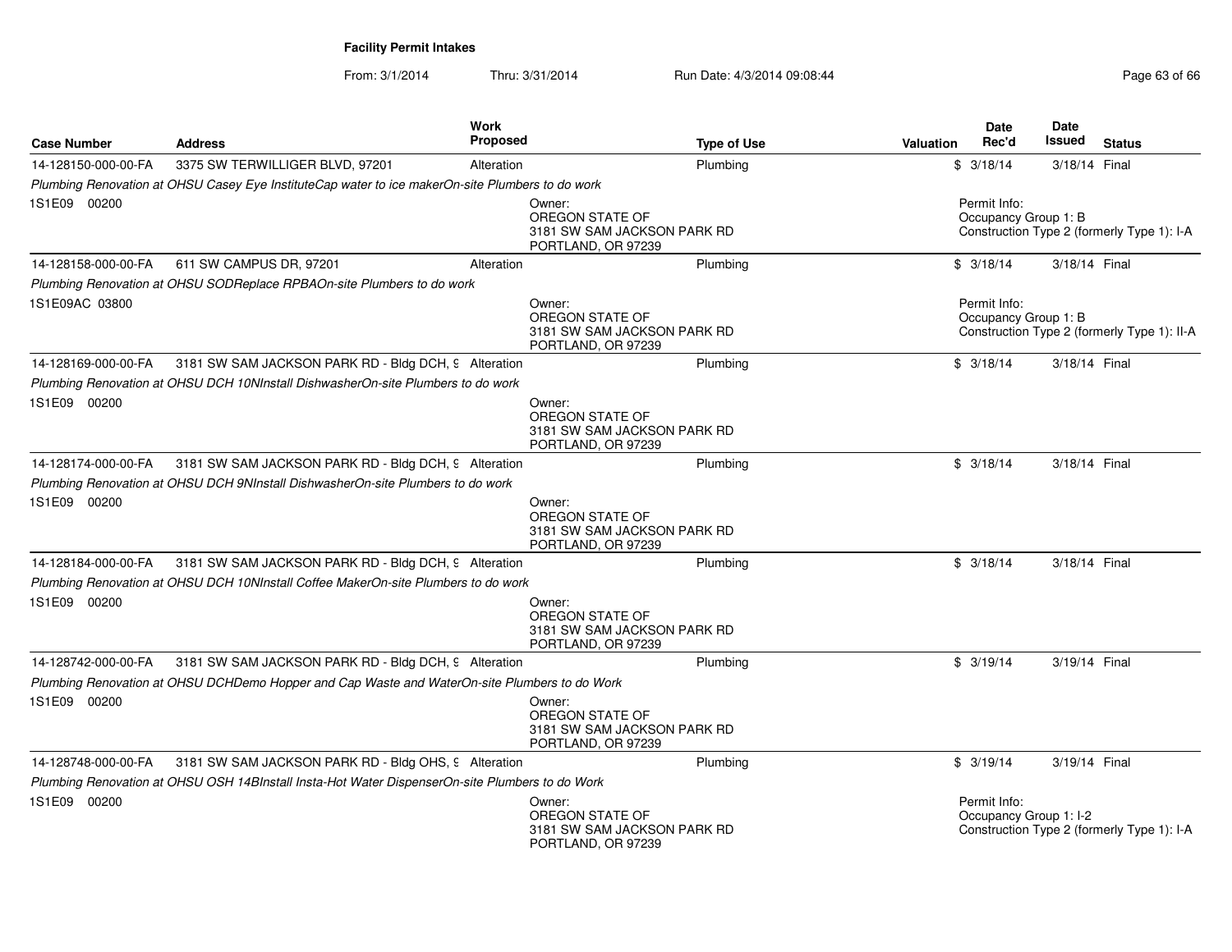| <b>Case Number</b>  | <b>Address</b>                                                                                   | Work<br><b>Proposed</b>                         | <b>Type of Use</b>          | <b>Date</b><br>Rec'd<br>Valuation | Date<br>Issued<br><b>Status</b>                                      |
|---------------------|--------------------------------------------------------------------------------------------------|-------------------------------------------------|-----------------------------|-----------------------------------|----------------------------------------------------------------------|
| 14-128150-000-00-FA | 3375 SW TERWILLIGER BLVD, 97201                                                                  | Alteration                                      | Plumbing                    | \$3/18/14                         | 3/18/14 Final                                                        |
|                     | Plumbing Renovation at OHSU Casey Eye InstituteCap water to ice makerOn-site Plumbers to do work |                                                 |                             |                                   |                                                                      |
| 1S1E09 00200        |                                                                                                  | Owner:<br>OREGON STATE OF<br>PORTLAND, OR 97239 | 3181 SW SAM JACKSON PARK RD | Permit Info:                      | Occupancy Group 1: B<br>Construction Type 2 (formerly Type 1): I-A   |
| 14-128158-000-00-FA | 611 SW CAMPUS DR, 97201                                                                          | Alteration                                      | Plumbing                    | \$3/18/14                         | 3/18/14 Final                                                        |
|                     | Plumbing Renovation at OHSU SODReplace RPBAOn-site Plumbers to do work                           |                                                 |                             |                                   |                                                                      |
| 1S1E09AC 03800      |                                                                                                  | Owner:<br>OREGON STATE OF<br>PORTLAND, OR 97239 | 3181 SW SAM JACKSON PARK RD | Permit Info:                      | Occupancy Group 1: B<br>Construction Type 2 (formerly Type 1): II-A  |
| 14-128169-000-00-FA | 3181 SW SAM JACKSON PARK RD - Bldg DCH, 9 Alteration                                             |                                                 | Plumbing                    | \$3/18/14                         | 3/18/14 Final                                                        |
|                     | Plumbing Renovation at OHSU DCH 10NInstall DishwasherOn-site Plumbers to do work                 |                                                 |                             |                                   |                                                                      |
| 1S1E09 00200        |                                                                                                  | Owner:<br>OREGON STATE OF<br>PORTLAND, OR 97239 | 3181 SW SAM JACKSON PARK RD |                                   |                                                                      |
| 14-128174-000-00-FA | 3181 SW SAM JACKSON PARK RD - Bldg DCH, 9 Alteration                                             |                                                 | Plumbing                    | \$3/18/14                         | 3/18/14 Final                                                        |
|                     | Plumbing Renovation at OHSU DCH 9NInstall DishwasherOn-site Plumbers to do work                  |                                                 |                             |                                   |                                                                      |
| 1S1E09 00200        |                                                                                                  | Owner:<br>OREGON STATE OF<br>PORTLAND, OR 97239 | 3181 SW SAM JACKSON PARK RD |                                   |                                                                      |
| 14-128184-000-00-FA | 3181 SW SAM JACKSON PARK RD - Bldg DCH, 9 Alteration                                             |                                                 | Plumbing                    | \$3/18/14                         | 3/18/14 Final                                                        |
|                     | Plumbing Renovation at OHSU DCH 10NInstall Coffee MakerOn-site Plumbers to do work               |                                                 |                             |                                   |                                                                      |
| 1S1E09 00200        |                                                                                                  | Owner:<br>OREGON STATE OF<br>PORTLAND, OR 97239 | 3181 SW SAM JACKSON PARK RD |                                   |                                                                      |
| 14-128742-000-00-FA | 3181 SW SAM JACKSON PARK RD - Bldg DCH, 9 Alteration                                             |                                                 | Plumbing                    | \$3/19/14                         | 3/19/14 Final                                                        |
|                     | Plumbing Renovation at OHSU DCHDemo Hopper and Cap Waste and WaterOn-site Plumbers to do Work    |                                                 |                             |                                   |                                                                      |
| 1S1E09 00200        |                                                                                                  | Owner:<br>OREGON STATE OF<br>PORTLAND, OR 97239 | 3181 SW SAM JACKSON PARK RD |                                   |                                                                      |
| 14-128748-000-00-FA | 3181 SW SAM JACKSON PARK RD - Bldg OHS, 9 Alteration                                             |                                                 | Plumbing                    | \$3/19/14                         | 3/19/14 Final                                                        |
|                     | Plumbing Renovation at OHSU OSH 14BInstall Insta-Hot Water DispenserOn-site Plumbers to do Work  |                                                 |                             |                                   |                                                                      |
| 1S1E09 00200        |                                                                                                  | Owner:<br>OREGON STATE OF<br>PORTLAND, OR 97239 | 3181 SW SAM JACKSON PARK RD | Permit Info:                      | Occupancy Group 1: I-2<br>Construction Type 2 (formerly Type 1): I-A |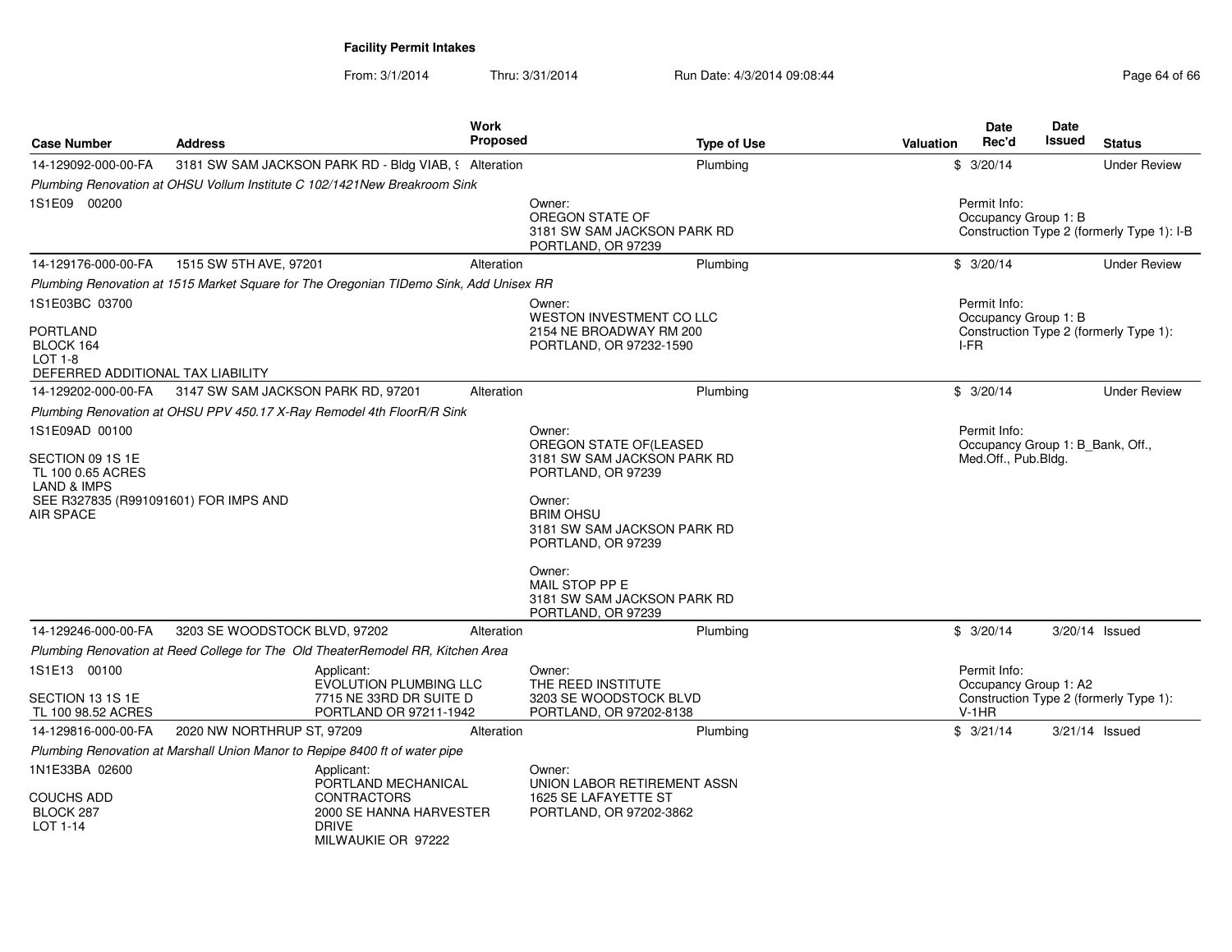| <b>Case Number</b>                                                             | <b>Address</b>                                                                  | <b>Work</b><br><b>Proposed</b>                                                                            | <b>Type of Use</b>                                                                       | Valuation | <b>Date</b><br>Rec'd                                    | <b>Date</b><br>Issued | <b>Status</b>                              |
|--------------------------------------------------------------------------------|---------------------------------------------------------------------------------|-----------------------------------------------------------------------------------------------------------|------------------------------------------------------------------------------------------|-----------|---------------------------------------------------------|-----------------------|--------------------------------------------|
| 14-129092-000-00-FA                                                            |                                                                                 | 3181 SW SAM JACKSON PARK RD - Bldg VIAB, § Alteration                                                     | Plumbing                                                                                 |           | \$3/20/14                                               |                       | <b>Under Review</b>                        |
|                                                                                | Plumbing Renovation at OHSU Vollum Institute C 102/1421New Breakroom Sink       |                                                                                                           |                                                                                          |           |                                                         |                       |                                            |
| 1S1E09 00200                                                                   |                                                                                 |                                                                                                           | Owner:<br>OREGON STATE OF<br>3181 SW SAM JACKSON PARK RD<br>PORTLAND, OR 97239           |           | Permit Info:<br>Occupancy Group 1: B                    |                       | Construction Type 2 (formerly Type 1): I-B |
| 14-129176-000-00-FA                                                            | 1515 SW 5TH AVE, 97201                                                          | Alteration                                                                                                | Plumbing                                                                                 |           | \$3/20/14                                               |                       | <b>Under Review</b>                        |
|                                                                                |                                                                                 | Plumbing Renovation at 1515 Market Square for The Oregonian TIDemo Sink, Add Unisex RR                    |                                                                                          |           |                                                         |                       |                                            |
| 1S1E03BC 03700                                                                 |                                                                                 |                                                                                                           | Owner:                                                                                   |           | Permit Info:                                            |                       |                                            |
| <b>PORTLAND</b><br>BLOCK 164<br>$LOT 1-8$<br>DEFERRED ADDITIONAL TAX LIABILITY |                                                                                 |                                                                                                           | WESTON INVESTMENT CO LLC<br>2154 NE BROADWAY RM 200<br>PORTLAND, OR 97232-1590           |           | Occupancy Group 1: B<br>I-FR                            |                       | Construction Type 2 (formerly Type 1):     |
| 14-129202-000-00-FA                                                            | 3147 SW SAM JACKSON PARK RD, 97201                                              | Alteration                                                                                                | Plumbing                                                                                 |           | \$3/20/14                                               |                       | <b>Under Review</b>                        |
|                                                                                | Plumbing Renovation at OHSU PPV 450.17 X-Ray Remodel 4th FloorR/R Sink          |                                                                                                           |                                                                                          |           |                                                         |                       |                                            |
| 1S1E09AD 00100                                                                 |                                                                                 |                                                                                                           | Owner:                                                                                   |           | Permit Info:                                            |                       |                                            |
| SECTION 09 1S 1E<br>TL 100 0.65 ACRES<br>LAND & IMPS                           |                                                                                 |                                                                                                           | OREGON STATE OF(LEASED<br>3181 SW SAM JACKSON PARK RD<br>PORTLAND, OR 97239              |           | Occupancy Group 1: B_Bank, Off.,<br>Med.Off., Pub.Bldg. |                       |                                            |
| SEE R327835 (R991091601) FOR IMPS AND<br>AIR SPACE                             |                                                                                 |                                                                                                           | Owner:<br><b>BRIM OHSU</b><br>3181 SW SAM JACKSON PARK RD<br>PORTLAND, OR 97239          |           |                                                         |                       |                                            |
|                                                                                |                                                                                 |                                                                                                           | Owner:<br>MAIL STOP PP E<br>3181 SW SAM JACKSON PARK RD<br>PORTLAND, OR 97239            |           |                                                         |                       |                                            |
| 14-129246-000-00-FA                                                            | 3203 SE WOODSTOCK BLVD, 97202                                                   | Alteration                                                                                                | Plumbing                                                                                 |           | \$3/20/14                                               |                       | 3/20/14 Issued                             |
|                                                                                | Plumbing Renovation at Reed College for The Old TheaterRemodel RR, Kitchen Area |                                                                                                           |                                                                                          |           |                                                         |                       |                                            |
| 1S1E13 00100<br>SECTION 13 1S 1E                                               |                                                                                 | Applicant:<br><b>EVOLUTION PLUMBING LLC</b><br>7715 NE 33RD DR SUITE D                                    | Owner:<br>THE REED INSTITUTE<br>3203 SE WOODSTOCK BLVD                                   |           | Permit Info:<br>Occupancy Group 1: A2                   |                       | Construction Type 2 (formerly Type 1):     |
| TL 100 98.52 ACRES                                                             |                                                                                 | PORTLAND OR 97211-1942                                                                                    | PORTLAND, OR 97202-8138                                                                  |           | $V-1HR$                                                 |                       |                                            |
| 14-129816-000-00-FA                                                            | 2020 NW NORTHRUP ST, 97209                                                      | Alteration                                                                                                | Plumbing                                                                                 |           | \$3/21/14                                               |                       | 3/21/14 Issued                             |
|                                                                                | Plumbing Renovation at Marshall Union Manor to Repipe 8400 ft of water pipe     |                                                                                                           |                                                                                          |           |                                                         |                       |                                            |
| 1N1E33BA 02600<br><b>COUCHS ADD</b><br>BLOCK 287<br>LOT 1-14                   | <b>DRIVE</b>                                                                    | Applicant:<br>PORTLAND MECHANICAL<br><b>CONTRACTORS</b><br>2000 SE HANNA HARVESTER<br>MII WAUKIF OR 97222 | Owner:<br>UNION LABOR RETIREMENT ASSN<br>1625 SE LAFAYETTE ST<br>PORTLAND, OR 97202-3862 |           |                                                         |                       |                                            |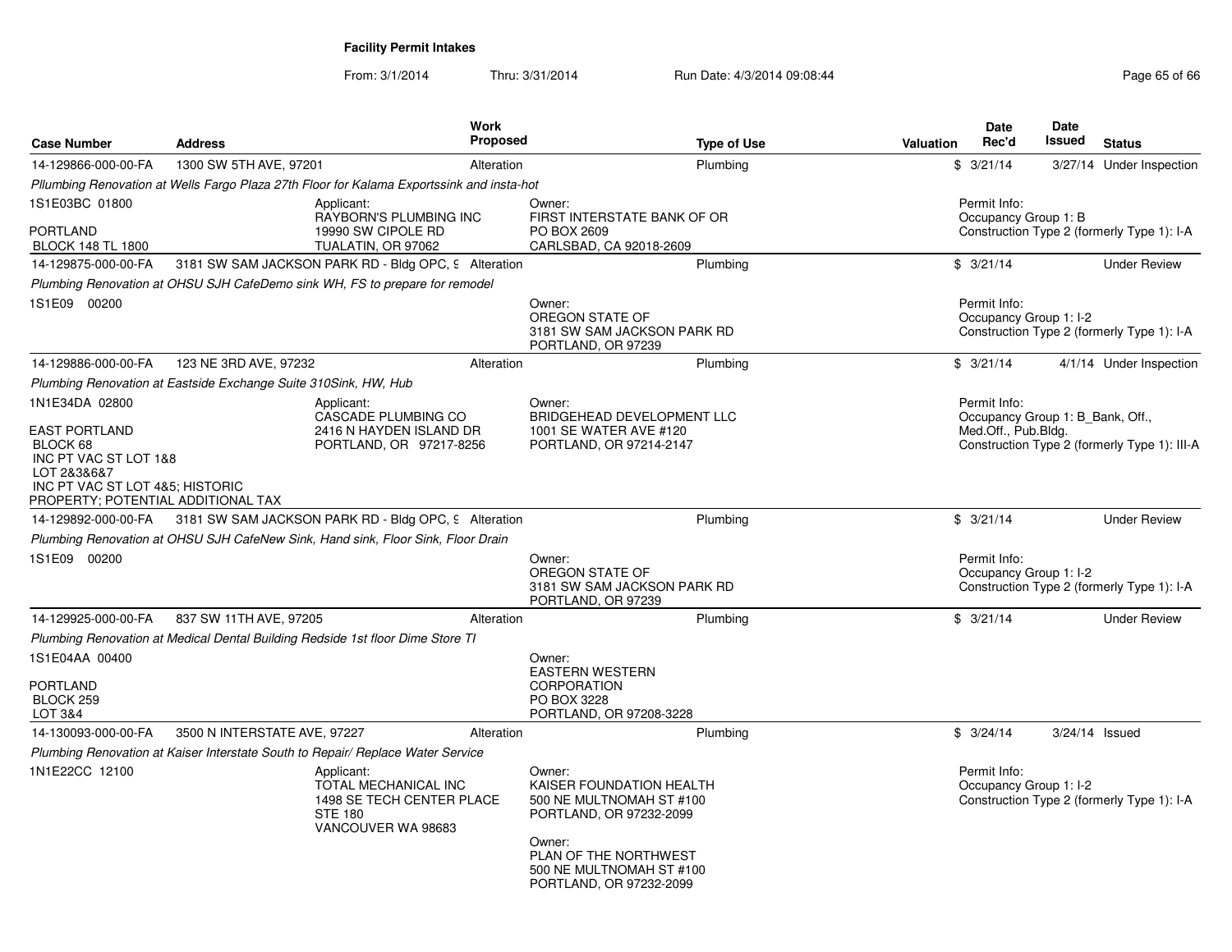| <b>Case Number</b>                                                                                                     | <b>Address</b>                                                                            | <b>Work</b><br><b>Proposed</b>                                            | <b>Type of Use</b>                                                                                                                                                                  | <b>Date</b><br>Rec'd<br><b>Valuation</b> | <b>Date</b><br>Issued<br><b>Status</b>                                           |
|------------------------------------------------------------------------------------------------------------------------|-------------------------------------------------------------------------------------------|---------------------------------------------------------------------------|-------------------------------------------------------------------------------------------------------------------------------------------------------------------------------------|------------------------------------------|----------------------------------------------------------------------------------|
| 14-129866-000-00-FA                                                                                                    | 1300 SW 5TH AVE, 97201                                                                    | Alteration                                                                | Plumbing                                                                                                                                                                            | \$3/21/14                                | 3/27/14 Under Inspection                                                         |
|                                                                                                                        | Pllumbing Renovation at Wells Fargo Plaza 27th Floor for Kalama Exportssink and insta-hot |                                                                           |                                                                                                                                                                                     |                                          |                                                                                  |
| 1S1E03BC 01800<br>PORTLAND<br><b>BLOCK 148 TL 1800</b>                                                                 | Applicant:<br>TUALATIN, OR 97062                                                          | RAYBORN'S PLUMBING INC<br>19990 SW CIPOLE RD                              | Owner:<br>FIRST INTERSTATE BANK OF OR<br>PO BOX 2609<br>CARLSBAD, CA 92018-2609                                                                                                     | Permit Info:<br>Occupancy Group 1: B     | Construction Type 2 (formerly Type 1): I-A                                       |
| 14-129875-000-00-FA                                                                                                    | 3181 SW SAM JACKSON PARK RD - Bldg OPC, 9 Alteration                                      |                                                                           | Plumbing                                                                                                                                                                            | \$3/21/14                                | <b>Under Review</b>                                                              |
|                                                                                                                        | Plumbing Renovation at OHSU SJH CafeDemo sink WH, FS to prepare for remodel               |                                                                           |                                                                                                                                                                                     |                                          |                                                                                  |
| 1S1E09 00200                                                                                                           |                                                                                           |                                                                           | Owner:<br>OREGON STATE OF<br>3181 SW SAM JACKSON PARK RD<br>PORTLAND, OR 97239                                                                                                      | Permit Info:<br>Occupancy Group 1: I-2   | Construction Type 2 (formerly Type 1): I-A                                       |
| 14-129886-000-00-FA                                                                                                    | 123 NE 3RD AVE, 97232                                                                     | Alteration                                                                | Plumbing                                                                                                                                                                            | \$3/21/14                                | 4/1/14 Under Inspection                                                          |
|                                                                                                                        | Plumbing Renovation at Eastside Exchange Suite 310Sink, HW, Hub                           |                                                                           |                                                                                                                                                                                     |                                          |                                                                                  |
| 1N1E34DA 02800<br>EAST PORTLAND<br>BLOCK 68<br>INC PT VAC ST LOT 1&8<br>LOT 2&3&6&7<br>INC PT VAC ST LOT 4&5; HISTORIC | Applicant:                                                                                | CASCADE PLUMBING CO<br>2416 N HAYDEN ISLAND DR<br>PORTLAND, OR 97217-8256 | Owner:<br>BRIDGEHEAD DEVELOPMENT LLC<br>1001 SE WATER AVE #120<br>PORTLAND, OR 97214-2147                                                                                           | Permit Info:<br>Med.Off., Pub.Bldg.      | Occupancy Group 1: B Bank, Off.,<br>Construction Type 2 (formerly Type 1): III-A |
| PROPERTY; POTENTIAL ADDITIONAL TAX                                                                                     |                                                                                           |                                                                           |                                                                                                                                                                                     |                                          |                                                                                  |
| 14-129892-000-00-FA                                                                                                    | 3181 SW SAM JACKSON PARK RD - Bldg OPC, 9 Alteration                                      |                                                                           | Plumbing                                                                                                                                                                            | \$3/21/14                                | <b>Under Review</b>                                                              |
|                                                                                                                        | Plumbing Renovation at OHSU SJH CafeNew Sink, Hand sink, Floor Sink, Floor Drain          |                                                                           |                                                                                                                                                                                     |                                          |                                                                                  |
| 1S1E09 00200                                                                                                           |                                                                                           |                                                                           | Owner:<br>OREGON STATE OF<br>3181 SW SAM JACKSON PARK RD<br>PORTLAND, OR 97239                                                                                                      | Permit Info:<br>Occupancy Group 1: I-2   | Construction Type 2 (formerly Type 1): I-A                                       |
| 14-129925-000-00-FA                                                                                                    | 837 SW 11TH AVE, 97205                                                                    | Alteration                                                                | Plumbing                                                                                                                                                                            | \$3/21/14                                | <b>Under Review</b>                                                              |
|                                                                                                                        | Plumbing Renovation at Medical Dental Building Redside 1st floor Dime Store TI            |                                                                           |                                                                                                                                                                                     |                                          |                                                                                  |
| 1S1E04AA 00400<br>PORTLAND<br>BLOCK 259<br>LOT 3&4                                                                     |                                                                                           |                                                                           | Owner:<br><b>EASTERN WESTERN</b><br><b>CORPORATION</b><br>PO BOX 3228<br>PORTLAND, OR 97208-3228                                                                                    |                                          |                                                                                  |
| 14-130093-000-00-FA                                                                                                    | 3500 N INTERSTATE AVE, 97227                                                              | Alteration                                                                | Plumbing                                                                                                                                                                            | \$3/24/14                                | $3/24/14$ Issued                                                                 |
|                                                                                                                        | Plumbing Renovation at Kaiser Interstate South to Repair/ Replace Water Service           |                                                                           |                                                                                                                                                                                     |                                          |                                                                                  |
| 1N1E22CC 12100                                                                                                         | Applicant:<br><b>STE 180</b>                                                              | TOTAL MECHANICAL INC<br>1498 SE TECH CENTER PLACE<br>VANCOUVER WA 98683   | Owner:<br>KAISER FOUNDATION HEALTH<br>500 NE MULTNOMAH ST #100<br>PORTLAND, OR 97232-2099<br>Owner:<br>PLAN OF THE NORTHWEST<br>500 NE MULTNOMAH ST #100<br>PORTLAND, OR 97232-2099 | Permit Info:<br>Occupancy Group 1: I-2   | Construction Type 2 (formerly Type 1): I-A                                       |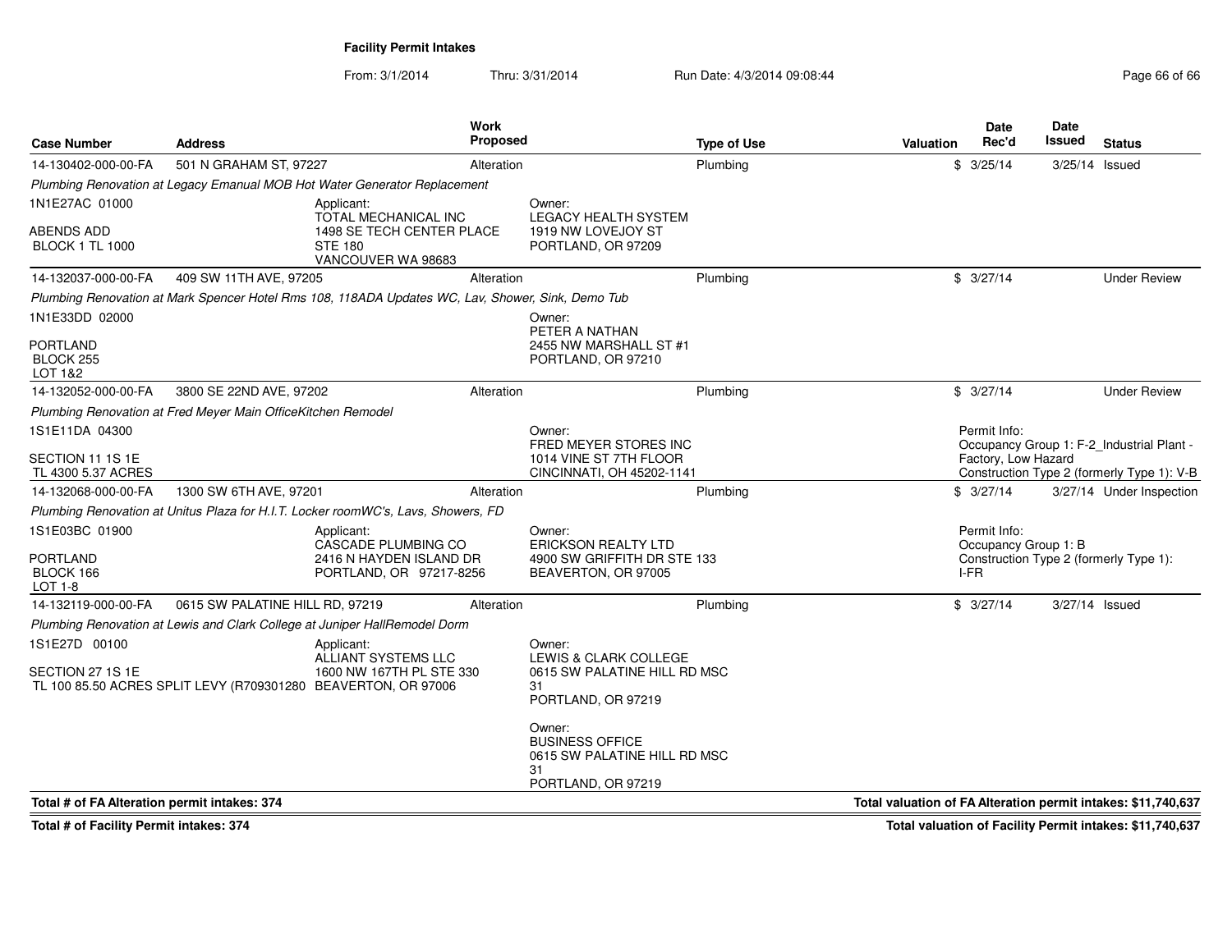From: 3/1/2014Thru: 3/31/2014 Run Date: 4/3/2014 09:08:44 Run Date: 4/3/2014 09:08:44

| <b>Case Number</b>                             | <b>Address</b>                                               |                                                                                                   | <b>Work</b><br><b>Proposed</b> |                                                                                              | <b>Type of Use</b> | <b>Valuation</b>                                              | Date<br>Rec'd                | Date<br>Issued | <b>Status</b>                              |
|------------------------------------------------|--------------------------------------------------------------|---------------------------------------------------------------------------------------------------|--------------------------------|----------------------------------------------------------------------------------------------|--------------------|---------------------------------------------------------------|------------------------------|----------------|--------------------------------------------|
| 14-130402-000-00-FA                            | 501 N GRAHAM ST, 97227                                       |                                                                                                   | Alteration                     |                                                                                              | Plumbing           |                                                               | \$3/25/14                    | 3/25/14 Issued |                                            |
|                                                |                                                              | Plumbing Renovation at Legacy Emanual MOB Hot Water Generator Replacement                         |                                |                                                                                              |                    |                                                               |                              |                |                                            |
| 1N1E27AC 01000                                 |                                                              | Applicant:<br>TOTAL MECHANICAL INC                                                                |                                | Owner:<br><b>LEGACY HEALTH SYSTEM</b>                                                        |                    |                                                               |                              |                |                                            |
| <b>ABENDS ADD</b><br><b>BLOCK 1 TL 1000</b>    |                                                              | 1498 SE TECH CENTER PLACE<br><b>STE 180</b><br>VANCOUVER WA 98683                                 |                                | 1919 NW LOVEJOY ST<br>PORTLAND, OR 97209                                                     |                    |                                                               |                              |                |                                            |
| 14-132037-000-00-FA                            | 409 SW 11TH AVE, 97205                                       |                                                                                                   | Alteration                     |                                                                                              | Plumbing           |                                                               | \$3/27/14                    |                | <b>Under Review</b>                        |
|                                                |                                                              | Plumbing Renovation at Mark Spencer Hotel Rms 108, 118ADA Updates WC, Lav, Shower, Sink, Demo Tub |                                |                                                                                              |                    |                                                               |                              |                |                                            |
| 1N1E33DD 02000                                 |                                                              |                                                                                                   |                                | Owner:<br>PETER A NATHAN                                                                     |                    |                                                               |                              |                |                                            |
| <b>PORTLAND</b><br>BLOCK 255<br>LOT 1&2        |                                                              |                                                                                                   |                                | 2455 NW MARSHALL ST #1<br>PORTLAND, OR 97210                                                 |                    |                                                               |                              |                |                                            |
| 14-132052-000-00-FA                            | 3800 SE 22ND AVE, 97202                                      |                                                                                                   | Alteration                     |                                                                                              | Plumbing           |                                                               | \$3/27/14                    |                | <b>Under Review</b>                        |
|                                                | Plumbing Renovation at Fred Meyer Main OfficeKitchen Remodel |                                                                                                   |                                |                                                                                              |                    |                                                               |                              |                |                                            |
| 1S1E11DA 04300                                 |                                                              |                                                                                                   |                                | Owner:                                                                                       |                    |                                                               | Permit Info:                 |                |                                            |
| SECTION 11 1S 1E                               |                                                              |                                                                                                   |                                | FRED MEYER STORES INC<br>1014 VINE ST 7TH FLOOR                                              |                    |                                                               | Factory, Low Hazard          |                | Occupancy Group 1: F-2 Industrial Plant -  |
| TL 4300 5.37 ACRES                             |                                                              |                                                                                                   |                                | CINCINNATI, OH 45202-1141                                                                    |                    |                                                               |                              |                | Construction Type 2 (formerly Type 1): V-B |
| 14-132068-000-00-FA                            | 1300 SW 6TH AVE, 97201                                       |                                                                                                   | Alteration                     |                                                                                              | Plumbing           |                                                               | \$3/27/14                    |                | 3/27/14 Under Inspection                   |
|                                                |                                                              | Plumbing Renovation at Unitus Plaza for H.I.T. Locker roomWC's, Lavs, Showers, FD                 |                                |                                                                                              |                    |                                                               |                              |                |                                            |
| 1S1E03BC 01900                                 |                                                              | Applicant:                                                                                        |                                | Owner:                                                                                       |                    |                                                               | Permit Info:                 |                |                                            |
| <b>PORTLAND</b><br>BLOCK 166<br><b>LOT 1-8</b> |                                                              | <b>CASCADE PLUMBING CO</b><br>2416 N HAYDEN ISLAND DR<br>PORTLAND, OR 97217-8256                  |                                | <b>ERICKSON REALTY LTD</b><br>4900 SW GRIFFITH DR STE 133<br>BEAVERTON, OR 97005             |                    |                                                               | Occupancy Group 1: B<br>I-FR |                | Construction Type 2 (formerly Type 1):     |
| 14-132119-000-00-FA                            | 0615 SW PALATINE HILL RD. 97219                              |                                                                                                   | Alteration                     |                                                                                              | Plumbing           |                                                               | \$3/27/14                    | 3/27/14 Issued |                                            |
|                                                |                                                              | Plumbing Renovation at Lewis and Clark College at Juniper HallRemodel Dorm                        |                                |                                                                                              |                    |                                                               |                              |                |                                            |
| 1S1E27D 00100                                  |                                                              | Applicant:<br>ALLIANT SYSTEMS LLC                                                                 |                                | Owner:<br>LEWIS & CLARK COLLEGE                                                              |                    |                                                               |                              |                |                                            |
| SECTION 27 1S 1E                               |                                                              | 1600 NW 167TH PL STE 330<br>TL 100 85.50 ACRES SPLIT LEVY (R709301280 BEAVERTON, OR 97006         |                                | 0615 SW PALATINE HILL RD MSC<br>31<br>PORTLAND, OR 97219                                     |                    |                                                               |                              |                |                                            |
|                                                |                                                              |                                                                                                   |                                | Owner:<br><b>BUSINESS OFFICE</b><br>0615 SW PALATINE HILL RD MSC<br>31<br>PORTLAND, OR 97219 |                    |                                                               |                              |                |                                            |
| Total # of FA Alteration permit intakes: 374   |                                                              |                                                                                                   |                                |                                                                                              |                    | Total valuation of FA Alteration permit intakes: \$11,740,637 |                              |                |                                            |

**Total # of Facility Permit intakes: 374**

**Total valuation of Facility Permit intakes: \$11,740,637**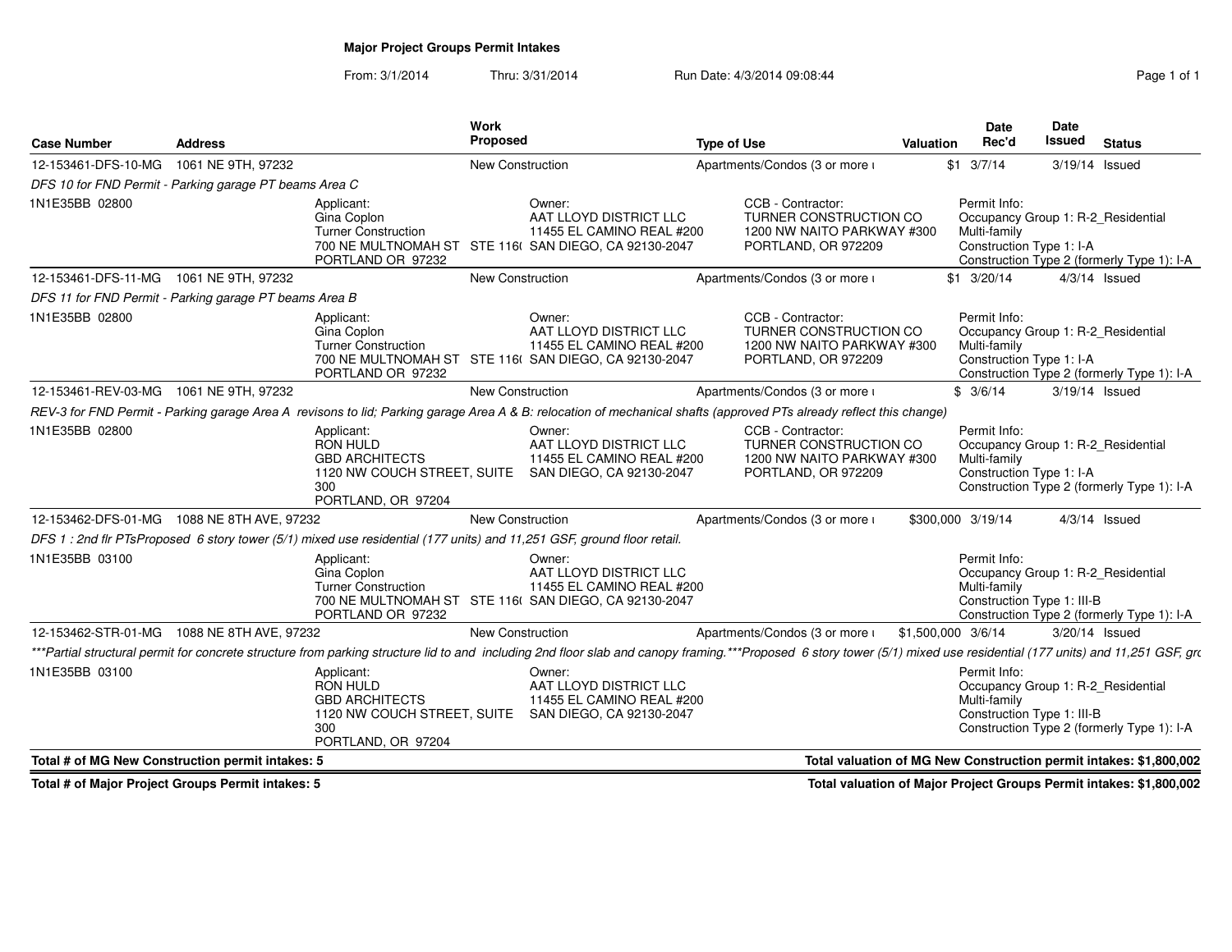# **Major Project Groups Permit Intakes**

From: 3/1/2014Thru: 3/31/2014 Run Date: 4/3/2014 09:08:44 Run Date: 4/3/2014 09:08:44

| <b>Case Number</b>                                     | Address            |                                                                                                                    | Work<br>Proposed        |                                                                                                                                                                                                                           | <b>Type of Use</b> |                                                                                                  | Valuation          | <b>Date</b><br>Rec'd         | <b>Date</b><br><b>Issued</b>                                     | <b>Status</b>                                                      |
|--------------------------------------------------------|--------------------|--------------------------------------------------------------------------------------------------------------------|-------------------------|---------------------------------------------------------------------------------------------------------------------------------------------------------------------------------------------------------------------------|--------------------|--------------------------------------------------------------------------------------------------|--------------------|------------------------------|------------------------------------------------------------------|--------------------------------------------------------------------|
| 12-153461-DFS-10-MG                                    | 1061 NE 9TH, 97232 |                                                                                                                    | <b>New Construction</b> |                                                                                                                                                                                                                           |                    | Apartments/Condos (3 or more i                                                                   |                    | $$1 \t3/7/14$                | 3/19/14 Issued                                                   |                                                                    |
| DFS 10 for FND Permit - Parking garage PT beams Area C |                    |                                                                                                                    |                         |                                                                                                                                                                                                                           |                    |                                                                                                  |                    |                              |                                                                  |                                                                    |
| 1N1E35BB 02800                                         |                    | Applicant:<br>Gina Coplon<br><b>Turner Construction</b><br>PORTLAND OR 97232                                       |                         | Owner:<br>AAT LLOYD DISTRICT LLC<br>11455 EL CAMINO REAL #200<br>700 NE MULTNOMAH ST STE 116( SAN DIEGO, CA 92130-2047                                                                                                    |                    | CCB - Contractor:<br>TURNER CONSTRUCTION CO<br>1200 NW NAITO PARKWAY #300<br>PORTLAND, OR 972209 |                    | Permit Info:<br>Multi-family | Occupancy Group 1: R-2_Residential<br>Construction Type 1: I-A   | Construction Type 2 (formerly Type 1): I-A                         |
| 12-153461-DFS-11-MG                                    | 1061 NE 9TH, 97232 |                                                                                                                    | New Construction        |                                                                                                                                                                                                                           |                    | Apartments/Condos (3 or more i                                                                   |                    | $$1 \quad 3/20/14$           |                                                                  | $4/3/14$ Issued                                                    |
| DFS 11 for FND Permit - Parking garage PT beams Area B |                    |                                                                                                                    |                         |                                                                                                                                                                                                                           |                    |                                                                                                  |                    |                              |                                                                  |                                                                    |
| 1N1E35BB 02800                                         |                    | Applicant:<br>Gina Coplon<br><b>Turner Construction</b><br>PORTLAND OR 97232                                       |                         | Owner:<br>AAT LLOYD DISTRICT LLC<br>11455 EL CAMINO REAL #200<br>700 NE MULTNOMAH ST STE 116( SAN DIEGO, CA 92130-2047                                                                                                    |                    | CCB - Contractor:<br>TURNER CONSTRUCTION CO<br>1200 NW NAITO PARKWAY #300<br>PORTLAND, OR 972209 |                    | Permit Info:<br>Multi-family | Occupancy Group 1: R-2_Residential<br>Construction Type 1: I-A   | Construction Type 2 (formerly Type 1): I-A                         |
| 12-153461-REV-03-MG  1061 NE 9TH, 97232                |                    |                                                                                                                    | New Construction        |                                                                                                                                                                                                                           |                    | Apartments/Condos (3 or more i                                                                   |                    | \$3/6/14                     | 3/19/14 Issued                                                   |                                                                    |
|                                                        |                    |                                                                                                                    |                         | REV-3 for FND Permit - Parking garage Area A revisons to lid; Parking garage Area A & B: relocation of mechanical shafts (approved PTs already reflect this change)                                                       |                    |                                                                                                  |                    |                              |                                                                  |                                                                    |
| 1N1E35BB 02800                                         |                    | Applicant:<br><b>RON HULD</b><br><b>GBD ARCHITECTS</b><br>300<br>PORTLAND, OR 97204                                |                         | Owner:<br>AAT LLOYD DISTRICT LLC<br>11455 EL CAMINO REAL #200<br>1120 NW COUCH STREET, SUITE SAN DIEGO, CA 92130-2047                                                                                                     |                    | CCB - Contractor:<br>TURNER CONSTRUCTION CO<br>1200 NW NAITO PARKWAY #300<br>PORTLAND, OR 972209 |                    | Permit Info:<br>Multi-family | Occupancy Group 1: R-2_Residential<br>Construction Type 1: I-A   | Construction Type 2 (formerly Type 1): I-A                         |
| 12-153462-DFS-01-MG 1088 NE 8TH AVE, 97232             |                    |                                                                                                                    | New Construction        |                                                                                                                                                                                                                           |                    | Apartments/Condos (3 or more i                                                                   |                    | \$300,000 3/19/14            |                                                                  | $4/3/14$ Issued                                                    |
|                                                        |                    |                                                                                                                    |                         | DFS 1: 2nd flr PTsProposed 6 story tower (5/1) mixed use residential (177 units) and 11.251 GSF, ground floor retail.                                                                                                     |                    |                                                                                                  |                    |                              |                                                                  |                                                                    |
| 1N1E35BB 03100                                         |                    | Applicant:<br>Gina Coplon<br><b>Turner Construction</b><br>PORTLAND OR 97232                                       |                         | Owner:<br>AAT LLOYD DISTRICT LLC<br>11455 EL CAMINO REAL #200<br>700 NE MULTNOMAH ST STE 116( SAN DIEGO, CA 92130-2047                                                                                                    |                    |                                                                                                  |                    | Permit Info:<br>Multi-family | Occupancy Group 1: R-2 Residential<br>Construction Type 1: III-B | Construction Type 2 (formerly Type 1): I-A                         |
| 12-153462-STR-01-MG  1088 NE 8TH AVE, 97232            |                    |                                                                                                                    | <b>New Construction</b> |                                                                                                                                                                                                                           |                    | Apartments/Condos (3 or more i                                                                   | \$1,500,000 3/6/14 |                              | 3/20/14 Issued                                                   |                                                                    |
|                                                        |                    |                                                                                                                    |                         | ***Partial structural permit for concrete structure from parking structure lid to and including 2nd floor slab and canopy framing.***Proposed 6 story tower (5/1) mixed use residential (177 units) and 11,251 GSF, grown |                    |                                                                                                  |                    |                              |                                                                  |                                                                    |
| 1N1E35BB 03100                                         |                    | Applicant:<br><b>RON HULD</b><br><b>GBD ARCHITECTS</b><br>1120 NW COUCH STREET, SUITE<br>300<br>PORTLAND, OR 97204 |                         | Owner:<br>AAT LLOYD DISTRICT LLC<br>11455 EL CAMINO REAL #200<br>SAN DIEGO, CA 92130-2047                                                                                                                                 |                    |                                                                                                  |                    | Permit Info:<br>Multi-family | Occupancy Group 1: R-2_Residential<br>Construction Type 1: III-B | Construction Type 2 (formerly Type 1): I-A                         |
| Total # of MG New Construction permit intakes: 5       |                    |                                                                                                                    |                         |                                                                                                                                                                                                                           |                    |                                                                                                  |                    |                              |                                                                  | Total valuation of MG New Construction permit intakes: \$1,800,002 |

**Total # of Major Project Groups Permit intakes: 5**

**Total valuation of Major Project Groups Permit intakes: \$1,800,002**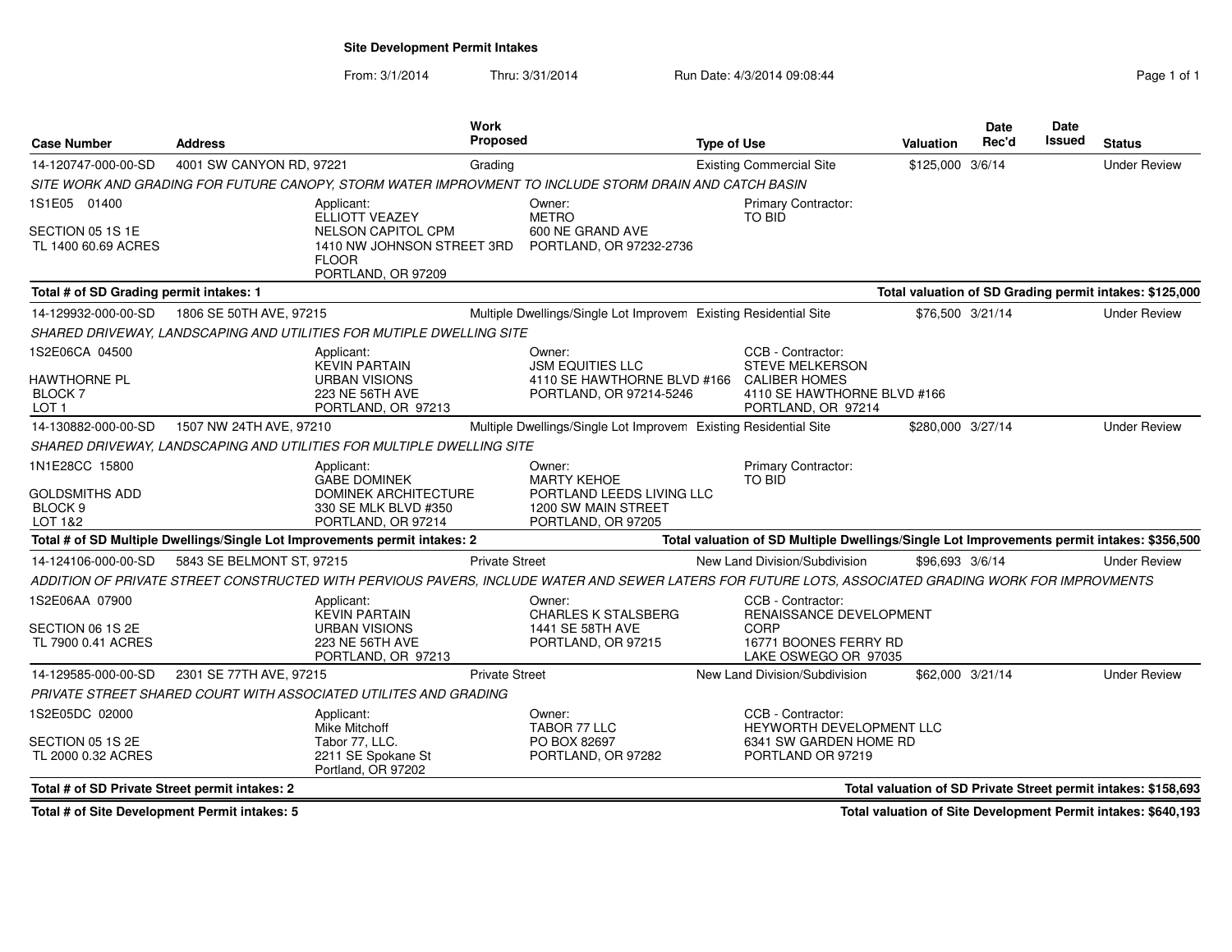**Site Development Permit Intakes**

From: 3/1/2014Thru: 3/31/2014 Run Date: 4/3/2014 09:08:44 Run Date: 4/3/2014 09:08:44

| <b>Case Number</b>                                                | <b>Address</b>            |                                                                                                                               | <b>Work</b><br>Proposed |                                                                                                                                                      | <b>Type of Use</b> |                                                                                                                          | <b>Valuation</b>  | Date<br>Rec'd | <b>Date</b><br>Issued | <b>Status</b>                                                  |
|-------------------------------------------------------------------|---------------------------|-------------------------------------------------------------------------------------------------------------------------------|-------------------------|------------------------------------------------------------------------------------------------------------------------------------------------------|--------------------|--------------------------------------------------------------------------------------------------------------------------|-------------------|---------------|-----------------------|----------------------------------------------------------------|
| 14-120747-000-00-SD                                               | 4001 SW CANYON RD, 97221  |                                                                                                                               | Grading                 |                                                                                                                                                      |                    | <b>Existing Commercial Site</b>                                                                                          | \$125,000 3/6/14  |               |                       | <b>Under Review</b>                                            |
|                                                                   |                           |                                                                                                                               |                         | SITE WORK AND GRADING FOR FUTURE CANOPY. STORM WATER IMPROVMENT TO INCLUDE STORM DRAIN AND CATCH BASIN                                               |                    |                                                                                                                          |                   |               |                       |                                                                |
| 1S1E05 01400<br>SECTION 05 1S 1E<br>TL 1400 60.69 ACRES           |                           | Applicant:<br>ELLIOTT VEAZEY<br><b>NELSON CAPITOL CPM</b><br>1410 NW JOHNSON STREET 3RD<br><b>FLOOR</b><br>PORTLAND, OR 97209 |                         | Owner:<br><b>METRO</b><br>600 NE GRAND AVE<br>PORTLAND, OR 97232-2736                                                                                |                    | Primary Contractor:<br>TO BID                                                                                            |                   |               |                       |                                                                |
| Total # of SD Grading permit intakes: 1                           |                           |                                                                                                                               |                         |                                                                                                                                                      |                    |                                                                                                                          |                   |               |                       | Total valuation of SD Grading permit intakes: \$125,000        |
| 14-129932-000-00-SD                                               | 1806 SE 50TH AVE, 97215   |                                                                                                                               |                         | Multiple Dwellings/Single Lot Improvem Existing Residential Site                                                                                     |                    |                                                                                                                          | \$76,500 3/21/14  |               |                       | <b>Under Review</b>                                            |
|                                                                   |                           | SHARED DRIVEWAY, LANDSCAPING AND UTILITIES FOR MUTIPLE DWELLING SITE                                                          |                         |                                                                                                                                                      |                    |                                                                                                                          |                   |               |                       |                                                                |
| 1S2E06CA 04500<br>HAWTHORNE PL<br>BLOCK 7<br>LOT <sub>1</sub>     |                           | Applicant:<br><b>KEVIN PARTAIN</b><br><b>URBAN VISIONS</b><br>223 NE 56TH AVE<br>PORTLAND, OR 97213                           |                         | Owner:<br><b>JSM EQUITIES LLC</b><br>4110 SE HAWTHORNE BLVD #166<br>PORTLAND, OR 97214-5246                                                          |                    | CCB - Contractor:<br><b>STEVE MELKERSON</b><br><b>CALIBER HOMES</b><br>4110 SE HAWTHORNE BLVD #166<br>PORTLAND, OR 97214 |                   |               |                       |                                                                |
| 14-130882-000-00-SD                                               | 1507 NW 24TH AVE, 97210   |                                                                                                                               |                         | Multiple Dwellings/Single Lot Improvem Existing Residential Site                                                                                     |                    |                                                                                                                          | \$280,000 3/27/14 |               |                       | <b>Under Review</b>                                            |
|                                                                   |                           | SHARED DRIVEWAY, LANDSCAPING AND UTILITIES FOR MULTIPLE DWELLING SITE                                                         |                         |                                                                                                                                                      |                    |                                                                                                                          |                   |               |                       |                                                                |
| 1N1E28CC 15800<br>GOLDSMITHS ADD<br>BLOCK <sub>9</sub><br>LOT 1&2 |                           | Applicant:<br><b>GABE DOMINEK</b><br><b>DOMINEK ARCHITECTURE</b><br>330 SE MLK BLVD #350<br>PORTLAND, OR 97214                |                         | Owner:<br><b>MARTY KEHOE</b><br>PORTLAND LEEDS LIVING LLC<br>1200 SW MAIN STREET<br>PORTLAND, OR 97205                                               |                    | <b>Primary Contractor:</b><br>TO BID                                                                                     |                   |               |                       |                                                                |
|                                                                   |                           | Total # of SD Multiple Dwellings/Single Lot Improvements permit intakes: 2                                                    |                         |                                                                                                                                                      |                    | Total valuation of SD Multiple Dwellings/Single Lot Improvements permit intakes: \$356,500                               |                   |               |                       |                                                                |
| 14-124106-000-00-SD                                               | 5843 SE BELMONT ST, 97215 |                                                                                                                               | <b>Private Street</b>   |                                                                                                                                                      |                    | New Land Division/Subdivision                                                                                            | \$96,693 3/6/14   |               |                       | <b>Under Review</b>                                            |
|                                                                   |                           |                                                                                                                               |                         | ADDITION OF PRIVATE STREET CONSTRUCTED WITH PERVIOUS PAVERS, INCLUDE WATER AND SEWER LATERS FOR FUTURE LOTS, ASSOCIATED GRADING WORK FOR IMPROVMENTS |                    |                                                                                                                          |                   |               |                       |                                                                |
| 1S2E06AA 07900<br>SECTION 06 1S 2E<br>TL 7900 0.41 ACRES          |                           | Applicant:<br><b>KEVIN PARTAIN</b><br><b>URBAN VISIONS</b><br>223 NE 56TH AVE<br>PORTLAND, OR 97213                           |                         | Owner:<br><b>CHARLES K STALSBERG</b><br>1441 SE 58TH AVE<br>PORTLAND, OR 97215                                                                       |                    | CCB - Contractor:<br>RENAISSANCE DEVELOPMENT<br><b>CORP</b><br>16771 BOONES FERRY RD<br>LAKE OSWEGO OR 97035             |                   |               |                       |                                                                |
| 14-129585-000-00-SD                                               | 2301 SE 77TH AVE, 97215   |                                                                                                                               | <b>Private Street</b>   |                                                                                                                                                      |                    | New Land Division/Subdivision                                                                                            | \$62,000 3/21/14  |               |                       | <b>Under Review</b>                                            |
|                                                                   |                           | PRIVATE STREET SHARED COURT WITH ASSOCIATED UTILITES AND GRADING                                                              |                         |                                                                                                                                                      |                    |                                                                                                                          |                   |               |                       |                                                                |
| 1S2E05DC 02000<br>SECTION 05 1S 2E<br>TL 2000 0.32 ACRES          |                           | Applicant:<br>Mike Mitchoff<br>Tabor 77. LLC.<br>2211 SE Spokane St<br>Portland, OR 97202                                     |                         | Owner:<br>TABOR 77 LLC<br>PO BOX 82697<br>PORTLAND, OR 97282                                                                                         |                    | CCB - Contractor:<br><b>HEYWORTH DEVELOPMENT LLC</b><br>6341 SW GARDEN HOME RD<br>PORTLAND OR 97219                      |                   |               |                       |                                                                |
| Total # of SD Private Street permit intakes: 2                    |                           |                                                                                                                               |                         |                                                                                                                                                      |                    |                                                                                                                          |                   |               |                       | Total valuation of SD Private Street permit intakes: \$158,693 |
|                                                                   |                           |                                                                                                                               |                         |                                                                                                                                                      |                    |                                                                                                                          |                   |               |                       |                                                                |

**Total # of Site Development Permit intakes: 5**

**Total valuation of Site Development Permit intakes: \$640,193**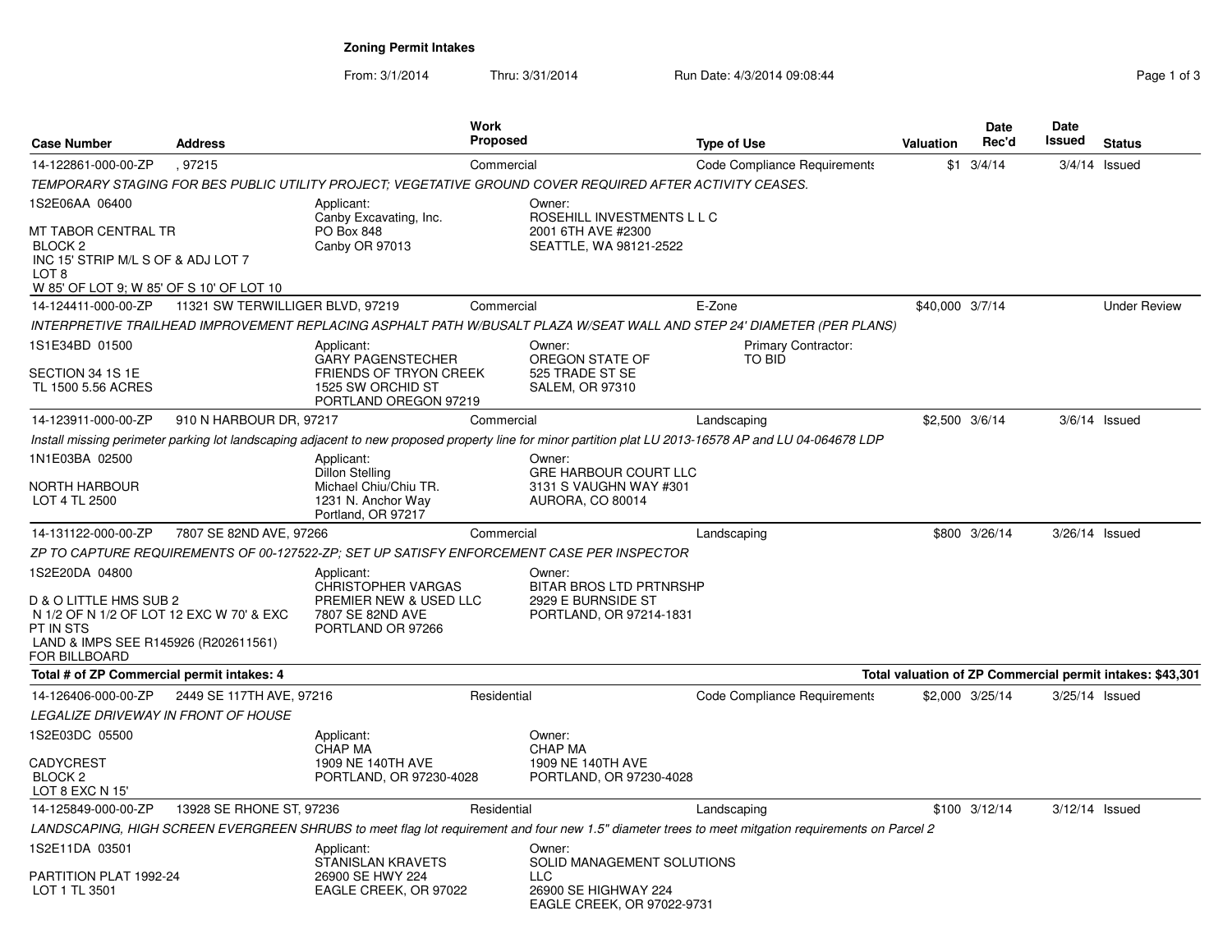**Zoning Permit Intakes**

From: 3/1/2014Thru: 3/31/2014 Run Date: 4/3/2014 09:08:44 Register 2010 1:08:44

| <b>Case Number</b>                                                                                                                       | <b>Address</b>                   |                                                                             | Work<br>Proposed |                                                                                                           | <b>Type of Use</b>                                                                                                                                      | <b>Valuation</b> | Date<br>Rec'd    | Date<br>Issued   | <b>Status</b>                                             |
|------------------------------------------------------------------------------------------------------------------------------------------|----------------------------------|-----------------------------------------------------------------------------|------------------|-----------------------------------------------------------------------------------------------------------|---------------------------------------------------------------------------------------------------------------------------------------------------------|------------------|------------------|------------------|-----------------------------------------------------------|
| 14-122861-000-00-ZP                                                                                                                      | .97215                           |                                                                             | Commercial       |                                                                                                           | <b>Code Compliance Requirements</b>                                                                                                                     | \$1              | 3/4/14           |                  | $3/4/14$ Issued                                           |
|                                                                                                                                          |                                  |                                                                             |                  | TEMPORARY STAGING FOR BES PUBLIC UTILITY PROJECT; VEGETATIVE GROUND COVER REQUIRED AFTER ACTIVITY CEASES. |                                                                                                                                                         |                  |                  |                  |                                                           |
| 1S2E06AA 06400                                                                                                                           |                                  | Applicant:<br>Canby Excavating, Inc.                                        |                  | Owner:<br>ROSEHILL INVESTMENTS L L C                                                                      |                                                                                                                                                         |                  |                  |                  |                                                           |
| MT TABOR CENTRAL TR<br>BLOCK <sub>2</sub><br>INC 15' STRIP M/L S OF & ADJ LOT 7<br>LOT 8<br>W 85' OF LOT 9; W 85' OF S 10' OF LOT 10     |                                  | PO Box 848<br>Canby OR 97013                                                |                  | 2001 6TH AVE #2300<br>SEATTLE, WA 98121-2522                                                              |                                                                                                                                                         |                  |                  |                  |                                                           |
| 14-124411-000-00-ZP                                                                                                                      | 11321 SW TERWILLIGER BLVD, 97219 |                                                                             | Commercial       |                                                                                                           | E-Zone                                                                                                                                                  | \$40,000 3/7/14  |                  |                  | <b>Under Review</b>                                       |
|                                                                                                                                          |                                  |                                                                             |                  |                                                                                                           | INTERPRETIVE TRAILHEAD IMPROVEMENT REPLACING ASPHALT PATH W/BUSALT PLAZA W/SEAT WALL AND STEP 24' DIAMETER (PER PLANS)                                  |                  |                  |                  |                                                           |
| 1S1E34BD 01500                                                                                                                           |                                  | Applicant:<br><b>GARY PAGENSTECHER</b>                                      |                  | Owner:<br>OREGON STATE OF                                                                                 | <b>Primary Contractor:</b><br><b>TO BID</b>                                                                                                             |                  |                  |                  |                                                           |
| SECTION 34 1S 1E<br>TL 1500 5.56 ACRES                                                                                                   |                                  | <b>FRIENDS OF TRYON CREEK</b><br>1525 SW ORCHID ST<br>PORTLAND OREGON 97219 |                  | 525 TRADE ST SE<br><b>SALEM, OR 97310</b>                                                                 |                                                                                                                                                         |                  |                  |                  |                                                           |
| 14-123911-000-00-ZP                                                                                                                      | 910 N HARBOUR DR, 97217          |                                                                             | Commercial       |                                                                                                           | Landscaping                                                                                                                                             | \$2,500 3/6/14   |                  |                  | $3/6/14$ Issued                                           |
|                                                                                                                                          |                                  |                                                                             |                  |                                                                                                           | Install missing perimeter parking lot landscaping adjacent to new proposed property line for minor partition plat LU 2013-16578 AP and LU 04-064678 LDP |                  |                  |                  |                                                           |
| 1N1E03BA 02500                                                                                                                           |                                  | Applicant:<br><b>Dillon Stelling</b>                                        |                  | Owner:<br><b>GRE HARBOUR COURT LLC</b>                                                                    |                                                                                                                                                         |                  |                  |                  |                                                           |
| NORTH HARBOUR<br>LOT 4 TL 2500                                                                                                           |                                  | Michael Chiu/Chiu TR.<br>1231 N. Anchor Way<br>Portland, OR 97217           |                  | 3131 S VAUGHN WAY #301<br>AURORA, CO 80014                                                                |                                                                                                                                                         |                  |                  |                  |                                                           |
| 14-131122-000-00-ZP                                                                                                                      | 7807 SE 82ND AVE, 97266          |                                                                             | Commercial       |                                                                                                           | Landscaping                                                                                                                                             |                  | \$800 3/26/14    | $3/26/14$ Issued |                                                           |
|                                                                                                                                          |                                  |                                                                             |                  | ZP TO CAPTURE REQUIREMENTS OF 00-127522-ZP; SET UP SATISFY ENFORCEMENT CASE PER INSPECTOR                 |                                                                                                                                                         |                  |                  |                  |                                                           |
| 1S2E20DA 04800                                                                                                                           |                                  | Applicant:<br><b>CHRISTOPHER VARGAS</b>                                     |                  | Owner:<br>BITAR BROS LTD PRTNRSHP                                                                         |                                                                                                                                                         |                  |                  |                  |                                                           |
| D & O LITTLE HMS SUB 2<br>N 1/2 OF N 1/2 OF LOT 12 EXC W 70' & EXC<br>PT IN STS<br>LAND & IMPS SEE R145926 (R202611561)<br>FOR BILLBOARD |                                  | PREMIER NEW & USED LLC<br>7807 SE 82ND AVE<br>PORTLAND OR 97266             |                  | 2929 E BURNSIDE ST<br>PORTLAND, OR 97214-1831                                                             |                                                                                                                                                         |                  |                  |                  |                                                           |
| Total # of ZP Commercial permit intakes: 4                                                                                               |                                  |                                                                             |                  |                                                                                                           |                                                                                                                                                         |                  |                  |                  | Total valuation of ZP Commercial permit intakes: \$43,301 |
| 14-126406-000-00-ZP                                                                                                                      | 2449 SE 117TH AVE, 97216         |                                                                             | Residential      |                                                                                                           | Code Compliance Requirements                                                                                                                            |                  | \$2,000 3/25/14  | 3/25/14 Issued   |                                                           |
| <b>LEGALIZE DRIVEWAY IN FRONT OF HOUSE</b>                                                                                               |                                  |                                                                             |                  |                                                                                                           |                                                                                                                                                         |                  |                  |                  |                                                           |
| 1S2E03DC 05500                                                                                                                           |                                  | Applicant:<br><b>CHAP MA</b>                                                |                  | Owner:<br><b>CHAP MA</b>                                                                                  |                                                                                                                                                         |                  |                  |                  |                                                           |
| <b>CADYCREST</b><br>BLOCK <sub>2</sub><br>LOT 8 EXC N 15'                                                                                |                                  | 1909 NE 140TH AVE<br>PORTLAND, OR 97230-4028                                |                  | 1909 NE 140TH AVE<br>PORTLAND, OR 97230-4028                                                              |                                                                                                                                                         |                  |                  |                  |                                                           |
| 14-125849-000-00-ZP                                                                                                                      | 13928 SE RHONE ST, 97236         |                                                                             | Residential      |                                                                                                           | Landscaping                                                                                                                                             |                  | $$100$ $3/12/14$ | 3/12/14 Issued   |                                                           |
|                                                                                                                                          |                                  |                                                                             |                  |                                                                                                           | LANDSCAPING, HIGH SCREEN EVERGREEN SHRUBS to meet flag lot requirement and four new 1.5" diameter trees to meet mitgation requirements on Parcel 2      |                  |                  |                  |                                                           |
| 1S2E11DA 03501                                                                                                                           |                                  | Applicant:<br><b>STANISLAN KRAVETS</b>                                      |                  | Owner:<br>SOLID MANAGEMENT SOLUTIONS                                                                      |                                                                                                                                                         |                  |                  |                  |                                                           |
| PARTITION PLAT 1992-24<br>LOT 1 TL 3501                                                                                                  |                                  | 26900 SE HWY 224<br>EAGLE CREEK, OR 97022                                   |                  | LLC<br>26900 SE HIGHWAY 224<br>EAGLE CREEK, OR 97022-9731                                                 |                                                                                                                                                         |                  |                  |                  |                                                           |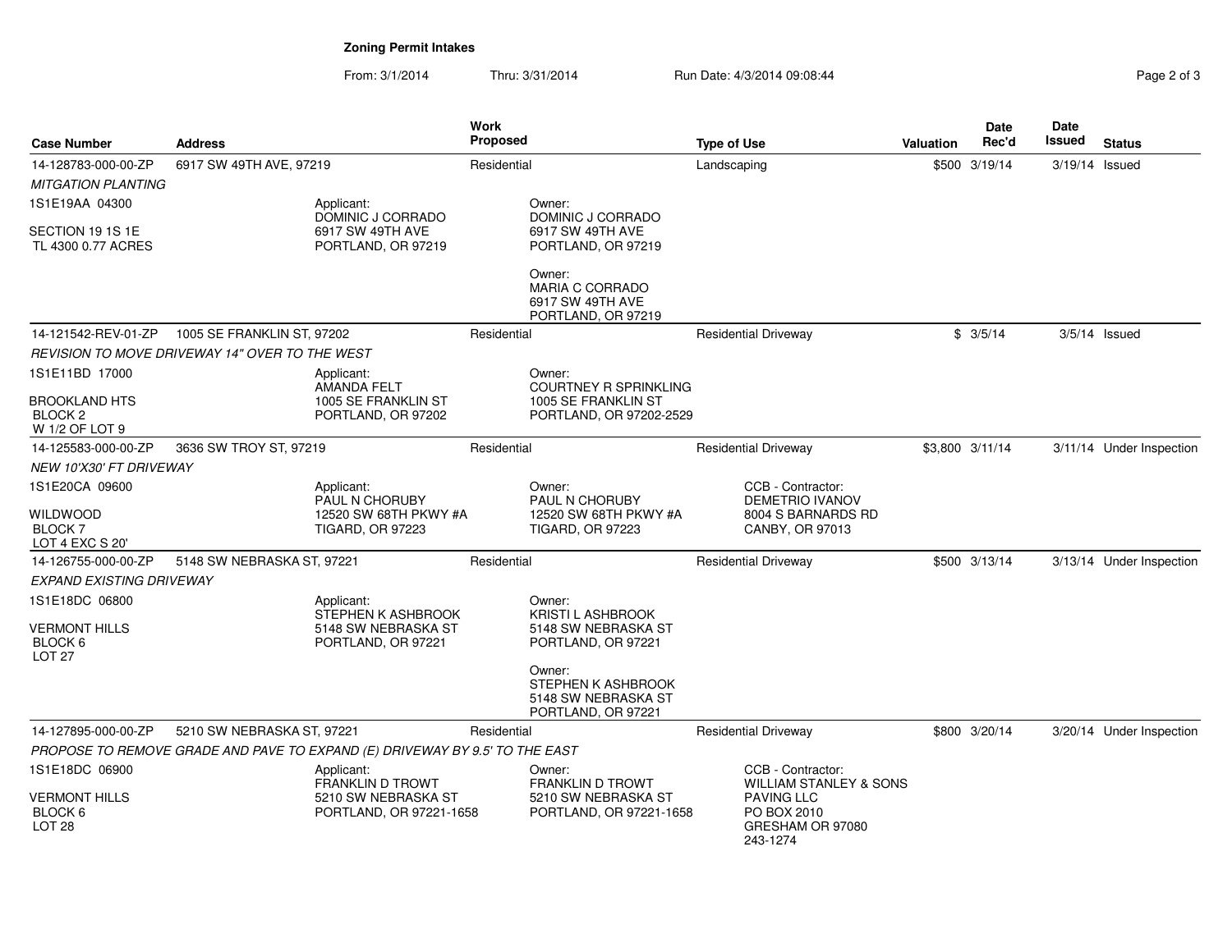# **Zoning Permit Intakes**

| <b>Case Number</b>                                           | <b>Address</b>                                        |                                                                             | Work<br>Proposed |                                                                            | <b>Type of Use</b> |                                                                                                       | Valuation | Date<br>Rec'd   | <b>Date</b><br>Issued | <b>Status</b>            |
|--------------------------------------------------------------|-------------------------------------------------------|-----------------------------------------------------------------------------|------------------|----------------------------------------------------------------------------|--------------------|-------------------------------------------------------------------------------------------------------|-----------|-----------------|-----------------------|--------------------------|
| 14-128783-000-00-ZP                                          | 6917 SW 49TH AVE, 97219                               |                                                                             | Residential      |                                                                            | Landscaping        |                                                                                                       | \$500     | 3/19/14         | 3/19/14 Issued        |                          |
| <b>MITGATION PLANTING</b>                                    |                                                       |                                                                             |                  |                                                                            |                    |                                                                                                       |           |                 |                       |                          |
| 1S1E19AA 04300                                               |                                                       | Applicant:<br>DOMINIC J CORRADO                                             |                  | Owner:<br>DOMINIC J CORRADO                                                |                    |                                                                                                       |           |                 |                       |                          |
| SECTION 19 1S 1E                                             |                                                       | 6917 SW 49TH AVE                                                            |                  | 6917 SW 49TH AVE                                                           |                    |                                                                                                       |           |                 |                       |                          |
| TL 4300 0.77 ACRES                                           |                                                       | PORTLAND, OR 97219                                                          |                  | PORTLAND, OR 97219                                                         |                    |                                                                                                       |           |                 |                       |                          |
|                                                              |                                                       |                                                                             |                  | Owner:<br><b>MARIA C CORRADO</b><br>6917 SW 49TH AVE<br>PORTLAND, OR 97219 |                    |                                                                                                       |           |                 |                       |                          |
| 14-121542-REV-01-ZP                                          | 1005 SE FRANKLIN ST. 97202                            |                                                                             | Residential      |                                                                            |                    | <b>Residential Driveway</b>                                                                           |           | \$3/5/14        |                       | $3/5/14$ Issued          |
|                                                              | <b>REVISION TO MOVE DRIVEWAY 14" OVER TO THE WEST</b> |                                                                             |                  |                                                                            |                    |                                                                                                       |           |                 |                       |                          |
| 1S1E11BD 17000                                               |                                                       | Applicant:<br>AMANDA FELT                                                   |                  | Owner:<br><b>COURTNEY R SPRINKLING</b>                                     |                    |                                                                                                       |           |                 |                       |                          |
| <b>BROOKLAND HTS</b><br>BLOCK <sub>2</sub><br>W 1/2 OF LOT 9 |                                                       | 1005 SE FRANKLIN ST<br>PORTLAND, OR 97202                                   |                  | 1005 SE FRANKLIN ST<br>PORTLAND, OR 97202-2529                             |                    |                                                                                                       |           |                 |                       |                          |
| 14-125583-000-00-ZP                                          | 3636 SW TROY ST, 97219                                |                                                                             | Residential      |                                                                            |                    | <b>Residential Driveway</b>                                                                           |           | \$3,800 3/11/14 |                       | 3/11/14 Under Inspection |
| NEW 10'X30' FT DRIVEWAY                                      |                                                       |                                                                             |                  |                                                                            |                    |                                                                                                       |           |                 |                       |                          |
| 1S1E20CA 09600                                               |                                                       | Applicant:<br>PAUL N CHORUBY                                                |                  | Owner:<br>PAUL N CHORUBY                                                   |                    | CCB - Contractor:<br>DEMETRIO IVANOV                                                                  |           |                 |                       |                          |
| WILDWOOD                                                     |                                                       | 12520 SW 68TH PKWY #A                                                       |                  | 12520 SW 68TH PKWY #A                                                      |                    | 8004 S BARNARDS RD                                                                                    |           |                 |                       |                          |
| <b>BLOCK7</b><br>LOT 4 EXC S 20'                             |                                                       | <b>TIGARD, OR 97223</b>                                                     |                  | <b>TIGARD, OR 97223</b>                                                    |                    | CANBY, OR 97013                                                                                       |           |                 |                       |                          |
| 14-126755-000-00-ZP                                          | 5148 SW NEBRASKA ST, 97221                            |                                                                             | Residential      |                                                                            |                    | <b>Residential Driveway</b>                                                                           |           | \$500 3/13/14   |                       | 3/13/14 Under Inspection |
| <b>EXPAND EXISTING DRIVEWAY</b>                              |                                                       |                                                                             |                  |                                                                            |                    |                                                                                                       |           |                 |                       |                          |
| 1S1E18DC 06800                                               |                                                       | Applicant:<br>STEPHEN K ASHBROOK                                            |                  | Owner:<br><b>KRISTI L ASHBROOK</b>                                         |                    |                                                                                                       |           |                 |                       |                          |
| <b>VERMONT HILLS</b><br>BLOCK 6<br>LOT <sub>27</sub>         |                                                       | 5148 SW NEBRASKA ST<br>PORTLAND, OR 97221                                   |                  | 5148 SW NEBRASKA ST<br>PORTLAND, OR 97221                                  |                    |                                                                                                       |           |                 |                       |                          |
|                                                              |                                                       |                                                                             |                  | Owner:<br>STEPHEN K ASHBROOK<br>5148 SW NEBRASKA ST<br>PORTLAND, OR 97221  |                    |                                                                                                       |           |                 |                       |                          |
| 14-127895-000-00-ZP                                          | 5210 SW NEBRASKA ST, 97221                            |                                                                             | Residential      |                                                                            |                    | <b>Residential Driveway</b>                                                                           |           | \$800 3/20/14   |                       | 3/20/14 Under Inspection |
|                                                              |                                                       | PROPOSE TO REMOVE GRADE AND PAVE TO EXPAND (E) DRIVEWAY BY 9.5' TO THE EAST |                  |                                                                            |                    |                                                                                                       |           |                 |                       |                          |
| 1S1E18DC 06900                                               |                                                       | Applicant:                                                                  |                  | Owner:                                                                     |                    | CCB - Contractor:                                                                                     |           |                 |                       |                          |
| <b>VERMONT HILLS</b><br>BLOCK 6<br>LOT <sub>28</sub>         |                                                       | <b>FRANKLIN D TROWT</b><br>5210 SW NEBRASKA ST<br>PORTLAND, OR 97221-1658   |                  | <b>FRANKLIN D TROWT</b><br>5210 SW NEBRASKA ST<br>PORTLAND, OR 97221-1658  |                    | <b>WILLIAM STANLEY &amp; SONS</b><br><b>PAVING LLC</b><br>PO BOX 2010<br>GRESHAM OR 97080<br>243-1274 |           |                 |                       |                          |